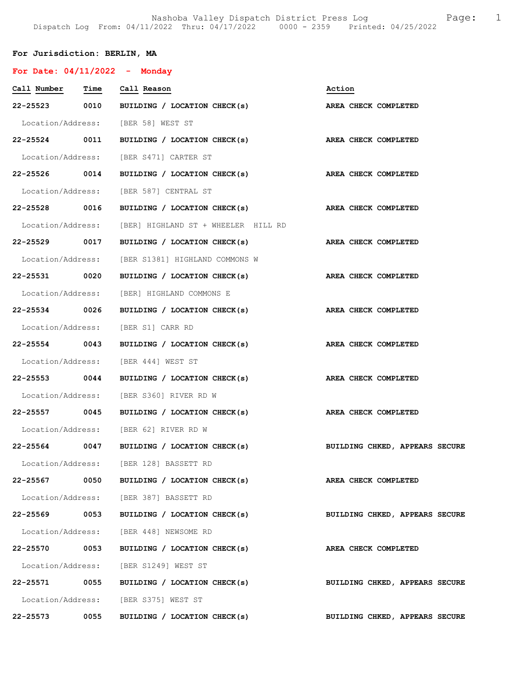Nashoba Valley Dispatch District Press Log Fage: 1 Dispatch Log From: 04/11/2022 Thru: 04/17/2022 0000 - 2359 Printed: 04/25/2022

## For Jurisdiction: BERLIN, MA

| For Date: $04/11/2022 -$ Monday |      |                                                                 |                                |
|---------------------------------|------|-----------------------------------------------------------------|--------------------------------|
| Call Number Time Call Reason    |      |                                                                 | Action                         |
|                                 |      | 22-25523 0010 BUILDING / LOCATION CHECK(s)                      | AREA CHECK COMPLETED           |
|                                 |      | Location/Address: [BER 58] WEST ST                              |                                |
|                                 |      | 22-25524 0011 BUILDING / LOCATION CHECK(s) AREA CHECK COMPLETED |                                |
|                                 |      | Location/Address: [BER S471] CARTER ST                          |                                |
|                                 |      | 22-25526 0014 BUILDING / LOCATION CHECK(s) AREA CHECK COMPLETED |                                |
|                                 |      | Location/Address: [BER 587] CENTRAL ST                          |                                |
|                                 |      | 22-25528 0016 BUILDING / LOCATION CHECK(s) AREA CHECK COMPLETED |                                |
|                                 |      | Location/Address: [BER] HIGHLAND ST + WHEELER HILL RD           |                                |
| 22-25529 0017                   |      | BUILDING / LOCATION CHECK(s)                                    | AREA CHECK COMPLETED           |
|                                 |      | Location/Address: [BER S1381] HIGHLAND COMMONS W                |                                |
|                                 |      | 22-25531 0020 BUILDING / LOCATION CHECK(s) AREA CHECK COMPLETED |                                |
|                                 |      | Location/Address: [BER] HIGHLAND COMMONS E                      |                                |
|                                 |      | 22-25534 0026 BUILDING / LOCATION CHECK(s) AREA CHECK COMPLETED |                                |
|                                 |      | Location/Address: [BER S1] CARR RD                              |                                |
|                                 |      | 22-25554 0043 BUILDING / LOCATION CHECK(s)                      | AREA CHECK COMPLETED           |
|                                 |      | Location/Address: [BER 444] WEST ST                             |                                |
|                                 |      | 22-25553 0044 BUILDING / LOCATION CHECK(s)                      | AREA CHECK COMPLETED           |
|                                 |      | Location/Address: [BER S360] RIVER RD W                         |                                |
|                                 |      | 22-25557 0045 BUILDING / LOCATION CHECK(s)                      | AREA CHECK COMPLETED           |
|                                 |      | Location/Address: [BER 62] RIVER RD W                           |                                |
| 22-25564 0047                   |      | BUILDING / LOCATION CHECK(s) BUILDING CHKED, APPEARS SECURE     |                                |
|                                 |      | Location/Address: [BER 128] BASSETT RD                          |                                |
|                                 |      | 22-25567 0050 BUILDING / LOCATION CHECK(s)                      | AREA CHECK COMPLETED           |
|                                 |      | Location/Address: [BER 387] BASSETT RD                          |                                |
|                                 |      | 22-25569 0053 BUILDING / LOCATION CHECK(s)                      | BUILDING CHKED, APPEARS SECURE |
|                                 |      | Location/Address: [BER 448] NEWSOME RD                          |                                |
|                                 |      | 22-25570 0053 BUILDING / LOCATION CHECK(s)                      | AREA CHECK COMPLETED           |
|                                 |      | Location/Address: [BER S1249] WEST ST                           |                                |
|                                 |      | 22-25571 0055 BUILDING / LOCATION CHECK(s)                      | BUILDING CHKED, APPEARS SECURE |
|                                 |      | Location/Address: [BER S375] WEST ST                            |                                |
| 22-25573                        | 0055 | BUILDING / LOCATION CHECK(s)                                    | BUILDING CHKED, APPEARS SECURE |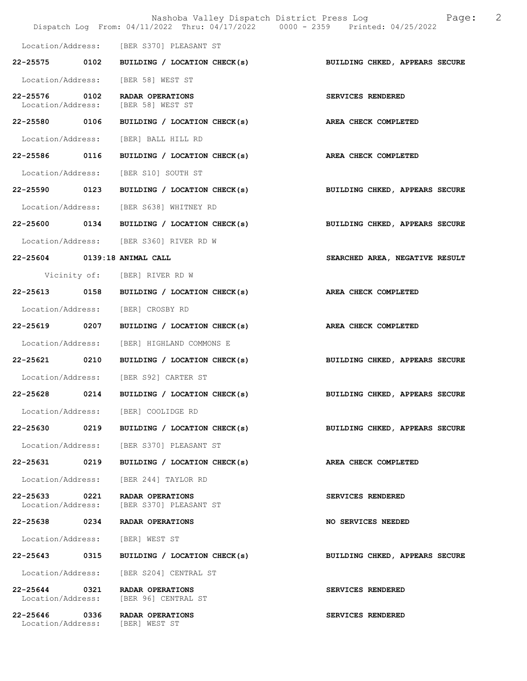|                                    |      | Dispatch Log From: 04/11/2022 Thru: 04/17/2022 0000 - 2359 Printed: 04/25/2022 | 2<br>Nashoba Valley Dispatch District Press Log<br>Page: |
|------------------------------------|------|--------------------------------------------------------------------------------|----------------------------------------------------------|
|                                    |      | Location/Address: [BER S370] PLEASANT ST                                       |                                                          |
|                                    |      | 22-25575 0102 BUILDING / LOCATION CHECK(s)                                     | BUILDING CHKED, APPEARS SECURE                           |
|                                    |      | Location/Address: [BER 58] WEST ST                                             |                                                          |
| 22-25576 0102<br>Location/Address: |      | RADAR OPERATIONS<br>[BER 58] WEST ST                                           | SERVICES RENDERED                                        |
| 22-25580 0106                      |      | BUILDING / LOCATION CHECK(s)                                                   | AREA CHECK COMPLETED                                     |
| Location/Address:                  |      | [BER] BALL HILL RD                                                             |                                                          |
| 22-25586 0116                      |      | BUILDING / LOCATION CHECK(s)                                                   | <b>AREA CHECK COMPLETED</b>                              |
|                                    |      | Location/Address: [BER S10] SOUTH ST                                           |                                                          |
| 22-25590 0123                      |      | BUILDING / LOCATION CHECK(s)                                                   | BUILDING CHKED, APPEARS SECURE                           |
|                                    |      | Location/Address: [BER S638] WHITNEY RD                                        |                                                          |
|                                    |      | $22-25600$ 0134 BUILDING / LOCATION CHECK(s)                                   | BUILDING CHKED, APPEARS SECURE                           |
|                                    |      | Location/Address: [BER S360] RIVER RD W                                        |                                                          |
|                                    |      | 22-25604 0139:18 ANIMAL CALL                                                   | SEARCHED AREA, NEGATIVE RESULT                           |
|                                    |      | Vicinity of: [BER] RIVER RD W                                                  |                                                          |
|                                    |      | 22-25613 0158 BUILDING / LOCATION CHECK(s)                                     | AREA CHECK COMPLETED                                     |
|                                    |      | Location/Address: [BER] CROSBY RD                                              |                                                          |
| 22-25619 0207                      |      | BUILDING / LOCATION CHECK(s)                                                   | AREA CHECK COMPLETED                                     |
| Location/Address:                  |      | [BER] HIGHLAND COMMONS E                                                       |                                                          |
|                                    |      | 22-25621 0210 BUILDING / LOCATION CHECK(s)                                     | BUILDING CHKED, APPEARS SECURE                           |
|                                    |      | Location/Address: [BER S92] CARTER ST                                          |                                                          |
| 22-25628                           | 0214 | BUILDING / LOCATION CHECK(s)                                                   | BUILDING CHKED, APPEARS SECURE                           |
|                                    |      | Location/Address: [BER] COOLIDGE RD                                            |                                                          |
|                                    |      | 22-25630 0219 BUILDING / LOCATION CHECK(s)                                     | BUILDING CHKED, APPEARS SECURE                           |
| Location/Address:                  |      | [BER S370] PLEASANT ST                                                         |                                                          |
| 22-25631                           | 0219 | BUILDING / LOCATION CHECK(s)                                                   | AREA CHECK COMPLETED                                     |
| Location/Address:                  |      | [BER 244] TAYLOR RD                                                            |                                                          |
| 22-25633 0221<br>Location/Address: |      | RADAR OPERATIONS<br>[BER S370] PLEASANT ST                                     | SERVICES RENDERED                                        |
| 22-25638 0234                      |      | RADAR OPERATIONS                                                               | NO SERVICES NEEDED                                       |
| Location/Address:                  |      | [BER] WEST ST                                                                  |                                                          |
| 22-25643                           | 0315 | BUILDING / LOCATION CHECK(s)                                                   | BUILDING CHKED, APPEARS SECURE                           |
| Location/Address:                  |      | [BER S204] CENTRAL ST                                                          |                                                          |
| 22-25644 0321<br>Location/Address: |      | RADAR OPERATIONS<br>[BER 96] CENTRAL ST                                        | SERVICES RENDERED                                        |
| 22-25646 0336                      |      | RADAR OPERATIONS<br>Location/Address: [BER] WEST ST                            | SERVICES RENDERED                                        |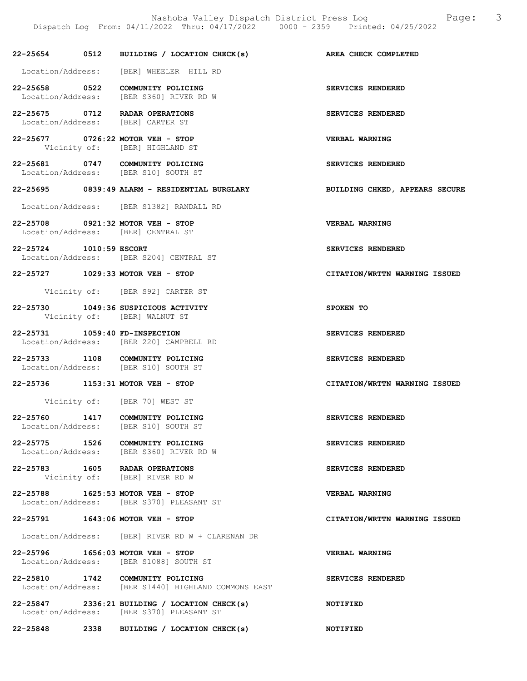22-25654 0512 BUILDING / LOCATION CHECK(s) AREA CHECK COMPLETED Location/Address: [BER] WHEELER HILL RD 22-25658 0522 COMMUNITY POLICING SERVICES RENDERED Location/Address: [BER S360] RIVER RD W 22-25675 0712 RADAR OPERATIONS SERVICES RENDERED<br>
Location/Address: [BER] CARTER ST Location/Address: 22-25677 0726:22 MOTOR VEH - STOP CHER VERBAL WARNING<br>Vicinity of: [BER] HIGHLAND ST [BER] HIGHLAND ST 22-25681 0747 COMMUNITY POLICING SERVICES RENDERED Location/Address: [BER S10] SOUTH ST 22-25695 0839:49 ALARM - RESIDENTIAL BURGLARY BUILDING CHKED, APPEARS SECURE Location/Address: [BER S1382] RANDALL RD 22-25708 0921:32 MOTOR VEH - STOP VERBAL WARNING Location/Address: [BER] CENTRAL ST 22-25724 1010:59 ESCORT SERVICES RENDERED Location/Address: [BER S204] CENTRAL ST 22-25727 1029:33 MOTOR VEH - STOP CITATION/WRTTN WARNING ISSUED Vicinity of: [BER S92] CARTER ST 22-25730 1049:36 SUSPICIOUS ACTIVITY SPOKEN TO Vicinity of: [BER] WALNUT ST 22-25731 1059:40 FD-INSPECTION SERVICES RENDERED Location/Address: [BER 220] CAMPBELL RD 22-25733 1108 COMMUNITY POLICING 120 SERVICES RENDERED Location/Address: [BER S10] SOUTH ST 22-25736 1153:31 MOTOR VEH - STOP CITATION/WRTTN WARNING ISSUED Vicinity of: [BER 70] WEST ST 22-25760 1417 COMMUNITY POLICING<br>
Location/Address: [BER S10] SOUTH ST [BER S10] SOUTH ST 22-25775 1526 COMMUNITY POLICING<br>
Location/Address: [BER S360] RIVER RD W [BER S360] RIVER RD W 22-25783 1605 RADAR OPERATIONS SERVICES RENDERED Vicinity of: [BER] RIVER RD W 22-25788 1625:53 MOTOR VEH - STOP VERBAL WARNING Location/Address: [BER S370] PLEASANT ST 22-25791 1643:06 MOTOR VEH - STOP CITATION/WRTTN WARNING ISSUED Location/Address: [BER] RIVER RD W + CLARENAN DR 22-25796 1656:03 MOTOR VEH - STOP VERBAL WARNING Location/Address: [BER S1088] SOUTH ST 22-25810 1742 COMMUNITY POLICING SERVICES RENDERED Location/Address: [BER S1440] HIGHLAND COMMONS EAST 22-25847 2336:21 BUILDING / LOCATION CHECK(s) NOTIFIED

Location/Address: [BER S370] PLEASANT ST

22-25848 2338 BUILDING / LOCATION CHECK(s) NOTIFIED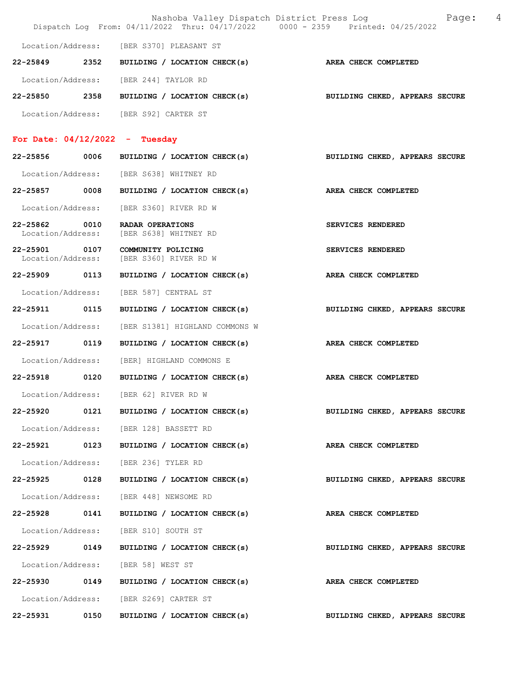|                                    |      | Nashoba Valley Dispatch District Press Log                                     | Page:<br>4                     |
|------------------------------------|------|--------------------------------------------------------------------------------|--------------------------------|
|                                    |      | Dispatch Log From: 04/11/2022 Thru: 04/17/2022 0000 - 2359 Printed: 04/25/2022 |                                |
|                                    |      | Location/Address: [BER S370] PLEASANT ST                                       |                                |
| 22-25849 2352                      |      | BUILDING / LOCATION CHECK(s)                                                   | AREA CHECK COMPLETED           |
|                                    |      | Location/Address: [BER 244] TAYLOR RD                                          |                                |
| 22-25850                           | 2358 | BUILDING / LOCATION CHECK(s)                                                   | BUILDING CHKED, APPEARS SECURE |
|                                    |      | Location/Address: [BER S92] CARTER ST                                          |                                |
| For Date: $04/12/2022 -$ Tuesday   |      |                                                                                |                                |
| 22-25856                           | 0006 | BUILDING / LOCATION CHECK(s)                                                   | BUILDING CHKED, APPEARS SECURE |
|                                    |      | Location/Address: [BER S638] WHITNEY RD                                        |                                |
| 22-25857 0008                      |      | BUILDING / LOCATION CHECK(s)                                                   |                                |
|                                    |      |                                                                                | AREA CHECK COMPLETED           |
| Location/Address:                  |      | [BER S360] RIVER RD W                                                          |                                |
| 22-25862 0010<br>Location/Address: |      | RADAR OPERATIONS<br>[BER S638] WHITNEY RD                                      | SERVICES RENDERED              |
| 22-25901 0107                      |      | COMMUNITY POLICING                                                             | SERVICES RENDERED              |
| Location/Address:                  |      | [BER S360] RIVER RD W                                                          |                                |
| 22-25909 0113                      |      | BUILDING / LOCATION CHECK(s)                                                   | AREA CHECK COMPLETED           |
| Location/Address:                  |      | [BER 587] CENTRAL ST                                                           |                                |
| 22-25911 0115                      |      | BUILDING / LOCATION CHECK(s)                                                   | BUILDING CHKED, APPEARS SECURE |
| Location/Address:                  |      | [BER S1381] HIGHLAND COMMONS W                                                 |                                |
| 22-25917                           | 0119 | BUILDING / LOCATION CHECK(s)                                                   | AREA CHECK COMPLETED           |
| Location/Address:                  |      | [BER] HIGHLAND COMMONS E                                                       |                                |
| 22-25918                           | 0120 | BUILDING / LOCATION CHECK(s)                                                   | AREA CHECK COMPLETED           |
| Location/Address:                  |      | [BER 62] RIVER RD W                                                            |                                |
| 22-25920                           | 0121 | BUILDING / LOCATION CHECK(s)                                                   | BUILDING CHKED, APPEARS SECURE |
|                                    |      | Location/Address: [BER 128] BASSETT RD                                         |                                |
| 22-25921 0123                      |      | BUILDING / LOCATION CHECK(s)                                                   | AREA CHECK COMPLETED           |
| Location/Address:                  |      | [BER 236] TYLER RD                                                             |                                |
| 22-25925 0128                      |      | BUILDING / LOCATION CHECK(s)                                                   | BUILDING CHKED, APPEARS SECURE |
|                                    |      | Location/Address: [BER 448] NEWSOME RD                                         |                                |
| 22-25928                           | 0141 | BUILDING / LOCATION CHECK(s)                                                   | AREA CHECK COMPLETED           |
| Location/Address:                  |      | [BER S10] SOUTH ST                                                             |                                |
| 22-25929                           | 0149 | BUILDING / LOCATION CHECK(s)                                                   | BUILDING CHKED, APPEARS SECURE |
| Location/Address:                  |      | [BER 58] WEST ST                                                               |                                |
| 22-25930 0149                      |      | BUILDING / LOCATION CHECK(s)                                                   | AREA CHECK COMPLETED           |
|                                    |      | Location/Address: [BER S269] CARTER ST                                         |                                |
| 22-25931                           | 0150 | BUILDING / LOCATION CHECK(s)                                                   | BUILDING CHKED, APPEARS SECURE |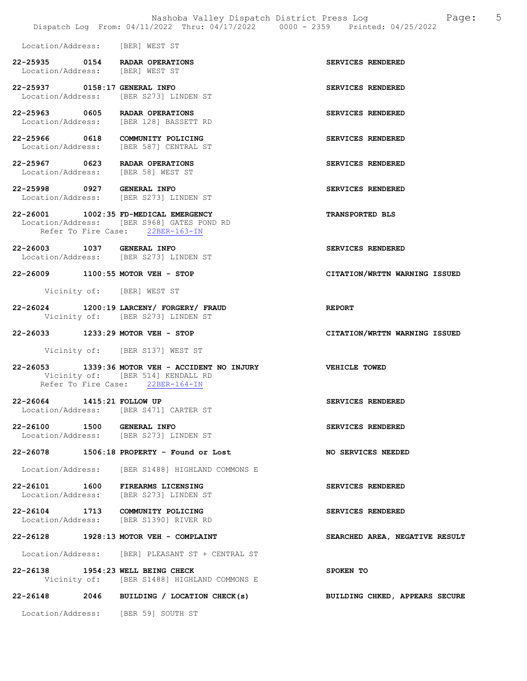|                                                     | Nashoba Valley Dispatch District Press Log<br>Dispatch Log From: 04/11/2022 Thru: 04/17/2022 0000 - 2359 Printed: 04/25/2022 | 5<br>Page:                     |
|-----------------------------------------------------|------------------------------------------------------------------------------------------------------------------------------|--------------------------------|
| Location/Address:                                   | [BER] WEST ST                                                                                                                |                                |
| 22-25935 0154<br>Location/Address: [BER] WEST ST    | <b>RADAR OPERATIONS</b>                                                                                                      | SERVICES RENDERED              |
| 22-25937 0158:17 GENERAL INFO                       | Location/Address: [BER S273] LINDEN ST                                                                                       | SERVICES RENDERED              |
| 22-25963 0605                                       | RADAR OPERATIONS<br>Location/Address: [BER 128] BASSETT RD                                                                   | SERVICES RENDERED              |
| 22-25966 0618                                       | COMMUNITY POLICING<br>Location/Address: [BER 587] CENTRAL ST                                                                 | SERVICES RENDERED              |
| 22-25967 0623<br>Location/Address: [BER 58] WEST ST | RADAR OPERATIONS                                                                                                             | SERVICES RENDERED              |
| 22-25998 0927 GENERAL INFO                          | Location/Address: [BER S273] LINDEN ST                                                                                       | SERVICES RENDERED              |
| 22-26001 1002:35 FD-MEDICAL EMERGENCY               | Location/Address: [BER S968] GATES POND RD<br>Refer To Fire Case: 22BER-163-IN                                               | <b>TRANSPORTED BLS</b>         |
| 22-26003                                            | <b>1037 GENERAL INFO</b><br>Location/Address: [BER S273] LINDEN ST                                                           | SERVICES RENDERED              |
| 22-26009                                            | $1100:55$ MOTOR VEH - STOP                                                                                                   | CITATION/WRTTN WARNING ISSUED  |
| Vicinity of: [BER] WEST ST                          |                                                                                                                              |                                |
| 22-26024                                            | 1200:19 LARCENY/ FORGERY/ FRAUD<br>Vicinity of: [BER S273] LINDEN ST                                                         | <b>REPORT</b>                  |
| 22-26033                                            | $1233:29$ MOTOR VEH - STOP                                                                                                   | CITATION/WRTTN WARNING ISSUED  |
|                                                     | Vicinity of: [BER S137] WEST ST                                                                                              |                                |
| 22-26053                                            | 1339:36 MOTOR VEH - ACCIDENT NO INJURY<br>Vicinity of: [BER 514] KENDALL RD<br>Refer To Fire Case: 22BER-164-IN              | VEHICLE TOWED                  |
| 22-26064 1415:21 FOLLOW UP                          | Location/Address: [BER S471] CARTER ST                                                                                       | SERVICES RENDERED              |
| 22-26100 1500 GENERAL INFO                          | Location/Address: [BER S273] LINDEN ST                                                                                       | SERVICES RENDERED              |
| 22-26078                                            | 1506:18 PROPERTY - Found or Lost                                                                                             | NO SERVICES NEEDED             |
|                                                     | Location/Address: [BER S1488] HIGHLAND COMMONS E                                                                             |                                |
| 22-26101 1600 FIREARMS LICENSING                    | Location/Address: [BER S273] LINDEN ST                                                                                       | SERVICES RENDERED              |
| 22-26104 1713 COMMUNITY POLICING                    | Location/Address: [BER S1390] RIVER RD                                                                                       | SERVICES RENDERED              |
| 22-26128                                            | 1928:13 MOTOR VEH - COMPLAINT                                                                                                | SEARCHED AREA, NEGATIVE RESULT |
|                                                     | Location/Address: [BER] PLEASANT ST + CENTRAL ST                                                                             |                                |
| 22-26138 1954:23 WELL BEING CHECK                   | Vicinity of: [BER S1488] HIGHLAND COMMONS E                                                                                  | SPOKEN TO                      |

22-26148 2046 BUILDING / LOCATION CHECK(s) BUILDING CHKED, APPEARS SECURE

Location/Address: [BER 59] SOUTH ST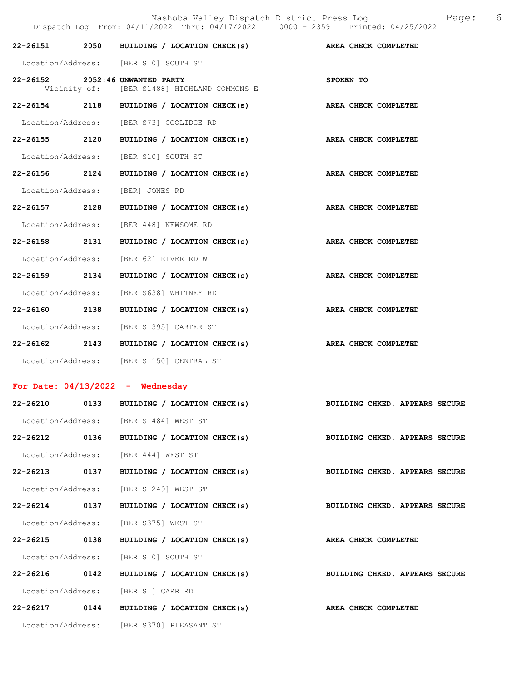|                   |      | Dispatch Log From: 04/11/2022 Thru: 04/17/2022 0000 - 2359 Printed: 04/25/2022 | 6<br>Nashoba Valley Dispatch District Press Log Nashoba Valley Dispatch District Press Log |
|-------------------|------|--------------------------------------------------------------------------------|--------------------------------------------------------------------------------------------|
|                   |      | 22-26151 2050 BUILDING / LOCATION CHECK(s) AREA CHECK COMPLETED                |                                                                                            |
|                   |      | Location/Address: [BER S10] SOUTH ST                                           |                                                                                            |
|                   |      | 22-26152 2052:46 UNWANTED PARTY<br>Vicinity of: [BER S1488] HIGHLAND COMMONS E | SPOKEN TO                                                                                  |
|                   |      | 22-26154 2118 BUILDING / LOCATION CHECK(s)                                     | AREA CHECK COMPLETED                                                                       |
|                   |      | Location/Address: [BER S73] COOLIDGE RD                                        |                                                                                            |
|                   |      | 22-26155 2120 BUILDING / LOCATION CHECK(s) AREA CHECK COMPLETED                |                                                                                            |
|                   |      | Location/Address: [BER S10] SOUTH ST                                           |                                                                                            |
| 22-26156 2124     |      | BUILDING / LOCATION CHECK(s)                                                   | AREA CHECK COMPLETED                                                                       |
|                   |      | Location/Address: [BER] JONES RD                                               |                                                                                            |
| 22-26157 2128     |      | BUILDING / LOCATION CHECK(s)                                                   | AREA CHECK COMPLETED                                                                       |
|                   |      | Location/Address: [BER 448] NEWSOME RD                                         |                                                                                            |
|                   |      | 22-26158 2131 BUILDING / LOCATION CHECK(s) AREA CHECK COMPLETED                |                                                                                            |
|                   |      | Location/Address: [BER 62] RIVER RD W                                          |                                                                                            |
| 22-26159 2134     |      | BUILDING / LOCATION CHECK(s) AREA CHECK COMPLETED                              |                                                                                            |
|                   |      | Location/Address: [BER S638] WHITNEY RD                                        |                                                                                            |
| 22-26160 2138     |      | BUILDING / LOCATION CHECK(s)                                                   | AREA CHECK COMPLETED                                                                       |
|                   |      | Location/Address: [BER S1395] CARTER ST                                        |                                                                                            |
|                   |      | 22-26162 2143 BUILDING / LOCATION CHECK(s) AREA CHECK COMPLETED                |                                                                                            |
|                   |      | Location/Address: [BER S1150] CENTRAL ST                                       |                                                                                            |
|                   |      | For Date: $04/13/2022 -$ Wednesday                                             |                                                                                            |
| 22-26210          | 0133 | BUILDING / LOCATION CHECK(s)                                                   | BUILDING CHKED, APPEARS SECURE                                                             |
|                   |      | Location/Address: [BER S1484] WEST ST                                          |                                                                                            |
| 22-26212 0136     |      | BUILDING / LOCATION CHECK(s)                                                   | BUILDING CHKED, APPEARS SECURE                                                             |
|                   |      | Location/Address: [BER 444] WEST ST                                            |                                                                                            |
| 22-26213          | 0137 | BUILDING / LOCATION CHECK(s)                                                   | BUILDING CHKED, APPEARS SECURE                                                             |
| Location/Address: |      | [BER S1249] WEST ST                                                            |                                                                                            |
| 22-26214 0137     |      | BUILDING / LOCATION CHECK(s)                                                   | BUILDING CHKED, APPEARS SECURE                                                             |
| Location/Address: |      | [BER S375] WEST ST                                                             |                                                                                            |
| 22-26215 0138     |      | BUILDING / LOCATION CHECK(s)                                                   | AREA CHECK COMPLETED                                                                       |
| Location/Address: |      | [BER S10] SOUTH ST                                                             |                                                                                            |
| 22-26216          | 0142 | BUILDING / LOCATION CHECK(s)                                                   | BUILDING CHKED, APPEARS SECURE                                                             |
|                   |      | Location/Address: [BER S1] CARR RD                                             |                                                                                            |
|                   |      | 22-26217 0144 BUILDING / LOCATION CHECK(s)                                     | AREA CHECK COMPLETED                                                                       |
|                   |      | Location/Address: [BER S370] PLEASANT ST                                       |                                                                                            |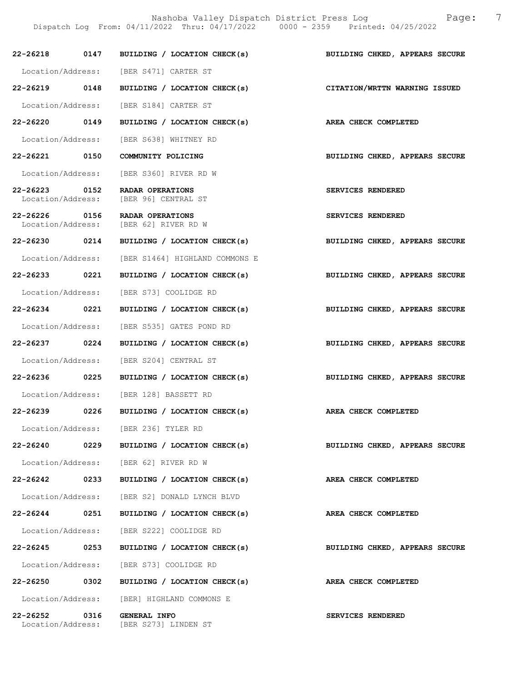Nashoba Valley Dispatch District Press Log Fage: 7 Dispatch Log From: 04/11/2022 Thru: 04/17/2022 0000 - 2359 Printed: 04/25/2022

|                                    |      | 22-26218 0147 BUILDING / LOCATION CHECK(s)                | BUILDING CHKED, APPEARS SECURE |
|------------------------------------|------|-----------------------------------------------------------|--------------------------------|
|                                    |      | Location/Address: [BER S471] CARTER ST                    |                                |
| 22-26219 0148                      |      | BUILDING / LOCATION CHECK(s)                              | CITATION/WRTTN WARNING ISSUED  |
|                                    |      | Location/Address: [BER S184] CARTER ST                    |                                |
| 22-26220 0149                      |      | BUILDING / LOCATION CHECK(s)                              | AREA CHECK COMPLETED           |
|                                    |      | Location/Address: [BER S638] WHITNEY RD                   |                                |
| 22-26221 0150                      |      | COMMUNITY POLICING                                        | BUILDING CHKED, APPEARS SECURE |
|                                    |      | Location/Address: [BER S360] RIVER RD W                   |                                |
| 22-26223 0152<br>Location/Address: |      | <b>RADAR OPERATIONS</b><br>[BER 96] CENTRAL ST            | SERVICES RENDERED              |
| 22-26226 0156                      |      | RADAR OPERATIONS<br>Location/Address: [BER 62] RIVER RD W | SERVICES RENDERED              |
|                                    |      | 22-26230 0214 BUILDING / LOCATION CHECK(s)                | BUILDING CHKED, APPEARS SECURE |
|                                    |      | Location/Address: [BER S1464] HIGHLAND COMMONS E          |                                |
| 22-26233 0221                      |      | BUILDING / LOCATION CHECK(s)                              | BUILDING CHKED, APPEARS SECURE |
|                                    |      | Location/Address: [BER S73] COOLIDGE RD                   |                                |
| 22-26234 0221                      |      | BUILDING / LOCATION CHECK(s)                              | BUILDING CHKED, APPEARS SECURE |
|                                    |      | Location/Address: [BER S535] GATES POND RD                |                                |
| 22-26237 0224                      |      | BUILDING / LOCATION CHECK(s)                              | BUILDING CHKED, APPEARS SECURE |
|                                    |      | Location/Address: [BER S204] CENTRAL ST                   |                                |
| 22-26236 0225                      |      | BUILDING / LOCATION CHECK(s)                              | BUILDING CHKED, APPEARS SECURE |
|                                    |      | Location/Address: [BER 128] BASSETT RD                    |                                |
| 22-26239 0226                      |      | BUILDING / LOCATION CHECK(s)                              | AREA CHECK COMPLETED           |
|                                    |      | Location/Address: [BER 236] TYLER RD                      |                                |
| 22-26240                           | 0229 | BUILDING / LOCATION CHECK(s)                              | BUILDING CHKED, APPEARS SECURE |
|                                    |      | Location/Address: [BER 62] RIVER RD W                     |                                |
| 22-26242                           | 0233 | BUILDING / LOCATION CHECK(s)                              | AREA CHECK COMPLETED           |
|                                    |      | Location/Address: [BER S2] DONALD LYNCH BLVD              |                                |
| 22-26244 0251                      |      | BUILDING / LOCATION CHECK(s)                              | AREA CHECK COMPLETED           |
|                                    |      | Location/Address: [BER S222] COOLIDGE RD                  |                                |
| 22-26245                           | 0253 | BUILDING / LOCATION CHECK(s)                              | BUILDING CHKED, APPEARS SECURE |
|                                    |      | Location/Address: [BER S73] COOLIDGE RD                   |                                |
| 22-26250                           | 0302 | BUILDING / LOCATION CHECK(s)                              | AREA CHECK COMPLETED           |
|                                    |      | Location/Address: [BER] HIGHLAND COMMONS E                |                                |
| 22-26252 0316<br>Location/Address: |      | GENERAL INFO<br>[BER S273] LINDEN ST                      | SERVICES RENDERED              |
|                                    |      |                                                           |                                |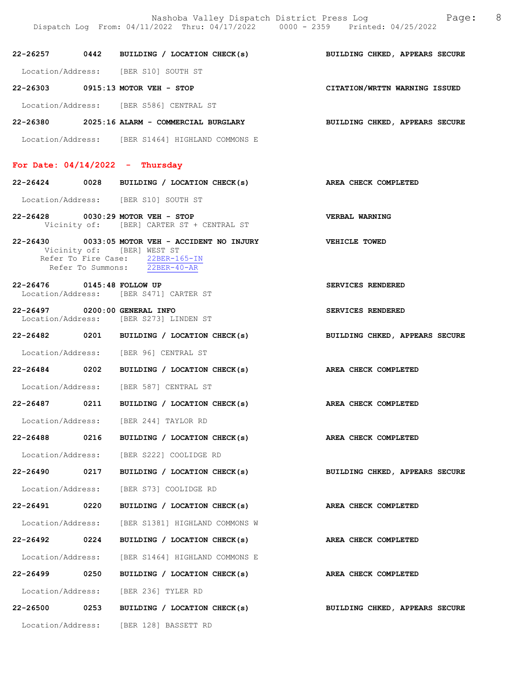Nashoba Valley Dispatch District Press Log Fage: 8 Dispatch Log From: 04/11/2022 Thru: 04/17/2022 0000 - 2359 Printed: 04/25/2022

22-26257 0442 BUILDING / LOCATION CHECK(s) BUILDING CHKED, APPEARS SECURE Location/Address: [BER S10] SOUTH ST 22-26303 0915:13 MOTOR VEH - STOP CITATION/WRTTN WARNING ISSUED

Location/Address: [BER S586] CENTRAL ST

22-26380 2025:16 ALARM - COMMERCIAL BURGLARY BUILDING CHKED, APPEARS SECURE Location/Address: [BER S1464] HIGHLAND COMMONS E

#### For Date:  $04/14/2022 -$  Thursday

22-26424 0028 BUILDING / LOCATION CHECK(s) AREA CHECK COMPLETED

Location/Address: [BER S10] SOUTH ST

- 22-26428 0030:29 MOTOR VEH STOP VERBAL WARNING Vicinity of: [BER] CARTER ST + CENTRAL ST
- 22-26430 0033:05 MOTOR VEH ACCIDENT NO INJURY VEHICLE TOWED Vicinity of: [BER] WEST ST Refer To Fire Case: 22BER-165-IN Refer To Summons: 22BER-40-AR
- 22-26476 0145:48 FOLLOW UP SERVICES RENDERED Location/Address: [BER S471] CARTER ST
- 22-26497 0200:00 GENERAL INFO SERVICES RENDERED Location/Address: [BER S273] LINDEN ST
- 22-26482 0201 BUILDING / LOCATION CHECK(s) BUILDING CHKED, APPEARS SECURE
- Location/Address: [BER 96] CENTRAL ST
- 22-26484 0202 BUILDING / LOCATION CHECK(s) AREA CHECK COMPLETED Location/Address: [BER 587] CENTRAL ST
- 22-26487 0211 BUILDING / LOCATION CHECK(s) AREA CHECK COMPLETED
- Location/Address: [BER 244] TAYLOR RD
- 22-26488 0216 BUILDING / LOCATION CHECK(s) AREA CHECK COMPLETED
- Location/Address: [BER S222] COOLIDGE RD
- 22-26490 0217 BUILDING / LOCATION CHECK(s) BUILDING CHKED, APPEARS SECURE
- Location/Address: [BER S73] COOLIDGE RD
- 22-26491 0220 BUILDING / LOCATION CHECK(s) AREA CHECK COMPLETED
- Location/Address: [BER S1381] HIGHLAND COMMONS W 22-26492 0224 BUILDING / LOCATION CHECK(s) AREA CHECK COMPLETED
	-
- Location/Address: [BER S1464] HIGHLAND COMMONS E
- Location/Address: [BER 236] TYLER RD
- 22-26500 0253 BUILDING / LOCATION CHECK(s) BUILDING CHKED, APPEARS SECURE
	- Location/Address: [BER 128] BASSETT RD
- 
- 
- 
- 
- 
- 
- 
- 
- 
- 
- 
- 
- 22-26499 0250 BUILDING / LOCATION CHECK(s) AREA CHECK COMPLETED
	-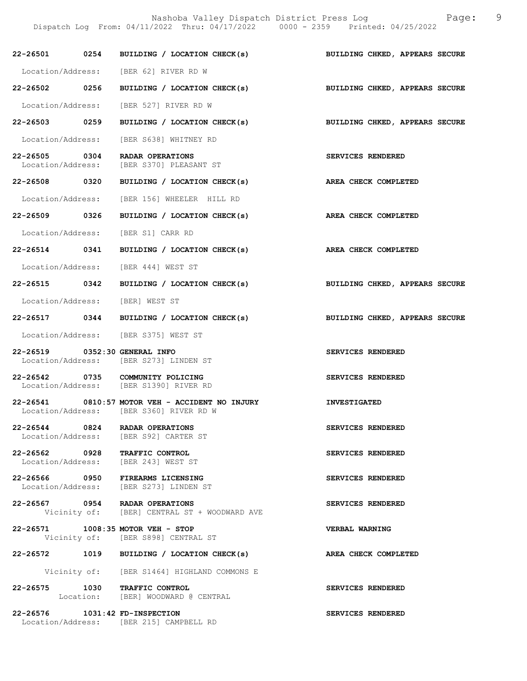Nashoba Valley Dispatch District Press Log Fage: 9 Dispatch Log From: 04/11/2022 Thru: 04/17/2022 0000 - 2359 Printed: 04/25/2022

|                                | 22-26501 0254 BUILDING / LOCATION CHECK(s) BUILDING CHKED, APPEARS SECURE                  |                                |
|--------------------------------|--------------------------------------------------------------------------------------------|--------------------------------|
|                                | Location/Address: [BER 62] RIVER RD W                                                      |                                |
| 22-26502 0256                  | BUILDING / LOCATION CHECK(s)                                                               | BUILDING CHKED, APPEARS SECURE |
|                                | Location/Address: [BER 527] RIVER RD W                                                     |                                |
| 22-26503 0259                  | BUILDING / LOCATION CHECK(s)                                                               | BUILDING CHKED, APPEARS SECURE |
|                                | Location/Address: [BER S638] WHITNEY RD                                                    |                                |
| 22-26505 0304                  | RADAR OPERATIONS                                                                           | SERVICES RENDERED              |
|                                | Location/Address: [BER S370] PLEASANT ST                                                   |                                |
| 22-26508 0320                  | BUILDING / LOCATION CHECK(s) AREA CHECK COMPLETED                                          |                                |
|                                | Location/Address: [BER 156] WHEELER HILL RD                                                |                                |
| 22-26509 0326                  | BUILDING / LOCATION CHECK(s)                                                               | AREA CHECK COMPLETED           |
|                                | Location/Address: [BER S1] CARR RD                                                         |                                |
|                                | 22-26514 0341 BUILDING / LOCATION CHECK(s)                                                 | AREA CHECK COMPLETED           |
|                                | Location/Address: [BER 444] WEST ST                                                        |                                |
| 22-26515 0342                  | BUILDING / LOCATION CHECK(s)                                                               | BUILDING CHKED, APPEARS SECURE |
|                                | Location/Address: [BER] WEST ST                                                            |                                |
|                                | 22-26517 0344 BUILDING / LOCATION CHECK(s)                                                 | BUILDING CHKED, APPEARS SECURE |
|                                | Location/Address: [BER S375] WEST ST                                                       |                                |
| 22-26519 0352:30 GENERAL INFO  | Location/Address: [BER S273] LINDEN ST                                                     | SERVICES RENDERED              |
|                                | 22-26542 0735 COMMUNITY POLICING<br>Location/Address: [BER S1390] RIVER RD                 | SERVICES RENDERED              |
|                                | 22-26541 0810:57 MOTOR VEH - ACCIDENT NO INJURY<br>Location/Address: [BER S360] RIVER RD W | <b>INVESTIGATED</b>            |
|                                | 22-26544 0824 RADAR OPERATIONS<br>Location/Address: [BER S92] CARTER ST                    | SERVICES RENDERED              |
|                                | 22-26562 0928 TRAFFIC CONTROL<br>Location/Address: [BER 243] WEST ST                       | SERVICES RENDERED              |
|                                | 22-26566 0950 FIREARMS LICENSING<br>Location/Address: [BER S273] LINDEN ST                 | SERVICES RENDERED              |
|                                | 22-26567 0954 RADAR OPERATIONS<br>Vicinity of: [BER] CENTRAL ST + WOODWARD AVE             | SERVICES RENDERED              |
|                                | 22-26571 1008:35 MOTOR VEH - STOP<br>Vicinity of: [BER S898] CENTRAL ST                    | <b>VERBAL WARNING</b>          |
|                                | 22-26572 1019 BUILDING / LOCATION CHECK(s)                                                 | AREA CHECK COMPLETED           |
|                                | Vicinity of: [BER S1464] HIGHLAND COMMONS E                                                |                                |
|                                | 22-26575 1030 TRAFFIC CONTROL<br>Location: [BER] WOODWARD @ CENTRAL                        | SERVICES RENDERED              |
| 22-26576 1031:42 FD-INSPECTION | Location/Address: [BER 215] CAMPBELL RD                                                    | SERVICES RENDERED              |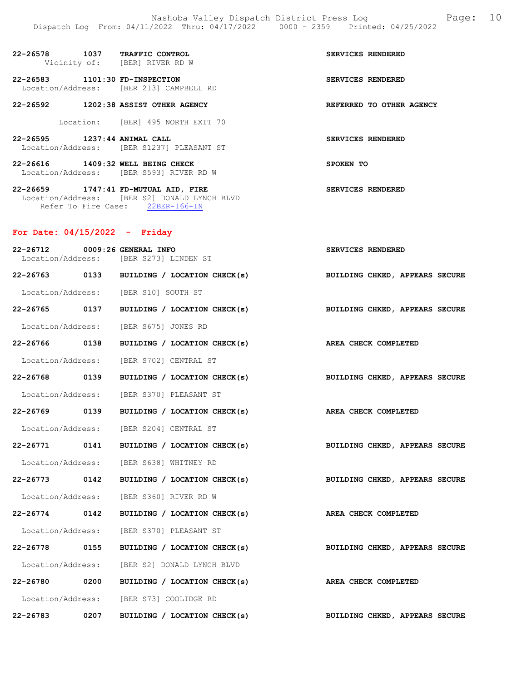| $22 - 26578$                  | 1037 | <b>TRAFFIC CONTROL</b><br>Vicinity of: [BER] RIVER RD W | <b>SERVICES RENDERED</b> |
|-------------------------------|------|---------------------------------------------------------|--------------------------|
| 22-26583<br>Location/Address: |      | 1101:30 FD-INSPECTION<br>[BER 213] CAMPBELL RD          | SERVICES RENDERED        |
| $22 - 26592$                  |      | 1202:38 ASSIST OTHER AGENCY                             | REFERRED TO OTHER AGENCY |
| Location:                     |      | [BER] 495 NORTH EXIT 70                                 |                          |
| 22-26595<br>Location/Address: |      | $1237:44$ ANIMAL CALL<br>[BER S1237] PLEASANT ST        | <b>SERVICES RENDERED</b> |

22-26616 1409:32 WELL BEING CHECK SPOKEN TO Location/Address: [BER S593] RIVER RD W

22-26659 1747:41 FD-MUTUAL AID, FIRE SERVICES RENDERED Location/Address: [BER S2] DONALD LYNCH BLVD Refer To Fire Case: 22BER-166-IN

## For Date: 04/15/2022 - Friday

| 22-26712      | 0009:26 GENERAL INFO                                                      | SERVICES RENDERED              |
|---------------|---------------------------------------------------------------------------|--------------------------------|
|               | Location/Address: [BER S273] LINDEN ST                                    |                                |
|               | 22-26763 0133 BUILDING / LOCATION CHECK(s)                                | BUILDING CHKED, APPEARS SECURE |
|               | Location/Address: [BER S10] SOUTH ST                                      |                                |
|               | 22-26765 0137 BUILDING / LOCATION CHECK(s) BUILDING CHKED, APPEARS SECURE |                                |
|               | Location/Address: [BER S675] JONES RD                                     |                                |
| 22-26766 0138 | BUILDING / LOCATION CHECK(s) AREA CHECK COMPLETED                         |                                |
|               | Location/Address: [BER S702] CENTRAL ST                                   |                                |
| 22-26768 0139 | BUILDING / LOCATION CHECK(s) BUILDING CHKED, APPEARS SECURE               |                                |
|               | Location/Address: [BER S370] PLEASANT ST                                  |                                |
| 22-26769 0139 | BUILDING / LOCATION CHECK(s) AREA CHECK COMPLETED                         |                                |
|               | Location/Address: [BER S204] CENTRAL ST                                   |                                |
| 22-26771 0141 | BUILDING / LOCATION CHECK(s)                                              | BUILDING CHKED, APPEARS SECURE |
|               | Location/Address: [BER S638] WHITNEY RD                                   |                                |
|               | 22-26773 0142 BUILDING / LOCATION CHECK(s) BUILDING CHKED, APPEARS SECURE |                                |
|               | Location/Address: [BER S360] RIVER RD W                                   |                                |
| 22-26774 0142 | BUILDING / LOCATION CHECK(s) AREA CHECK COMPLETED                         |                                |
|               | Location/Address: [BER S370] PLEASANT ST                                  |                                |
| 22-26778 0155 | BUILDING / LOCATION CHECK(s)                                              | BUILDING CHKED, APPEARS SECURE |
|               | Location/Address: [BER S2] DONALD LYNCH BLVD                              |                                |
| 22-26780 0200 | BUILDING / LOCATION CHECK(s)                                              | AREA CHECK COMPLETED           |
|               | Location/Address: [BER S73] COOLIDGE RD                                   |                                |
| 22-26783 0207 | BUILDING / LOCATION CHECK(s)                                              | BUILDING CHKED, APPEARS SECURE |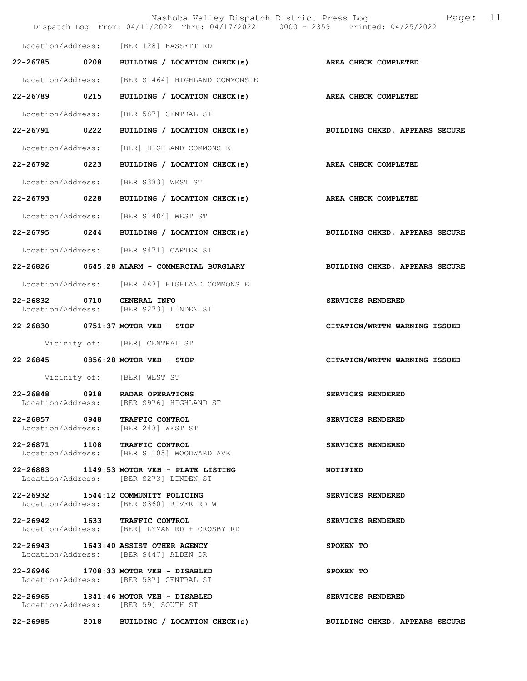|                            | Nashoba Valley Dispatch District Press Log<br>Dispatch Log From: 04/11/2022 Thru: 04/17/2022 0000 - 2359 Printed: 04/25/2022 | 11<br>Page:                    |
|----------------------------|------------------------------------------------------------------------------------------------------------------------------|--------------------------------|
|                            | Location/Address: [BER 128] BASSETT RD                                                                                       |                                |
|                            | 22-26785 0208 BUILDING / LOCATION CHECK(s)                                                                                   | AREA CHECK COMPLETED           |
|                            | Location/Address: [BER S1464] HIGHLAND COMMONS E                                                                             |                                |
| 22-26789 0215              | BUILDING / LOCATION CHECK(s)                                                                                                 | AREA CHECK COMPLETED           |
|                            | Location/Address: [BER 587] CENTRAL ST                                                                                       |                                |
|                            | 22-26791 0222 BUILDING / LOCATION CHECK(s)                                                                                   | BUILDING CHKED, APPEARS SECURE |
| Location/Address:          | [BER] HIGHLAND COMMONS E                                                                                                     |                                |
|                            | 22-26792 0223 BUILDING / LOCATION CHECK(s)                                                                                   | AREA CHECK COMPLETED           |
|                            | Location/Address: [BER S383] WEST ST                                                                                         |                                |
|                            | 22-26793 0228 BUILDING / LOCATION CHECK(s)                                                                                   | AREA CHECK COMPLETED           |
|                            | Location/Address: [BER S1484] WEST ST                                                                                        |                                |
|                            | 22-26795 0244 BUILDING / LOCATION CHECK(s)                                                                                   | BUILDING CHKED, APPEARS SECURE |
|                            | Location/Address: [BER S471] CARTER ST                                                                                       |                                |
|                            | 22-26826 0645:28 ALARM - COMMERCIAL BURGLARY                                                                                 | BUILDING CHKED, APPEARS SECURE |
|                            | Location/Address: [BER 483] HIGHLAND COMMONS E                                                                               |                                |
| 22-26832 0710 GENERAL INFO | Location/Address: [BER S273] LINDEN ST                                                                                       | SERVICES RENDERED              |
|                            | 22-26830 0751:37 MOTOR VEH - STOP                                                                                            | CITATION/WRTTN WARNING ISSUED  |
|                            | Vicinity of: [BER] CENTRAL ST                                                                                                |                                |
|                            | 22-26845 0856:28 MOTOR VEH - STOP                                                                                            | CITATION/WRTTN WARNING ISSUED  |
|                            | Vicinity of: [BER] WEST ST                                                                                                   |                                |
| $22 - 26848$               | 0918 RADAR OPERATIONS<br>Location/Address: [BER S976] HIGHLAND ST                                                            | <b>SERVICES RENDERED</b>       |
|                            | 22-26857 0948 TRAFFIC CONTROL<br>Location/Address: [BER 243] WEST ST                                                         | SERVICES RENDERED              |
|                            | 22-26871 1108 TRAFFIC CONTROL<br>Location/Address: [BER S1105] WOODWARD AVE                                                  | SERVICES RENDERED              |
|                            | 22-26883 1149:53 MOTOR VEH - PLATE LISTING<br>Location/Address: [BER S273] LINDEN ST                                         | <b>NOTIFIED</b>                |
|                            | 22-26932 1544:12 COMMUNITY POLICING<br>Location/Address: [BER S360] RIVER RD W                                               | SERVICES RENDERED              |
|                            | 22-26942 1633 TRAFFIC CONTROL<br>Location/Address: [BER] LYMAN RD + CROSBY RD                                                | SERVICES RENDERED              |
|                            | 22-26943 1643:40 ASSIST OTHER AGENCY<br>Location/Address: [BER S447] ALDEN DR                                                | SPOKEN TO                      |
|                            | 22-26946 1708:33 MOTOR VEH - DISABLED<br>Location/Address: [BER 587] CENTRAL ST                                              | SPOKEN TO                      |
|                            | 22-26965 1841:46 MOTOR VEH - DISABLED<br>Location/Address: [BER 59] SOUTH ST                                                 | SERVICES RENDERED              |
|                            | 22-26985 2018 BUILDING / LOCATION CHECK(s)                                                                                   | BUILDING CHKED, APPEARS SECURE |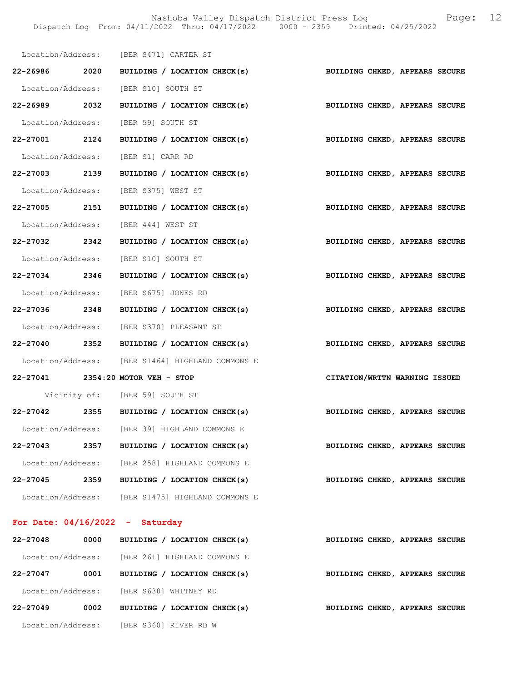Nashoba Valley Dispatch District Press Log Fage: 12 Dispatch Log From: 04/11/2022 Thru: 04/17/2022 0000 - 2359 Printed: 04/25/2022

|                                    |      | Location/Address: [BER S471] CARTER ST                                    |                                |
|------------------------------------|------|---------------------------------------------------------------------------|--------------------------------|
|                                    |      | 22-26986 2020 BUILDING / LOCATION CHECK(s) BUILDING CHKED, APPEARS SECURE |                                |
|                                    |      | Location/Address: [BER S10] SOUTH ST                                      |                                |
|                                    |      | 22-26989 2032 BUILDING / LOCATION CHECK(s)                                | BUILDING CHKED, APPEARS SECURE |
|                                    |      | Location/Address: [BER 59] SOUTH ST                                       |                                |
|                                    |      | 22-27001 2124 BUILDING / LOCATION CHECK(s)                                | BUILDING CHKED, APPEARS SECURE |
|                                    |      | Location/Address: [BER S1] CARR RD                                        |                                |
|                                    |      | 22-27003 2139 BUILDING / LOCATION CHECK(s)                                | BUILDING CHKED, APPEARS SECURE |
|                                    |      | Location/Address: [BER S375] WEST ST                                      |                                |
|                                    |      | 22-27005 2151 BUILDING / LOCATION CHECK(s)                                | BUILDING CHKED, APPEARS SECURE |
|                                    |      | Location/Address: [BER 444] WEST ST                                       |                                |
|                                    |      | 22-27032 2342 BUILDING / LOCATION CHECK(s)                                | BUILDING CHKED, APPEARS SECURE |
|                                    |      | Location/Address: [BER S10] SOUTH ST                                      |                                |
|                                    |      | 22-27034 2346 BUILDING / LOCATION CHECK(s)                                | BUILDING CHKED, APPEARS SECURE |
|                                    |      | Location/Address: [BER S675] JONES RD                                     |                                |
|                                    |      | 22-27036 2348 BUILDING / LOCATION CHECK(s)                                | BUILDING CHKED, APPEARS SECURE |
|                                    |      | Location/Address: [BER S370] PLEASANT ST                                  |                                |
|                                    |      | 22-27040 2352 BUILDING / LOCATION CHECK(s)                                | BUILDING CHKED, APPEARS SECURE |
|                                    |      | Location/Address: [BER S1464] HIGHLAND COMMONS E                          |                                |
|                                    |      | 22-27041 2354:20 MOTOR VEH - STOP                                         | CITATION/WRTTN WARNING ISSUED  |
|                                    |      | Vicinity of: [BER 59] SOUTH ST                                            |                                |
|                                    |      | 22-27042 2355 BUILDING / LOCATION CHECK(s) BUILDING CHKED, APPEARS SECURE |                                |
| Location/Address:                  |      | [BER 39] HIGHLAND COMMONS E                                               |                                |
| 22-27043                           | 2357 | BUILDING / LOCATION CHECK(s)                                              | BUILDING CHKED, APPEARS SECURE |
|                                    |      | Location/Address: [BER 258] HIGHLAND COMMONS E                            |                                |
| 22-27045                           | 2359 | BUILDING / LOCATION CHECK(s)                                              | BUILDING CHKED, APPEARS SECURE |
| Location/Address:                  |      | [BER S1475] HIGHLAND COMMONS E                                            |                                |
| For Date: $04/16/2022 - 8$ aturday |      |                                                                           |                                |

## For Date: 04/16/2022 - Saturday

| 22-27048          | 0000 | BUILDING / LOCATION CHECK(s) | BUILDING CHKED, APPEARS SECURE |
|-------------------|------|------------------------------|--------------------------------|
| Location/Address: |      | [BER 261] HIGHLAND COMMONS E |                                |
| 22-27047          | 0001 | BUILDING / LOCATION CHECK(s) | BUILDING CHKED, APPEARS SECURE |
| Location/Address: |      | [BER S638] WHITNEY RD        |                                |
| 22-27049          | 0002 | BUILDING / LOCATION CHECK(s) | BUILDING CHKED, APPEARS SECURE |
| Location/Address: |      | [BER S360] RIVER RD W        |                                |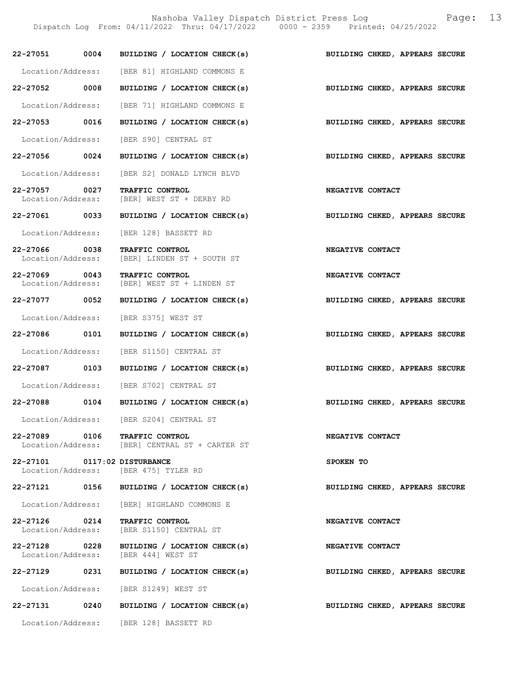Nashoba Valley Dispatch District Press Log Fage: 13

Dispatch Log From: 04/11/2022 Thru: 04/17/2022 0000 - 2359 Printed: 04/25/2022

| 22-27051 0004                                     |      | BUILDING / LOCATION CHECK(s)                                        | BUILDING CHKED, APPEARS SECURE |
|---------------------------------------------------|------|---------------------------------------------------------------------|--------------------------------|
|                                                   |      | Location/Address: [BER 81] HIGHLAND COMMONS E                       |                                |
| 22-27052                                          | 0008 | BUILDING / LOCATION CHECK(s)                                        | BUILDING CHKED, APPEARS SECURE |
| Location/Address:                                 |      | [BER 71] HIGHLAND COMMONS E                                         |                                |
| 22-27053 0016                                     |      | BUILDING / LOCATION CHECK(s)                                        | BUILDING CHKED, APPEARS SECURE |
| Location/Address:                                 |      | [BER S90] CENTRAL ST                                                |                                |
| 22-27056 0024                                     |      | BUILDING / LOCATION CHECK(s)                                        | BUILDING CHKED, APPEARS SECURE |
| Location/Address:                                 |      | [BER S2] DONALD LYNCH BLVD                                          |                                |
| 22-27057 0027<br>Location/Address:                |      | <b>TRAFFIC CONTROL</b><br>[BER] WEST ST + DERBY RD                  | NEGATIVE CONTACT               |
| 22-27061 0033                                     |      | BUILDING / LOCATION CHECK(s)                                        | BUILDING CHKED, APPEARS SECURE |
| Location/Address:                                 |      | [BER 128] BASSETT RD                                                |                                |
| 0038<br>22-27066<br>Location/Address:             |      | <b>TRAFFIC CONTROL</b><br>[BER] LINDEN ST + SOUTH ST                | NEGATIVE CONTACT               |
| 22-27069 0043<br>Location/Address:                |      | TRAFFIC CONTROL<br>[BER] WEST ST + LINDEN ST                        | NEGATIVE CONTACT               |
| 22-27077 0052                                     |      | BUILDING / LOCATION CHECK(s)                                        | BUILDING CHKED, APPEARS SECURE |
| Location/Address:                                 |      | [BER S375] WEST ST                                                  |                                |
| 22-27086 0101                                     |      | BUILDING / LOCATION CHECK(s)                                        | BUILDING CHKED, APPEARS SECURE |
| Location/Address:                                 |      | [BER S1150] CENTRAL ST                                              |                                |
| 22-27087                                          | 0103 | BUILDING / LOCATION CHECK(s)                                        | BUILDING CHKED, APPEARS SECURE |
|                                                   |      | Location/Address: [BER S702] CENTRAL ST                             |                                |
| 22-27088 0104                                     |      | BUILDING / LOCATION CHECK(s)                                        | BUILDING CHKED, APPEARS SECURE |
| Location/Address:                                 |      | [BER S204] CENTRAL ST                                               |                                |
| 22-27089                                          | 0106 | TRAFFIC CONTROL<br>Location/Address: [BER] CENTRAL ST + CARTER ST   | <b>NEGATIVE CONTACT</b>        |
| 22-27101 0117:02 DISTURBANCE<br>Location/Address: |      | [BER 475] TYLER RD                                                  | SPOKEN TO                      |
| 22-27121 0156                                     |      | BUILDING / LOCATION CHECK(s)                                        | BUILDING CHKED, APPEARS SECURE |
|                                                   |      | Location/Address: [BER] HIGHLAND COMMONS E                          |                                |
| 22-27126 0214                                     |      | TRAFFIC CONTROL<br>Location/Address: [BER S1150] CENTRAL ST         | NEGATIVE CONTACT               |
| 22-27128 0228                                     |      | BUILDING / LOCATION CHECK(s)<br>Location/Address: [BER 444] WEST ST | NEGATIVE CONTACT               |
| 22-27129 0231                                     |      | BUILDING / LOCATION CHECK(s)                                        | BUILDING CHKED, APPEARS SECURE |
| Location/Address:                                 |      | [BER S1249] WEST ST                                                 |                                |
| 22-27131 0240                                     |      | BUILDING / LOCATION CHECK(s)                                        | BUILDING CHKED, APPEARS SECURE |
|                                                   |      | Location/Address: [BER 128] BASSETT RD                              |                                |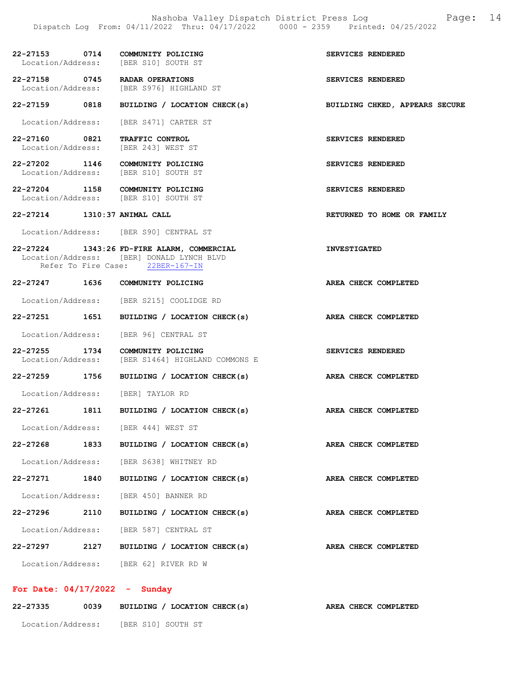| 22-27153 0714                      |      | COMMUNITY POLICING<br>Location/Address: [BER S10] SOUTH ST                                                                  | SERVICES RENDERED              |
|------------------------------------|------|-----------------------------------------------------------------------------------------------------------------------------|--------------------------------|
|                                    |      | 22-27158 0745 RADAR OPERATIONS<br>Location/Address: [BER S976] HIGHLAND ST                                                  | SERVICES RENDERED              |
| 22-27159 0818                      |      | BUILDING / LOCATION CHECK(s)                                                                                                | BUILDING CHKED, APPEARS SECURE |
|                                    |      | Location/Address: [BER S471] CARTER ST                                                                                      |                                |
| 22-27160 0821                      |      | TRAFFIC CONTROL<br>Location/Address: [BER 243] WEST ST                                                                      | SERVICES RENDERED              |
|                                    |      | 22-27202 1146 COMMUNITY POLICING<br>Location/Address: [BER S10] SOUTH ST                                                    | SERVICES RENDERED              |
|                                    |      | 22-27204 1158 COMMUNITY POLICING<br>Location/Address: [BER S10] SOUTH ST                                                    | SERVICES RENDERED              |
| 22-27214 1310:37 ANIMAL CALL       |      |                                                                                                                             | RETURNED TO HOME OR FAMILY     |
|                                    |      | Location/Address: [BER S90] CENTRAL ST                                                                                      |                                |
|                                    |      | 22-27224 1343:26 FD-FIRE ALARM, COMMERCIAL<br>Location/Address: [BER] DONALD LYNCH BLVD<br>Refer To Fire Case: 22BER-167-IN | <b>INVESTIGATED</b>            |
|                                    |      | 22-27247 1636 COMMUNITY POLICING                                                                                            | AREA CHECK COMPLETED           |
|                                    |      | Location/Address: [BER S215] COOLIDGE RD                                                                                    |                                |
| 22-27251 1651                      |      | BUILDING / LOCATION CHECK(s)                                                                                                | AREA CHECK COMPLETED           |
|                                    |      | Location/Address: [BER 96] CENTRAL ST                                                                                       |                                |
| 22-27255 1734<br>Location/Address: |      | COMMUNITY POLICING<br>[BER S1464] HIGHLAND COMMONS E                                                                        | SERVICES RENDERED              |
| 22–27259 1756                      |      | BUILDING / LOCATION CHECK(s)                                                                                                | AREA CHECK COMPLETED           |
|                                    |      | Location/Address: [BER] TAYLOR RD                                                                                           |                                |
| 22-27261 1811                      |      | BUILDING / LOCATION CHECK(s)                                                                                                | <b>AREA CHECK COMPLETED</b>    |
|                                    |      | Location/Address: [BER 444] WEST ST                                                                                         |                                |
| 22-27268                           | 1833 | BUILDING / LOCATION CHECK(s)                                                                                                | AREA CHECK COMPLETED           |
|                                    |      | Location/Address: [BER S638] WHITNEY RD                                                                                     |                                |
| 22-27271 1840                      |      | BUILDING / LOCATION CHECK(s)                                                                                                | <b>AREA CHECK COMPLETED</b>    |
|                                    |      | Location/Address: [BER 450] BANNER RD                                                                                       |                                |
| 22-27296 2110                      |      | BUILDING / LOCATION CHECK(s)                                                                                                | AREA CHECK COMPLETED           |
|                                    |      | Location/Address: [BER 587] CENTRAL ST                                                                                      |                                |
| 22-27297                           | 2127 | BUILDING / LOCATION CHECK(s)                                                                                                | AREA CHECK COMPLETED           |
|                                    |      | Location/Address: [BER 62] RIVER RD W                                                                                       |                                |

## For Date: 04/17/2022 - Sunday

| 22-27335          | 0039 | BUILDING / LOCATION CHECK(s) |  |  | AREA CHECK COMPLETED |
|-------------------|------|------------------------------|--|--|----------------------|
| Location/Address: |      | [BER S10] SOUTH ST           |  |  |                      |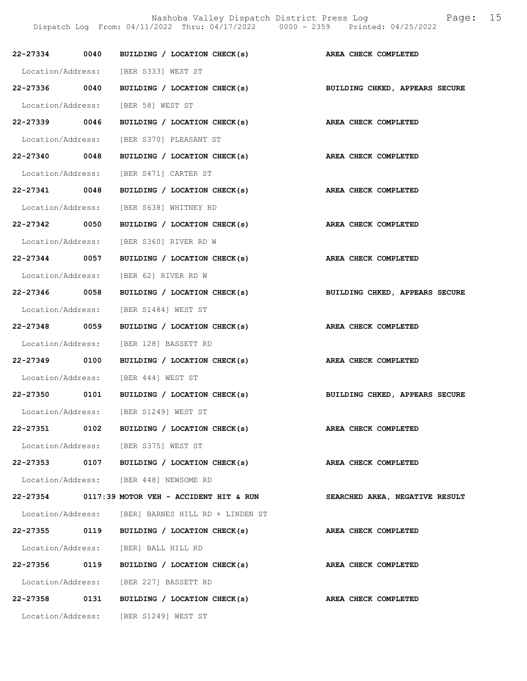|               | 22-27334 0040 BUILDING / LOCATION CHECK(s) AREA CHECK COMPLETED           |                                |
|---------------|---------------------------------------------------------------------------|--------------------------------|
|               | Location/Address: [BER S333] WEST ST                                      |                                |
|               | 22-27336 0040 BUILDING / LOCATION CHECK(s) BUILDING CHKED, APPEARS SECURE |                                |
|               | Location/Address: [BER 58] WEST ST                                        |                                |
| 22-27339 0046 | BUILDING / LOCATION CHECK(s) AREA CHECK COMPLETED                         |                                |
|               | Location/Address: [BER S370] PLEASANT ST                                  |                                |
| 22-27340 0048 | BUILDING / LOCATION CHECK(s)                                              | AREA CHECK COMPLETED           |
|               | Location/Address: [BER S471] CARTER ST                                    |                                |
|               | 22-27341 0048 BUILDING / LOCATION CHECK(s) AREA CHECK COMPLETED           |                                |
|               | Location/Address: [BER S638] WHITNEY RD                                   |                                |
| 22-27342 0050 | BUILDING / LOCATION CHECK(s) AREA CHECK COMPLETED                         |                                |
|               | Location/Address: [BER S360] RIVER RD W                                   |                                |
| 22-27344 0057 | BUILDING / LOCATION CHECK(s)                                              | AREA CHECK COMPLETED           |
|               | Location/Address: [BER 62] RIVER RD W                                     |                                |
|               | 22-27346 0058 BUILDING / LOCATION CHECK(s) BUILDING CHKED, APPEARS SECURE |                                |
|               | Location/Address: [BER S1484] WEST ST                                     |                                |
| 22-27348 0059 | BUILDING / LOCATION CHECK(s)                                              | AREA CHECK COMPLETED           |
|               | Location/Address: [BER 128] BASSETT RD                                    |                                |
|               | 22-27349 0100 BUILDING / LOCATION CHECK(s) AREA CHECK COMPLETED           |                                |
|               | Location/Address: [BER 444] WEST ST                                       |                                |
|               | 22-27350 0101 BUILDING / LOCATION CHECK(s) BUILDING CHKED, APPEARS SECURE |                                |
|               | Location/Address: [BER S1249] WEST ST                                     |                                |
|               | 22-27351 0102 BUILDING / LOCATION CHECK(s)                                | <b>AREA CHECK COMPLETED</b>    |
|               | Location/Address: [BER S375] WEST ST                                      |                                |
|               | 22-27353 0107 BUILDING / LOCATION CHECK(s)                                | AREA CHECK COMPLETED           |
|               | Location/Address: [BER 448] NEWSOME RD                                    |                                |
|               | $22-27354$ 0117:39 MOTOR VEH - ACCIDENT HIT & RUN                         | SEARCHED AREA, NEGATIVE RESULT |
|               | Location/Address: [BER] BARNES HILL RD + LINDEN ST                        |                                |
|               | 22-27355 0119 BUILDING / LOCATION CHECK(s)                                | AREA CHECK COMPLETED           |
|               | Location/Address: [BER] BALL HILL RD                                      |                                |
|               | 22-27356 0119 BUILDING / LOCATION CHECK(s)                                | AREA CHECK COMPLETED           |
|               | Location/Address: [BER 227] BASSETT RD                                    |                                |
|               | 22-27358 0131 BUILDING / LOCATION CHECK(s)                                | AREA CHECK COMPLETED           |
|               | Location/Address: [BER S1249] WEST ST                                     |                                |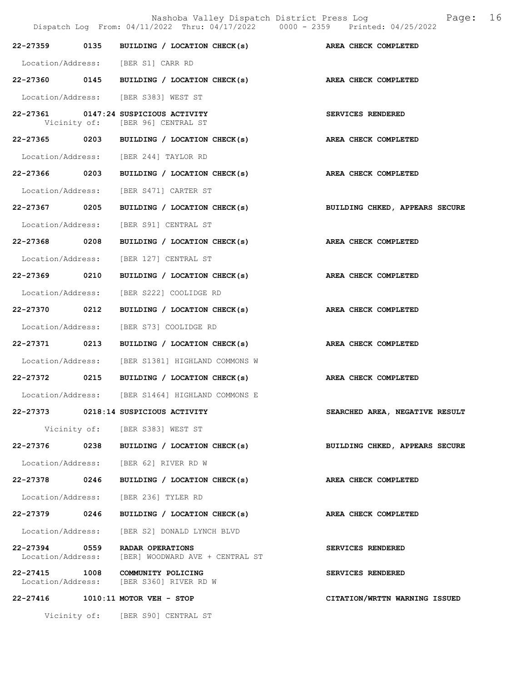|                   | Dispatch Log From: 04/11/2022 Thru: 04/17/2022 0000 - 2359 Printed: 04/25/2022      | Nashoba Valley Dispatch District Press Log<br>16<br>Page: |
|-------------------|-------------------------------------------------------------------------------------|-----------------------------------------------------------|
|                   | 22-27359 0135 BUILDING / LOCATION CHECK(s) AREA CHECK COMPLETED                     |                                                           |
|                   | Location/Address: [BER S1] CARR RD                                                  |                                                           |
|                   | 22-27360 0145 BUILDING / LOCATION CHECK(s) AREA CHECK COMPLETED                     |                                                           |
|                   | Location/Address: [BER S383] WEST ST                                                |                                                           |
|                   | 22-27361 0147:24 SUSPICIOUS ACTIVITY<br>Vicinity of: [BER 96] CENTRAL ST            | SERVICES RENDERED                                         |
|                   | 22-27365 0203 BUILDING / LOCATION CHECK(s)                                          | AREA CHECK COMPLETED                                      |
|                   | Location/Address: [BER 244] TAYLOR RD                                               |                                                           |
|                   | 22-27366 0203 BUILDING / LOCATION CHECK(s)                                          | AREA CHECK COMPLETED                                      |
|                   | Location/Address: [BER S471] CARTER ST                                              |                                                           |
| 22-27367 0205     | BUILDING / LOCATION CHECK(s)                                                        | BUILDING CHKED, APPEARS SECURE                            |
|                   | Location/Address: [BER S91] CENTRAL ST                                              |                                                           |
|                   | 22-27368 0208 BUILDING / LOCATION CHECK(s) AREA CHECK COMPLETED                     |                                                           |
|                   | Location/Address: [BER 127] CENTRAL ST                                              |                                                           |
| 22-27369 0210     | BUILDING / LOCATION CHECK(s)                                                        | AREA CHECK COMPLETED                                      |
| Location/Address: | [BER S222] COOLIDGE RD                                                              |                                                           |
| 22-27370 0212     | BUILDING / LOCATION CHECK(s)                                                        | AREA CHECK COMPLETED                                      |
| Location/Address: | [BER S73] COOLIDGE RD                                                               |                                                           |
| 22-27371 0213     | BUILDING / LOCATION CHECK(s) AREA CHECK COMPLETED                                   |                                                           |
|                   | Location/Address: [BER S1381] HIGHLAND COMMONS W                                    |                                                           |
|                   | 22-27372 0215 BUILDING / LOCATION CHECK(s)                                          | AREA CHECK COMPLETED                                      |
|                   | Location/Address: [BER S1464] HIGHLAND COMMONS E                                    |                                                           |
|                   | 22-27373 0218:14 SUSPICIOUS ACTIVITY                                                | SEARCHED AREA, NEGATIVE RESULT                            |
|                   | Vicinity of: [BER S383] WEST ST                                                     |                                                           |
|                   | $22-27376$ 0238 BUILDING / LOCATION CHECK(s)                                        | BUILDING CHKED, APPEARS SECURE                            |
|                   | Location/Address: [BER 62] RIVER RD W                                               |                                                           |
|                   | 22-27378 0246 BUILDING / LOCATION CHECK(s)                                          | AREA CHECK COMPLETED                                      |
|                   | Location/Address: [BER 236] TYLER RD                                                |                                                           |
| 22-27379 0246     | BUILDING / LOCATION CHECK(s)                                                        | AREA CHECK COMPLETED                                      |
|                   | Location/Address: [BER S2] DONALD LYNCH BLVD                                        |                                                           |
|                   | 22-27394 0559 RADAR OPERATIONS<br>Location/Address: [BER] WOODWARD AVE + CENTRAL ST | SERVICES RENDERED                                         |
|                   | 22-27415 1008 COMMUNITY POLICING<br>Location/Address: [BER S360] RIVER RD W         | SERVICES RENDERED                                         |
|                   | 22-27416 1010:11 MOTOR VEH - STOP                                                   | CITATION/WRTTN WARNING ISSUED                             |
|                   | Vicinity of: [BER S90] CENTRAL ST                                                   |                                                           |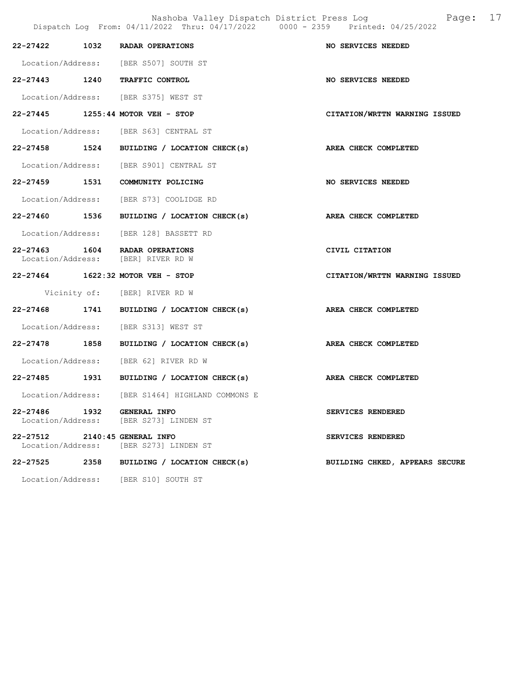Nashoba Valley Dispatch District Press Log Fage: 17 Dispatch Log From: 04/11/2022 Thru: 04/17/2022 0000 - 2359 Printed: 04/25/2022

|                                                 |      | 22-27422 1032 RADAR OPERATIONS                                       | NO SERVICES NEEDED             |
|-------------------------------------------------|------|----------------------------------------------------------------------|--------------------------------|
|                                                 |      | Location/Address: [BER S507] SOUTH ST                                |                                |
|                                                 |      | 22-27443 1240 TRAFFIC CONTROL                                        | NO SERVICES NEEDED             |
|                                                 |      | Location/Address: [BER S375] WEST ST                                 |                                |
|                                                 |      | 22-27445 1255:44 MOTOR VEH - STOP                                    | CITATION/WRTTN WARNING ISSUED  |
|                                                 |      | Location/Address: [BER S63] CENTRAL ST                               |                                |
|                                                 |      | 22-27458 1524 BUILDING / LOCATION CHECK(s) AREA CHECK COMPLETED      |                                |
|                                                 |      | Location/Address: [BER S901] CENTRAL ST                              |                                |
|                                                 |      | 22-27459 1531 COMMUNITY POLICING                                     | NO SERVICES NEEDED             |
|                                                 |      | Location/Address: [BER S73] COOLIDGE RD                              |                                |
|                                                 |      | 22-27460 1536 BUILDING / LOCATION CHECK(s)                           | <b>AREA CHECK COMPLETED</b>    |
|                                                 |      | Location/Address: [BER 128] BASSETT RD                               |                                |
|                                                 |      | 22-27463 1604 RADAR OPERATIONS<br>Location/Address: [BER] RIVER RD W | CIVIL CITATION                 |
|                                                 |      | 22-27464 1622:32 MOTOR VEH - STOP                                    | CITATION/WRTTN WARNING ISSUED  |
|                                                 |      | Vicinity of: [BER] RIVER RD W                                        |                                |
|                                                 |      | 22-27468 1741 BUILDING / LOCATION CHECK(s)                           | AREA CHECK COMPLETED           |
|                                                 |      | Location/Address: [BER S313] WEST ST                                 |                                |
|                                                 |      | 22-27478 1858 BUILDING / LOCATION CHECK(s)                           | AREA CHECK COMPLETED           |
|                                                 |      | Location/Address: [BER 62] RIVER RD W                                |                                |
|                                                 |      | 22-27485 1931 BUILDING / LOCATION CHECK(s)                           | <b>AREA CHECK COMPLETED</b>    |
|                                                 |      | Location/Address: [BER S1464] HIGHLAND COMMONS E                     |                                |
| 22-27486 1932 GENERAL INFO<br>Location/Address: |      | [BER S273] LINDEN ST                                                 | SERVICES RENDERED              |
| 22-27512<br>Location/Address:                   |      | 2140:45 GENERAL INFO<br>[BER S273] LINDEN ST                         | SERVICES RENDERED              |
| 22-27525                                        | 2358 | BUILDING / LOCATION CHECK(s)                                         | BUILDING CHKED, APPEARS SECURE |
| Location/Address:                               |      | [BER S10] SOUTH ST                                                   |                                |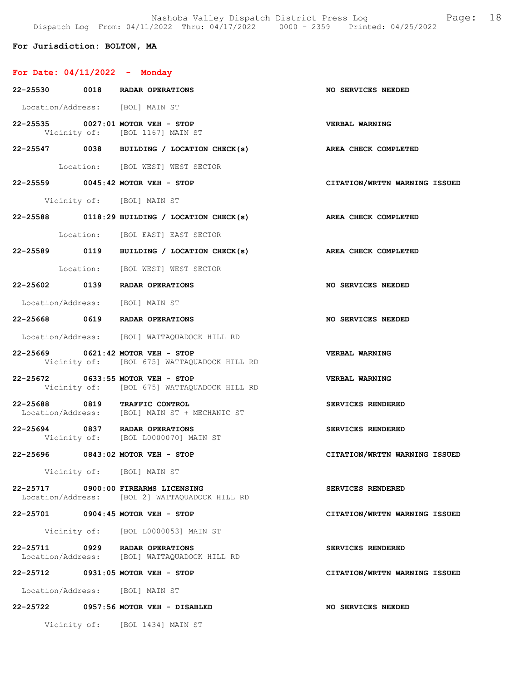Nashoba Valley Dispatch District Press Log Fage: 18 Dispatch Log From: 04/11/2022 Thru: 04/17/2022 0000 - 2359 Printed: 04/25/2022

## For Jurisdiction: BOLTON, MA

# For Date: 04/11/2022 - Monday

| 22-25530 0018 RADAR OPERATIONS    |                                                                                  | <b>NO SERVICES NEEDED</b>     |
|-----------------------------------|----------------------------------------------------------------------------------|-------------------------------|
| Location/Address: [BOL] MAIN ST   |                                                                                  |                               |
|                                   | 22-25535 0027:01 MOTOR VEH - STOP<br>Vicinity of: [BOL 1167] MAIN ST             | <b>VERBAL WARNING</b>         |
|                                   | 22-25547 0038 BUILDING / LOCATION CHECK(s) AREA CHECK COMPLETED                  |                               |
|                                   | Location: [BOL WEST] WEST SECTOR                                                 |                               |
|                                   | 22-25559 0045:42 MOTOR VEH - STOP                                                | CITATION/WRTTN WARNING ISSUED |
|                                   | Vicinity of: [BOL] MAIN ST                                                       |                               |
|                                   | $22-25588$ 0118:29 BUILDING / LOCATION CHECK(s)                                  | AREA CHECK COMPLETED          |
|                                   | Location: [BOL EAST] EAST SECTOR                                                 |                               |
|                                   | 22-25589 0119 BUILDING / LOCATION CHECK(s) AREA CHECK COMPLETED                  |                               |
|                                   | Location: [BOL WEST] WEST SECTOR                                                 |                               |
|                                   | 22-25602 0139 RADAR OPERATIONS                                                   | <b>NO SERVICES NEEDED</b>     |
| Location/Address: [BOL] MAIN ST   |                                                                                  |                               |
|                                   | 22-25668 0619 RADAR OPERATIONS                                                   | <b>NO SERVICES NEEDED</b>     |
|                                   | Location/Address: [BOL] WATTAQUADOCK HILL RD                                     |                               |
|                                   | 22-25669 0621:42 MOTOR VEH - STOP<br>Vicinity of: [BOL 675] WATTAQUADOCK HILL RD | VERBAL WARNING                |
| 22-25672 0633:55 MOTOR VEH - STOP | Vicinity of: [BOL 675] WATTAQUADOCK HILL RD                                      | <b>VERBAL WARNING</b>         |
| 22-25688 0819 TRAFFIC CONTROL     | Location/Address: [BOL] MAIN ST + MECHANIC ST                                    | SERVICES RENDERED             |
| 22-25694 0837 RADAR OPERATIONS    | Vicinity of: [BOL L0000070] MAIN ST                                              | SERVICES RENDERED             |
|                                   | 22-25696 0843:02 MOTOR VEH - STOP                                                | CITATION/WRTTN WARNING ISSUED |
|                                   | Vicinity of: [BOL] MAIN ST                                                       |                               |
| 22-25717                          | 0900:00 FIREARMS LICENSING<br>Location/Address: [BOL 2] WATTAQUADOCK HILL RD     | SERVICES RENDERED             |
| 22-25701 0904:45 MOTOR VEH - STOP |                                                                                  | CITATION/WRTTN WARNING ISSUED |
|                                   | Vicinity of: [BOL L0000053] MAIN ST                                              |                               |
| 22-25711 0929 RADAR OPERATIONS    | Location/Address: [BOL] WATTAQUADOCK HILL RD                                     | SERVICES RENDERED             |
| 22-25712                          | $0931:05$ MOTOR VEH - STOP                                                       | CITATION/WRTTN WARNING ISSUED |
| Location/Address: [BOL] MAIN ST   |                                                                                  |                               |
|                                   | 22-25722 0957:56 MOTOR VEH - DISABLED                                            | NO SERVICES NEEDED            |
|                                   | Vicinity of: [BOL 1434] MAIN ST                                                  |                               |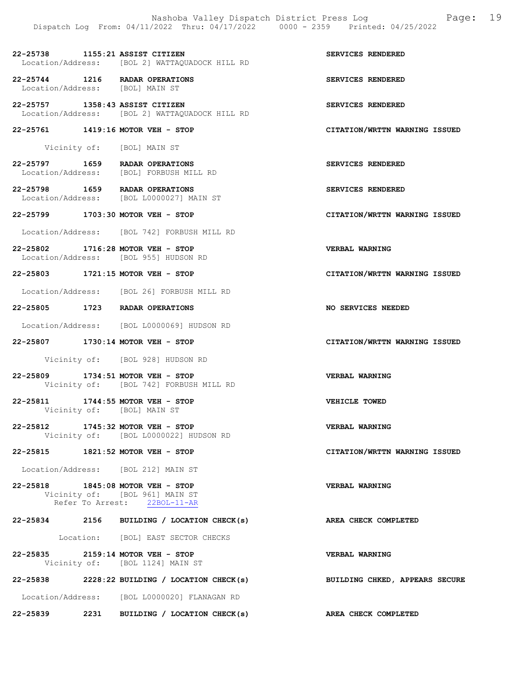## 22-25738 1155:21 ASSIST CITIZEN SERVICES RENDERED Location/Address: [BOL 2] WATTAQUADOCK HILL RD

22-25744 1216 RADAR OPERATIONS SERVICES RENDERED Location/Address: [BOL] MAIN ST

22-25757 1358:43 ASSIST CITIZEN SERVICES RENDERED Location/Address: [BOL 2] WATTAQUADOCK HILL RD

#### 22-25761 1419:16 MOTOR VEH - STOP CITATION/WRTTN WARNING ISSUED

Vicinity of: [BOL] MAIN ST

22-25797 1659 RADAR OPERATIONS<br>
Location/Address: [BOL] FORBUSH MILL RD Location/Address: [BOL] FORBUSH MILL RD

22-25798 1659 RADAR OPERATIONS SERVICES RENDERED<br>Location/Address: [BOL L0000027] MAIN ST Location/Address: [BOL L0000027] MAIN ST

22-25799 1703:30 MOTOR VEH - STOP CITATION/WRTTN WARNING ISSUED

Location/Address: [BOL 742] FORBUSH MILL RD

22-25802 1716:28 MOTOR VEH - STOP VERBAL WARNING Location/Address: [BOL 955] HUDSON RD

22-25803 1721:15 MOTOR VEH - STOP CITATION/WRTTN WARNING ISSUED

Location/Address: [BOL 26] FORBUSH MILL RD

22-25805 1723 RADAR OPERATIONS NO SERVICES NEEDED

Location/Address: [BOL L0000069] HUDSON RD

22-25807 1730:14 MOTOR VEH - STOP CITATION/WRTTN WARNING ISSUED

Vicinity of: [BOL 928] HUDSON RD

- 22-25809 1734:51 MOTOR VEH STOP VERBAL WARNING Vicinity of: [BOL 742] FORBUSH MILL RD
- 22-25811 1744:55 MOTOR VEH STOP VEHICLE TOWED Vicinity of: [BOL] MAIN ST
- 22-25812 1745:32 MOTOR VEH STOP VERBAL WARNING Vicinity of: [BOL L0000022] HUDSON RD
- 22-25815 1821:52 MOTOR VEH STOP CITATION/WRTTN WARNING ISSUED

Location/Address: [BOL 212] MAIN ST

22-25818 1845:08 MOTOR VEH - STOP VERBAL WARNING Vicinity of: [BOL 961] MAIN ST Refer To Arrest: 22BOL-11-AR

## 22-25834 2156 BUILDING / LOCATION CHECK(s) AREA CHECK COMPLETED

Location: [BOL] EAST SECTOR CHECKS

- 22-25835 2159:14 MOTOR VEH STOP VERBAL WARNING Vicinity of: [BOL 1124] MAIN ST
- 22-25838 2228:22 BUILDING / LOCATION CHECK(s) BUILDING CHKED, APPEARS SECURE

Location/Address: [BOL L0000020] FLANAGAN RD

22-25839 2231 BUILDING / LOCATION CHECK(s) AREA CHECK COMPLETED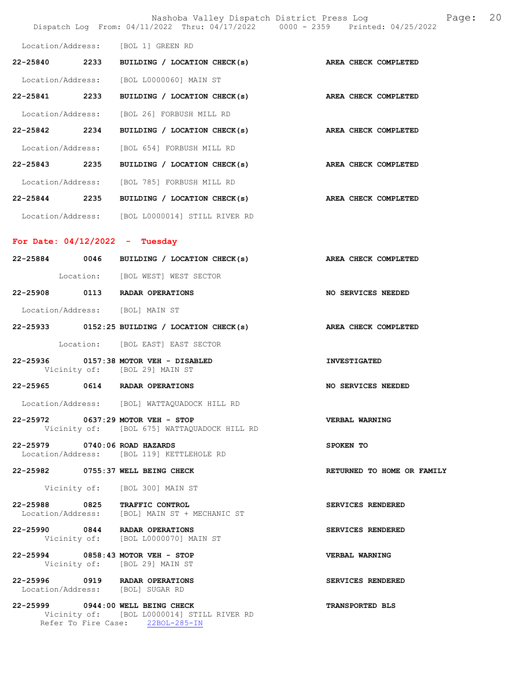|                                  |                                                                                                                     | Nashoba Valley Dispatch District Press Loq<br>20<br>Page:<br>Dispatch Log From: 04/11/2022 Thru: 04/17/2022 0000 - 2359 Printed: 04/25/2022 |
|----------------------------------|---------------------------------------------------------------------------------------------------------------------|---------------------------------------------------------------------------------------------------------------------------------------------|
|                                  | Location/Address: [BOL 1] GREEN RD                                                                                  |                                                                                                                                             |
|                                  | 22-25840 2233 BUILDING / LOCATION CHECK(s) AREA CHECK COMPLETED                                                     |                                                                                                                                             |
|                                  | Location/Address: [BOL L0000060] MAIN ST                                                                            |                                                                                                                                             |
|                                  | 22-25841 2233 BUILDING / LOCATION CHECK(s)                                                                          | AREA CHECK COMPLETED                                                                                                                        |
|                                  | Location/Address: [BOL 26] FORBUSH MILL RD                                                                          |                                                                                                                                             |
|                                  | 22-25842 2234 BUILDING / LOCATION CHECK(s) AREA CHECK COMPLETED                                                     |                                                                                                                                             |
|                                  | Location/Address: [BOL 654] FORBUSH MILL RD                                                                         |                                                                                                                                             |
|                                  | 22-25843 2235 BUILDING / LOCATION CHECK(s) AREA CHECK COMPLETED                                                     |                                                                                                                                             |
|                                  | Location/Address: [BOL 785] FORBUSH MILL RD                                                                         |                                                                                                                                             |
|                                  | 22-25844 2235 BUILDING / LOCATION CHECK(s)                                                                          | AREA CHECK COMPLETED                                                                                                                        |
|                                  | Location/Address: [BOL L0000014] STILL RIVER RD                                                                     |                                                                                                                                             |
| For Date: $04/12/2022 -$ Tuesday |                                                                                                                     |                                                                                                                                             |
|                                  | 22-25884 0046 BUILDING / LOCATION CHECK(s)                                                                          | AREA CHECK COMPLETED                                                                                                                        |
|                                  | Location: [BOL WEST] WEST SECTOR                                                                                    |                                                                                                                                             |
| 22-25908                         | 0113 RADAR OPERATIONS                                                                                               | NO SERVICES NEEDED                                                                                                                          |
|                                  | Location/Address: [BOL] MAIN ST                                                                                     |                                                                                                                                             |
|                                  | 22-25933 0152:25 BUILDING / LOCATION CHECK(s) AREA CHECK COMPLETED                                                  |                                                                                                                                             |
|                                  | Location: [BOL EAST] EAST SECTOR                                                                                    |                                                                                                                                             |
| 22-25936                         | 0157:38 MOTOR VEH - DISABLED<br>Vicinity of: [BOL 29] MAIN ST                                                       | <b>INVESTIGATED</b>                                                                                                                         |
|                                  | 22-25965 0614 RADAR OPERATIONS                                                                                      | NO SERVICES NEEDED                                                                                                                          |
|                                  | Location/Address: [BOL] WATTAQUADOCK HILL RD                                                                        |                                                                                                                                             |
|                                  | 22-25972 0637:29 MOTOR VEH - STOP<br>Vicinity of: [BOL 675] WATTAQUADOCK HILL RD                                    | <b>VERBAL WARNING</b>                                                                                                                       |
| 22-25979 0740:06 ROAD HAZARDS    | Location/Address: [BOL 119] KETTLEHOLE RD                                                                           | SPOKEN TO                                                                                                                                   |
|                                  | 22-25982 0755:37 WELL BEING CHECK                                                                                   | RETURNED TO HOME OR FAMILY                                                                                                                  |
|                                  | Vicinity of: [BOL 300] MAIN ST                                                                                      |                                                                                                                                             |
|                                  | 22-25988 0825 TRAFFIC CONTROL                                                                                       | SERVICES RENDERED                                                                                                                           |
|                                  | Location/Address: [BOL] MAIN ST + MECHANIC ST                                                                       |                                                                                                                                             |
|                                  | 22-25990 0844 RADAR OPERATIONS<br>Vicinity of: [BOL L0000070] MAIN ST                                               | SERVICES RENDERED                                                                                                                           |
|                                  | 22-25994 0858:43 MOTOR VEH - STOP<br>Vicinity of: [BOL 29] MAIN ST                                                  | <b>VERBAL WARNING</b>                                                                                                                       |
|                                  | 22-25996 0919 RADAR OPERATIONS<br>Location/Address: [BOL] SUGAR RD                                                  | SERVICES RENDERED                                                                                                                           |
|                                  | 22-25999 0944:00 WELL BEING CHECK<br>Vicinity of: [BOL L0000014] STILL RIVER RD<br>Refer To Fire Case: 22BOL-285-IN | TRANSPORTED BLS                                                                                                                             |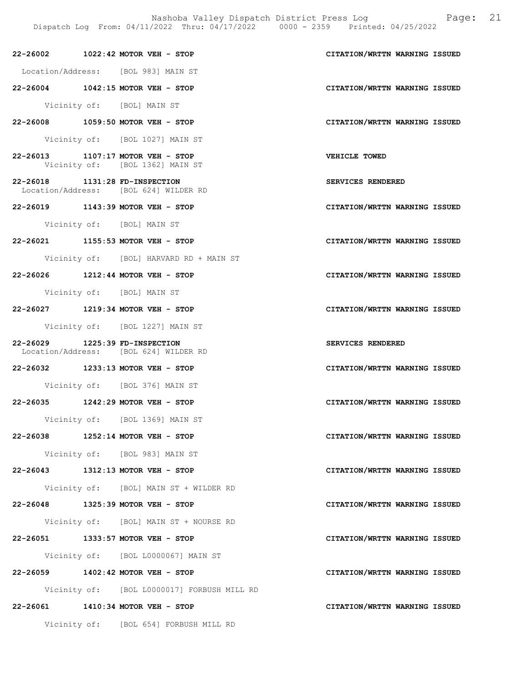Nashoba Valley Dispatch District Press Log Fage: 21

 Dispatch Log From: 04/11/2022 Thru: 04/17/2022 0000 - 2359 Printed: 04/25/2022 22-26002 1022:42 MOTOR VEH - STOP CITATION/WRTTN WARNING ISSUED Location/Address: [BOL 983] MAIN ST 22-26004 1042:15 MOTOR VEH - STOP CITATION/WRTTN WARNING ISSUED Vicinity of: [BOL] MAIN ST 22-26008 1059:50 MOTOR VEH - STOP CITATION/WRTTN WARNING ISSUED Vicinity of: [BOL 1027] MAIN ST 22-26013 1107:17 MOTOR VEH - STOP VEHICLE TOWED<br>Vicinity of: [BOL 1362] MAIN ST [BOL 1362] MAIN ST 22-26018 1131:28 FD-INSPECTION SERVICES RENDERED Location/Address: [BOL 624] WILDER RD 22-26019 1143:39 MOTOR VEH - STOP CITATION/WRTTN WARNING ISSUED Vicinity of: [BOL] MAIN ST 22-26021 1155:53 MOTOR VEH - STOP CITATION/WRTTN WARNING ISSUED Vicinity of: [BOL] HARVARD RD + MAIN ST 22-26026 1212:44 MOTOR VEH - STOP CITATION/WRTTN WARNING ISSUED Vicinity of: [BOL] MAIN ST 22-26027 1219:34 MOTOR VEH - STOP CITATION/WRTTN WARNING ISSUED Vicinity of: [BOL 1227] MAIN ST

22-26029 1225:39 FD-INSPECTION SERVICES RENDERED Location/Address: [BOL 624] WILDER RD

22-26032 1233:13 MOTOR VEH - STOP CITATION/WRTTN WARNING ISSUED

Vicinity of: [BOL 376] MAIN ST

22-26035 1242:29 MOTOR VEH - STOP CITATION/WRTTN WARNING ISSUED

Vicinity of: [BOL 1369] MAIN ST

22-26038 1252:14 MOTOR VEH - STOP CITATION/WRTTN WARNING ISSUED

Vicinity of: [BOL 983] MAIN ST

22-26043 1312:13 MOTOR VEH - STOP CITATION/WRTTN WARNING ISSUED

Vicinity of: [BOL] MAIN ST + WILDER RD

22-26048 1325:39 MOTOR VEH - STOP CITATION/WRTTN WARNING ISSUED

Vicinity of: [BOL] MAIN ST + NOURSE RD

22-26051 1333:57 MOTOR VEH - STOP CITATION/WRTTN WARNING ISSUED

Vicinity of: [BOL L0000067] MAIN ST

22-26059 1402:42 MOTOR VEH - STOP CITATION/WRTTN WARNING ISSUED

Vicinity of: [BOL L0000017] FORBUSH MILL RD

22-26061 1410:34 MOTOR VEH - STOP CITATION/WRTTN WARNING ISSUED

Vicinity of: [BOL 654] FORBUSH MILL RD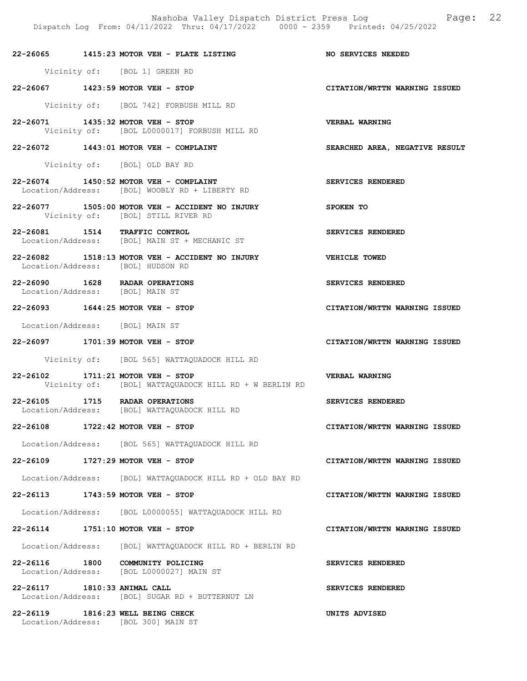Nashoba Valley Dispatch District Press Log Fage: 22 Dispatch Log From: 04/11/2022 Thru: 04/17/2022 0000 - 2359 Printed: 04/25/2022

22-26065 1415:23 MOTOR VEH - PLATE LISTING NO SERVICES NEEDED

Vicinity of: [BOL 1] GREEN RD

22-26067 1423:59 MOTOR VEH - STOP CITATION/WRTTN WARNING ISSUED

Vicinity of: [BOL 742] FORBUSH MILL RD

- 22-26071 1435:32 MOTOR VEH STOP VERBAL WARNING Vicinity of: [BOL L0000017] FORBUSH MILL RD
- 22-26072 1443:01 MOTOR VEH COMPLAINT SEARCHED AREA, NEGATIVE RESULT

Vicinity of: [BOL] OLD BAY RD

- 22-26074 1450:52 MOTOR VEH COMPLAINT SERVICES RENDERED Location/Address: [BOL] WOOBLY RD + LIBERTY RD
- 22-26077 1505:00 MOTOR VEH ACCIDENT NO INJURY SPOKEN TO Vicinity of: [BOL] STILL RIVER RD
- 22-26081 1514 TRAFFIC CONTROL SERVICES RENDERED Location/Address: [BOL] MAIN ST + MECHANIC ST
- 22-26082 1518:13 MOTOR VEH ACCIDENT NO INJURY VEHICLE TOWED Location/Address: [BOL] HUDSON RD
- 22-26090 1628 RADAR OPERATIONS SERVICES RENDERED Location/Address: [BOL] MAIN ST

22-26093 1644:25 MOTOR VEH - STOP CITATION/WRTTN WARNING ISSUED

Location/Address: [BOL] MAIN ST

22-26097 1701:39 MOTOR VEH - STOP CITATION/WRTTN WARNING ISSUED

Vicinity of: [BOL 565] WATTAQUADOCK HILL RD

- 22-26102 1711:21 MOTOR VEH STOP VERBAL WARNING Vicinity of: [BOL] WATTAQUADOCK HILL RD + W BERLIN RD
- 22-26105 1715 RADAR OPERATIONS SERVICES RENDERED Location/Address: [BOL] WATTAQUADOCK HILL RD
- 22-26108 1722:42 MOTOR VEH STOP CITATION/WRTTN WARNING ISSUED

Location/Address: [BOL 565] WATTAQUADOCK HILL RD

22-26109 1727:29 MOTOR VEH - STOP CITATION/WRTTN WARNING ISSUED

Location/Address: [BOL] WATTAQUADOCK HILL RD + OLD BAY RD

22-26113 1743:59 MOTOR VEH - STOP CITATION/WRTTN WARNING ISSUED

Location/Address: [BOL L0000055] WATTAQUADOCK HILL RD

22-26114 1751:10 MOTOR VEH - STOP CITATION/WRTTN WARNING ISSUED

Location/Address: [BOL] WATTAQUADOCK HILL RD + BERLIN RD

22-26116 1800 COMMUNITY POLICING SERVICES RENDERED Location/Address: [BOL L0000027] MAIN ST

22-26117 1810:33 ANIMAL CALL SERVICES RENDERED Location/Address: [BOL] SUGAR RD + BUTTERNUT LN Location/Address: [BOL] SUGAR RD + BUTTERNUT LN

22-26119 1816:23 WELL BEING CHECK UNITS ADVISED Location/Address: [BOL 300] MAIN ST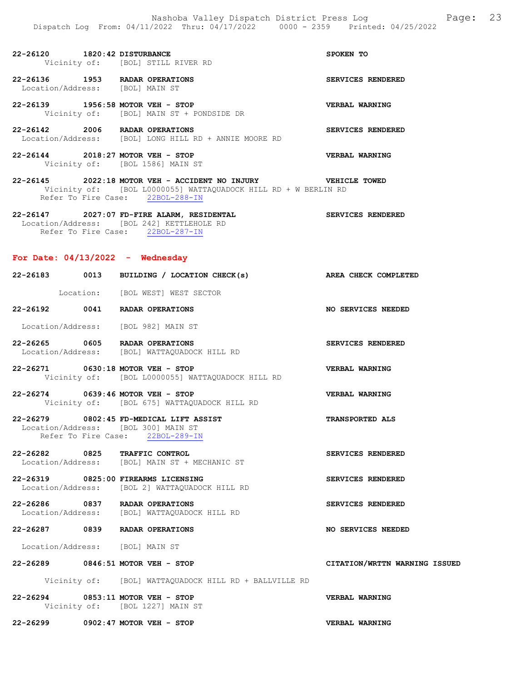22-26120 1820:42 DISTURBANCE SPOKEN TO Vicinity of: [BOL] STILL RIVER RD

22-26136 1953 RADAR OPERATIONS SERVICES RENDERED Location/Address: [BOL] MAIN ST

22-26139 1956:58 MOTOR VEH - STOP VERBAL WARNING Vicinity of: [BOL] MAIN ST + PONDSIDE DR

22-26142 2006 RADAR OPERATIONS SERVICES RENDERED Location/Address: [BOL] LONG HILL RD + ANNIE MOORE RD

22-26144 2018:27 MOTOR VEH - STOP VERBAL WARNING Vicinity of: [BOL 1586] MAIN ST

22-26145 2022:18 MOTOR VEH - ACCIDENT NO INJURY VEHICLE TOWED Vicinity of: [BOL L0000055] WATTAQUADOCK HILL RD + W BERLIN RD Refer To Fire Case: 22BOL-288-IN

22-26147 2027:07 FD-FIRE ALARM, RESIDENTAL SERVICES RENDERED Location/Address: [BOL 242] KETTLEHOLE RD Refer To Fire Case: 22BOL-287-IN

### For Date:  $04/13/2022 -$  Wednesday

|          | 22-26183 0013 BUILDING / LOCATION CHECK(s) AREA CHECK COMPLETED                                                    |                               |
|----------|--------------------------------------------------------------------------------------------------------------------|-------------------------------|
|          | Location: [BOL WEST] WEST SECTOR                                                                                   |                               |
|          | 22-26192 0041 RADAR OPERATIONS                                                                                     | NO SERVICES NEEDED            |
|          | Location/Address: [BOL 982] MAIN ST                                                                                |                               |
|          | 22-26265 0605 RADAR OPERATIONS<br>Location/Address: [BOL] WATTAQUADOCK HILL RD                                     | SERVICES RENDERED             |
|          | 22-26271 0630:18 MOTOR VEH - STOP<br>Vicinity of: [BOL L0000055] WATTAQUADOCK HILL RD                              | VERBAL WARNING                |
|          | 22-26274 0639:46 MOTOR VEH - STOP<br>Vicinity of: [BOL 675] WATTAQUADOCK HILL RD                                   | <b>VERBAL WARNING</b>         |
|          | 22-26279 0802:45 FD-MEDICAL LIFT ASSIST<br>Location/Address: [BOL 300] MAIN ST<br>Refer To Fire Case: 22BOL-289-IN | <b>TRANSPORTED ALS</b>        |
|          | 22-26282 0825 TRAFFIC CONTROL<br>Location/Address: [BOL] MAIN ST + MECHANIC ST                                     | SERVICES RENDERED             |
|          | 22-26319 0825:00 FIREARMS LICENSING<br>Location/Address: [BOL 2] WATTAQUADOCK HILL RD                              | SERVICES RENDERED             |
|          | 22-26286 0837 RADAR OPERATIONS<br>Location/Address: [BOL] WATTAQUADOCK HILL RD                                     | SERVICES RENDERED             |
|          | 22-26287 0839 RADAR OPERATIONS                                                                                     | <b>NO SERVICES NEEDED</b>     |
|          | Location/Address: [BOL] MAIN ST                                                                                    |                               |
|          | 22-26289 0846:51 MOTOR VEH - STOP                                                                                  | CITATION/WRTTN WARNING ISSUED |
|          | Vicinity of: [BOL] WATTAQUADOCK HILL RD + BALLVILLE RD                                                             |                               |
| 22-26294 | $0853:11$ MOTOR VEH - STOP                                                                                         | VERBAL WARNING                |

 Vicinity of: [BOL 1227] MAIN ST 22-26299 0902:47 MOTOR VEH - STOP VERBAL WARNING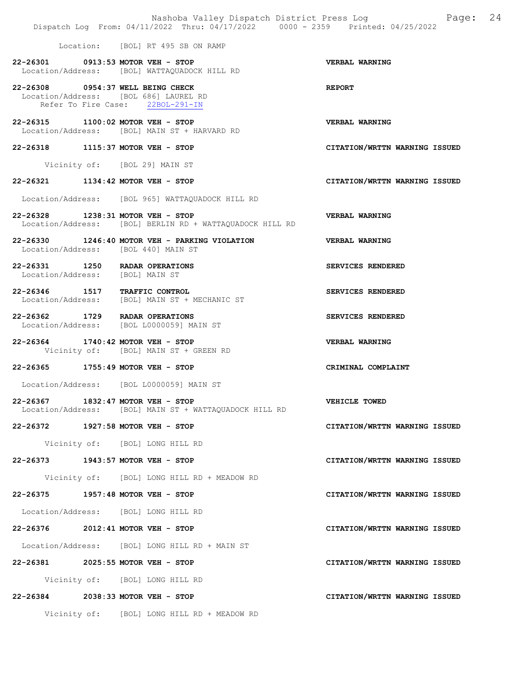|                                                                                   |                                       | Dispatch Log From: 04/11/2022 Thru: 04/17/2022 0000 - 2359 Printed: 04/25/2022 | Nashoba Valley Dispatch District Press Log Mashoba Valley Dispatch District Press Log |
|-----------------------------------------------------------------------------------|---------------------------------------|--------------------------------------------------------------------------------|---------------------------------------------------------------------------------------|
|                                                                                   | Location: [BOL] RT 495 SB ON RAMP     |                                                                                |                                                                                       |
| 22-26301 0913:53 MOTOR VEH - STOP<br>Location/Address: [BOL] WATTAQUADOCK HILL RD |                                       |                                                                                | <b>VERBAL WARNING</b>                                                                 |
| 22-26308 0954:37 WELL BEING CHECK<br>Location/Address: [BOL 686] LAUREL RD        | Refer To Fire Case: 22BOL-291-IN      |                                                                                | <b>REPORT</b>                                                                         |
| 22-26315 1100:02 MOTOR VEH - STOP<br>Location/Address: [BOL] MAIN ST + HARVARD RD |                                       |                                                                                | <b>VERBAL WARNING</b>                                                                 |
| 22-26318 1115:37 MOTOR VEH - STOP                                                 |                                       |                                                                                | CITATION/WRTTN WARNING ISSUED                                                         |
|                                                                                   | Vicinity of: [BOL 29] MAIN ST         |                                                                                |                                                                                       |
| 22-26321 1134:42 MOTOR VEH - STOP                                                 |                                       |                                                                                | CITATION/WRTTN WARNING ISSUED                                                         |
| Location/Address: [BOL 965] WATTAQUADOCK HILL RD                                  |                                       |                                                                                |                                                                                       |
| 22-26328 1238:31 MOTOR VEH - STOP                                                 |                                       | Location/Address: [BOL] BERLIN RD + WATTAQUADOCK HILL RD                       | <b>VERBAL WARNING</b>                                                                 |
| Location/Address: [BOL 440] MAIN ST                                               |                                       | 22-26330 1246:40 MOTOR VEH - PARKING VIOLATION                                 | <b>VERBAL WARNING</b>                                                                 |
| 22-26331 1250 RADAR OPERATIONS<br>Location/Address: [BOL] MAIN ST                 |                                       |                                                                                | SERVICES RENDERED                                                                     |
| 22-26346 1517<br>Location/Address: [BOL] MAIN ST + MECHANIC ST                    | <b>TRAFFIC CONTROL</b>                |                                                                                | SERVICES RENDERED                                                                     |
| 22-26362 1729 RADAR OPERATIONS<br>Location/Address: [BOL L0000059] MAIN ST        |                                       |                                                                                | SERVICES RENDERED                                                                     |
| 22-26364 1740:42 MOTOR VEH - STOP                                                 | Vicinity of: [BOL] MAIN ST + GREEN RD |                                                                                | <b>VERBAL WARNING</b>                                                                 |
| 22-26365 1755:49 MOTOR VEH - STOP                                                 |                                       |                                                                                | CRIMINAL COMPLAINT                                                                    |
| Location/Address: [BOL L0000059] MAIN ST                                          |                                       |                                                                                |                                                                                       |
| 22-26367 1832:47 MOTOR VEH - STOP                                                 |                                       | Location/Address: [BOL] MAIN ST + WATTAOUADOCK HILL RD                         | VEHICLE TOWED                                                                         |
| 22-26372 1927:58 MOTOR VEH - STOP                                                 |                                       |                                                                                | CITATION/WRTTN WARNING ISSUED                                                         |
|                                                                                   | Vicinity of: [BOL] LONG HILL RD       |                                                                                |                                                                                       |
| 22-26373 1943:57 MOTOR VEH - STOP                                                 |                                       |                                                                                | CITATION/WRTTN WARNING ISSUED                                                         |
|                                                                                   |                                       | Vicinity of: [BOL] LONG HILL RD + MEADOW RD                                    |                                                                                       |
| 22-26375 1957:48 MOTOR VEH - STOP                                                 |                                       |                                                                                | CITATION/WRTTN WARNING ISSUED                                                         |
| Location/Address: [BOL] LONG HILL RD                                              |                                       |                                                                                |                                                                                       |
| 22-26376 2012:41 MOTOR VEH - STOP                                                 |                                       |                                                                                | CITATION/WRTTN WARNING ISSUED                                                         |
| Location/Address: [BOL] LONG HILL RD + MAIN ST                                    |                                       |                                                                                |                                                                                       |
| 22-26381 2025:55 MOTOR VEH - STOP                                                 |                                       |                                                                                | CITATION/WRTTN WARNING ISSUED                                                         |
|                                                                                   | Vicinity of: [BOL] LONG HILL RD       |                                                                                |                                                                                       |
| 22-26384 2038:33 MOTOR VEH - STOP                                                 |                                       |                                                                                | CITATION/WRTTN WARNING ISSUED                                                         |
|                                                                                   |                                       | Vicinity of: [BOL] LONG HILL RD + MEADOW RD                                    |                                                                                       |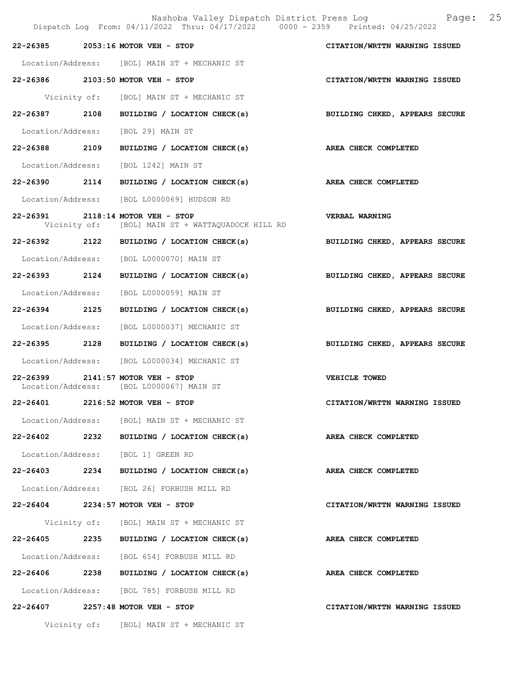|                   | Nashoba Valley Dispatch District Press Log<br>Dispatch Log From: 04/11/2022 Thru: 04/17/2022 0000 - 2359 Printed: 04/25/2022 | Page: 25                       |  |
|-------------------|------------------------------------------------------------------------------------------------------------------------------|--------------------------------|--|
|                   | 22-26385 2053:16 MOTOR VEH - STOP                                                                                            | CITATION/WRTTN WARNING ISSUED  |  |
|                   | Location/Address: [BOL] MAIN ST + MECHANIC ST                                                                                |                                |  |
|                   | 22-26386 2103:50 MOTOR VEH - STOP                                                                                            | CITATION/WRTTN WARNING ISSUED  |  |
|                   | Vicinity of: [BOL] MAIN ST + MECHANIC ST                                                                                     |                                |  |
|                   | 22-26387 2108 BUILDING / LOCATION CHECK(s)                                                                                   | BUILDING CHKED, APPEARS SECURE |  |
|                   | Location/Address: [BOL 29] MAIN ST                                                                                           |                                |  |
|                   | 22-26388 2109 BUILDING / LOCATION CHECK(s)                                                                                   | AREA CHECK COMPLETED           |  |
|                   | Location/Address: [BOL 1242] MAIN ST                                                                                         |                                |  |
|                   | 22-26390 2114 BUILDING / LOCATION CHECK(s)                                                                                   | AREA CHECK COMPLETED           |  |
|                   | Location/Address: [BOL L0000069] HUDSON RD                                                                                   |                                |  |
|                   | 22-26391 2118:14 MOTOR VEH - STOP<br>Vicinity of: [BOL] MAIN ST + WATTAQUADOCK HILL RD                                       | VERBAL WARNING                 |  |
|                   | 22-26392 2122 BUILDING / LOCATION CHECK(s)                                                                                   | BUILDING CHKED, APPEARS SECURE |  |
|                   | Location/Address: [BOL L0000070] MAIN ST                                                                                     |                                |  |
|                   | 22-26393 2124 BUILDING / LOCATION CHECK(s)                                                                                   | BUILDING CHKED, APPEARS SECURE |  |
|                   | Location/Address: [BOL L0000059] MAIN ST                                                                                     |                                |  |
| 22-26394 2125     | BUILDING / LOCATION CHECK(s)                                                                                                 | BUILDING CHKED, APPEARS SECURE |  |
| Location/Address: | [BOL L0000037] MECHANIC ST                                                                                                   |                                |  |
| 22-26395 2128     | BUILDING / LOCATION CHECK(s)                                                                                                 | BUILDING CHKED, APPEARS SECURE |  |
|                   | Location/Address: [BOL L0000034] MECHANIC ST                                                                                 |                                |  |
|                   | 22-26399 2141:57 MOTOR VEH - STOP<br>Location/Address: [BOL L0000067] MAIN ST                                                | VEHICLE TOWED                  |  |
| 22-26401          | $2216:52$ MOTOR VEH - STOP                                                                                                   | CITATION/WRTTN WARNING ISSUED  |  |
|                   | Location/Address: [BOL] MAIN ST + MECHANIC ST                                                                                |                                |  |
|                   | 22-26402 2232 BUILDING / LOCATION CHECK(s) AREA CHECK COMPLETED                                                              |                                |  |
|                   | Location/Address: [BOL 1] GREEN RD                                                                                           |                                |  |
|                   | 22-26403 2234 BUILDING / LOCATION CHECK(s) AREA CHECK COMPLETED                                                              |                                |  |
|                   | Location/Address: [BOL 26] FORBUSH MILL RD                                                                                   |                                |  |
|                   | 22-26404 2234:57 MOTOR VEH - STOP                                                                                            | CITATION/WRTTN WARNING ISSUED  |  |
|                   | Vicinity of: [BOL] MAIN ST + MECHANIC ST                                                                                     |                                |  |
|                   | 22-26405 2235 BUILDING / LOCATION CHECK(s)                                                                                   | AREA CHECK COMPLETED           |  |
|                   | Location/Address: [BOL 654] FORBUSH MILL RD                                                                                  |                                |  |
|                   | 22-26406 2238 BUILDING / LOCATION CHECK(s)                                                                                   | AREA CHECK COMPLETED           |  |
|                   | Location/Address: [BOL 785] FORBUSH MILL RD                                                                                  |                                |  |
|                   | 22-26407 2257:48 MOTOR VEH - STOP                                                                                            | CITATION/WRTTN WARNING ISSUED  |  |
|                   | Vicinity of: [BOL] MAIN ST + MECHANIC ST                                                                                     |                                |  |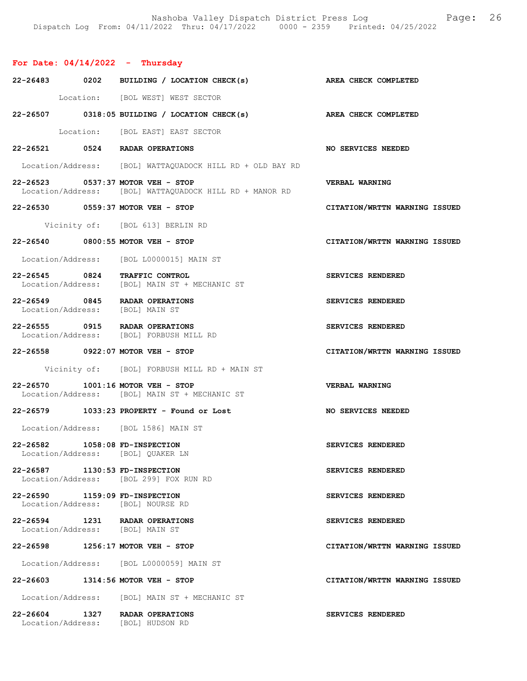## For Date:  $04/14/2022 -$  Thursday

|                                | 22-26483 0202 BUILDING / LOCATION CHECK(s)                                                   | <b>AREA CHECK COMPLETED</b>   |
|--------------------------------|----------------------------------------------------------------------------------------------|-------------------------------|
|                                | Location: [BOL WEST] WEST SECTOR                                                             |                               |
|                                | 22-26507 0318:05 BUILDING / LOCATION CHECK(s) AREA CHECK COMPLETED                           |                               |
|                                | Location: [BOL EAST] EAST SECTOR                                                             |                               |
|                                | 22-26521 0524 RADAR OPERATIONS                                                               | <b>NO SERVICES NEEDED</b>     |
|                                | Location/Address: [BOL] WATTAQUADOCK HILL RD + OLD BAY RD                                    |                               |
|                                | 22-26523 0537:37 MOTOR VEH - STOP<br>Location/Address: [BOL] WATTAQUADOCK HILL RD + MANOR RD | VERBAL WARNING                |
|                                | 22-26530 0559:37 MOTOR VEH - STOP                                                            | CITATION/WRTTN WARNING ISSUED |
|                                | Vicinity of: [BOL 613] BERLIN RD                                                             |                               |
|                                | 22-26540 0800:55 MOTOR VEH - STOP                                                            | CITATION/WRTTN WARNING ISSUED |
|                                | Location/Address: [BOL L0000015] MAIN ST                                                     |                               |
| 22-26545 0824                  | <b>TRAFFIC CONTROL</b><br>Location/Address: [BOL] MAIN ST + MECHANIC ST                      | SERVICES RENDERED             |
|                                | 22-26549 0845 RADAR OPERATIONS<br>Location/Address: [BOL] MAIN ST                            | SERVICES RENDERED             |
|                                | 22-26555 0915 RADAR OPERATIONS<br>Location/Address: [BOL] FORBUSH MILL RD                    | SERVICES RENDERED             |
|                                | 22-26558 0922:07 MOTOR VEH - STOP                                                            | CITATION/WRTTN WARNING ISSUED |
|                                | Vicinity of: [BOL] FORBUSH MILL RD + MAIN ST                                                 |                               |
|                                | 22-26570 1001:16 MOTOR VEH - STOP<br>Location/Address: [BOL] MAIN ST + MECHANIC ST           | VERBAL WARNING                |
|                                | 22-26579 1033:23 PROPERTY - Found or Lost                                                    | NO SERVICES NEEDED            |
|                                | Location/Address: [BOL 1586] MAIN ST                                                         |                               |
| 22-26582 1058:08 FD-INSPECTION | Location/Address: [BOL] QUAKER LN                                                            | SERVICES RENDERED             |
| 22-26587 1130:53 FD-INSPECTION | Location/Address: [BOL 299] FOX RUN RD                                                       | SERVICES RENDERED             |
| 22-26590 1159:09 FD-INSPECTION | Location/Address: [BOL] NOURSE RD                                                            | SERVICES RENDERED             |
|                                | 22-26594 1231 RADAR OPERATIONS<br>Location/Address: [BOL] MAIN ST                            | SERVICES RENDERED             |
|                                | 22-26598 1256:17 MOTOR VEH - STOP                                                            | CITATION/WRTTN WARNING ISSUED |
|                                | Location/Address: [BOL L0000059] MAIN ST                                                     |                               |
|                                | 22-26603 1314:56 MOTOR VEH - STOP                                                            | CITATION/WRTTN WARNING ISSUED |
|                                | Location/Address: [BOL] MAIN ST + MECHANIC ST                                                |                               |
|                                | 22-26604 1327 RADAR OPERATIONS<br>Location/Address: [BOL] HUDSON RD                          | SERVICES RENDERED             |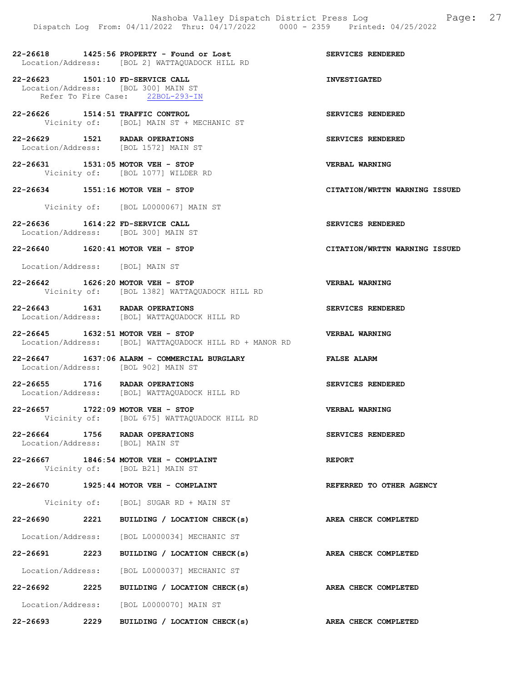22-26618 1425:56 PROPERTY - Found or Lost SERVICES RENDERED Location/Address: [BOL 2] WATTAQUADOCK HILL RD

22-26623 1501:10 FD-SERVICE CALL 10 INVESTIGATED Location/Address: [BOL 300] MAIN ST Refer To Fire Case: 22BOL-293-IN

22-26626 1514:51 TRAFFIC CONTROL SERVICES RENDERED Vicinity of: [BOL] MAIN ST + MECHANIC ST

22-26629 1521 RADAR OPERATIONS SERVICES RENDERED Location/Address: [BOL 1572] MAIN ST

22-26631 1531:05 MOTOR VEH - STOP VERBAL WARNING Vicinity of: [BOL 1077] WILDER RD

22-26634 1551:16 MOTOR VEH - STOP CITATION/WRTTN WARNING ISSUED

Vicinity of: [BOL L0000067] MAIN ST

22-26636 1614:22 FD-SERVICE CALL SERVICES RENDERED Location/Address: [BOL 300] MAIN ST

22-26640 1620:41 MOTOR VEH - STOP CITATION/WRTTN WARNING ISSUED

Location/Address: [BOL] MAIN ST

22-26642 1626:20 MOTOR VEH - STOP VERBAL WARNING Vicinity of: [BOL 1382] WATTAQUADOCK HILL RD

22-26643 1631 RADAR OPERATIONS SERVICES RENDERED Location/Address: [BOL] WATTAQUADOCK HILL RD

22-26645 1632:51 MOTOR VEH - STOP VERBAL WARNING Location/Address: [BOL] WATTAQUADOCK HILL RD + MANOR RD

22-26647 1637:06 ALARM - COMMERCIAL BURGLARY FALSE ALARM Location/Address: [BOL 902] MAIN ST

22-26655 1716 RADAR OPERATIONS SERVICES RENDERED Location/Address: [BOL] WATTAQUADOCK HILL RD

22-26657 1722:09 MOTOR VEH - STOP VERBAL WARNING Vicinity of: [BOL 675] WATTAQUADOCK HILL RD

22-26664 1756 RADAR OPERATIONS SERVICES RENDERED<br>Location/Address: [BOL] MAIN ST Location/Address:

22-26667 1846:54 MOTOR VEH - COMPLAINT REPORT Vicinity of: [BOL B21] MAIN ST

22-26670 1925:44 MOTOR VEH - COMPLAINT REFERRED TO OTHER AGENCY

Vicinity of: [BOL] SUGAR RD + MAIN ST

22-26690 2221 BUILDING / LOCATION CHECK(s) AREA CHECK COMPLETED

Location/Address: [BOL L0000034] MECHANIC ST

22-26691 2223 BUILDING / LOCATION CHECK(s) AREA CHECK COMPLETED Location/Address: [BOL L0000037] MECHANIC ST

22-26692 2225 BUILDING / LOCATION CHECK(s) AREA CHECK COMPLETED Location/Address: [BOL L0000070] MAIN ST

22-26693 2229 BUILDING / LOCATION CHECK(s) AREA CHECK COMPLETED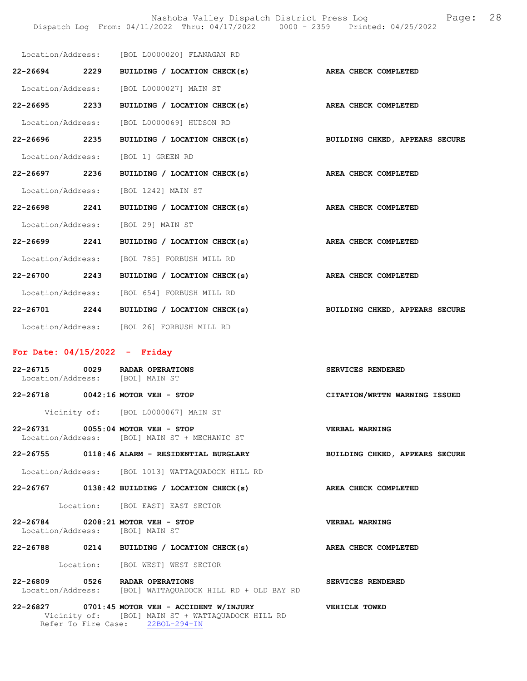Nashoba Valley Dispatch District Press Log Fage: 28

|                   |      |                                              | Dispatch Log From: 04/11/2022 Thru: 04/17/2022 0000 - 2359 Printed: 04/25/2022 |
|-------------------|------|----------------------------------------------|--------------------------------------------------------------------------------|
|                   |      | Location/Address: [BOL L0000020] FLANAGAN RD |                                                                                |
| 22-26694 2229     |      |                                              | BUILDING / LOCATION CHECK(s) AREA CHECK COMPLETED                              |
|                   |      | Location/Address: [BOL L0000027] MAIN ST     |                                                                                |
| 22-26695 2233     |      | BUILDING / LOCATION CHECK(s)                 | AREA CHECK COMPLETED                                                           |
| Location/Address: |      | [BOL L0000069] HUDSON RD                     |                                                                                |
| 22-26696          | 2235 | BUILDING / LOCATION CHECK(s)                 | BUILDING CHKED, APPEARS SECURE                                                 |
| Location/Address: |      | [BOL 1] GREEN RD                             |                                                                                |
| 22-26697 2236     |      | BUILDING / LOCATION CHECK(s)                 | AREA CHECK COMPLETED                                                           |
| Location/Address: |      | [BOL 1242] MAIN ST                           |                                                                                |
| 22-26698 2241     |      | BUILDING / LOCATION CHECK(s)                 | AREA CHECK COMPLETED                                                           |
|                   |      | Location/Address: [BOL 29] MAIN ST           |                                                                                |
| 22-26699 2241     |      | BUILDING / LOCATION CHECK(s)                 | AREA CHECK COMPLETED                                                           |
| Location/Address: |      | [BOL 785] FORBUSH MILL RD                    |                                                                                |
| 22-26700 2243     |      | BUILDING / LOCATION CHECK(s)                 | AREA CHECK COMPLETED                                                           |
|                   |      | Location/Address: [BOL 654] FORBUSH MILL RD  |                                                                                |
|                   |      | 22-26701 2244 BUILDING / LOCATION CHECK(s)   | BUILDING CHKED, APPEARS SECURE                                                 |
| Location/Address: |      | [BOL 26] FORBUSH MILL RD                     |                                                                                |

## For Date: 04/15/2022 - Friday

Refer To Fire Case: 22BOL-294-IN

| 22-26715 0029 RADAR OPERATIONS<br>Location/Address: [BOL] MAIN ST    |                                                                                                                   | SERVICES RENDERED              |
|----------------------------------------------------------------------|-------------------------------------------------------------------------------------------------------------------|--------------------------------|
| 22-26718 0042:16 MOTOR VEH - STOP                                    |                                                                                                                   | CITATION/WRTTN WARNING ISSUED  |
|                                                                      | Vicinity of: [BOL L0000067] MAIN ST                                                                               |                                |
| 22-26731 0055:04 MOTOR VEH - STOP                                    | Location/Address: [BOL] MAIN ST + MECHANIC ST                                                                     | VERBAL WARNING                 |
|                                                                      | 22-26755 0118:46 ALARM - RESIDENTIAL BURGLARY                                                                     | BUILDING CHKED, APPEARS SECURE |
|                                                                      | Location/Address: [BOL 1013] WATTAOUADOCK HILL RD                                                                 |                                |
|                                                                      | 22-26767 0138:42 BUILDING / LOCATION CHECK(s) AREA CHECK COMPLETED                                                |                                |
|                                                                      | Location: [BOL EAST] EAST SECTOR                                                                                  |                                |
| 22-26784 0208:21 MOTOR VEH - STOP<br>Location/Address: [BOL] MAIN ST |                                                                                                                   | VERBAL WARNING                 |
|                                                                      | 22-26788 0214 BUILDING / LOCATION CHECK(s) AREA CHECK COMPLETED                                                   |                                |
|                                                                      | Location: [BOL WEST] WEST SECTOR                                                                                  |                                |
| 22-26809 0526 RADAR OPERATIONS                                       | Location/Address: [BOL] WATTAQUADOCK HILL RD + OLD BAY RD                                                         | SERVICES RENDERED              |
|                                                                      | 22-26827 0701:45 MOTOR VEH - ACCIDENT W/INJURY VEHICLE TOWED<br>Vicinity of: [BOL] MAIN ST + WATTAOUADOCK HILL RD |                                |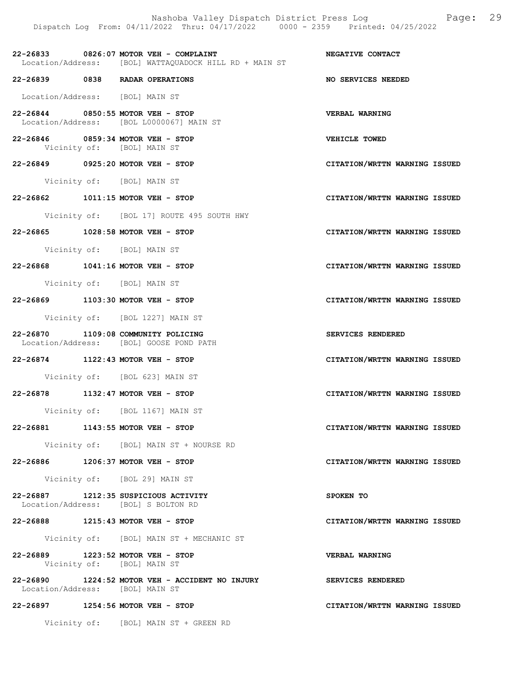Nashoba Valley Dispatch District Press Log Fage: 29 Dispatch Log From: 04/11/2022 Thru: 04/17/2022 0000 - 2359 Printed: 04/25/2022

22-26833 0826:07 MOTOR VEH - COMPLAINT NEGATIVE CONTACT Location/Address: [BOL] WATTAQUADOCK HILL RD + MAIN ST

22-26839 0838 RADAR OPERATIONS NO SERVICES NEEDED

Location/Address: [BOL] MAIN ST

- 22-26844 0850:55 MOTOR VEH STOP<br>
Location/Address: [BOL L0000067] MAIN ST Location/Address: [BOL L0000067] MAIN ST
- 22-26846 0859:34 MOTOR VEH STOP VEHICLE TOWED<br>Vicinity of: [BOL] MAIN ST [BOL] MAIN ST

22-26849 0925:20 MOTOR VEH - STOP CITATION/WRTTN WARNING ISSUED

Vicinity of: [BOL] MAIN ST

22-26862 1011:15 MOTOR VEH - STOP CITATION/WRTTN WARNING ISSUED

Vicinity of: [BOL 17] ROUTE 495 SOUTH HWY

22-26865 1028:58 MOTOR VEH - STOP CITATION/WRTTN WARNING ISSUED

Vicinity of: [BOL] MAIN ST

22-26868 1041:16 MOTOR VEH - STOP CITATION/WRTTN WARNING ISSUED

Vicinity of: [BOL] MAIN ST

22-26869 1103:30 MOTOR VEH - STOP CITATION/WRTTN WARNING ISSUED

Vicinity of: [BOL 1227] MAIN ST

- 22-26870 1109:08 COMMUNITY POLICING SERVICES RENDERED Location/Address: [BOL] GOOSE POND PATH
- 22-26874 1122:43 MOTOR VEH STOP CITATION/WRTTN WARNING ISSUED

Vicinity of: [BOL 623] MAIN ST

22-26878 1132:47 MOTOR VEH - STOP CITATION/WRTTN WARNING ISSUED

Vicinity of: [BOL 1167] MAIN ST

22-26881 1143:55 MOTOR VEH - STOP CITATION/WRTTN WARNING ISSUED

Vicinity of: [BOL] MAIN ST + NOURSE RD

22-26886 1206:37 MOTOR VEH - STOP CITATION/WRTTN WARNING ISSUED

Vicinity of: [BOL 29] MAIN ST

- 22-26887 1212:35 SUSPICIOUS ACTIVITY SPOKEN TO Location/Address: [BOL] S BOLTON RD
- 22-26888 1215:43 MOTOR VEH STOP CITATION/WRTTN WARNING ISSUED

Vicinity of: [BOL] MAIN ST + MECHANIC ST

- 22-26889 1223:52 MOTOR VEH STOP VERBAL WARNING Vicinity of: [BOL] MAIN ST
- 22-26890 1224:52 MOTOR VEH ACCIDENT NO INJURY SERVICES RENDERED<br>Location/Address: [BOL] MAIN ST Location/Address:

22-26897 1254:56 MOTOR VEH - STOP CITATION/WRTTN WARNING ISSUED

Vicinity of: [BOL] MAIN ST + GREEN RD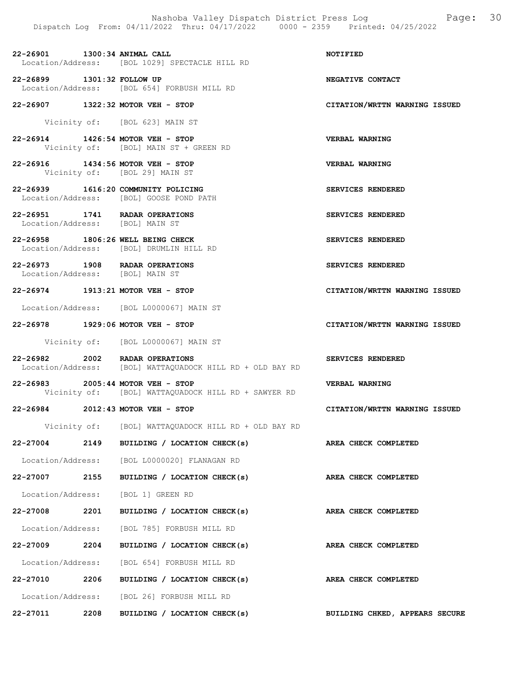Nashoba Valley Dispatch District Press Log  $P = \begin{bmatrix} 30 \\ 2022 \\ 2022 \end{bmatrix}$  Page: 30 Dispatch Log From: 04/11/2022 Thru: 04/17/2022

22-26901 1300:34 ANIMAL CALL NOTIFIED Location/Address: [BOL 1029] SPECTACLE HILL RD

22-26899 1301:32 FOLLOW UP **NEGATIVE CONTACT**<br>Location/Address: [BOL 654] FORBUSH MILL RD [BOL 654] FORBUSH MILL RD

22-26907 1322:32 MOTOR VEH - STOP CITATION/WRTTN WARNING ISSUED

Vicinity of: [BOL 623] MAIN ST

22-26914 1426:54 MOTOR VEH - STOP VERBAL WARNING<br>Vicinity of: [BOL] MAIN ST + GREEN RD [BOL] MAIN ST + GREEN RD

22-26916 1434:56 MOTOR VEH - STOP VERBAL WARNING Vicinity of: [BOL 29] MAIN ST

22-26939 1616:20 COMMUNITY POLICING SERVICES RENDERED Location/Address: [BOL] GOOSE POND PATH

22-26951 1741 RADAR OPERATIONS SERVICES RENDERED Location/Address: [BOL] MAIN ST

22-26958 1806:26 WELL BEING CHECK SERVICES RENDERED<br>Location/Address: [BOL] DRUMLIN HILL RD Location/Address: [BOL] DRUMLIN HILL RD

22-26973 1908 RADAR OPERATIONS SERVICES RENDERED<br>Location/Address: [BOL] MAIN ST Location/Address:

22-26974 1913:21 MOTOR VEH - STOP CITATION/WRTTN WARNING ISSUED

Location/Address: [BOL L0000067] MAIN ST

22-26978 1929:06 MOTOR VEH - STOP CITATION/WRTTN WARNING ISSUED

Vicinity of: [BOL L0000067] MAIN ST

- 22-26982 2002 RADAR OPERATIONS SERVICES RENDERED<br>Location/Address: [BOL] WATTAQUADOCK HILL RD + OLD BAY RD [BOL] WATTAQUADOCK HILL RD + OLD BAY RD
- 22-26983 2005:44 MOTOR VEH STOP VERBAL WARNING<br>Vicinity of: [BOL] WATTAOUADOCK HILL RD + SAWYER RD [BOL] WATTAQUADOCK HILL RD + SAWYER RD

22-26984 2012:43 MOTOR VEH - STOP CITATION/WRTTN WARNING ISSUED

Vicinity of: [BOL] WATTAQUADOCK HILL RD + OLD BAY RD

22-27004 2149 BUILDING / LOCATION CHECK(s) AREA CHECK COMPLETED Location/Address: [BOL L0000020] FLANAGAN RD

Location/Address: [BOL 1] GREEN RD

- 22-27008 2201 BUILDING / LOCATION CHECK(s) AREA CHECK COMPLETED Location/Address: [BOL 785] FORBUSH MILL RD 22-27009 2204 BUILDING / LOCATION CHECK(s) AREA CHECK COMPLETED Location/Address: [BOL 654] FORBUSH MILL RD
- 22-27010 2206 BUILDING / LOCATION CHECK(s) AREA CHECK COMPLETED Location/Address: [BOL 26] FORBUSH MILL RD 22-27011 2208 BUILDING / LOCATION CHECK(s) BUILDING CHKED, APPEARS SECURE

22-27007 2155 BUILDING / LOCATION CHECK(s) AREA CHECK COMPLETED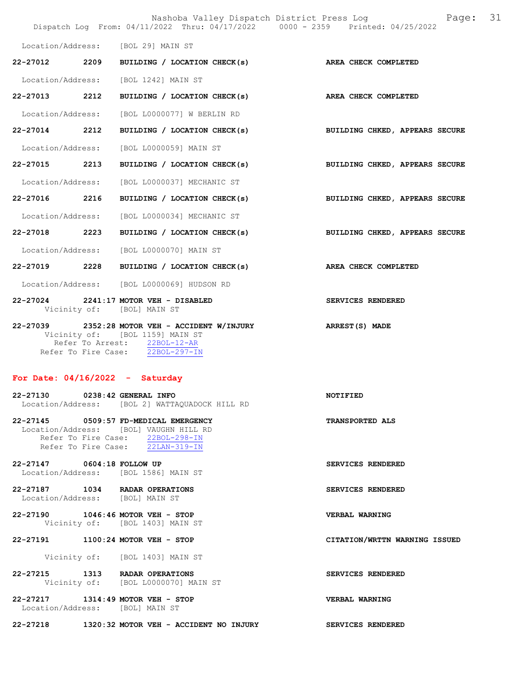|                                   |      | Nashoba Valley Dispatch District Press Log<br>Dispatch Log From: 04/11/2022 Thru: 04/17/2022 0000 - 2359 Printed: 04/25/2022                                       | 31<br>Page:                    |
|-----------------------------------|------|--------------------------------------------------------------------------------------------------------------------------------------------------------------------|--------------------------------|
|                                   |      | Location/Address: [BOL 29] MAIN ST                                                                                                                                 |                                |
| 22-27012 2209                     |      | BUILDING / LOCATION CHECK(s) AREA CHECK COMPLETED                                                                                                                  |                                |
|                                   |      | Location/Address: [BOL 1242] MAIN ST                                                                                                                               |                                |
| 22-27013                          | 2212 | BUILDING / LOCATION CHECK(s)                                                                                                                                       | <b>AREA CHECK COMPLETED</b>    |
| Location/Address:                 |      | [BOL L0000077] W BERLIN RD                                                                                                                                         |                                |
| 22-27014 2212                     |      | BUILDING / LOCATION CHECK(s)                                                                                                                                       | BUILDING CHKED, APPEARS SECURE |
| Location/Address:                 |      | [BOL L0000059] MAIN ST                                                                                                                                             |                                |
| 22-27015 2213                     |      | BUILDING / LOCATION CHECK(s)                                                                                                                                       | BUILDING CHKED, APPEARS SECURE |
| Location/Address:                 |      | [BOL L0000037] MECHANIC ST                                                                                                                                         |                                |
| 22-27016                          | 2216 | BUILDING / LOCATION CHECK(s)                                                                                                                                       | BUILDING CHKED, APPEARS SECURE |
| Location/Address:                 |      | [BOL L0000034] MECHANIC ST                                                                                                                                         |                                |
| 22-27018 2223                     |      | BUILDING / LOCATION CHECK(s)                                                                                                                                       | BUILDING CHKED, APPEARS SECURE |
| Location/Address:                 |      | [BOL L0000070] MAIN ST                                                                                                                                             |                                |
| 22-27019 2228                     |      | BUILDING / LOCATION CHECK(s)                                                                                                                                       | AREA CHECK COMPLETED           |
|                                   |      | Location/Address: [BOL L0000069] HUDSON RD                                                                                                                         |                                |
|                                   |      | 22-27024 2241:17 MOTOR VEH - DISABLED<br>Vicinity of: [BOL] MAIN ST                                                                                                | SERVICES RENDERED              |
|                                   |      | 22-27039 2352:28 MOTOR VEH - ACCIDENT W/INJURY<br>Vicinity of: [BOL 1159] MAIN ST<br>Refer To Arrest: 22BOL-12-AR<br>Refer To Fire Case: $\overline{22BOL-297-IN}$ | ARREST(S) MADE                 |
| For Date: $04/16/2022 -$ Saturday |      |                                                                                                                                                                    |                                |
| 22-27130                          |      | 0238:42 GENERAL INFO<br>Location/Address: [BOL 2] WATTAQUADOCK HILL RD                                                                                             | NOTIFIED                       |
|                                   |      | 22-27145 0509:57 FD-MEDICAL EMERGENCY<br>Location/Address: [BOL] VAUGHN HILL RD<br>Refer To Fire Case: 22BOL-298-IN<br>Refer To Fire Case: 22LAN-319-IN            | <b>TRANSPORTED ALS</b>         |
| 22-27147 0604:18 FOLLOW UP        |      | Location/Address: [BOL 1586] MAIN ST                                                                                                                               | SERVICES RENDERED              |
| Location/Address: [BOL] MAIN ST   |      | 22-27187 1034 RADAR OPERATIONS                                                                                                                                     | SERVICES RENDERED              |
|                                   |      | 22-27190 1046:46 MOTOR VEH - STOP<br>Vicinity of: [BOL 1403] MAIN ST                                                                                               | VERBAL WARNING                 |
|                                   |      | 22-27191 1100:24 MOTOR VEH - STOP                                                                                                                                  | CITATION/WRTTN WARNING ISSUED  |
|                                   |      | Vicinity of: [BOL 1403] MAIN ST                                                                                                                                    |                                |
|                                   |      | 22-27215 1313 RADAR OPERATIONS<br>Vicinity of: [BOL L0000070] MAIN ST                                                                                              | SERVICES RENDERED              |
| Location/Address: [BOL] MAIN ST   |      | 22-27217 1314:49 MOTOR VEH - STOP                                                                                                                                  | VERBAL WARNING                 |
|                                   |      | 22-27218 1320:32 MOTOR VEH - ACCIDENT NO INJURY                                                                                                                    | SERVICES RENDERED              |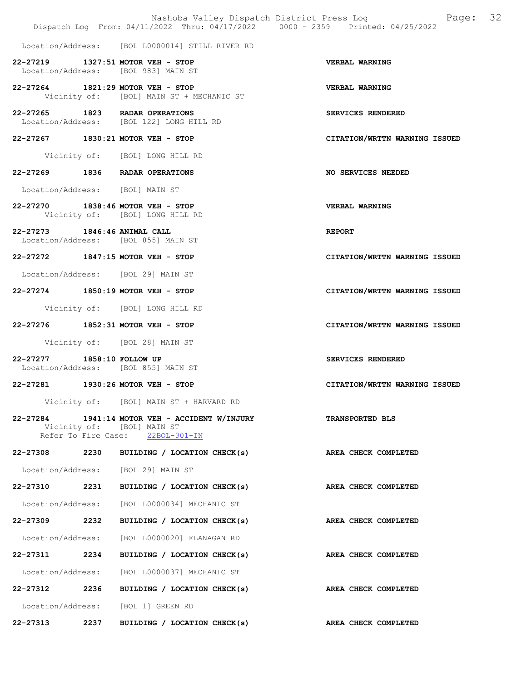|                                 |      | Dispatch Log From: 04/11/2022 Thru: 04/17/2022 0000 - 2359 Printed: 04/25/2022                          | Nashoba Valley Dispatch District Press Log Fage: 32 |
|---------------------------------|------|---------------------------------------------------------------------------------------------------------|-----------------------------------------------------|
|                                 |      | Location/Address: [BOL L0000014] STILL RIVER RD                                                         |                                                     |
|                                 |      | 22-27219 1327:51 MOTOR VEH - STOP<br>Location/Address: [BOL 983] MAIN ST                                | VERBAL WARNING                                      |
|                                 |      | 22-27264 1821:29 MOTOR VEH - STOP<br>Vicinity of: [BOL] MAIN ST + MECHANIC ST                           | VERBAL WARNING                                      |
|                                 |      | 22-27265 1823 RADAR OPERATIONS<br>Location/Address: [BOL 122] LONG HILL RD                              | SERVICES RENDERED                                   |
|                                 |      | 22-27267 1830:21 MOTOR VEH - STOP                                                                       | CITATION/WRTTN WARNING ISSUED                       |
|                                 |      | Vicinity of: [BOL] LONG HILL RD                                                                         |                                                     |
|                                 |      | 22-27269 1836 RADAR OPERATIONS                                                                          | NO SERVICES NEEDED                                  |
| Location/Address: [BOL] MAIN ST |      |                                                                                                         |                                                     |
|                                 |      | 22-27270 1838:46 MOTOR VEH - STOP<br>Vicinity of: [BOL] LONG HILL RD                                    | <b>VERBAL WARNING</b>                               |
| 22-27273 1846:46 ANIMAL CALL    |      | Location/Address: [BOL 855] MAIN ST                                                                     | <b>REPORT</b>                                       |
|                                 |      | 22-27272 1847:15 MOTOR VEH - STOP                                                                       | CITATION/WRTTN WARNING ISSUED                       |
|                                 |      | Location/Address: [BOL 29] MAIN ST                                                                      |                                                     |
|                                 |      | 22-27274 1850:19 MOTOR VEH - STOP                                                                       | CITATION/WRTTN WARNING ISSUED                       |
|                                 |      | Vicinity of: [BOL] LONG HILL RD                                                                         |                                                     |
|                                 |      | 22-27276 1852:31 MOTOR VEH - STOP                                                                       | CITATION/WRTTN WARNING ISSUED                       |
|                                 |      | Vicinity of: [BOL 28] MAIN ST                                                                           |                                                     |
| 22-27277 1858:10 FOLLOW UP      |      | Location/Address: [BOL 855] MAIN ST                                                                     | SERVICES RENDERED                                   |
|                                 |      | 22-27281 1930:26 MOTOR VEH - STOP                                                                       | CITATION/WRTTN WARNING ISSUED                       |
|                                 |      | Vicinity of: [BOL] MAIN ST + HARVARD RD                                                                 |                                                     |
| 22-27284                        |      | 1941:14 MOTOR VEH - ACCIDENT W/INJURY<br>Vicinity of: [BOL] MAIN ST<br>Refer To Fire Case: 22BOL-301-IN | <b>TRANSPORTED BLS</b>                              |
| 22-27308 2230                   |      | BUILDING / LOCATION CHECK(s)                                                                            | AREA CHECK COMPLETED                                |
|                                 |      | Location/Address: [BOL 29] MAIN ST                                                                      |                                                     |
| 22-27310 2231                   |      | BUILDING / LOCATION CHECK(s)                                                                            | AREA CHECK COMPLETED                                |
|                                 |      | Location/Address: [BOL L0000034] MECHANIC ST                                                            |                                                     |
| 22-27309                        | 2232 | BUILDING / LOCATION CHECK(s)                                                                            | AREA CHECK COMPLETED                                |
| Location/Address:               |      | [BOL L0000020] FLANAGAN RD                                                                              |                                                     |
| 22-27311 2234                   |      | BUILDING / LOCATION CHECK(s)                                                                            | AREA CHECK COMPLETED                                |
| Location/Address:               |      | [BOL L0000037] MECHANIC ST                                                                              |                                                     |
| 22-27312 2236                   |      | BUILDING / LOCATION CHECK(s)                                                                            | AREA CHECK COMPLETED                                |
|                                 |      | Location/Address: [BOL 1] GREEN RD                                                                      |                                                     |
| 22-27313                        | 2237 | BUILDING / LOCATION CHECK(s)                                                                            | AREA CHECK COMPLETED                                |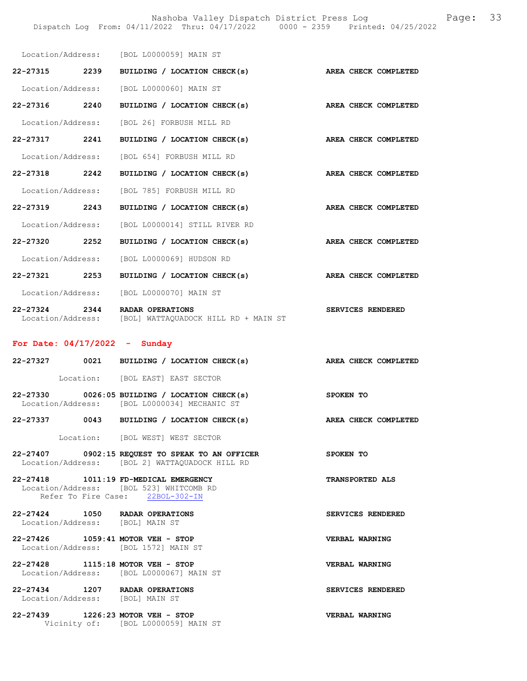Nashoba Valley Dispatch District Press Log Fage: 33

|                                                     | Location/Address: [BOL L0000059] MAIN ST        |                      |
|-----------------------------------------------------|-------------------------------------------------|----------------------|
| 22-27315 2239                                       | BUILDING / LOCATION CHECK(s)                    | AREA CHECK COMPLETED |
|                                                     | Location/Address: [BOL L0000060] MAIN ST        |                      |
| 22-27316 2240                                       | BUILDING / LOCATION CHECK(s)                    | AREA CHECK COMPLETED |
|                                                     | Location/Address: [BOL 26] FORBUSH MILL RD      |                      |
| 22-27317 2241                                       | BUILDING / LOCATION CHECK(s)                    | AREA CHECK COMPLETED |
| Location/Address:                                   | [BOL 654] FORBUSH MILL RD                       |                      |
| 22-27318 2242                                       | BUILDING / LOCATION CHECK(s)                    | AREA CHECK COMPLETED |
|                                                     | Location/Address: [BOL 785] FORBUSH MILL RD     |                      |
| 22-27319 2243                                       | BUILDING / LOCATION CHECK(s)                    | AREA CHECK COMPLETED |
|                                                     | Location/Address: [BOL L0000014] STILL RIVER RD |                      |
| 22-27320 2252                                       | BUILDING / LOCATION CHECK(s)                    | AREA CHECK COMPLETED |
|                                                     | Location/Address: [BOL L0000069] HUDSON RD      |                      |
| 22-27321 2253                                       | BUILDING / LOCATION CHECK(s)                    | AREA CHECK COMPLETED |
|                                                     | Location/Address: [BOL L0000070] MAIN ST        |                      |
| 22-27324 2344 RADAR OPERATIONS<br>Location/Address: | [BOL] WATTAQUADOCK HILL RD + MAIN ST            | SERVICES RENDERED    |

## For Date: 04/17/2022 - Sunday

|                                                                           | 22-27327 0021 BUILDING / LOCATION CHECK(s) AREA CHECK COMPLETED                                             |                        |
|---------------------------------------------------------------------------|-------------------------------------------------------------------------------------------------------------|------------------------|
|                                                                           | Location: [BOL EAST] EAST SECTOR                                                                            |                        |
|                                                                           | 22-27330 0026:05 BUILDING / LOCATION CHECK(s) SPOKEN TO<br>Location/Address: [BOL L0000034] MECHANIC ST     |                        |
|                                                                           | 22-27337 0043 BUILDING / LOCATION CHECK(s)                                                                  | AREA CHECK COMPLETED   |
|                                                                           | Location: [BOL WEST] WEST SECTOR                                                                            |                        |
|                                                                           | 22-27407 0902:15 REQUEST TO SPEAK TO AN OFFICER SPOKEN TO<br>Location/Address: [BOL 2] WATTAOUADOCK HILL RD |                        |
| 22-27418 1011:19 FD-MEDICAL EMERGENCY                                     | Location/Address: [BOL 523] WHITCOMB RD<br>Refer To Fire Case: 22BOL-302-IN                                 | <b>TRANSPORTED ALS</b> |
| 22-27424 1050 RADAR OPERATIONS<br>Location/Address: [BOL] MAIN ST         |                                                                                                             | SERVICES RENDERED      |
| 22-27426 1059:41 MOTOR VEH - STOP<br>Location/Address: [BOL 1572] MAIN ST |                                                                                                             | VERBAL WARNING         |
| 22-27428 1115:18 MOTOR VEH - STOP                                         | Location/Address: [BOL L0000067] MAIN ST                                                                    | <b>VERBAL WARNING</b>  |
| 22-27434 1207 RADAR OPERATIONS<br>Location/Address: [BOL] MAIN ST         |                                                                                                             | SERVICES RENDERED      |
| 22-27439 1226:23 MOTOR VEH - STOP                                         | Vicinity of: [BOL L0000059] MAIN ST                                                                         | VERBAL WARNING         |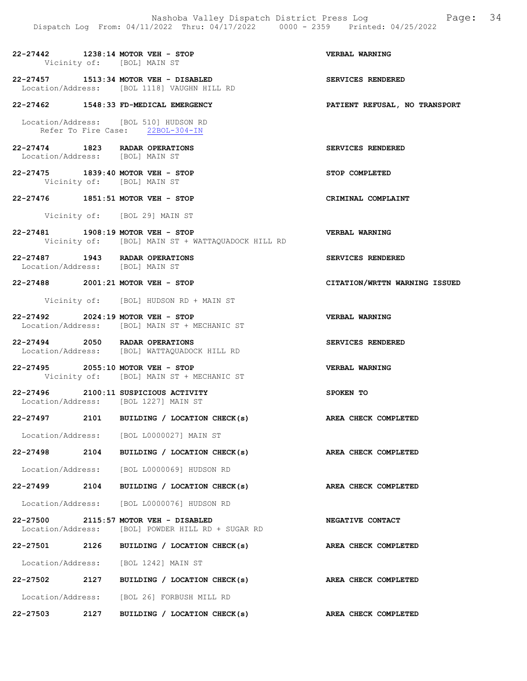|                                 |      | Nashoba Valley Dispatch District Press Log<br>Dispatch Log From: 04/11/2022 Thru: 04/17/2022 0000 - 2359 Printed: 04/25/2022 | Page: 34                      |
|---------------------------------|------|------------------------------------------------------------------------------------------------------------------------------|-------------------------------|
|                                 |      | 22-27442 1238:14 MOTOR VEH - STOP<br>Vicinity of: [BOL] MAIN ST                                                              | <b>VERBAL WARNING</b>         |
|                                 |      | 22-27457 1513:34 MOTOR VEH - DISABLED<br>Location/Address: [BOL 1118] VAUGHN HILL RD                                         | SERVICES RENDERED             |
|                                 |      | 22-27462 1548:33 FD-MEDICAL EMERGENCY                                                                                        | PATIENT REFUSAL, NO TRANSPORT |
|                                 |      | Location/Address: [BOL 510] HUDSON RD<br>Refer To Fire Case: 22BOL-304-IN                                                    |                               |
| Location/Address: [BOL] MAIN ST |      | 22-27474 1823 RADAR OPERATIONS                                                                                               | SERVICES RENDERED             |
|                                 |      | 22-27475 1839:40 MOTOR VEH - STOP<br>Vicinity of: [BOL] MAIN ST                                                              | STOP COMPLETED                |
|                                 |      | 22-27476 1851:51 MOTOR VEH - STOP                                                                                            | CRIMINAL COMPLAINT            |
|                                 |      | Vicinity of: [BOL 29] MAIN ST                                                                                                |                               |
|                                 |      | 22-27481 1908:19 MOTOR VEH - STOP<br>Vicinity of: [BOL] MAIN ST + WATTAQUADOCK HILL RD                                       | VERBAL WARNING                |
| Location/Address: [BOL] MAIN ST |      | 22-27487 1943 RADAR OPERATIONS                                                                                               | SERVICES RENDERED             |
|                                 |      | 22-27488 2001:21 MOTOR VEH - STOP                                                                                            | CITATION/WRTTN WARNING ISSUED |
|                                 |      | Vicinity of: [BOL] HUDSON RD + MAIN ST                                                                                       |                               |
|                                 |      | 22-27492 2024:19 MOTOR VEH - STOP<br>Location/Address: [BOL] MAIN ST + MECHANIC ST                                           | VERBAL WARNING                |
|                                 |      | 22-27494 2050 RADAR OPERATIONS<br>Location/Address: [BOL] WATTAQUADOCK HILL RD                                               | SERVICES RENDERED             |
|                                 |      | 22-27495 2055:10 MOTOR VEH - STOP<br>Vicinity of: [BOL] MAIN ST + MECHANIC ST                                                | <b>VERBAL WARNING</b>         |
|                                 |      | 22-27496 2100:11 SUSPICIOUS ACTIVITY<br>Location/Address: [BOL 1227] MAIN ST                                                 | SPOKEN TO                     |
| 22-27497                        | 2101 | BUILDING / LOCATION CHECK(s)                                                                                                 | AREA CHECK COMPLETED          |
|                                 |      | Location/Address: [BOL L0000027] MAIN ST                                                                                     |                               |
| 22-27498                        | 2104 | BUILDING / LOCATION CHECK(s)                                                                                                 | AREA CHECK COMPLETED          |
| Location/Address:               |      | [BOL L0000069] HUDSON RD                                                                                                     |                               |
| 22-27499 2104                   |      | BUILDING / LOCATION CHECK(s)                                                                                                 | AREA CHECK COMPLETED          |
|                                 |      | Location/Address: [BOL L0000076] HUDSON RD                                                                                   |                               |
| 22-27500<br>Location/Address:   |      | 2115:57 MOTOR VEH - DISABLED<br>[BOL] POWDER HILL RD + SUGAR RD                                                              | NEGATIVE CONTACT              |
| 22-27501                        | 2126 | BUILDING / LOCATION CHECK(s)                                                                                                 | AREA CHECK COMPLETED          |
| Location/Address:               |      | [BOL 1242] MAIN ST                                                                                                           |                               |
| 22-27502 2127                   |      | BUILDING / LOCATION CHECK(s)                                                                                                 | AREA CHECK COMPLETED          |
|                                 |      | Location/Address: [BOL 26] FORBUSH MILL RD                                                                                   |                               |
| 22-27503                        | 2127 | BUILDING / LOCATION CHECK(s)                                                                                                 | AREA CHECK COMPLETED          |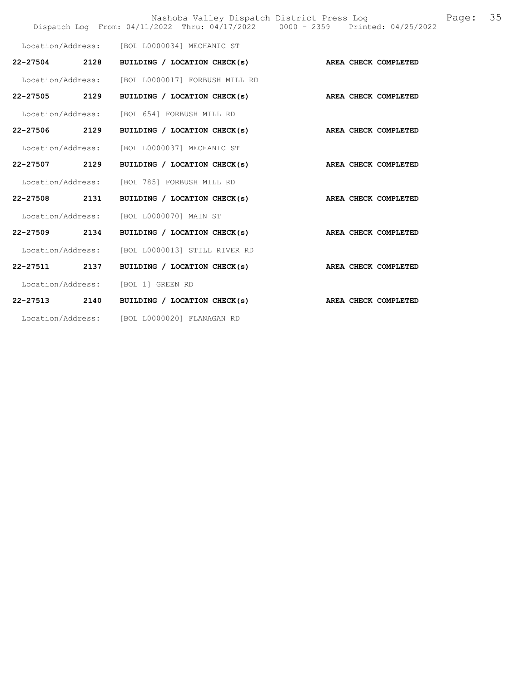|                   |                                                   | Nashoba Valley Dispatch District Press Log<br>Page:<br>Dispatch Log From: 04/11/2022 Thru: 04/17/2022 0000 - 2359 Printed: 04/25/2022 | 35 |
|-------------------|---------------------------------------------------|---------------------------------------------------------------------------------------------------------------------------------------|----|
|                   | Location/Address: [BOL L0000034] MECHANIC ST      |                                                                                                                                       |    |
| 22-27504 2128     | BUILDING / LOCATION CHECK(s) AREA CHECK COMPLETED |                                                                                                                                       |    |
|                   | Location/Address: [BOL L0000017] FORBUSH MILL RD  |                                                                                                                                       |    |
| 22-27505 2129     | BUILDING / LOCATION CHECK(s)                      | AREA CHECK COMPLETED                                                                                                                  |    |
| Location/Address: | [BOL 654] FORBUSH MILL RD                         |                                                                                                                                       |    |
| 22-27506 2129     | BUILDING / LOCATION CHECK(s)                      | AREA CHECK COMPLETED                                                                                                                  |    |
| Location/Address: | [BOL L0000037] MECHANIC ST                        |                                                                                                                                       |    |
| 22-27507 2129     | BUILDING / LOCATION CHECK(s)                      | AREA CHECK COMPLETED                                                                                                                  |    |
| Location/Address: | [BOL 785] FORBUSH MILL RD                         |                                                                                                                                       |    |
| 22-27508 2131     | BUILDING / LOCATION CHECK(s)                      | AREA CHECK COMPLETED                                                                                                                  |    |
| Location/Address: | [BOL L0000070] MAIN ST                            |                                                                                                                                       |    |
| 22-27509 2134     | BUILDING / LOCATION CHECK(s)                      | AREA CHECK COMPLETED                                                                                                                  |    |
| Location/Address: | [BOL L0000013] STILL RIVER RD                     |                                                                                                                                       |    |
| 22-27511 2137     | BUILDING / LOCATION CHECK(s)                      | AREA CHECK COMPLETED                                                                                                                  |    |
| Location/Address: | [BOL 1] GREEN RD                                  |                                                                                                                                       |    |
| 22-27513 2140     | BUILDING / LOCATION CHECK(s)                      | AREA CHECK COMPLETED                                                                                                                  |    |
|                   | Location/Address: [BOL L0000020] FLANAGAN RD      |                                                                                                                                       |    |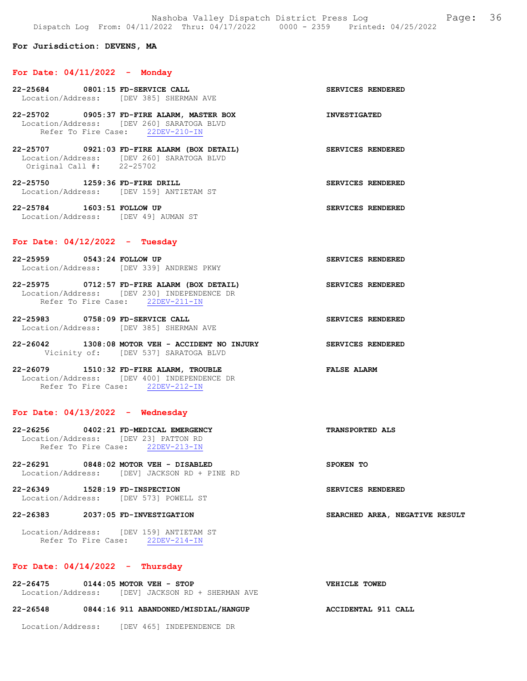#### For Jurisdiction: DEVENS, MA

#### For Date: 04/11/2022 - Monday

- 22-25684 0801:15 FD-SERVICE CALL SERVICES RENDERED Location/Address: [DEV 385] SHERMAN AVE 22-25702 0905:37 FD-FIRE ALARM, MASTER BOX INVESTIGATED Location/Address: [DEV 260] SARATOGA BLVD Refer To Fire Case: 22DEV-210-IN 22-25707 0921:03 FD-FIRE ALARM (BOX DETAIL) SERVICES RENDERED
- Location/Address: [DEV 260] SARATOGA BLVD Original Call #: 22-25702
- 22-25750 1259:36 FD-FIRE DRILL SERVICES RENDERED Location/Address: [DEV 159] ANTIETAM ST

22-25784 1603:51 FOLLOW UP SERVICES RENDERED Location/Address: [DEV 49] AUMAN ST

### For Date: 04/12/2022 - Tuesday

- 22-25959 0543:24 FOLLOW UP SERVICES RENDERED Location/Address: [DEV 339] ANDREWS PKWY
- 22-25975 0712:57 FD-FIRE ALARM (BOX DETAIL) SERVICES RENDERED Location/Address: [DEV 230] INDEPENDENCE DR Refer To Fire Case: 22DEV-211-IN
- 22-25983 0758:09 FD-SERVICE CALL SERVICES RENDERED Location/Address: [DEV 385] SHERMAN AVE
- 22-26042 1308:08 MOTOR VEH ACCIDENT NO INJURY SERVICES RENDERED Vicinity of: [DEV 537] SARATOGA BLVD

22-26079 1510:32 FD-FIRE ALARM, TROUBLE FALSE ALARM Location/Address: [DEV 400] INDEPENDENCE DR Refer To Fire Case: 22DEV-212-IN

#### For Date:  $04/13/2022 -$  Wednesday

- 22-26256 0402:21 FD-MEDICAL EMERGENCY TRANSPORTED ALS Location/Address: [DEV 23] PATTON RD Refer To Fire Case: 22DEV-213-IN
- 22-26291 0848:02 MOTOR VEH DISABLED SPOKEN TO Location/Address: [DEV] JACKSON RD + PINE RD
- 22-26349 1528:19 FD-INSPECTION SERVICES RENDERED Location/Address: [DEV 573] POWELL ST

#### 22-26383 2037:05 FD-INVESTIGATION SEARCHED AREA, NEGATIVE RESULT

 Location/Address: [DEV 159] ANTIETAM ST Refer To Fire Case: 22DEV-214-IN

## For Date:  $04/14/2022 -$  Thursday

## 22-26475 0144:05 MOTOR VEH - STOP VEHICLE TOWED Location/Address: [DEV] JACKSON RD + SHERMAN AVE

#### 22-26548 0844:16 911 ABANDONED/MISDIAL/HANGUP ACCIDENTAL 911 CALL

Location/Address: [DEV 465] INDEPENDENCE DR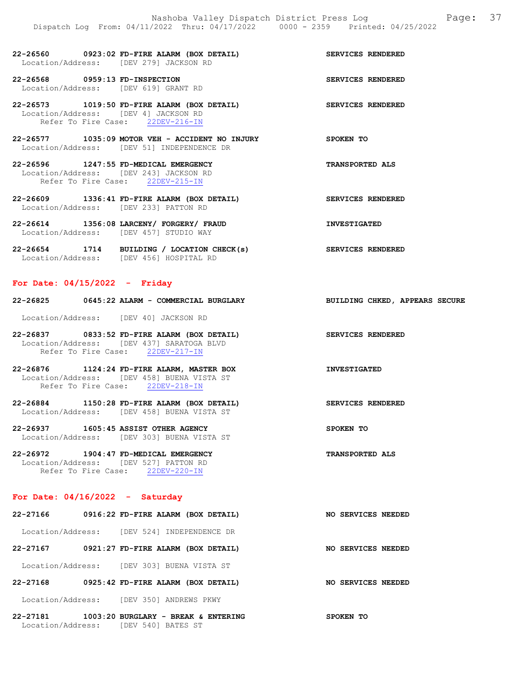22-26560 0923:02 FD-FIRE ALARM (BOX DETAIL) SERVICES RENDERED Location/Address: [DEV 279] JACKSON RD

22-26568 0959:13 FD-INSPECTION SERVICES RENDERED Location/Address: [DEV 619] GRANT RD

22-26573 1019:50 FD-FIRE ALARM (BOX DETAIL) SERVICES RENDERED Location/Address: [DEV 4] JACKSON RD Refer To Fire Case: 22DEV-216-IN

22-26577 1035:09 MOTOR VEH - ACCIDENT NO INJURY SPOKEN TO Location/Address: [DEV 51] INDEPENDENCE DR

22-26596 1247:55 FD-MEDICAL EMERGENCY TRANSPORTED ALS Location/Address: [DEV 243] JACKSON RD<br>Refer To Fire Case: 22DEV-215-IN Refer To Fire Case:

22-26609 1336:41 FD-FIRE ALARM (BOX DETAIL) SERVICES RENDERED Location/Address: [DEV 233] PATTON RD

22-26614 1356:08 LARCENY/ FORGERY/ FRAUD INVESTIGATED Location/Address: [DEV 457] STUDIO WAY

22-26654 1714 BUILDING / LOCATION CHECK(s) SERVICES RENDERED Location/Address: [DEV 456] HOSPITAL RD

#### For Date: 04/15/2022 - Friday

| 22-26825<br>0645:22 ALARM - COMMERCIAL BURGLARY | BUILDING CHKED, APPEARS SECURE |
|-------------------------------------------------|--------------------------------|
|-------------------------------------------------|--------------------------------|

Location/Address: [DEV 40] JACKSON RD

22-26837 0833:52 FD-FIRE ALARM (BOX DETAIL) SERVICES RENDERED Location/Address: [DEV 437] SARATOGA BLVD Refer To Fire Case: 22DEV-217-IN

22-26876 1124:24 FD-FIRE ALARM, MASTER BOX INVESTIGATED Location/Address: [DEV 458] BUENA VISTA ST Refer To Fire Case: 22DEV-218-IN

22-26884 1150:28 FD-FIRE ALARM (BOX DETAIL) SERVICES RENDERED Location/Address: [DEV 458] BUENA VISTA ST

22-26937 1605:45 ASSIST OTHER AGENCY SPOKEN TO Location/Address: [DEV 303] BUENA VISTA ST

22-26972 1904:47 FD-MEDICAL EMERGENCY TRANSPORTED ALS Location/Address: [DEV 527] PATTON RD Refer To Fire Case: 22DEV-220-IN

Location/Address: [DEV 540] BATES ST

#### For Date:  $04/16/2022 -$  Saturday

| 22-27166 | 0916:22 FD-FIRE ALARM (BOX DETAIL)          | NO SERVICES NEEDED |  |
|----------|---------------------------------------------|--------------------|--|
|          | Location/Address: [DEV 524] INDEPENDENCE DR |                    |  |
| 22-27167 | 0921:27 FD-FIRE ALARM (BOX DETAIL)          | NO SERVICES NEEDED |  |
|          | Location/Address: [DEV 303] BUENA VISTA ST  |                    |  |
| 22-27168 | 0925:42 FD-FIRE ALARM (BOX DETAIL)          | NO SERVICES NEEDED |  |
|          | Location/Address: [DEV 350] ANDREWS PKWY    |                    |  |
| 22-27181 | $1003:20$ BURGLARY - BREAK & ENTERING       | SPOKEN TO          |  |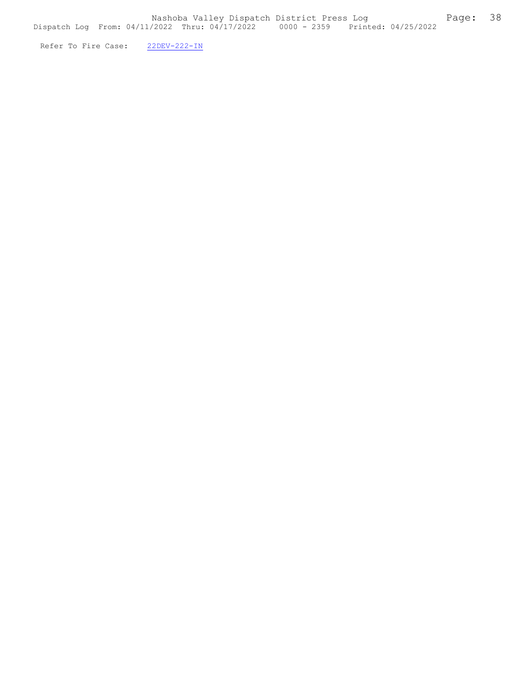Refer To Fire Case:  $22DEV-222-IN$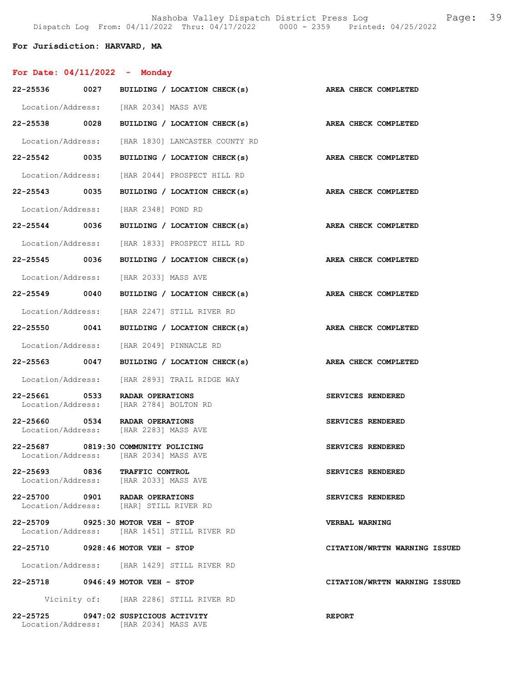Nashoba Valley Dispatch District Press Log Fage: 39 Dispatch Log From: 04/11/2022 Thru: 04/17/2022 0000 - 2359 Printed: 04/25/2022

## For Jurisdiction: HARVARD, MA

| For Date: $04/11/2022 -$ Monday     |                                                                               |                               |
|-------------------------------------|-------------------------------------------------------------------------------|-------------------------------|
|                                     | 22-25536 0027 BUILDING / LOCATION CHECK(s) AREA CHECK COMPLETED               |                               |
|                                     | Location/Address: [HAR 2034] MASS AVE                                         |                               |
|                                     | 22-25538 0028 BUILDING / LOCATION CHECK(s) AREA CHECK COMPLETED               |                               |
|                                     | Location/Address: [HAR 1830] LANCASTER COUNTY RD                              |                               |
| 22-25542 0035                       | BUILDING / LOCATION CHECK(s)                                                  | AREA CHECK COMPLETED          |
|                                     | Location/Address: [HAR 2044] PROSPECT HILL RD                                 |                               |
|                                     | 22-25543 0035 BUILDING / LOCATION CHECK(s)                                    | AREA CHECK COMPLETED          |
|                                     | Location/Address: [HAR 2348] POND RD                                          |                               |
|                                     | 22-25544 0036 BUILDING / LOCATION CHECK(s) AREA CHECK COMPLETED               |                               |
|                                     | Location/Address: [HAR 1833] PROSPECT HILL RD                                 |                               |
|                                     | 22-25545 0036 BUILDING / LOCATION CHECK(s)                                    | AREA CHECK COMPLETED          |
|                                     | Location/Address: [HAR 2033] MASS AVE                                         |                               |
| 22-25549 0040                       | BUILDING / LOCATION CHECK(s)                                                  | AREA CHECK COMPLETED          |
|                                     | Location/Address: [HAR 2247] STILL RIVER RD                                   |                               |
|                                     | 22-25550 0041 BUILDING / LOCATION CHECK(s)                                    | AREA CHECK COMPLETED          |
|                                     | Location/Address: [HAR 2049] PINNACLE RD                                      |                               |
|                                     | 22-25563 0047 BUILDING / LOCATION CHECK(s)                                    | AREA CHECK COMPLETED          |
|                                     | Location/Address: [HAR 2893] TRAIL RIDGE WAY                                  |                               |
| 22-25661 0533                       | <b>RADAR OPERATIONS</b><br>Location/Address: [HAR 2784] BOLTON RD             | SERVICES RENDERED             |
| 22-25660 0534 RADAR OPERATIONS      | Location/Address: [HAR 2283] MASS AVE                                         | SERVICES RENDERED             |
| 22-25687 0819:30 COMMUNITY POLICING | Location/Address: [HAR 2034] MASS AVE                                         | SERVICES RENDERED             |
| 22-25693 0836 TRAFFIC CONTROL       | Location/Address: [HAR 2033] MASS AVE                                         | SERVICES RENDERED             |
| 22-25700 0901 RADAR OPERATIONS      | Location/Address: [HAR] STILL RIVER RD                                        | SERVICES RENDERED             |
| 22-25709 0925:30 MOTOR VEH - STOP   |                                                                               | VERBAL WARNING                |
|                                     | Location/Address: [HAR 1451] STILL RIVER RD                                   |                               |
| 22-25710 0928:46 MOTOR VEH - STOP   |                                                                               | CITATION/WRTTN WARNING ISSUED |
|                                     | Location/Address: [HAR 1429] STILL RIVER RD                                   |                               |
| 22-25718 0946:49 MOTOR VEH - STOP   |                                                                               | CITATION/WRTTN WARNING ISSUED |
|                                     | Vicinity of: [HAR 2286] STILL RIVER RD                                        |                               |
|                                     | 22-25725 0947:02 SUSPICIOUS ACTIVITY<br>Location/Address: [HAR 2034] MASS AVE | <b>REPORT</b>                 |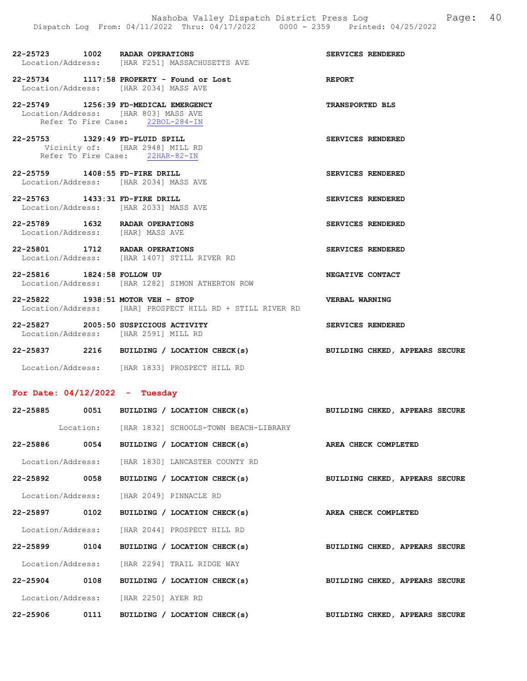SERVICES RENDERED

| 22-25723          | 1002 |  | RADAR OPERATIONS             |  |
|-------------------|------|--|------------------------------|--|
| Location/Address: |      |  | THAR F2511 MASSACHUSETTS AVE |  |

- 22-25734 1117:58 PROPERTY Found or Lost REPORT Location/Address: [HAR 2034] MASS AVE
- 22-25749 1256:39 FD-MEDICAL EMERGENCY TRANSPORTED BLS Location/Address: [HAR 803] MASS AVE Refer To Fire Case: 22BOL-284-IN
- 22-25753 1329:49 FD-FLUID SPILL SERVICES RENDERED Vicinity of: [HAR 2948] MILL RD Refer To Fire Case: 22HAR-82-IN
- 22-25759 1408:55 FD-FIRE DRILL SERVICES RENDERED Location/Address: [HAR 2034] MASS AVE
- 22-25763 1433:31 FD-FIRE DRILL SERVICES RENDERED Location/Address: [HAR 2033] MASS AVE
- 22-25789 1632 RADAR OPERATIONS SERVICES RENDERED Location/Address: [HAR] MASS AVE
- 22-25801 1712 RADAR OPERATIONS SERVICES RENDERED Location/Address: [HAR 1407] STILL RIVER RD
- 22-25816 1824:58 FOLLOW UP 1824:58 NEGATIVE CONTACT Location/Address: [HAR 1282] SIMON ATHERTON ROW [HAR 1282] SIMON ATHERTON ROW
- 22-25822 1938:51 MOTOR VEH STOP VERBAL WARNING Location/Address: [HAR] PROSPECT HILL RD + STILL RIVER RD
- 22-25827 2005:50 SUSPICIOUS ACTIVITY SERVICES RENDERED Location/Address: [HAR 2591] MILL RD
- 22-25837 2216 BUILDING / LOCATION CHECK(s) BUILDING CHKED, APPEARS SECURE Location/Address: [HAR 1833] PROSPECT HILL RD

#### For Date: 04/12/2022 - Tuesday

|              |                                                  |  | 22-25885 0051 BUILDING / LOCATION CHECK(s)                      | BUILDING CHKED, APPEARS SECURE |  |
|--------------|--------------------------------------------------|--|-----------------------------------------------------------------|--------------------------------|--|
|              |                                                  |  | Location: [HAR 1832] SCHOOLS-TOWN BEACH-LIBRARY                 |                                |  |
|              |                                                  |  | $22-25886$ 0054 BUILDING / LOCATION CHECK(s)                    | AREA CHECK COMPLETED           |  |
|              | Location/Address: [HAR 1830] LANCASTER COUNTY RD |  |                                                                 |                                |  |
|              |                                                  |  | 22-25892 0058 BUILDING / LOCATION CHECK(s)                      | BUILDING CHKED, APPEARS SECURE |  |
|              | Location/Address: [HAR 2049] PINNACLE RD         |  |                                                                 |                                |  |
|              |                                                  |  | 22-25897 0102 BUILDING / LOCATION CHECK(s) AREA CHECK COMPLETED |                                |  |
|              | Location/Address: [HAR 2044] PROSPECT HILL RD    |  |                                                                 |                                |  |
|              |                                                  |  | 22-25899 0104 BUILDING / LOCATION CHECK(s)                      | BUILDING CHKED, APPEARS SECURE |  |
|              | Location/Address: [HAR 2294] TRAIL RIDGE WAY     |  |                                                                 |                                |  |
|              |                                                  |  | $22-25904$ 0108 BUILDING / LOCATION CHECK(s)                    | BUILDING CHKED, APPEARS SECURE |  |
|              | Location/Address: [HAR 2250] AYER RD             |  |                                                                 |                                |  |
| $22 - 25906$ |                                                  |  | 0111 BUILDING / LOCATION CHECK(s)                               | BUILDING CHKED, APPEARS SECURE |  |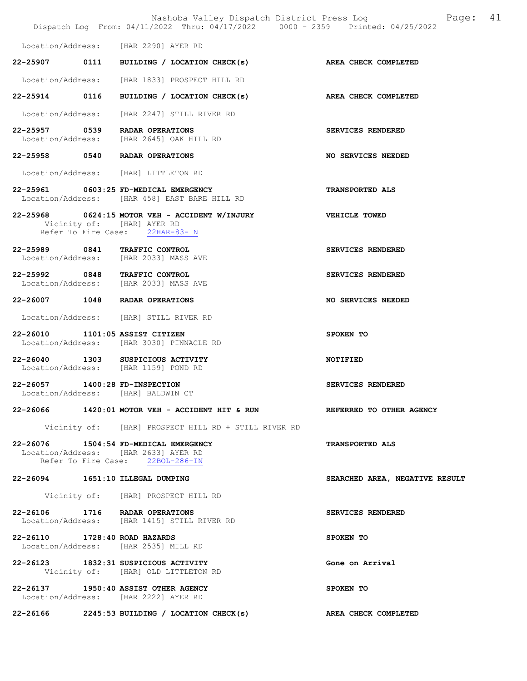|                               | Dispatch Log From: 04/11/2022 Thru: 04/17/2022 0000 - 2359 Printed: 04/25/2022                                    | Nashoba Valley Dispatch District Press Log Mashoba Valley Dispatch District Press Log |
|-------------------------------|-------------------------------------------------------------------------------------------------------------------|---------------------------------------------------------------------------------------|
|                               | Location/Address: [HAR 2290] AYER RD                                                                              |                                                                                       |
|                               | 22-25907 0111 BUILDING / LOCATION CHECK(s) AREA CHECK COMPLETED                                                   |                                                                                       |
|                               | Location/Address: [HAR 1833] PROSPECT HILL RD                                                                     |                                                                                       |
|                               | 22-25914 0116 BUILDING / LOCATION CHECK(s) AREA CHECK COMPLETED                                                   |                                                                                       |
|                               | Location/Address: [HAR 2247] STILL RIVER RD                                                                       |                                                                                       |
|                               | 22-25957 0539 RADAR OPERATIONS<br>Location/Address: [HAR 2645] OAK HILL RD                                        | SERVICES RENDERED                                                                     |
|                               | 22-25958 0540 RADAR OPERATIONS                                                                                    | NO SERVICES NEEDED                                                                    |
|                               | Location/Address: [HAR] LITTLETON RD                                                                              |                                                                                       |
|                               | 22-25961 0603:25 FD-MEDICAL EMERGENCY<br>Location/Address: [HAR 458] EAST BARE HILL RD                            | TRANSPORTED ALS                                                                       |
|                               | 22-25968 0624:15 MOTOR VEH - ACCIDENT W/INJURY<br>Vicinity of: [HAR] AYER RD<br>Refer To Fire Case: 22HAR-83-IN   | <b>VEHICLE TOWED</b>                                                                  |
|                               | 22-25989 0841 TRAFFIC CONTROL<br>Location/Address: [HAR 2033] MASS AVE                                            | SERVICES RENDERED                                                                     |
|                               | 22-25992 0848 TRAFFIC CONTROL<br>Location/Address: [HAR 2033] MASS AVE                                            | SERVICES RENDERED                                                                     |
|                               | 22-26007 1048 RADAR OPERATIONS                                                                                    | NO SERVICES NEEDED                                                                    |
|                               | Location/Address: [HAR] STILL RIVER RD                                                                            |                                                                                       |
|                               | 22-26010 1101:05 ASSIST CITIZEN<br>Location/Address: [HAR 3030] PINNACLE RD                                       | SPOKEN TO                                                                             |
|                               | 22-26040 1303 SUSPICIOUS ACTIVITY<br>Location/Address: [HAR 1159] POND RD                                         | <b>NOTIFIED</b>                                                                       |
|                               | 22-26057 1400:28 FD-INSPECTION<br>Location/Address: [HAR] BALDWIN CT                                              | SERVICES RENDERED                                                                     |
|                               | 22-26066 1420:01 MOTOR VEH - ACCIDENT HIT & RUN REFERRED TO OTHER AGENCY                                          |                                                                                       |
|                               | Vicinity of: [HAR] PROSPECT HILL RD + STILL RIVER RD                                                              |                                                                                       |
|                               | 22-26076 1504:54 FD-MEDICAL EMERGENCY<br>Location/Address: [HAR 2633] AYER RD<br>Refer To Fire Case: 22BOL-286-IN | <b>TRANSPORTED ALS</b>                                                                |
|                               | 22-26094 1651:10 ILLEGAL DUMPING                                                                                  | SEARCHED AREA, NEGATIVE RESULT                                                        |
|                               | Vicinity of: [HAR] PROSPECT HILL RD                                                                               |                                                                                       |
|                               | 22-26106 1716 RADAR OPERATIONS<br>Location/Address: [HAR 1415] STILL RIVER RD                                     | SERVICES RENDERED                                                                     |
| 22-26110 1728:40 ROAD HAZARDS | Location/Address: [HAR 2535] MILL RD                                                                              | SPOKEN TO                                                                             |
|                               | 22-26123 1832:31 SUSPICIOUS ACTIVITY<br>Vicinity of: [HAR] OLD LITTLETON RD                                       | Gone on Arrival                                                                       |
|                               | 22-26137 1950:40 ASSIST OTHER AGENCY<br>Location/Address: [HAR 2222] AYER RD                                      | SPOKEN TO                                                                             |
|                               |                                                                                                                   | AREA CHECK COMPLETED                                                                  |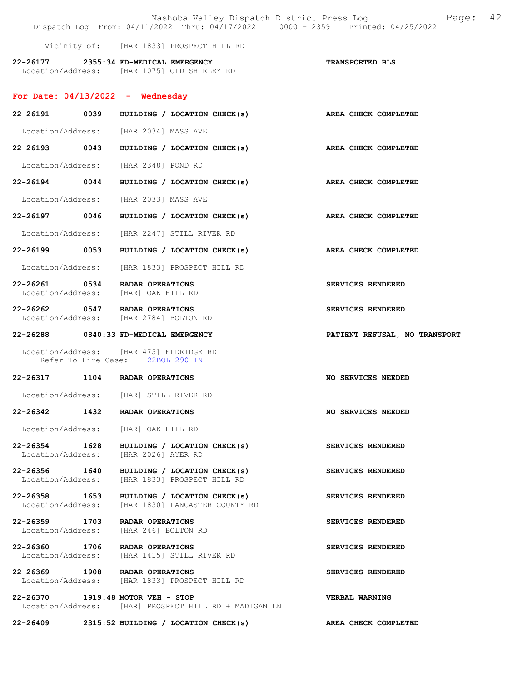|                                                                                            |                                                             |                              | Nashoba Valley Dispatch District Press Log<br>Dispatch Log From: 04/11/2022 Thru: 04/17/2022 0000 - 2359 Printed: 04/25/2022 | 42<br>Page: |
|--------------------------------------------------------------------------------------------|-------------------------------------------------------------|------------------------------|------------------------------------------------------------------------------------------------------------------------------|-------------|
|                                                                                            | Vicinity of: [HAR 1833] PROSPECT HILL RD                    |                              |                                                                                                                              |             |
| 22-26177 2355:34 FD-MEDICAL EMERGENCY<br>Location/Address: [HAR 1075] OLD SHIRLEY RD       |                                                             |                              | TRANSPORTED BLS                                                                                                              |             |
| For Date: $04/13/2022 -$ Wednesday                                                         |                                                             |                              |                                                                                                                              |             |
|                                                                                            |                                                             |                              | 22-26191 0039 BUILDING / LOCATION CHECK(s) AREA CHECK COMPLETED                                                              |             |
| Location/Address: [HAR 2034] MASS AVE                                                      |                                                             |                              |                                                                                                                              |             |
| 22-26193 0043                                                                              |                                                             | BUILDING / LOCATION CHECK(s) | AREA CHECK COMPLETED                                                                                                         |             |
| Location/Address: [HAR 2348] POND RD                                                       |                                                             |                              |                                                                                                                              |             |
| 22-26194 0044 BUILDING / LOCATION CHECK(s)                                                 |                                                             |                              | AREA CHECK COMPLETED                                                                                                         |             |
| Location/Address:                                                                          | [HAR 2033] MASS AVE                                         |                              |                                                                                                                              |             |
| 22-26197 0046                                                                              |                                                             | BUILDING / LOCATION CHECK(s) | AREA CHECK COMPLETED                                                                                                         |             |
| Location/Address: [HAR 2247] STILL RIVER RD                                                |                                                             |                              |                                                                                                                              |             |
| 22-26199 0053                                                                              |                                                             | BUILDING / LOCATION CHECK(s) | AREA CHECK COMPLETED                                                                                                         |             |
| Location/Address: [HAR 1833] PROSPECT HILL RD                                              |                                                             |                              |                                                                                                                              |             |
| 22-26261 0534 RADAR OPERATIONS<br>Location/Address: [HAR] OAK HILL RD                      |                                                             |                              | SERVICES RENDERED                                                                                                            |             |
| 22-26262 0547 RADAR OPERATIONS<br>Location/Address: [HAR 2784] BOLTON RD                   |                                                             |                              | SERVICES RENDERED                                                                                                            |             |
| 22-26288 0840:33 FD-MEDICAL EMERGENCY                                                      |                                                             |                              | PATIENT REFUSAL, NO TRANSPORT                                                                                                |             |
| Location/Address: [HAR 475] ELDRIDGE RD                                                    | Refer To Fire Case: 22BOL-290-IN                            |                              |                                                                                                                              |             |
| 22-26317 1104 RADAR OPERATIONS                                                             |                                                             |                              | NO SERVICES NEEDED                                                                                                           |             |
| Location/Address:                                                                          | [HAR] STILL RIVER RD                                        |                              |                                                                                                                              |             |
| 22-26342 1432 RADAR OPERATIONS                                                             |                                                             |                              | NO SERVICES NEEDED                                                                                                           |             |
| Location/Address: [HAR] OAK HILL RD                                                        |                                                             |                              |                                                                                                                              |             |
| 22-26354 1628<br>Location/Address:                                                         | [HAR 2026] AYER RD                                          | BUILDING / LOCATION CHECK(s) | SERVICES RENDERED                                                                                                            |             |
| 22-26356 1640<br>Location/Address:                                                         | BUILDING / LOCATION CHECK(s)<br>[HAR 1833] PROSPECT HILL RD |                              | SERVICES RENDERED                                                                                                            |             |
| 22-26358 1653<br>Location/Address:                                                         | THAR 18301 LANCASTER COUNTY RD                              | BUILDING / LOCATION CHECK(s) | SERVICES RENDERED                                                                                                            |             |
| 22-26359 1703<br>Location/Address:                                                         | RADAR OPERATIONS<br>[HAR 246] BOLTON RD                     |                              | SERVICES RENDERED                                                                                                            |             |
| 22-26360 1706 RADAR OPERATIONS<br>Location/Address:                                        | [HAR 1415] STILL RIVER RD                                   |                              | SERVICES RENDERED                                                                                                            |             |
| 22-26369 1908 RADAR OPERATIONS<br>Location/Address: [HAR 1833] PROSPECT HILL RD            |                                                             |                              | SERVICES RENDERED                                                                                                            |             |
| 22-26370 1919:48 MOTOR VEH - STOP<br>Location/Address: [HAR] PROSPECT HILL RD + MADIGAN LN |                                                             |                              | <b>VERBAL WARNING</b>                                                                                                        |             |
| $22-26409$ 2315:52 BUILDING / LOCATION CHECK(s)                                            |                                                             |                              | AREA CHECK COMPLETED                                                                                                         |             |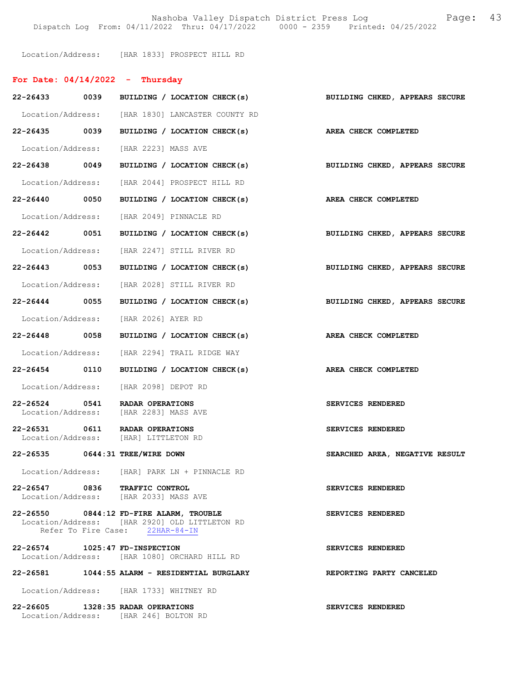Nashoba Valley Dispatch District Press Log Fage: 43 Dispatch Log From: 04/11/2022 Thru: 04/17/2022 0000 - 2359 Printed: 04/25/2022

Location/Address: [HAR 1833] PROSPECT HILL RD

## For Date: 04/14/2022 - Thursday

| 22-26433 0039                   |      | BUILDING / LOCATION CHECK(s)                                                                                                | BUILDING CHKED, APPEARS SECURE        |
|---------------------------------|------|-----------------------------------------------------------------------------------------------------------------------------|---------------------------------------|
|                                 |      | Location/Address: [HAR 1830] LANCASTER COUNTY RD                                                                            |                                       |
| 22-26435 0039                   |      | BUILDING / LOCATION CHECK(s)                                                                                                | AREA CHECK COMPLETED                  |
|                                 |      | Location/Address: [HAR 2223] MASS AVE                                                                                       |                                       |
| 22-26438 0049                   |      | BUILDING / LOCATION CHECK(s)                                                                                                | BUILDING CHKED, APPEARS SECURE        |
| Location/Address:               |      | [HAR 2044] PROSPECT HILL RD                                                                                                 |                                       |
| 22-26440 0050                   |      | BUILDING / LOCATION CHECK(s) AREA CHECK COMPLETED                                                                           |                                       |
|                                 |      | Location/Address: [HAR 2049] PINNACLE RD                                                                                    |                                       |
| 22-26442 0051                   |      | BUILDING / LOCATION CHECK(s)                                                                                                | BUILDING CHKED, APPEARS SECURE        |
| Location/Address:               |      | [HAR 2247] STILL RIVER RD                                                                                                   |                                       |
| 22-26443 0053                   |      | BUILDING / LOCATION CHECK(s)                                                                                                | <b>BUILDING CHKED, APPEARS SECURE</b> |
|                                 |      | Location/Address: [HAR 2028] STILL RIVER RD                                                                                 |                                       |
| 22-26444 0055                   |      | BUILDING / LOCATION CHECK(s)                                                                                                | BUILDING CHKED, APPEARS SECURE        |
|                                 |      | Location/Address: [HAR 2026] AYER RD                                                                                        |                                       |
| $22 - 26448$                    | 0058 | BUILDING / LOCATION CHECK(s)                                                                                                | AREA CHECK COMPLETED                  |
|                                 |      | Location/Address: [HAR 2294] TRAIL RIDGE WAY                                                                                |                                       |
| 22-26454 0110                   |      | BUILDING / LOCATION CHECK(s)                                                                                                | AREA CHECK COMPLETED                  |
|                                 |      | Location/Address: [HAR 2098] DEPOT RD                                                                                       |                                       |
| 22-26524 0541                   |      | RADAR OPERATIONS<br>Location/Address: [HAR 2283] MASS AVE                                                                   | SERVICES RENDERED                     |
| 22-26531 0611                   |      | RADAR OPERATIONS<br>Location/Address: [HAR] LITTLETON RD                                                                    | SERVICES RENDERED                     |
| 22-26535 0644:31 TREE/WIRE DOWN |      |                                                                                                                             | SEARCHED AREA, NEGATIVE RESULT        |
| Location/Address:               |      | [HAR] PARK LN + PINNACLE RD                                                                                                 |                                       |
|                                 |      | 22-26547 0836 TRAFFIC CONTROL<br>Location/Address: [HAR 2033] MASS AVE                                                      | SERVICES RENDERED                     |
|                                 |      | 22-26550 0844:12 FD-FIRE ALARM, TROUBLE<br>Location/Address: [HAR 2920] OLD LITTLETON RD<br>Refer To Fire Case: 22HAR-84-IN | SERVICES RENDERED                     |
| 22-26574 1025:47 FD-INSPECTION  |      | Location/Address: [HAR 1080] ORCHARD HILL RD                                                                                | SERVICES RENDERED                     |
|                                 |      | 22-26581 1044:55 ALARM - RESIDENTIAL BURGLARY                                                                               | REPORTING PARTY CANCELED              |
|                                 |      | Location/Address: [HAR 1733] WHITNEY RD                                                                                     |                                       |
|                                 |      | 22-26605 1328:35 RADAR OPERATIONS<br>Location/Address: [HAR 246] BOLTON RD                                                  | SERVICES RENDERED                     |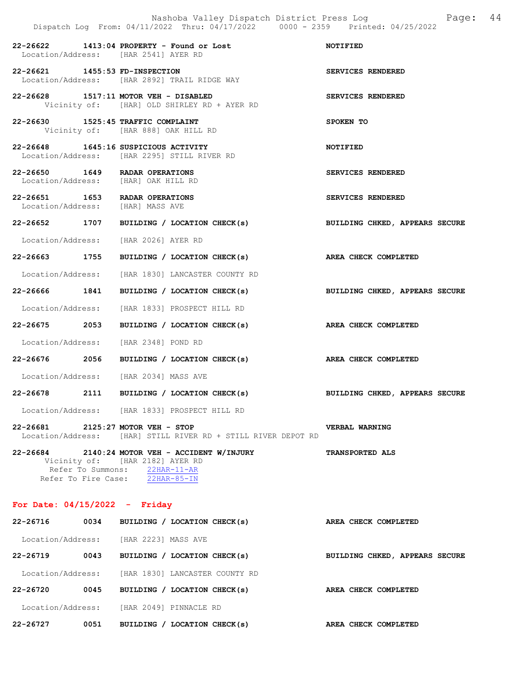|                                                                       | Nashoba Valley Dispatch District Press Log<br>Dispatch Log From: 04/11/2022 Thru: 04/17/2022 0000 - 2359 Printed: 04/25/2022                          | Page: 44                       |
|-----------------------------------------------------------------------|-------------------------------------------------------------------------------------------------------------------------------------------------------|--------------------------------|
|                                                                       | 22-26622 1413:04 PROPERTY - Found or Lost<br>Location/Address: [HAR 2541] AYER RD                                                                     | <b>NOTIFIED</b>                |
| 22-26621 1455:53 FD-INSPECTION                                        | Location/Address: [HAR 2892] TRAIL RIDGE WAY                                                                                                          | SERVICES RENDERED              |
|                                                                       | 22-26628 1517:11 MOTOR VEH - DISABLED<br>Vicinity of: [HAR] OLD SHIRLEY RD + AYER RD                                                                  | SERVICES RENDERED              |
| 22-26630 1525:45 TRAFFIC COMPLAINT                                    | Vicinity of: [HAR 888] OAK HILL RD                                                                                                                    | SPOKEN TO                      |
|                                                                       | 22-26648 1645:16 SUSPICIOUS ACTIVITY<br>Location/Address: [HAR 2295] STILL RIVER RD                                                                   | <b>NOTIFIED</b>                |
| 22-26650 1649 RADAR OPERATIONS<br>Location/Address: [HAR] OAK HILL RD |                                                                                                                                                       | SERVICES RENDERED              |
| 22-26651 1653 RADAR OPERATIONS<br>Location/Address: [HAR] MASS AVE    |                                                                                                                                                       | SERVICES RENDERED              |
|                                                                       | 22-26652 1707 BUILDING / LOCATION CHECK(s)                                                                                                            | BUILDING CHKED, APPEARS SECURE |
| Location/Address: [HAR 2026] AYER RD                                  |                                                                                                                                                       |                                |
| 22-26663 1755                                                         | BUILDING / LOCATION CHECK(s) AREA CHECK COMPLETED                                                                                                     |                                |
|                                                                       | Location/Address: [HAR 1830] LANCASTER COUNTY RD                                                                                                      |                                |
| 22-26666 1841                                                         | BUILDING / LOCATION CHECK(s)                                                                                                                          | BUILDING CHKED, APPEARS SECURE |
|                                                                       | Location/Address: [HAR 1833] PROSPECT HILL RD                                                                                                         |                                |
| 22-26675 2053                                                         | BUILDING / LOCATION CHECK(s)                                                                                                                          | AREA CHECK COMPLETED           |
| Location/Address: [HAR 2348] POND RD                                  |                                                                                                                                                       |                                |
| 22-26676 2056                                                         | BUILDING / LOCATION CHECK(s)                                                                                                                          | AREA CHECK COMPLETED           |
|                                                                       | Location/Address: [HAR 2034] MASS AVE                                                                                                                 |                                |
|                                                                       | 22-26678 2111 BUILDING / LOCATION CHECK(s)                                                                                                            | BUILDING CHKED, APPEARS SECURE |
|                                                                       | Location/Address: [HAR 1833] PROSPECT HILL RD                                                                                                         |                                |
| 22-26681 2125:27 MOTOR VEH - STOP                                     | Location/Address: [HAR] STILL RIVER RD + STILL RIVER DEPOT RD                                                                                         | VERBAL WARNING                 |
|                                                                       | 22-26684 2140:24 MOTOR VEH - ACCIDENT W/INJURY<br>Vicinity of: [HAR 2182] AYER RD<br>Refer To Summons: 22HAR-11-AR<br>Refer To Fire Case: 22HAR-85-IN | <b>TRANSPORTED ALS</b>         |
| For Date: $04/15/2022 -$ Friday                                       |                                                                                                                                                       |                                |
| 22-26716                                                              | 0034 BUILDING / LOCATION CHECK(s)                                                                                                                     | AREA CHECK COMPLETED           |
|                                                                       | Location/Address: [HAR 2223] MASS AVE                                                                                                                 |                                |
| 0043<br>22-26719                                                      | BUILDING / LOCATION CHECK(s)                                                                                                                          | BUILDING CHKED, APPEARS SECURE |
|                                                                       | Location/Address: [HAR 1830] LANCASTER COUNTY RD                                                                                                      |                                |

22-26720 0045 BUILDING / LOCATION CHECK(s) AREA CHECK COMPLETED

Location/Address: [HAR 2049] PINNACLE RD

22-26727 0051 BUILDING / LOCATION CHECK(s) AREA CHECK COMPLETED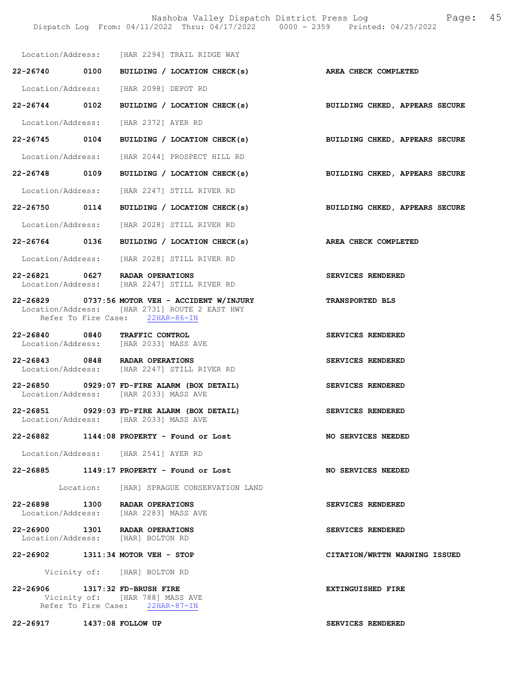Nashoba Valley Dispatch District Press Log Fage: 45

|                                | Location/Address: [HAR 2294] TRAIL RIDGE WAY                                                                                       |                                       |
|--------------------------------|------------------------------------------------------------------------------------------------------------------------------------|---------------------------------------|
| 22-26740 0100                  | BUILDING / LOCATION CHECK(s)                                                                                                       | AREA CHECK COMPLETED                  |
|                                | Location/Address: [HAR 2098] DEPOT RD                                                                                              |                                       |
| 22-26744 0102                  | BUILDING / LOCATION CHECK(s) BUILDING CHKED, APPEARS SECURE                                                                        |                                       |
|                                | Location/Address: [HAR 2372] AYER RD                                                                                               |                                       |
| 22-26745 0104                  | BUILDING / LOCATION CHECK(s)                                                                                                       | BUILDING CHKED, APPEARS SECURE        |
|                                | Location/Address: [HAR 2044] PROSPECT HILL RD                                                                                      |                                       |
| 22-26748 0109                  | BUILDING / LOCATION CHECK(s)                                                                                                       | <b>BUILDING CHKED, APPEARS SECURE</b> |
|                                | Location/Address: [HAR 2247] STILL RIVER RD                                                                                        |                                       |
| 22-26750 0114                  | BUILDING / LOCATION CHECK(s)                                                                                                       | <b>BUILDING CHKED, APPEARS SECURE</b> |
|                                | Location/Address: [HAR 2028] STILL RIVER RD                                                                                        |                                       |
| 22-26764 0136                  | BUILDING / LOCATION CHECK(s)                                                                                                       | <b>AREA CHECK COMPLETED</b>           |
|                                | Location/Address: [HAR 2028] STILL RIVER RD                                                                                        |                                       |
|                                | 22-26821 0627 RADAR OPERATIONS<br>Location/Address: [HAR 2247] STILL RIVER RD                                                      | SERVICES RENDERED                     |
|                                | 22-26829 0737:56 MOTOR VEH - ACCIDENT W/INJURY<br>Location/Address: [HAR 2731] ROUTE 2 EAST HWY<br>Refer To Fire Case: 22HAR-86-IN | <b>TRANSPORTED BLS</b>                |
|                                | 22-26840 0840 TRAFFIC CONTROL<br>Location/Address: [HAR 2033] MASS AVE                                                             | SERVICES RENDERED                     |
|                                | 22-26843 0848 RADAR OPERATIONS<br>Location/Address: [HAR 2247] STILL RIVER RD                                                      | SERVICES RENDERED                     |
|                                | 22-26850 0929:07 FD-FIRE ALARM (BOX DETAIL)<br>Location/Address: [HAR 2033] MASS AVE                                               | SERVICES RENDERED                     |
|                                | 22-26851 0929:03 FD-FIRE ALARM (BOX DETAIL)<br>Location/Address: [HAR 2033] MASS AVE                                               | SERVICES RENDERED                     |
|                                | $22 - 26882$ 1144:08 PROPERTY - Found or Lost                                                                                      | NO SERVICES NEEDED                    |
|                                | Location/Address: [HAR 2541] AYER RD                                                                                               |                                       |
|                                | 22-26885 1149:17 PROPERTY - Found or Lost                                                                                          | <b>NO SERVICES NEEDED</b>             |
|                                | Location: [HAR] SPRAGUE CONSERVATION LAND                                                                                          |                                       |
| 22-26898                       | 1300 RADAR OPERATIONS<br>Location/Address: [HAR 2283] MASS AVE                                                                     | SERVICES RENDERED                     |
|                                | 22-26900 1301 RADAR OPERATIONS<br>Location/Address: [HAR] BOLTON RD                                                                | SERVICES RENDERED                     |
|                                | 22-26902 1311:34 MOTOR VEH - STOP                                                                                                  | CITATION/WRTTN WARNING ISSUED         |
|                                | Vicinity of: [HAR] BOLTON RD                                                                                                       |                                       |
| 22-26906 1317:32 FD-BRUSH FIRE | Vicinity of: [HAR 788] MASS AVE<br>Refer To Fire Case: 22HAR-87-IN                                                                 | <b>EXTINGUISHED FIRE</b>              |
| 22-26917 1437:08 FOLLOW UP     |                                                                                                                                    | SERVICES RENDERED                     |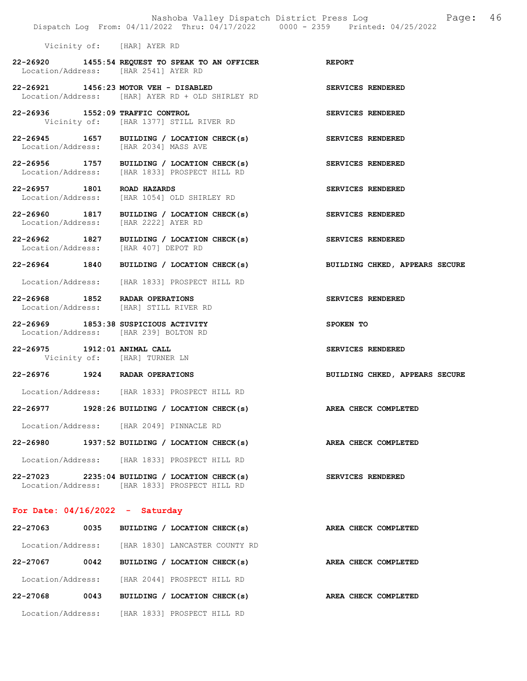|                                                                               | Nashoba Valley Dispatch District Press Log<br>Dispatch Log From: 04/11/2022 Thru: 04/17/2022 0000 - 2359 Printed: 04/25/2022 | 46<br>Page:                    |
|-------------------------------------------------------------------------------|------------------------------------------------------------------------------------------------------------------------------|--------------------------------|
| Vicinity of: [HAR] AYER RD                                                    |                                                                                                                              |                                |
| Location/Address: [HAR 2541] AYER RD                                          | 22-26920 1455:54 REQUEST TO SPEAK TO AN OFFICER                                                                              | <b>REPORT</b>                  |
| 22-26921 1456:23 MOTOR VEH - DISABLED                                         | Location/Address: [HAR] AYER RD + OLD SHIRLEY RD                                                                             | SERVICES RENDERED              |
| 22-26936 1552:09 TRAFFIC CONTROL                                              | Vicinity of: [HAR 1377] STILL RIVER RD                                                                                       | SERVICES RENDERED              |
| Location/Address: [HAR 2034] MASS AVE                                         | 22-26945 1657 BUILDING / LOCATION CHECK(s)                                                                                   | SERVICES RENDERED              |
|                                                                               | 22-26956 1757 BUILDING / LOCATION CHECK(s)<br>Location/Address: [HAR 1833] PROSPECT HILL RD                                  | SERVICES RENDERED              |
| 22-26957 1801 ROAD HAZARDS                                                    | Location/Address: [HAR 1054] OLD SHIRLEY RD                                                                                  | SERVICES RENDERED              |
| Location/Address: [HAR 2222] AYER RD                                          | 22-26960 1817 BUILDING / LOCATION CHECK(s)                                                                                   | SERVICES RENDERED              |
| 22-26962 1827<br>Location/Address: [HAR 407] DEPOT RD                         | BUILDING / LOCATION CHECK(s)                                                                                                 | SERVICES RENDERED              |
|                                                                               | 22-26964 1840 BUILDING / LOCATION CHECK(s)<br>Location/Address: [HAR 1833] PROSPECT HILL RD                                  | BUILDING CHKED, APPEARS SECURE |
| 22-26968 1852 RADAR OPERATIONS                                                | Location/Address: [HAR] STILL RIVER RD                                                                                       | SERVICES RENDERED              |
| 22-26969 1853:38 SUSPICIOUS ACTIVITY<br>Location/Address: [HAR 239] BOLTON RD |                                                                                                                              | SPOKEN TO                      |
| 22-26975 1912:01 ANIMAL CALL                                                  | Vicinity of: [HAR] TURNER LN                                                                                                 | SERVICES RENDERED              |
| 22-26976 1924 RADAR OPERATIONS                                                |                                                                                                                              | BUILDING CHKED, APPEARS SECURE |
|                                                                               | Location/Address: [HAR 1833] PROSPECT HILL RD                                                                                |                                |
|                                                                               | $22-26977$ 1928:26 BUILDING / LOCATION CHECK(s)                                                                              | AREA CHECK COMPLETED           |
|                                                                               | Location/Address: [HAR 2049] PINNACLE RD                                                                                     |                                |
|                                                                               | $22-26980$ 1937:52 BUILDING / LOCATION CHECK(s)                                                                              | AREA CHECK COMPLETED           |
|                                                                               | Location/Address: [HAR 1833] PROSPECT HILL RD                                                                                |                                |
|                                                                               | $22-27023$ 2235:04 BUILDING / LOCATION CHECK(s)<br>Location/Address: [HAR 1833] PROSPECT HILL RD                             | SERVICES RENDERED              |
| For Date: $04/16/2022 -$ Saturday                                             |                                                                                                                              |                                |
|                                                                               | 22-27063 0035 BUILDING / LOCATION CHECK(s)                                                                                   | <b>AREA CHECK COMPLETED</b>    |
|                                                                               | Location/Address: [HAR 1830] LANCASTER COUNTY RD                                                                             |                                |
| 22-27067 0042                                                                 | BUILDING / LOCATION CHECK(s)                                                                                                 | AREA CHECK COMPLETED           |
|                                                                               | Location/Address: [HAR 2044] PROSPECT HILL RD                                                                                |                                |
| 22-27068 0043                                                                 | BUILDING / LOCATION CHECK(s)                                                                                                 | AREA CHECK COMPLETED           |

Location/Address: [HAR 1833] PROSPECT HILL RD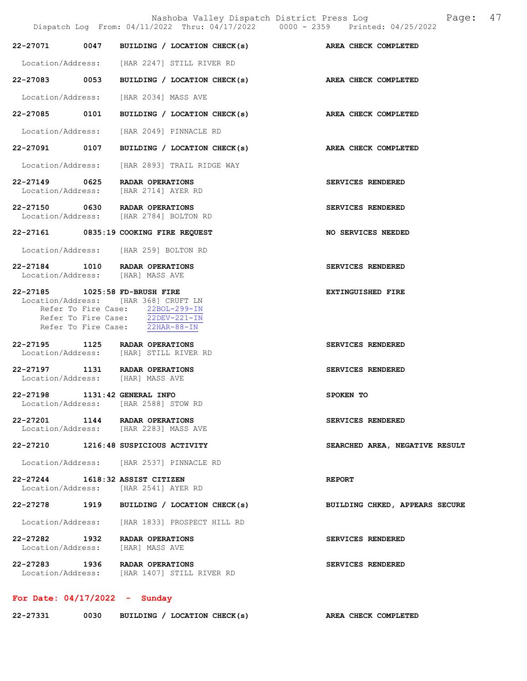|                                 | Nashoba Valley Dispatch District Press Log<br>Dispatch Log From: 04/11/2022 Thru: 04/17/2022 0000 - 2359 Printed: 04/25/2022                    | 47<br>Page:                    |
|---------------------------------|-------------------------------------------------------------------------------------------------------------------------------------------------|--------------------------------|
|                                 | 22-27071 0047 BUILDING / LOCATION CHECK(s) AREA CHECK COMPLETED                                                                                 |                                |
|                                 | Location/Address: [HAR 2247] STILL RIVER RD                                                                                                     |                                |
| 22-27083 0053                   | BUILDING / LOCATION CHECK(s) AREA CHECK COMPLETED                                                                                               |                                |
|                                 | Location/Address: [HAR 2034] MASS AVE                                                                                                           |                                |
| 22-27085 0101                   | BUILDING / LOCATION CHECK(s)                                                                                                                    | AREA CHECK COMPLETED           |
| Location/Address:               | [HAR 2049] PINNACLE RD                                                                                                                          |                                |
| 22-27091 0107                   | BUILDING / LOCATION CHECK(s)                                                                                                                    | AREA CHECK COMPLETED           |
|                                 | Location/Address: [HAR 2893] TRAIL RIDGE WAY                                                                                                    |                                |
| 22-27149 0625                   | RADAR OPERATIONS<br>Location/Address: [HAR 2714] AYER RD                                                                                        | SERVICES RENDERED              |
|                                 | 22-27150 0630 RADAR OPERATIONS<br>Location/Address: [HAR 2784] BOLTON RD                                                                        | SERVICES RENDERED              |
|                                 | 22-27161 0835:19 COOKING FIRE REQUEST                                                                                                           | NO SERVICES NEEDED             |
|                                 | Location/Address: [HAR 259] BOLTON RD                                                                                                           |                                |
|                                 | 22-27184 1010 RADAR OPERATIONS<br>Location/Address: [HAR] MASS AVE                                                                              | SERVICES RENDERED              |
| 22-27185 1025:58 FD-BRUSH FIRE  | Location/Address: [HAR 368] CRUFT LN<br>Refer To Fire Case: 22BOL-299-IN<br>Refer To Fire Case: 22DEV-221-IN<br>Refer To Fire Case: 22HAR-88-IN | EXTINGUISHED FIRE              |
| 22-27195                        | 1125 RADAR OPERATIONS<br>Location/Address: [HAR] STILL RIVER RD                                                                                 | SERVICES RENDERED              |
|                                 | 22-27197 1131 RADAR OPERATIONS<br>Location/Address: [HAR] MASS AVE                                                                              | SERVICES RENDERED              |
| 22-27198 1131:42 GENERAL INFO   | Location/Address: [HAR 2588] STOW RD                                                                                                            | SPOKEN TO                      |
|                                 | 22-27201 1144 RADAR OPERATIONS<br>Location/Address: [HAR 2283] MASS AVE                                                                         | SERVICES RENDERED              |
|                                 | 22-27210 1216:48 SUSPICIOUS ACTIVITY                                                                                                            | SEARCHED AREA, NEGATIVE RESULT |
|                                 | Location/Address: [HAR 2537] PINNACLE RD                                                                                                        |                                |
| 22-27244 1618:32 ASSIST CITIZEN | Location/Address: [HAR 2541] AYER RD                                                                                                            | <b>REPORT</b>                  |
|                                 | 22-27278 1919 BUILDING / LOCATION CHECK(s)                                                                                                      | BUILDING CHKED, APPEARS SECURE |
|                                 | Location/Address: [HAR 1833] PROSPECT HILL RD                                                                                                   |                                |
| Location/Address:               | 22-27282 1932 RADAR OPERATIONS<br>[HAR] MASS AVE                                                                                                | SERVICES RENDERED              |
|                                 | 22-27283 1936 RADAR OPERATIONS<br>Location/Address: [HAR 1407] STILL RIVER RD                                                                   | SERVICES RENDERED              |

# For Date: 04/17/2022 - Sunday

| 22-27331 | 0030 | BUILDING / LOCATION CHECK(s) |  |  | AREA CHECK COMPLETED |
|----------|------|------------------------------|--|--|----------------------|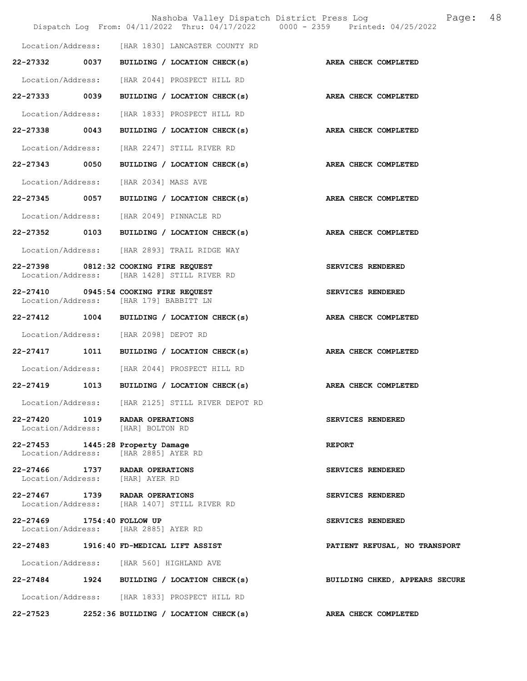|                                         |                                                                             | Nashoba Valley Dispatch District Press Log<br>Dispatch Log From: 04/11/2022 Thru: 04/17/2022 0000 - 2359 Printed: 04/25/2022 | 48<br>Page:                    |
|-----------------------------------------|-----------------------------------------------------------------------------|------------------------------------------------------------------------------------------------------------------------------|--------------------------------|
|                                         |                                                                             | Location/Address: [HAR 1830] LANCASTER COUNTY RD                                                                             |                                |
| 22-27332 0037                           |                                                                             | BUILDING / LOCATION CHECK(s)                                                                                                 | AREA CHECK COMPLETED           |
| Location/Address:                       |                                                                             | [HAR 2044] PROSPECT HILL RD                                                                                                  |                                |
| 22-27333<br>0039                        |                                                                             | BUILDING / LOCATION CHECK(s)                                                                                                 | AREA CHECK COMPLETED           |
| Location/Address:                       |                                                                             | [HAR 1833] PROSPECT HILL RD                                                                                                  |                                |
| 22-27338 0043                           |                                                                             | BUILDING / LOCATION CHECK(s)                                                                                                 | AREA CHECK COMPLETED           |
| Location/Address:                       |                                                                             | [HAR 2247] STILL RIVER RD                                                                                                    |                                |
| 22-27343 0050                           |                                                                             | BUILDING / LOCATION CHECK(s)                                                                                                 | AREA CHECK COMPLETED           |
| Location/Address:                       | [HAR 2034] MASS AVE                                                         |                                                                                                                              |                                |
| 22-27345                                | 0057                                                                        | BUILDING / LOCATION CHECK(s)                                                                                                 | AREA CHECK COMPLETED           |
| Location/Address:                       | [HAR 2049] PINNACLE RD                                                      |                                                                                                                              |                                |
|                                         |                                                                             | 22-27352 0103 BUILDING / LOCATION CHECK(s) AREA CHECK COMPLETED                                                              |                                |
|                                         | Location/Address: [HAR 2893] TRAIL RIDGE WAY                                |                                                                                                                              |                                |
| 22-27398                                | 0812:32 COOKING FIRE REQUEST<br>Location/Address: [HAR 1428] STILL RIVER RD |                                                                                                                              | SERVICES RENDERED              |
| 22-27410 0945:54 COOKING FIRE REQUEST   | Location/Address: [HAR 179] BABBITT LN                                      |                                                                                                                              | SERVICES RENDERED              |
|                                         |                                                                             | 22-27412 1004 BUILDING / LOCATION CHECK(s)                                                                                   | AREA CHECK COMPLETED           |
|                                         | Location/Address: [HAR 2098] DEPOT RD                                       |                                                                                                                              |                                |
| 22-27417                                |                                                                             | 1011 BUILDING / LOCATION CHECK(s)                                                                                            | AREA CHECK COMPLETED           |
|                                         |                                                                             | Location/Address: [HAR 2044] PROSPECT HILL RD                                                                                |                                |
| 22-27419                                | 1013                                                                        | BUILDING / LOCATION CHECK(s)                                                                                                 | AREA CHECK COMPLETED           |
|                                         |                                                                             | Location/Address: [HAR 2125] STILL RIVER DEPOT RD                                                                            |                                |
| 22-27420 1019 RADAR OPERATIONS          | Location/Address: [HAR] BOLTON RD                                           |                                                                                                                              | SERVICES RENDERED              |
| 22-27453 1445:28 Property Damage        | Location/Address: [HAR 2885] AYER RD                                        |                                                                                                                              | <b>REPORT</b>                  |
| 22-27466 1737 RADAR OPERATIONS          | Location/Address: [HAR] AYER RD                                             |                                                                                                                              | SERVICES RENDERED              |
| 22-27467 1739 RADAR OPERATIONS          | Location/Address: [HAR 1407] STILL RIVER RD                                 |                                                                                                                              | SERVICES RENDERED              |
| 22-27469 1754:40 FOLLOW UP              | Location/Address: [HAR 2885] AYER RD                                        |                                                                                                                              | SERVICES RENDERED              |
| 22-27483 1916:40 FD-MEDICAL LIFT ASSIST |                                                                             |                                                                                                                              | PATIENT REFUSAL, NO TRANSPORT  |
|                                         | Location/Address: [HAR 560] HIGHLAND AVE                                    |                                                                                                                              |                                |
|                                         |                                                                             | 22-27484 1924 BUILDING / LOCATION CHECK(s)                                                                                   | BUILDING CHKED, APPEARS SECURE |
|                                         |                                                                             | Location/Address: [HAR 1833] PROSPECT HILL RD                                                                                |                                |
| 22-27523                                |                                                                             | 2252:36 BUILDING / LOCATION CHECK(s)                                                                                         | AREA CHECK COMPLETED           |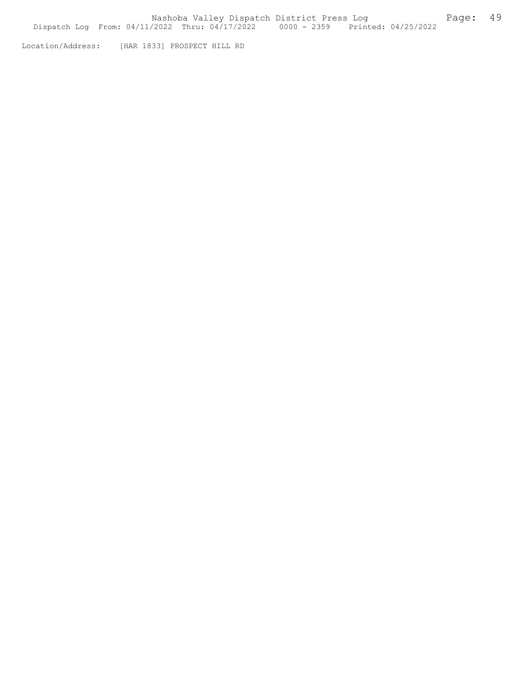Location/Address: [HAR 1833] PROSPECT HILL RD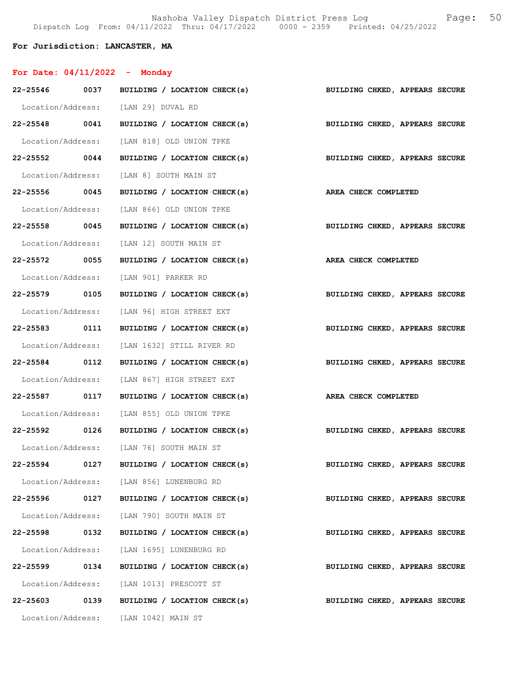Nashoba Valley Dispatch District Press Log Fage: 50 Dispatch Log From: 04/11/2022 Thru: 04/17/2022 0000 - 2359 Printed: 04/25/2022

## For Jurisdiction: LANCASTER, MA

| For Date: $04/11/2022 -$ Monday |                                                                           |                                |
|---------------------------------|---------------------------------------------------------------------------|--------------------------------|
|                                 | 22-25546 0037 BUILDING / LOCATION CHECK(s)                                | BUILDING CHKED, APPEARS SECURE |
|                                 | Location/Address: [LAN 29] DUVAL RD                                       |                                |
|                                 | 22-25548 0041 BUILDING / LOCATION CHECK(s)                                | BUILDING CHKED, APPEARS SECURE |
|                                 | Location/Address: [LAN 818] OLD UNION TPKE                                |                                |
| 22-25552 0044                   | BUILDING / LOCATION CHECK(s)                                              | BUILDING CHKED, APPEARS SECURE |
|                                 | Location/Address: [LAN 8] SOUTH MAIN ST                                   |                                |
|                                 | 22-25556 0045 BUILDING / LOCATION CHECK(s) AREA CHECK COMPLETED           |                                |
|                                 | Location/Address: [LAN 866] OLD UNION TPKE                                |                                |
|                                 | 22-25558 0045 BUILDING / LOCATION CHECK(s)                                | BUILDING CHKED, APPEARS SECURE |
|                                 | Location/Address: [LAN 12] SOUTH MAIN ST                                  |                                |
| 22-25572 0055                   | BUILDING / LOCATION CHECK(s)                                              | AREA CHECK COMPLETED           |
|                                 | Location/Address: [LAN 901] PARKER RD                                     |                                |
|                                 | 22-25579 0105 BUILDING / LOCATION CHECK(s) BUILDING CHKED, APPEARS SECURE |                                |
|                                 | Location/Address: [LAN 96] HIGH STREET EXT                                |                                |
| 22-25583 0111                   | BUILDING / LOCATION CHECK(s)                                              | BUILDING CHKED, APPEARS SECURE |
|                                 | Location/Address: [LAN 1632] STILL RIVER RD                               |                                |
| 22-25584 0112                   | BUILDING / LOCATION CHECK(s)                                              | BUILDING CHKED, APPEARS SECURE |
|                                 | Location/Address: [LAN 867] HIGH STREET EXT                               |                                |
|                                 | 22-25587 0117 BUILDING / LOCATION CHECK(s)                                | AREA CHECK COMPLETED           |
|                                 | Location/Address: [LAN 855] OLD UNION TPKE                                |                                |
|                                 | 22-25592 0126 BUILDING / LOCATION CHECK(s)                                | BUILDING CHKED, APPEARS SECURE |
|                                 | Location/Address: [LAN 76] SOUTH MAIN ST                                  |                                |
| 22-25594 0127                   | BUILDING / LOCATION CHECK(s)                                              | BUILDING CHKED, APPEARS SECURE |
|                                 | Location/Address: [LAN 856] LUNENBURG RD                                  |                                |
| 22-25596 0127                   | BUILDING / LOCATION CHECK(s)                                              | BUILDING CHKED, APPEARS SECURE |
|                                 | Location/Address: [LAN 790] SOUTH MAIN ST                                 |                                |
| 22-25598 0132                   | BUILDING / LOCATION CHECK(s)                                              | BUILDING CHKED, APPEARS SECURE |
|                                 | Location/Address: [LAN 1695] LUNENBURG RD                                 |                                |
| 22-25599 0134                   | BUILDING / LOCATION CHECK(s)                                              | BUILDING CHKED, APPEARS SECURE |
|                                 | Location/Address: [LAN 1013] PRESCOTT ST                                  |                                |
| 22-25603 0139                   | BUILDING / LOCATION CHECK(s)                                              | BUILDING CHKED, APPEARS SECURE |
| Location/Address:               | [LAN 1042] MAIN ST                                                        |                                |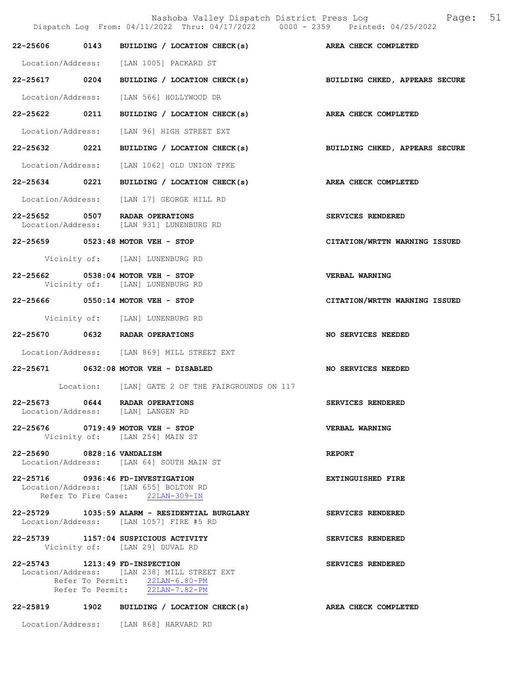|                            | Dispatch Log From: 04/11/2022 Thru: 04/17/2022 0000 - 2359 Printed: 04/25/2022                                                                    | Nashoba Valley Dispatch District Press Log Mashoba Valley Dispatch District Press Log |
|----------------------------|---------------------------------------------------------------------------------------------------------------------------------------------------|---------------------------------------------------------------------------------------|
|                            | 22-25606 0143 BUILDING / LOCATION CHECK(s) AREA CHECK COMPLETED                                                                                   |                                                                                       |
|                            | Location/Address: [LAN 1005] PACKARD ST                                                                                                           |                                                                                       |
| 22-25617 0204              | BUILDING / LOCATION CHECK(s)                                                                                                                      | BUILDING CHKED, APPEARS SECURE                                                        |
|                            | Location/Address: [LAN 566] HOLLYWOOD DR                                                                                                          |                                                                                       |
| 22-25622 0211              | BUILDING / LOCATION CHECK(s)                                                                                                                      | <b>AREA CHECK COMPLETED</b>                                                           |
| Location/Address:          | [LAN 96] HIGH STREET EXT                                                                                                                          |                                                                                       |
| 22-25632 0221              | BUILDING / LOCATION CHECK(s)                                                                                                                      | BUILDING CHKED, APPEARS SECURE                                                        |
|                            | Location/Address: [LAN 1062] OLD UNION TPKE                                                                                                       |                                                                                       |
| 22-25634 0221              | BUILDING / LOCATION CHECK(s)                                                                                                                      | AREA CHECK COMPLETED                                                                  |
| Location/Address:          | [LAN 17] GEORGE HILL RD                                                                                                                           |                                                                                       |
|                            | 22-25652 0507 RADAR OPERATIONS<br>Location/Address: [LAN 931] LUNENBURG RD                                                                        | <b>SERVICES RENDERED</b>                                                              |
|                            | 22-25659 0523:48 MOTOR VEH - STOP                                                                                                                 | CITATION/WRTTN WARNING ISSUED                                                         |
|                            | Vicinity of: [LAN] LUNENBURG RD                                                                                                                   |                                                                                       |
|                            | 22-25662 0538:04 MOTOR VEH - STOP<br>Vicinity of: [LAN] LUNENBURG RD                                                                              | VERBAL WARNING                                                                        |
|                            | 22-25666 0550:14 MOTOR VEH - STOP                                                                                                                 | CITATION/WRTTN WARNING ISSUED                                                         |
|                            | Vicinity of: [LAN] LUNENBURG RD                                                                                                                   |                                                                                       |
|                            | 22-25670 0632 RADAR OPERATIONS                                                                                                                    | NO SERVICES NEEDED                                                                    |
|                            | Location/Address: [LAN 869] MILL STREET EXT                                                                                                       |                                                                                       |
|                            | 22-25671 0632:08 MOTOR VEH - DISABLED                                                                                                             | NO SERVICES NEEDED                                                                    |
|                            | Location: [LAN] GATE 2 OF THE FAIRGROUNDS ON 117                                                                                                  |                                                                                       |
|                            | 22-25673 0644 RADAR OPERATIONS<br>Location/Address: [LAN] LANGEN RD                                                                               | SERVICES RENDERED                                                                     |
|                            | 22-25676 0719:49 MOTOR VEH - STOP<br>Vicinity of: [LAN 254] MAIN ST                                                                               | <b>VERBAL WARNING</b>                                                                 |
| 22-25690 0828:16 VANDALISM | Location/Address: [LAN 64] SOUTH MAIN ST                                                                                                          | <b>REPORT</b>                                                                         |
|                            | 22-25716 0936:46 FD-INVESTIGATION<br>Location/Address: [LAN 655] BOLTON RD<br>Refer To Fire Case: 22LAN-309-IN                                    | <b>EXTINGUISHED FIRE</b>                                                              |
|                            | 22-25729 1035:59 ALARM - RESIDENTIAL BURGLARY<br>Location/Address: [LAN 1057] FIRE #5 RD                                                          | SERVICES RENDERED                                                                     |
|                            | 22-25739 1157:04 SUSPICIOUS ACTIVITY<br>Vicinity of: [LAN 29] DUVAL RD                                                                            | SERVICES RENDERED                                                                     |
|                            | 22-25743 1213:49 FD-INSPECTION<br>Location/Address: [LAN 238] MILL STREET EXT<br>Refer To Permit: 22LAN-6.80-PM<br>Refer To Permit: 22LAN-7.82-PM | SERVICES RENDERED                                                                     |
|                            | 22-25819 1902 BUILDING / LOCATION CHECK(s) AREA CHECK COMPLETED                                                                                   |                                                                                       |
|                            | Location/Address: [LAN 868] HARVARD RD                                                                                                            |                                                                                       |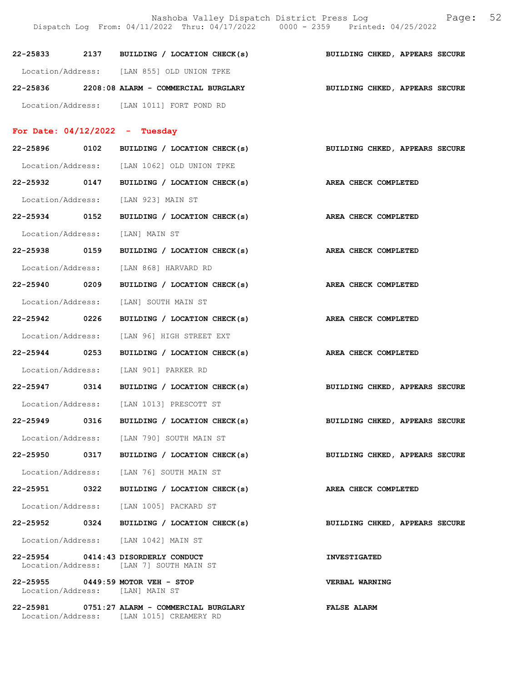Nashoba Valley Dispatch District Press Log Fage: 52 Dispatch Log From: 04/11/2022 Thru: 04/17/2022 0000 - 2359 Printed: 04/25/2022

22-25833 2137 BUILDING / LOCATION CHECK(s) BUILDING CHKED, APPEARS SECURE Location/Address: [LAN 855] OLD UNION TPKE 22-25836 2208:08 ALARM - COMMERCIAL BURGLARY BUILDING CHKED, APPEARS SECURE Location/Address: [LAN 1011] FORT POND RD

## For Date: 04/12/2022 - Tuesday

| 22-25896 0102                   | BUILDING / LOCATION CHECK(s)                                                             | BUILDING CHKED, APPEARS SECURE |
|---------------------------------|------------------------------------------------------------------------------------------|--------------------------------|
|                                 | Location/Address: [LAN 1062] OLD UNION TPKE                                              |                                |
| 22-25932 0147                   | BUILDING / LOCATION CHECK(s) AREA CHECK COMPLETED                                        |                                |
|                                 | Location/Address: [LAN 923] MAIN ST                                                      |                                |
| 22-25934 0152                   | BUILDING / LOCATION CHECK(s) AREA CHECK COMPLETED                                        |                                |
| Location/Address: [LAN] MAIN ST |                                                                                          |                                |
|                                 | 22-25938 0159 BUILDING / LOCATION CHECK(s) AREA CHECK COMPLETED                          |                                |
|                                 | Location/Address: [LAN 868] HARVARD RD                                                   |                                |
| 22-25940 0209                   | BUILDING / LOCATION CHECK(s)                                                             | AREA CHECK COMPLETED           |
|                                 | Location/Address: [LAN] SOUTH MAIN ST                                                    |                                |
| 22-25942 0226                   | BUILDING / LOCATION CHECK(s)                                                             | AREA CHECK COMPLETED           |
|                                 | Location/Address: [LAN 96] HIGH STREET EXT                                               |                                |
| 22-25944 0253                   | BUILDING / LOCATION CHECK(s)                                                             | AREA CHECK COMPLETED           |
|                                 | Location/Address: [LAN 901] PARKER RD                                                    |                                |
| 22-25947 0314                   | BUILDING / LOCATION CHECK(s)                                                             | BUILDING CHKED, APPEARS SECURE |
|                                 | Location/Address: [LAN 1013] PRESCOTT ST                                                 |                                |
| 22-25949 0316                   | BUILDING / LOCATION CHECK(s) BUILDING CHKED, APPEARS SECURE                              |                                |
|                                 | Location/Address: [LAN 790] SOUTH MAIN ST                                                |                                |
| 22-25950 0317                   | BUILDING / LOCATION CHECK(s) BUILDING CHKED, APPEARS SECURE                              |                                |
|                                 | Location/Address: [LAN 76] SOUTH MAIN ST                                                 |                                |
| 22-25951 0322                   | BUILDING / LOCATION CHECK(s)                                                             | AREA CHECK COMPLETED           |
|                                 | Location/Address: [LAN 1005] PACKARD ST                                                  |                                |
| 22-25952 0324                   | BUILDING / LOCATION CHECK(s) BUILDING CHKED, APPEARS SECURE                              |                                |
|                                 | Location/Address: [LAN 1042] MAIN ST                                                     |                                |
|                                 | 22-25954 0414:43 DISORDERLY CONDUCT<br>Location/Address: [LAN 7] SOUTH MAIN ST           | <b>INVESTIGATED</b>            |
|                                 | 22-25955 0449:59 MOTOR VEH - STOP<br>Location/Address: [LAN] MAIN ST                     | VERBAL WARNING                 |
|                                 | 22-25981 0751:27 ALARM - COMMERCIAL BURGLARY<br>Location/Address: [LAN 1015] CREAMERY RD | <b>FALSE ALARM</b>             |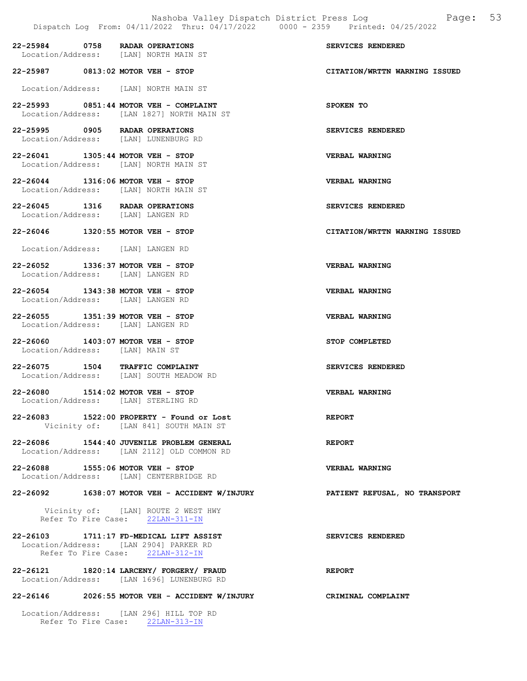|                                 | 22-25984 0758 RADAR OPERATIONS<br>Location/Address: [LAN] NORTH MAIN ST                                               | SERVICES RENDERED             |
|---------------------------------|-----------------------------------------------------------------------------------------------------------------------|-------------------------------|
|                                 | 22-25987 0813:02 MOTOR VEH - STOP                                                                                     | CITATION/WRTTN WARNING ISSUED |
|                                 | Location/Address: [LAN] NORTH MAIN ST                                                                                 |                               |
|                                 | 22-25993 0851:44 MOTOR VEH - COMPLAINT<br>Location/Address: [LAN 1827] NORTH MAIN ST                                  | SPOKEN TO                     |
|                                 | 22-25995 0905 RADAR OPERATIONS<br>Location/Address: [LAN] LUNENBURG RD                                                | SERVICES RENDERED             |
|                                 | 22-26041 1305:44 MOTOR VEH - STOP<br>Location/Address: [LAN] NORTH MAIN ST                                            | <b>VERBAL WARNING</b>         |
|                                 | 22-26044 1316:06 MOTOR VEH - STOP<br>Location/Address: [LAN] NORTH MAIN ST                                            | <b>VERBAL WARNING</b>         |
|                                 | 22-26045 1316 RADAR OPERATIONS<br>Location/Address: [LAN] LANGEN RD                                                   | SERVICES RENDERED             |
|                                 | 22-26046 1320:55 MOTOR VEH - STOP                                                                                     | CITATION/WRTTN WARNING ISSUED |
|                                 | Location/Address: [LAN] LANGEN RD                                                                                     |                               |
|                                 | 22-26052 1336:37 MOTOR VEH - STOP<br>Location/Address: [LAN] LANGEN RD                                                | <b>VERBAL WARNING</b>         |
|                                 | 22-26054 1343:38 MOTOR VEH - STOP<br>Location/Address: [LAN] LANGEN RD                                                | <b>VERBAL WARNING</b>         |
|                                 | 22-26055 1351:39 MOTOR VEH - STOP<br>Location/Address: [LAN] LANGEN RD                                                | <b>VERBAL WARNING</b>         |
| Location/Address: [LAN] MAIN ST | 22-26060 1403:07 MOTOR VEH - STOP                                                                                     | STOP COMPLETED                |
|                                 | 22-26075 1504 TRAFFIC COMPLAINT<br>Location/Address: [LAN] SOUTH MEADOW RD                                            | SERVICES RENDERED             |
|                                 | 22-26080 1514:02 MOTOR VEH - STOP<br>Location/Address: [LAN] STERLING RD                                              | VERBAL WARNING                |
|                                 | 22-26083 1522:00 PROPERTY - Found or Lost<br>Vicinity of: [LAN 841] SOUTH MAIN ST                                     | <b>REPORT</b>                 |
|                                 | 22-26086 1544:40 JUVENILE PROBLEM GENERAL<br>Location/Address: [LAN 2112] OLD COMMON RD                               | <b>REPORT</b>                 |
|                                 | 22-26088 1555:06 MOTOR VEH - STOP<br>Location/Address: [LAN] CENTERBRIDGE RD                                          | VERBAL WARNING                |
|                                 | 22-26092 1638:07 MOTOR VEH - ACCIDENT W/INJURY                                                                        | PATIENT REFUSAL, NO TRANSPORT |
|                                 | Vicinity of: [LAN] ROUTE 2 WEST HWY<br>Refer To Fire Case: 22LAN-311-IN                                               |                               |
|                                 | 22-26103 1711:17 FD-MEDICAL LIFT ASSIST<br>Location/Address: [LAN 2904] PARKER RD<br>Refer To Fire Case: 22LAN-312-IN | SERVICES RENDERED             |
|                                 | 22-26121 1820:14 LARCENY/ FORGERY/ FRAUD<br>Location/Address: [LAN 1696] LUNENBURG RD                                 | REPORT                        |
|                                 | 22-26146 2026:55 MOTOR VEH - ACCIDENT W/INJURY                                                                        | CRIMINAL COMPLAINT            |

 Location/Address: [LAN 296] HILL TOP RD Refer To Fire Case: 22LAN-313-IN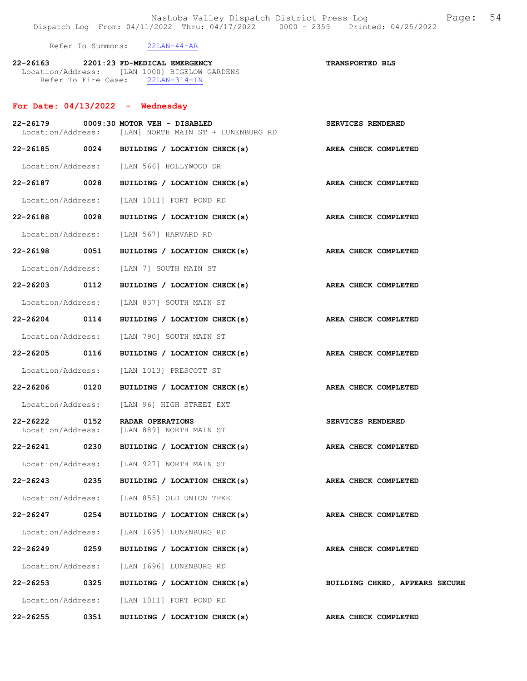Refer To Summons: 22LAN-44-AR

| 22-26163 |                     | 2201:23 FD-MEDICAL EMERGENCY |                                              | <b>TRANSPORTED BLS</b> |
|----------|---------------------|------------------------------|----------------------------------------------|------------------------|
|          |                     |                              | Location/Address: [LAN 1000] BIGELOW GARDENS |                        |
|          | Refer To Fire Case: |                              | $22$ LAN-314-IN                              |                        |

## For Date: 04/13/2022 - Wednesday

|                                   |      | 22-26179 0009:30 MOTOR VEH - DISABLED<br>Location/Address: [LAN] NORTH MAIN ST + LUNENBURG RD | SERVICES RENDERED              |
|-----------------------------------|------|-----------------------------------------------------------------------------------------------|--------------------------------|
|                                   |      | 22-26185 0024 BUILDING / LOCATION CHECK(s)                                                    | AREA CHECK COMPLETED           |
|                                   |      | Location/Address: [LAN 566] HOLLYWOOD DR                                                      |                                |
| 22-26187 0028                     |      | BUILDING / LOCATION CHECK(s)                                                                  | AREA CHECK COMPLETED           |
|                                   |      | Location/Address: [LAN 1011] FORT POND RD                                                     |                                |
| 22-26188 0028                     |      | BUILDING / LOCATION CHECK(s)                                                                  | AREA CHECK COMPLETED           |
|                                   |      | Location/Address: [LAN 567] HARVARD RD                                                        |                                |
| 22-26198 0051                     |      | BUILDING / LOCATION CHECK(s)                                                                  | AREA CHECK COMPLETED           |
|                                   |      | Location/Address: [LAN 7] SOUTH MAIN ST                                                       |                                |
| 22-26203 0112                     |      | BUILDING / LOCATION CHECK(s)                                                                  | <b>AREA CHECK COMPLETED</b>    |
|                                   |      | Location/Address: [LAN 837] SOUTH MAIN ST                                                     |                                |
|                                   |      | 22-26204 0114 BUILDING / LOCATION CHECK(s)                                                    | AREA CHECK COMPLETED           |
|                                   |      | Location/Address: [LAN 790] SOUTH MAIN ST                                                     |                                |
| 22-26205 0116                     |      | BUILDING / LOCATION CHECK(s)                                                                  | AREA CHECK COMPLETED           |
|                                   |      | Location/Address: [LAN 1013] PRESCOTT ST                                                      |                                |
| 22-26206                          | 0120 | BUILDING / LOCATION CHECK(s)                                                                  | AREA CHECK COMPLETED           |
|                                   |      | Location/Address: [LAN 96] HIGH STREET EXT                                                    |                                |
| $22 - 26222$<br>Location/Address: | 0152 | RADAR OPERATIONS<br>[LAN 889] NORTH MAIN ST                                                   | <b>SERVICES RENDERED</b>       |
| 22-26241                          | 0230 | BUILDING / LOCATION CHECK(s)                                                                  | AREA CHECK COMPLETED           |
|                                   |      | Location/Address: [LAN 927] NORTH MAIN ST                                                     |                                |
| 22-26243                          | 0235 | BUILDING / LOCATION CHECK(s)                                                                  | AREA CHECK COMPLETED           |
|                                   |      | Location/Address: [LAN 855] OLD UNION TPKE                                                    |                                |
| 22-26247                          |      | 0254 BUILDING / LOCATION CHECK(s)                                                             | AREA CHECK COMPLETED           |
|                                   |      | Location/Address: [LAN 1695] LUNENBURG RD                                                     |                                |
| 22-26249                          | 0259 | BUILDING / LOCATION CHECK(s)                                                                  | AREA CHECK COMPLETED           |
|                                   |      | Location/Address: [LAN 1696] LUNENBURG RD                                                     |                                |
| 22-26253 0325                     |      | BUILDING / LOCATION CHECK(s)                                                                  | BUILDING CHKED, APPEARS SECURE |
|                                   |      | Location/Address: [LAN 1011] FORT POND RD                                                     |                                |
| 22-26255                          | 0351 | BUILDING / LOCATION CHECK(s)                                                                  | AREA CHECK COMPLETED           |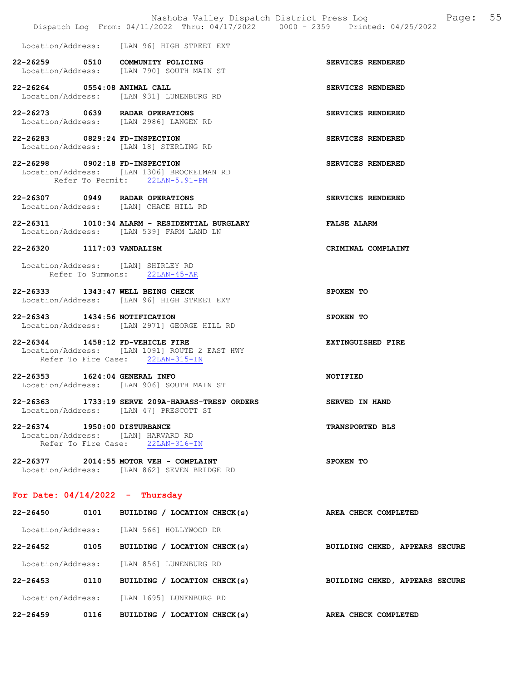|                                                                    | Nashoba Valley Dispatch District Press Log<br>Dispatch Log From: 04/11/2022 Thru: 04/17/2022 0000 - 2359 Printed: 04/25/2022 | Page: 55                       |
|--------------------------------------------------------------------|------------------------------------------------------------------------------------------------------------------------------|--------------------------------|
|                                                                    | Location/Address: [LAN 96] HIGH STREET EXT                                                                                   |                                |
| 22-26259 0510 COMMUNITY POLICING                                   | Location/Address: [LAN 790] SOUTH MAIN ST                                                                                    | SERVICES RENDERED              |
| 22-26264 0554:08 ANIMAL CALL                                       | Location/Address: [LAN 931] LUNENBURG RD                                                                                     | SERVICES RENDERED              |
| 22-26273 0639 RADAR OPERATIONS                                     | Location/Address: [LAN 2986] LANGEN RD                                                                                       | SERVICES RENDERED              |
| 22-26283 0829:24 FD-INSPECTION                                     | Location/Address: [LAN 18] STERLING RD                                                                                       | SERVICES RENDERED              |
| 22-26298 0902:18 FD-INSPECTION                                     | Location/Address: [LAN 1306] BROCKELMAN RD<br>Refer To Permit: 22LAN-5.91-PM                                                 | SERVICES RENDERED              |
| 22-26307 0949 RADAR OPERATIONS                                     | Location/Address: [LAN] CHACE HILL RD                                                                                        | SERVICES RENDERED              |
|                                                                    | 22-26311 1010:34 ALARM - RESIDENTIAL BURGLARY<br>Location/Address: [LAN 539] FARM LAND LN                                    | <b>FALSE ALARM</b>             |
| 22-26320 1117:03 VANDALISM                                         |                                                                                                                              | CRIMINAL COMPLAINT             |
| Location/Address: [LAN] SHIRLEY RD                                 | Refer To Summons: 22LAN-45-AR                                                                                                |                                |
| 22-26333 1343:47 WELL BEING CHECK                                  | Location/Address: [LAN 96] HIGH STREET EXT                                                                                   | SPOKEN TO                      |
| 22-26343 1434:56 NOTIFICATION                                      | Location/Address: [LAN 2971] GEORGE HILL RD                                                                                  | SPOKEN TO                      |
| 22-26344 1458:12 FD-VEHICLE FIRE                                   | Location/Address: [LAN 1091] ROUTE 2 EAST HWY<br>Refer To Fire Case: 22LAN-315-IN                                            | EXTINGUISHED FIRE              |
| 22-26353 1624:04 GENERAL INFO                                      | Location/Address: [LAN 906] SOUTH MAIN ST                                                                                    | NOTIFIED                       |
|                                                                    | 22-26363 1733:19 SERVE 209A-HARASS-TRESP ORDERS<br>Location/Address: [LAN 47] PRESCOTT ST                                    | <b>SERVED IN HAND</b>          |
| 22-26374 1950:00 DISTURBANCE<br>Location/Address: [LAN] HARVARD RD | Refer To Fire Case: 22LAN-316-IN                                                                                             | <b>TRANSPORTED BLS</b>         |
|                                                                    | 22-26377 2014:55 MOTOR VEH - COMPLAINT<br>Location/Address: [LAN 862] SEVEN BRIDGE RD                                        | SPOKEN TO                      |
| For Date: $04/14/2022 -$ Thursday                                  |                                                                                                                              |                                |
|                                                                    | 22-26450 0101 BUILDING / LOCATION CHECK(s)                                                                                   | AREA CHECK COMPLETED           |
|                                                                    | Location/Address: [LAN 566] HOLLYWOOD DR                                                                                     |                                |
| 22-26452                                                           | 0105 BUILDING / LOCATION CHECK(s)                                                                                            | BUILDING CHKED, APPEARS SECURE |
|                                                                    | Location/Address: [LAN 856] LUNENBURG RD                                                                                     |                                |
|                                                                    | 22-26453 0110 BUILDING / LOCATION CHECK(s)                                                                                   | BUILDING CHKED, APPEARS SECURE |
|                                                                    | Location/Address: [LAN 1695] LUNENBURG RD                                                                                    |                                |

22-26459 0116 BUILDING / LOCATION CHECK(s) AREA CHECK COMPLETED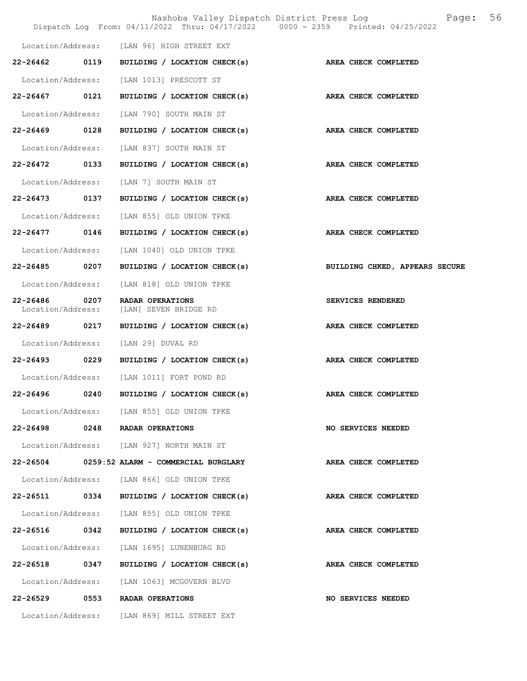|                                    |      | Nashoba Valley Dispatch District Press Log<br>Dispatch Log From: 04/11/2022 Thru: 04/17/2022 0000 - 2359 Printed: 04/25/2022 | Page:                          | 56 |
|------------------------------------|------|------------------------------------------------------------------------------------------------------------------------------|--------------------------------|----|
|                                    |      | Location/Address: [LAN 96] HIGH STREET EXT                                                                                   |                                |    |
|                                    |      | 22-26462 0119 BUILDING / LOCATION CHECK(s)                                                                                   | AREA CHECK COMPLETED           |    |
| Location/Address:                  |      | [LAN 1013] PRESCOTT ST                                                                                                       |                                |    |
| 22-26467 0121                      |      | BUILDING / LOCATION CHECK(s)                                                                                                 | AREA CHECK COMPLETED           |    |
| Location/Address:                  |      | [LAN 790] SOUTH MAIN ST                                                                                                      |                                |    |
| 22-26469 0128                      |      | BUILDING / LOCATION CHECK(s)                                                                                                 | AREA CHECK COMPLETED           |    |
| Location/Address:                  |      | [LAN 837] SOUTH MAIN ST                                                                                                      |                                |    |
| 22-26472 0133                      |      | BUILDING / LOCATION CHECK(s)                                                                                                 | AREA CHECK COMPLETED           |    |
| Location/Address:                  |      | [LAN 7] SOUTH MAIN ST                                                                                                        |                                |    |
| 22-26473                           | 0137 | BUILDING / LOCATION CHECK(s)                                                                                                 | AREA CHECK COMPLETED           |    |
| Location/Address:                  |      | [LAN 855] OLD UNION TPKE                                                                                                     |                                |    |
| 22-26477 0146                      |      | BUILDING / LOCATION CHECK(s)                                                                                                 | AREA CHECK COMPLETED           |    |
| Location/Address:                  |      | [LAN 1040] OLD UNION TPKE                                                                                                    |                                |    |
| 22-26485 0207                      |      | BUILDING / LOCATION CHECK(s)                                                                                                 | BUILDING CHKED, APPEARS SECURE |    |
| Location/Address:                  |      | [LAN 818] OLD UNION TPKE                                                                                                     |                                |    |
| 22-26486 0207<br>Location/Address: |      | RADAR OPERATIONS<br>[LAN] SEVEN BRIDGE RD                                                                                    | SERVICES RENDERED              |    |
| 22-26489 0217                      |      | BUILDING / LOCATION CHECK(s)                                                                                                 | AREA CHECK COMPLETED           |    |
| Location/Address:                  |      | [LAN 29] DUVAL RD                                                                                                            |                                |    |
| 22-26493 0229                      |      | BUILDING / LOCATION CHECK(s)                                                                                                 | AREA CHECK COMPLETED           |    |
| Location/Address:                  |      | [LAN 1011] FORT POND RD                                                                                                      |                                |    |
| 22-26496                           | 0240 | BUILDING / LOCATION CHECK(s)                                                                                                 | AREA CHECK COMPLETED           |    |
|                                    |      | Location/Address: [LAN 855] OLD UNION TPKE                                                                                   |                                |    |
|                                    |      | 22-26498 0248 RADAR OPERATIONS                                                                                               | <b>NO SERVICES NEEDED</b>      |    |
|                                    |      | Location/Address: [LAN 927] NORTH MAIN ST                                                                                    |                                |    |
|                                    |      | 22-26504 0259:52 ALARM - COMMERCIAL BURGLARY                                                                                 | AREA CHECK COMPLETED           |    |
|                                    |      | Location/Address: [LAN 866] OLD UNION TPKE                                                                                   |                                |    |
|                                    |      | 22-26511 0334 BUILDING / LOCATION CHECK(s)                                                                                   | <b>AREA CHECK COMPLETED</b>    |    |
|                                    |      | Location/Address: [LAN 855] OLD UNION TPKE                                                                                   |                                |    |
|                                    |      | 22-26516 0342 BUILDING / LOCATION CHECK(s)                                                                                   | AREA CHECK COMPLETED           |    |
|                                    |      | Location/Address: [LAN 1695] LUNENBURG RD                                                                                    |                                |    |
| 22-26518 0347                      |      | BUILDING / LOCATION CHECK(s)                                                                                                 | AREA CHECK COMPLETED           |    |
|                                    |      | Location/Address: [LAN 1063] MCGOVERN BLVD                                                                                   |                                |    |
|                                    |      | 22-26529 0553 RADAR OPERATIONS                                                                                               | <b>NO SERVICES NEEDED</b>      |    |
|                                    |      | Location/Address: [LAN 869] MILL STREET EXT                                                                                  |                                |    |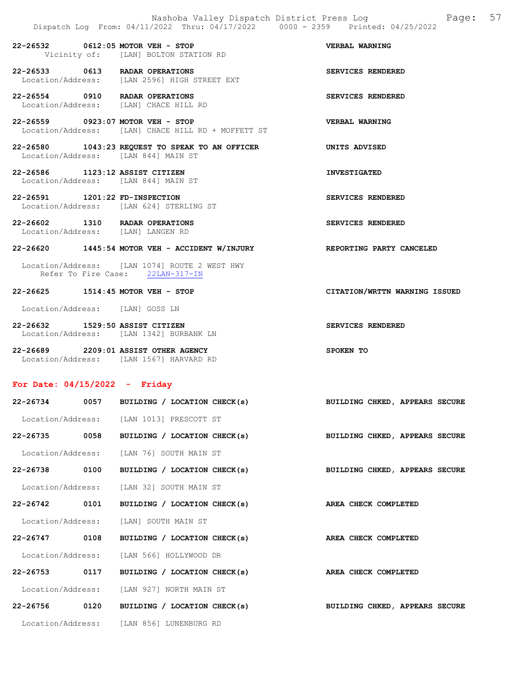22-26532 0612:05 MOTOR VEH - STOP VERBAL WARNING Vicinity of: [LAN] BOLTON STATION RD

22-26533 0613 RADAR OPERATIONS SERVICES RENDERED<br>Location/Address: [LAN 2596] HIGH STREET EXT Location/Address: [LAN 2596] HIGH STREET EXT

22-26554 0910 RADAR OPERATIONS SERVICES RENDERED Location/Address: [LAN] CHACE HILL RD

22-26559 0923:07 MOTOR VEH - STOP VERBAL WARNING Location/Address: [LAN] CHACE HILL RD + MOFFETT ST

22-26580 1043:23 REQUEST TO SPEAK TO AN OFFICER UNITS ADVISED Location/Address: [LAN 844] MAIN ST

22-26586 1123:12 ASSIST CITIZEN INVESTIGATED Location/Address: [LAN 844] MAIN ST

22-26591 1201:22 FD-INSPECTION SERVICES RENDERED Location/Address: [LAN 624] STERLING ST

22-26602 1310 RADAR OPERATIONS SERVICES RENDERED Location/Address: [LAN] LANGEN RD

#### 22-26620 1445:54 MOTOR VEH - ACCIDENT W/INJURY REPORTING PARTY CANCELED

 Location/Address: [LAN 1074] ROUTE 2 WEST HWY Refer To Fire Case: 22LAN-317-IN

#### 22-26625 1514:45 MOTOR VEH - STOP CITATION/WRTTN WARNING ISSUED

Location/Address: [LAN] GOSS LN

22-26632 1529:50 ASSIST CITIZEN SERVICES RENDERED Location/Address: [LAN 1342] BURBANK LN

22-26689 2209:01 ASSIST OTHER AGENCY SPOKEN TO Location/Address: [LAN 1567] HARVARD RD

#### For Date: 04/15/2022 - Friday

|               | 22-26734 0057 BUILDING / LOCATION CHECK(s) | BUILDING CHKED, APPEARS SECURE        |
|---------------|--------------------------------------------|---------------------------------------|
|               | Location/Address: [LAN 1013] PRESCOTT ST   |                                       |
|               | 22-26735 0058 BUILDING / LOCATION CHECK(s) | <b>BUILDING CHKED, APPEARS SECURE</b> |
|               | Location/Address: [LAN 76] SOUTH MAIN ST   |                                       |
| 22-26738 0100 | BUILDING / LOCATION CHECK(s)               | <b>BUILDING CHKED, APPEARS SECURE</b> |
|               | Location/Address: [LAN 32] SOUTH MAIN ST   |                                       |
| 22-26742 0101 | BUILDING / LOCATION CHECK(s)               | AREA CHECK COMPLETED                  |
|               | Location/Address: [LAN] SOUTH MAIN ST      |                                       |
|               | 22-26747 0108 BUILDING / LOCATION CHECK(s) | AREA CHECK COMPLETED                  |
|               | Location/Address: [LAN 566] HOLLYWOOD DR   |                                       |
|               | 22-26753 0117 BUILDING / LOCATION CHECK(s) | AREA CHECK COMPLETED                  |
|               | Location/Address: [LAN 927] NORTH MAIN ST  |                                       |
|               | 22-26756 0120 BUILDING / LOCATION CHECK(s) | BUILDING CHKED, APPEARS SECURE        |
|               | Location/Address: [LAN 856] LUNENBURG RD   |                                       |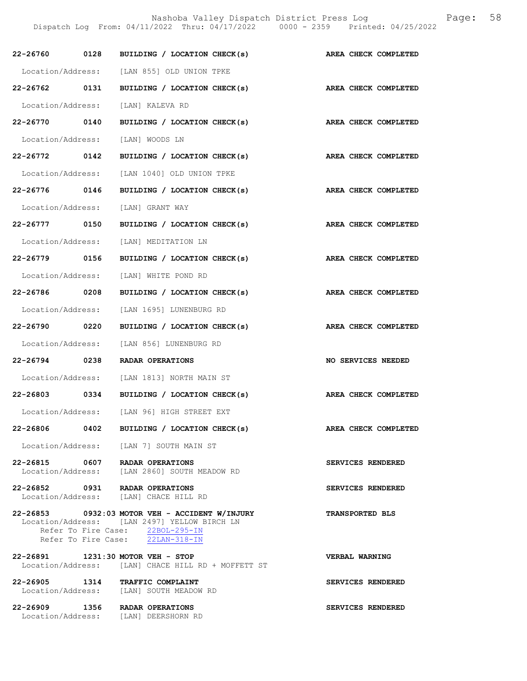|               |      | $22-26760$ 0128 BUILDING / LOCATION CHECK(s)                                                                                                                           | AREA CHECK COMPLETED   |
|---------------|------|------------------------------------------------------------------------------------------------------------------------------------------------------------------------|------------------------|
|               |      | Location/Address: [LAN 855] OLD UNION TPKE                                                                                                                             |                        |
| 22-26762 0131 |      | BUILDING / LOCATION CHECK(s)                                                                                                                                           | AREA CHECK COMPLETED   |
|               |      | Location/Address: [LAN] KALEVA RD                                                                                                                                      |                        |
| 22-26770 0140 |      | BUILDING / LOCATION CHECK(s)                                                                                                                                           | AREA CHECK COMPLETED   |
|               |      | Location/Address: [LAN] WOODS LN                                                                                                                                       |                        |
| 22-26772 0142 |      | BUILDING / LOCATION CHECK(s)                                                                                                                                           | AREA CHECK COMPLETED   |
|               |      | Location/Address: [LAN 1040] OLD UNION TPKE                                                                                                                            |                        |
| 22-26776 0146 |      | BUILDING / LOCATION CHECK(s)                                                                                                                                           | AREA CHECK COMPLETED   |
|               |      | Location/Address: [LAN] GRANT WAY                                                                                                                                      |                        |
| 22-26777 0150 |      | BUILDING / LOCATION CHECK(s)                                                                                                                                           | AREA CHECK COMPLETED   |
|               |      | Location/Address: [LAN] MEDITATION LN                                                                                                                                  |                        |
| 22-26779 0156 |      | BUILDING / LOCATION CHECK(s)                                                                                                                                           | AREA CHECK COMPLETED   |
|               |      | Location/Address: [LAN] WHITE POND RD                                                                                                                                  |                        |
| 22-26786 0208 |      | BUILDING / LOCATION CHECK(s)                                                                                                                                           | AREA CHECK COMPLETED   |
|               |      | Location/Address: [LAN 1695] LUNENBURG RD                                                                                                                              |                        |
| 22-26790 0220 |      | BUILDING / LOCATION CHECK(s)                                                                                                                                           | AREA CHECK COMPLETED   |
|               |      | Location/Address: [LAN 856] LUNENBURG RD                                                                                                                               |                        |
| 22-26794 0238 |      | RADAR OPERATIONS                                                                                                                                                       | NO SERVICES NEEDED     |
|               |      | Location/Address: [LAN 1813] NORTH MAIN ST                                                                                                                             |                        |
|               |      | 22-26803 0334 BUILDING / LOCATION CHECK(s)                                                                                                                             | AREA CHECK COMPLETED   |
|               |      | Location/Address: [LAN 96] HIGH STREET EXT                                                                                                                             |                        |
| 22-26806      | 0402 | BUILDING / LOCATION CHECK(s)                                                                                                                                           | AREA CHECK COMPLETED   |
|               |      | Location/Address: [LAN 7] SOUTH MAIN ST                                                                                                                                |                        |
|               |      | 22-26815 0607 RADAR OPERATIONS<br>Location/Address: [LAN 2860] SOUTH MEADOW RD                                                                                         | SERVICES RENDERED      |
|               |      | 22-26852 0931 RADAR OPERATIONS<br>Location/Address: [LAN] CHACE HILL RD                                                                                                | SERVICES RENDERED      |
|               |      | 22-26853 0932:03 MOTOR VEH - ACCIDENT W/INJURY<br>Location/Address: [LAN 2497] YELLOW BIRCH LN<br>Refer To Fire Case: 22BOL-295-IN<br>Refer To Fire Case: 22LAN-318-IN | <b>TRANSPORTED BLS</b> |
|               |      | 22-26891 1231:30 MOTOR VEH - STOP<br>Location/Address: [LAN] CHACE HILL RD + MOFFETT ST                                                                                | VERBAL WARNING         |
|               |      | 22-26905 1314 TRAFFIC COMPLAINT<br>Location/Address: [LAN] SOUTH MEADOW RD                                                                                             | SERVICES RENDERED      |
|               |      | 22-26909 1356 RADAR OPERATIONS<br>Location/Address: [LAN] DEERSHORN RD                                                                                                 | SERVICES RENDERED      |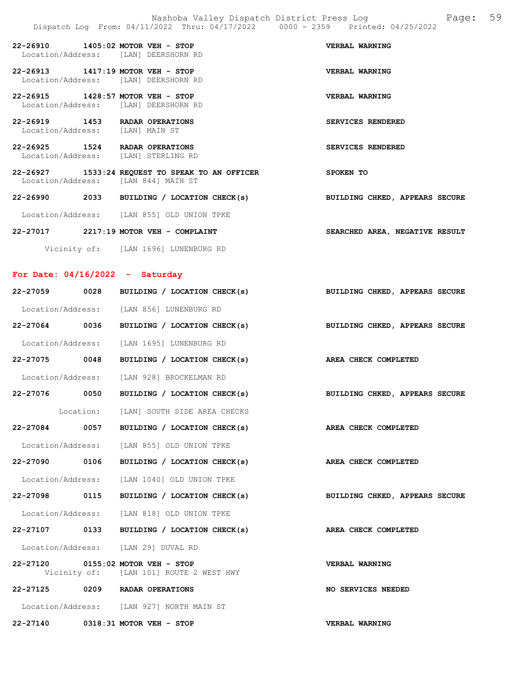22-26910 1405:02 MOTOR VEH - STOP VERBAL WARNING Location/Address: [LAN] DEERSHORN RD 22-26913 1417:19 MOTOR VEH - STOP VERBAL WARNING Location/Address: [LAN] DEERSHORN RD 22-26915 1428:57 MOTOR VEH - STOP VERBAL WARNING Location/Address: [LAN] DEERSHORN RD 22-26919 1453 RADAR OPERATIONS SERVICES RENDERED Location/Address: [LAN] MAIN ST 22-26925 1524 RADAR OPERATIONS SERVICES RENDERED Location/Address: [LAN] STERLING RD 22-26927 1533:24 REQUEST TO SPEAK TO AN OFFICER SPOKEN TO Location/Address: [LAN 844] MAIN ST 22-26990 2033 BUILDING / LOCATION CHECK(s) BUILDING CHKED, APPEARS SECURE

Location/Address: [LAN 855] OLD UNION TPKE

22-27017 2217:19 MOTOR VEH - COMPLAINT SEARCHED AREA, NEGATIVE RESULT

Vicinity of: [LAN 1696] LUNENBURG RD

#### For Date: 04/16/2022 - Saturday

| 22-27059 0028 | BUILDING / LOCATION CHECK(s)                                                 | BUILDING CHKED, APPEARS SECURE |
|---------------|------------------------------------------------------------------------------|--------------------------------|
|               | Location/Address: [LAN 856] LUNENBURG RD                                     |                                |
| 22-27064 0036 | BUILDING / LOCATION CHECK(s) BUILDING CHKED, APPEARS SECURE                  |                                |
|               | Location/Address: [LAN 1695] LUNENBURG RD                                    |                                |
| 22-27075 0048 | BUILDING / LOCATION CHECK(s) AREA CHECK COMPLETED                            |                                |
|               | Location/Address: [LAN 928] BROCKELMAN RD                                    |                                |
| 22-27076 0050 | BUILDING / LOCATION CHECK(s) BUILDING CHKED, APPEARS SECURE                  |                                |
|               | Location: [LAN] SOUTH SIDE AREA CHECKS                                       |                                |
| 22-27084 0057 | BUILDING / LOCATION CHECK(s) AREA CHECK COMPLETED                            |                                |
|               | Location/Address: [LAN 855] OLD UNION TPKE                                   |                                |
| 22-27090 0106 | BUILDING / LOCATION CHECK(s) AREA CHECK COMPLETED                            |                                |
|               | Location/Address: [LAN 1040] OLD UNION TPKE                                  |                                |
| 22-27098 0115 | BUILDING / LOCATION CHECK(s) BUILDING CHKED, APPEARS SECURE                  |                                |
|               | Location/Address: [LAN 818] OLD UNION TPKE                                   |                                |
|               | 22-27107 0133 BUILDING / LOCATION CHECK(s) AREA CHECK COMPLETED              |                                |
|               | Location/Address: [LAN 29] DUVAL RD                                          |                                |
|               | 22-27120 0155:02 MOTOR VEH - STOP<br>Vicinity of: [LAN 101] ROUTE 2 WEST HWY | <b>VERBAL WARNING</b>          |
|               | 22-27125 0209 RADAR OPERATIONS                                               | <b>NO SERVICES NEEDED</b>      |
|               | Location/Address: [LAN 927] NORTH MAIN ST                                    |                                |
|               | 22-27140 0318:31 MOTOR VEH - STOP                                            | <b>VERBAL WARNING</b>          |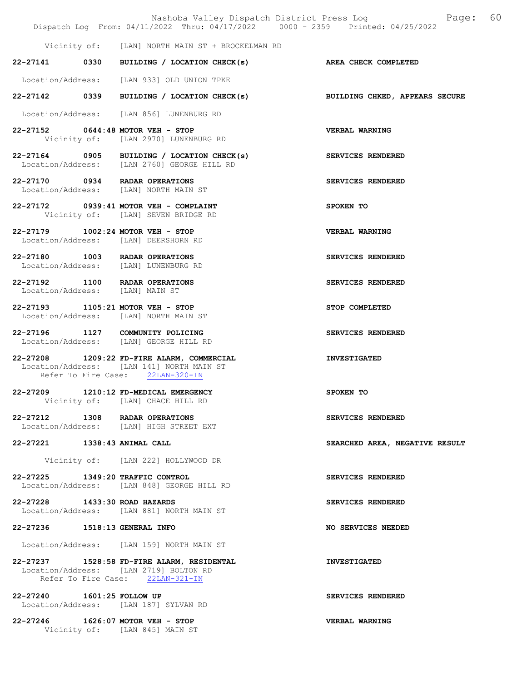|                               | Nashoba Valley Dispatch District Press Log<br>Dispatch Log From: 04/11/2022 Thru: 04/17/2022 0000 - 2359 Printed: 04/25/2022 | 60<br>Page:                    |
|-------------------------------|------------------------------------------------------------------------------------------------------------------------------|--------------------------------|
|                               | Vicinity of: [LAN] NORTH MAIN ST + BROCKELMAN RD                                                                             |                                |
|                               | 22-27141 0330 BUILDING / LOCATION CHECK(s)                                                                                   | AREA CHECK COMPLETED           |
|                               | Location/Address: [LAN 933] OLD UNION TPKE                                                                                   |                                |
|                               | 22-27142 0339 BUILDING / LOCATION CHECK(s) BUILDING CHKED, APPEARS SECURE                                                    |                                |
|                               | Location/Address: [LAN 856] LUNENBURG RD                                                                                     |                                |
|                               | 22-27152 0644:48 MOTOR VEH - STOP<br>Vicinity of: [LAN 2970] LUNENBURG RD                                                    | <b>VERBAL WARNING</b>          |
|                               | 22-27164 0905 BUILDING / LOCATION CHECK(s)<br>Location/Address: [LAN 2760] GEORGE HILL RD                                    | SERVICES RENDERED              |
|                               | 22-27170 0934 RADAR OPERATIONS<br>Location/Address: [LAN] NORTH MAIN ST                                                      | SERVICES RENDERED              |
|                               | 22-27172 0939:41 MOTOR VEH - COMPLAINT<br>Vicinity of: [LAN] SEVEN BRIDGE RD                                                 | SPOKEN TO                      |
|                               | 22-27179 1002:24 MOTOR VEH - STOP<br>Location/Address: [LAN] DEERSHORN RD                                                    | VERBAL WARNING                 |
|                               | 22-27180 1003 RADAR OPERATIONS<br>Location/Address: [LAN] LUNENBURG RD                                                       | SERVICES RENDERED              |
|                               | 22-27192 1100 RADAR OPERATIONS<br>Location/Address: [LAN] MAIN ST                                                            | SERVICES RENDERED              |
|                               | 22-27193 1105:21 MOTOR VEH - STOP<br>Location/Address: [LAN] NORTH MAIN ST                                                   | STOP COMPLETED                 |
|                               | 22-27196 1127 COMMUNITY POLICING<br>Location/Address: [LAN] GEORGE HILL RD                                                   | SERVICES RENDERED              |
|                               | 22-27208 1209:22 FD-FIRE ALARM, COMMERCIAL<br>Location/Address: [LAN 141] NORTH MAIN ST<br>Refer To Fire Case: 22LAN-320-IN  | <b>INVESTIGATED</b>            |
|                               | 22-27209 1210:12 FD-MEDICAL EMERGENCY<br>Vicinity of: [LAN] CHACE HILL RD                                                    | SPOKEN TO                      |
|                               | 22-27212 1308 RADAR OPERATIONS<br>Location/Address: [LAN] HIGH STREET EXT                                                    | SERVICES RENDERED              |
| 22-27221 1338:43 ANIMAL CALL  |                                                                                                                              | SEARCHED AREA, NEGATIVE RESULT |
|                               | Vicinity of: [LAN 222] HOLLYWOOD DR                                                                                          |                                |
|                               | 22-27225 1349:20 TRAFFIC CONTROL<br>Location/Address: [LAN 848] GEORGE HILL RD                                               | SERVICES RENDERED              |
| 22-27228 1433:30 ROAD HAZARDS | Location/Address: [LAN 881] NORTH MAIN ST                                                                                    | SERVICES RENDERED              |
| 22-27236 1518:13 GENERAL INFO |                                                                                                                              | NO SERVICES NEEDED             |
|                               | Location/Address: [LAN 159] NORTH MAIN ST                                                                                    |                                |
|                               | 22-27237 1528:58 FD-FIRE ALARM, RESIDENTAL<br>Location/Address: [LAN 2719] BOLTON RD<br>Refer To Fire Case: 22LAN-321-IN     | <b>INVESTIGATED</b>            |
| 22-27240 1601:25 FOLLOW UP    | Location/Address: [LAN 187] SYLVAN RD                                                                                        | SERVICES RENDERED              |
|                               | 22-27246 1626:07 MOTOR VEH - STOP                                                                                            | VERBAL WARNING                 |

Vicinity of: [LAN 845] MAIN ST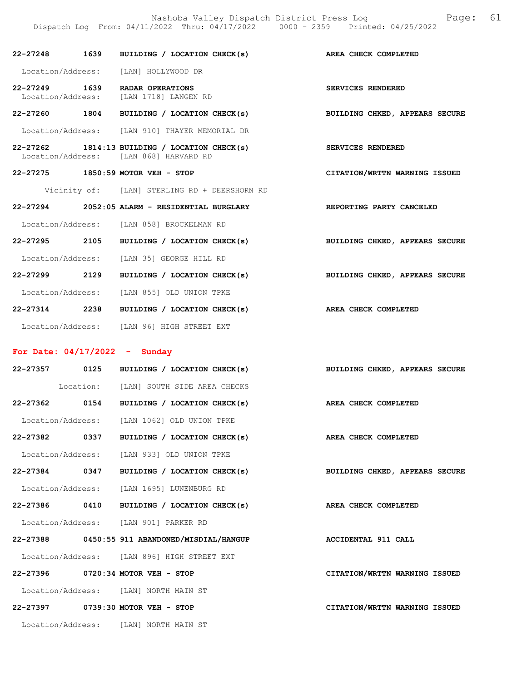22-27248 1639 BUILDING / LOCATION CHECK(s) AREA CHECK COMPLETED Location/Address: [LAN] HOLLYWOOD DR 22-27249 1639 RADAR OPERATIONS SERVICES RENDERED Location/Address: [LAN 1718] LANGEN RD 22-27260 1804 BUILDING / LOCATION CHECK(s) BUILDING CHKED, APPEARS SECURE Location/Address: [LAN 910] THAYER MEMORIAL DR 22-27262 1814:13 BUILDING / LOCATION CHECK(s) SERVICES RENDERED Location/Address: [LAN 868] HARVARD RD 22-27275 1850:59 MOTOR VEH - STOP CITATION/WRTTN WARNING ISSUED Vicinity of: [LAN] STERLING RD + DEERSHORN RD 22-27294 2052:05 ALARM - RESIDENTIAL BURGLARY REPORTING PARTY CANCELED Location/Address: [LAN 858] BROCKELMAN RD 22-27295 2105 BUILDING / LOCATION CHECK(s) BUILDING CHKED, APPEARS SECURE Location/Address: [LAN 35] GEORGE HILL RD 22-27299 2129 BUILDING / LOCATION CHECK(s) BUILDING CHKED, APPEARS SECURE Location/Address: [LAN 855] OLD UNION TPKE 22-27314 2238 BUILDING / LOCATION CHECK(s) AREA CHECK COMPLETED Location/Address: [LAN 96] HIGH STREET EXT

#### For Date: 04/17/2022 - Sunday

|               | 22-27357 0125 BUILDING / LOCATION CHECK(s)        | BUILDING CHKED, APPEARS SECURE |
|---------------|---------------------------------------------------|--------------------------------|
|               | Location: [LAN] SOUTH SIDE AREA CHECKS            |                                |
| 22-27362 0154 | BUILDING / LOCATION CHECK(s) AREA CHECK COMPLETED |                                |
|               | Location/Address: [LAN 1062] OLD UNION TPKE       |                                |
| 22-27382 0337 | BUILDING / LOCATION CHECK(s) AREA CHECK COMPLETED |                                |
|               | Location/Address: [LAN 933] OLD UNION TPKE        |                                |
| 22-27384 0347 | BUILDING / LOCATION CHECK(s)                      | BUILDING CHKED, APPEARS SECURE |
|               | Location/Address: [LAN 1695] LUNENBURG RD         |                                |
| 22-27386 0410 | BUILDING / LOCATION CHECK(s)                      | AREA CHECK COMPLETED           |
|               | Location/Address: [LAN 901] PARKER RD             |                                |
|               | 22-27388 0450:55 911 ABANDONED/MISDIAL/HANGUP     | ACCIDENTAL 911 CALL            |
|               | Location/Address: [LAN 896] HIGH STREET EXT       |                                |
|               | 22-27396 0720:34 MOTOR VEH - STOP                 | CITATION/WRTTN WARNING ISSUED  |
|               | Location/Address: [LAN] NORTH MAIN ST             |                                |
|               | 22-27397 0739:30 MOTOR VEH - STOP                 | CITATION/WRTTN WARNING ISSUED  |
|               | Location/Address: [LAN] NORTH MAIN ST             |                                |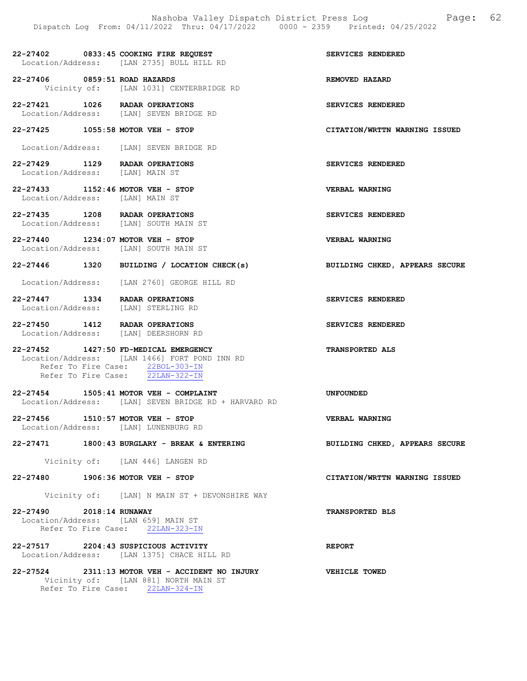22-27402 0833:45 COOKING FIRE REQUEST SERVICES RENDERED Location/Address: [LAN 2735] BULL HILL RD

22-27406 0859:51 ROAD HAZARDS<br>Vicinity of: [LAN 1031] CENTERBRIDGE RD<br>REMOVED HAZARD [LAN 1031] CENTERBRIDGE RD

22-27421 1026 RADAR OPERATIONS SERVICES RENDERED Location/Address: [LAN] SEVEN BRIDGE RD

22-27425 1055:58 MOTOR VEH - STOP CITATION/WRTTN WARNING ISSUED

Location/Address: [LAN] SEVEN BRIDGE RD

22-27429 1129 RADAR OPERATIONS SERVICES RENDERED Location/Address: [LAN] MAIN ST

22-27433 1152:46 MOTOR VEH - STOP CONSIDER VERBAL WARNING<br>
Location/Address: [LAN] MAIN ST Location/Address:

22-27435 1208 RADAR OPERATIONS SERVICES RENDERED Location/Address: [LAN] SOUTH MAIN ST

22-27440 1234:07 MOTOR VEH - STOP VERBAL WARNING Location/Address: [LAN] SOUTH MAIN ST

22-27446 1320 BUILDING / LOCATION CHECK(s) BUILDING CHKED, APPEARS SECURE

Location/Address: [LAN 2760] GEORGE HILL RD

22-27447 1334 RADAR OPERATIONS SERVICES RENDERED Location/Address: [LAN] STERLING RD

22-27450 1412 RADAR OPERATIONS SERVICES RENDERED Location/Address: [LAN] DEERSHORN RD

22-27452 1427:50 FD-MEDICAL EMERGENCY TRANSPORTED ALS Location/Address: [LAN 1466] FORT POND INN RD Refer To Fire Case: 22BOL-303-IN Refer To Fire Case: 22LAN-322-IN

22-27454 1505:41 MOTOR VEH - COMPLAINT UNFOUNDED Location/Address: [LAN] SEVEN BRIDGE RD + HARVARD RD

22-27456 1510:57 MOTOR VEH - STOP VERBAL WARNING Location/Address: [LAN] LUNENBURG RD

22-27471 1800:43 BURGLARY - BREAK & ENTERING BUILDING CHKED, APPEARS SECURE

Vicinity of: [LAN 446] LANGEN RD

22-27480 1906:36 MOTOR VEH - STOP CITATION/WRTTN WARNING ISSUED

Vicinity of: [LAN] N MAIN ST + DEVONSHIRE WAY

22-27490 2018:14 RUNAWAY TRANSPORTED BLS Location/Address: [LAN 659] MAIN ST Refer To Fire Case: 22LAN-323-IN

22-27517 2204:43 SUSPICIOUS ACTIVITY REPORT Location/Address: [LAN 1375] CHACE HILL RD

22-27524 2311:13 MOTOR VEH - ACCIDENT NO INJURY VEHICLE TOWED Vicinity of: [LAN 881] NORTH MAIN ST Refer To Fire Case: 22LAN-324-IN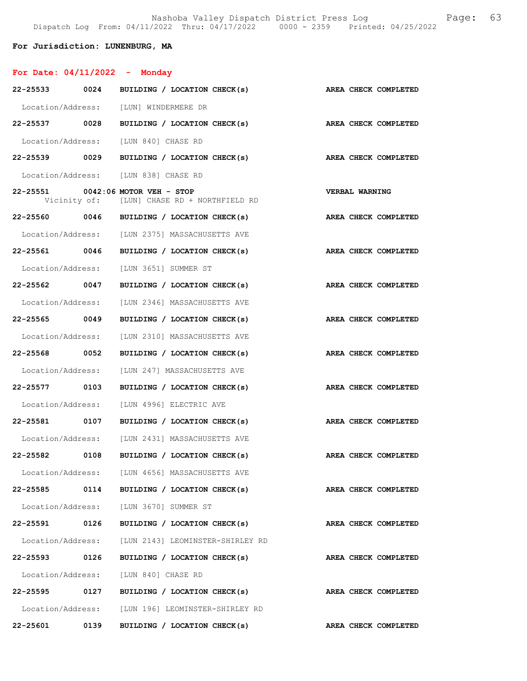## For Jurisdiction: LUNENBURG, MA

# For Date: 04/11/2022 - Monday

| 22-25533 0024 |      | BUILDING / LOCATION CHECK(s)                                                     | AREA CHECK COMPLETED        |  |
|---------------|------|----------------------------------------------------------------------------------|-----------------------------|--|
|               |      | Location/Address: [LUN] WINDERMERE DR                                            |                             |  |
| 22-25537 0028 |      | BUILDING / LOCATION CHECK(s)                                                     | AREA CHECK COMPLETED        |  |
|               |      | Location/Address: [LUN 840] CHASE RD                                             |                             |  |
| 22-25539 0029 |      | BUILDING / LOCATION CHECK(s)                                                     | AREA CHECK COMPLETED        |  |
|               |      | Location/Address: [LUN 838] CHASE RD                                             |                             |  |
|               |      | 22-25551 0042:06 MOTOR VEH - STOP<br>Vicinity of: [LUN] CHASE RD + NORTHFIELD RD | <b>VERBAL WARNING</b>       |  |
|               |      | $22-25560$ 0046 BUILDING / LOCATION CHECK(s)                                     | AREA CHECK COMPLETED        |  |
|               |      | Location/Address: [LUN 2375] MASSACHUSETTS AVE                                   |                             |  |
| 22-25561 0046 |      | BUILDING / LOCATION CHECK(s)                                                     | <b>AREA CHECK COMPLETED</b> |  |
|               |      | Location/Address: [LUN 3651] SUMMER ST                                           |                             |  |
| 22-25562 0047 |      | BUILDING / LOCATION CHECK(s)                                                     | AREA CHECK COMPLETED        |  |
|               |      | Location/Address: [LUN 2346] MASSACHUSETTS AVE                                   |                             |  |
| 22-25565 0049 |      | BUILDING / LOCATION CHECK(s)                                                     | AREA CHECK COMPLETED        |  |
|               |      | Location/Address: [LUN 2310] MASSACHUSETTS AVE                                   |                             |  |
| 22-25568 0052 |      | BUILDING / LOCATION CHECK(s)                                                     | AREA CHECK COMPLETED        |  |
|               |      | Location/Address: [LUN 247] MASSACHUSETTS AVE                                    |                             |  |
| 22-25577 0103 |      | BUILDING / LOCATION CHECK(s)                                                     | AREA CHECK COMPLETED        |  |
|               |      | Location/Address: [LUN 4996] ELECTRIC AVE                                        |                             |  |
| 22-25581 0107 |      | BUILDING / LOCATION CHECK(s)                                                     | AREA CHECK COMPLETED        |  |
|               |      | Location/Address: [LUN 2431] MASSACHUSETTS AVE                                   |                             |  |
| 22-25582 0108 |      | BUILDING / LOCATION CHECK(s)                                                     | AREA CHECK COMPLETED        |  |
|               |      | Location/Address: [LUN 4656] MASSACHUSETTS AVE                                   |                             |  |
| 22-25585 0114 |      | BUILDING / LOCATION CHECK(s)                                                     | AREA CHECK COMPLETED        |  |
|               |      | Location/Address: [LUN 3670] SUMMER ST                                           |                             |  |
| 22-25591      | 0126 | BUILDING / LOCATION CHECK(s)                                                     | AREA CHECK COMPLETED        |  |
|               |      | Location/Address: [LUN 2143] LEOMINSTER-SHIRLEY RD                               |                             |  |
| 22-25593 0126 |      | BUILDING / LOCATION CHECK(s)                                                     | AREA CHECK COMPLETED        |  |
|               |      | Location/Address: [LUN 840] CHASE RD                                             |                             |  |
|               |      | $22-25595$ 0127 BUILDING / LOCATION CHECK(s)                                     | AREA CHECK COMPLETED        |  |
|               |      | Location/Address: [LUN 196] LEOMINSTER-SHIRLEY RD                                |                             |  |
| 22-25601      | 0139 | BUILDING / LOCATION CHECK(s)                                                     | AREA CHECK COMPLETED        |  |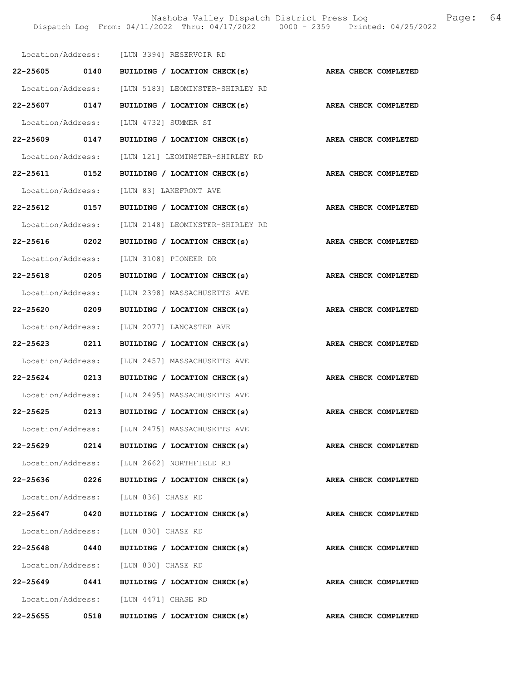Nashoba Valley Dispatch District Press Log Fage: 64 Dispatch Log From: 04/11/2022 Thru: 04/17/2022 0000 - 2359 Printed: 04/25/2022

|                   | Location/Address: [LUN 3394] RESERVOIR RD          |                      |
|-------------------|----------------------------------------------------|----------------------|
| 22-25605 0140     | BUILDING / LOCATION CHECK(s)                       | AREA CHECK COMPLETED |
|                   | Location/Address: [LUN 5183] LEOMINSTER-SHIRLEY RD |                      |
| 22-25607 0147     | BUILDING / LOCATION CHECK(s)                       | AREA CHECK COMPLETED |
|                   | Location/Address: [LUN 4732] SUMMER ST             |                      |
| 22-25609 0147     | BUILDING / LOCATION CHECK(s)                       | AREA CHECK COMPLETED |
| Location/Address: | [LUN 121] LEOMINSTER-SHIRLEY RD                    |                      |
| 22-25611 0152     | BUILDING / LOCATION CHECK(s)                       | AREA CHECK COMPLETED |
|                   | Location/Address: [LUN 83] LAKEFRONT AVE           |                      |
| 22-25612 0157     | BUILDING / LOCATION CHECK(s)                       | AREA CHECK COMPLETED |
|                   | Location/Address: [LUN 2148] LEOMINSTER-SHIRLEY RD |                      |
| 22-25616 0202     | BUILDING / LOCATION CHECK(s)                       | AREA CHECK COMPLETED |
| Location/Address: | [LUN 3108] PIONEER DR                              |                      |
| 22-25618 0205     | BUILDING / LOCATION CHECK(s)                       | AREA CHECK COMPLETED |
|                   | Location/Address: [LUN 2398] MASSACHUSETTS AVE     |                      |
| 22-25620 0209     | BUILDING / LOCATION CHECK(s)                       | AREA CHECK COMPLETED |
|                   | Location/Address: [LUN 2077] LANCASTER AVE         |                      |
| 22-25623 0211     | BUILDING / LOCATION CHECK(s)                       | AREA CHECK COMPLETED |
| Location/Address: | [LUN 2457] MASSACHUSETTS AVE                       |                      |
| 22-25624 0213     | BUILDING / LOCATION CHECK(s)                       | AREA CHECK COMPLETED |
|                   | Location/Address: [LUN 2495] MASSACHUSETTS AVE     |                      |
| 22-25625 0213     | BUILDING / LOCATION CHECK(s)                       | AREA CHECK COMPLETED |
|                   | Location/Address: [LUN 2475] MASSACHUSETTS AVE     |                      |
| 22-25629 0214     | BUILDING / LOCATION CHECK(s)                       | AREA CHECK COMPLETED |
|                   | Location/Address: [LUN 2662] NORTHFIELD RD         |                      |
| 22-25636 0226     | BUILDING / LOCATION CHECK(s)                       | AREA CHECK COMPLETED |
|                   | Location/Address: [LUN 836] CHASE RD               |                      |
|                   | 22-25647 0420 BUILDING / LOCATION CHECK(s)         | AREA CHECK COMPLETED |
|                   | Location/Address: [LUN 830] CHASE RD               |                      |
|                   | 22-25648 0440 BUILDING / LOCATION CHECK(s)         | AREA CHECK COMPLETED |
|                   | Location/Address: [LUN 830] CHASE RD               |                      |
| 22-25649 0441     | BUILDING / LOCATION CHECK(s)                       | AREA CHECK COMPLETED |
|                   | Location/Address: [LUN 4471] CHASE RD              |                      |
| 22-25655 0518     | BUILDING / LOCATION CHECK(s)                       | AREA CHECK COMPLETED |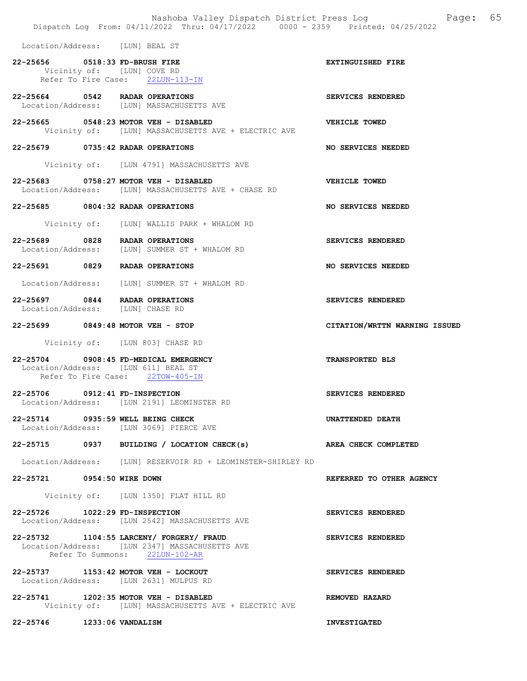|                                  | Nashoba Valley Dispatch District Press Log<br>Dispatch Log From: 04/11/2022 Thru: 04/17/2022 0000 - 2359 Printed: 04/25/2022 | 65<br>Page:                   |
|----------------------------------|------------------------------------------------------------------------------------------------------------------------------|-------------------------------|
| Location/Address: [LUN] BEAL ST  |                                                                                                                              |                               |
| 22-25656 0518:33 FD-BRUSH FIRE   |                                                                                                                              | EXTINGUISHED FIRE             |
|                                  | Vicinity of: [LUN] COVE RD<br>Refer To Fire Case: 22LUN-113-IN                                                               |                               |
|                                  | 22-25664 0542 RADAR OPERATIONS<br>Location/Address: [LUN] MASSACHUSETTS AVE                                                  | SERVICES RENDERED             |
|                                  | 22-25665 0548:23 MOTOR VEH - DISABLED<br>Vicinity of: [LUN] MASSACHUSETTS AVE + ELECTRIC AVE                                 | VEHICLE TOWED                 |
|                                  | 22-25679 0735:42 RADAR OPERATIONS                                                                                            | NO SERVICES NEEDED            |
|                                  | Vicinity of: [LUN 4791] MASSACHUSETTS AVE                                                                                    |                               |
|                                  | 22-25683 0758:27 MOTOR VEH - DISABLED<br>Location/Address: [LUN] MASSACHUSETTS AVE + CHASE RD                                | VEHICLE TOWED                 |
|                                  | 22-25685 0804:32 RADAR OPERATIONS                                                                                            | NO SERVICES NEEDED            |
|                                  | Vicinity of: [LUN] WALLIS PARK + WHALOM RD                                                                                   |                               |
|                                  | 22-25689 0828 RADAR OPERATIONS<br>Location/Address: [LUN] SUMMER ST + WHALOM RD                                              | SERVICES RENDERED             |
|                                  | 22-25691 0829 RADAR OPERATIONS                                                                                               | NO SERVICES NEEDED            |
|                                  | Location/Address: [LUN] SUMMER ST + WHALOM RD                                                                                |                               |
| Location/Address: [LUN] CHASE RD | 22-25697 0844 RADAR OPERATIONS                                                                                               | SERVICES RENDERED             |
|                                  | 22-25699 0849:48 MOTOR VEH - STOP                                                                                            | CITATION/WRTTN WARNING ISSUED |
|                                  | Vicinity of: [LUN 803] CHASE RD                                                                                              |                               |
|                                  | 22-25704 0908:45 FD-MEDICAL EMERGENCY<br>Location/Address: [LUN 611] BEAL ST<br>Refer To Fire Case: 22TOW-405-IN             | <b>TRANSPORTED BLS</b>        |
| 22-25706                         | 0912:41 FD-INSPECTION<br>Location/Address: [LUN 2191] LEOMINSTER RD                                                          | SERVICES RENDERED             |
|                                  | 22-25714 0935:59 WELL BEING CHECK<br>Location/Address: [LUN 3069] PIERCE AVE                                                 | UNATTENDED DEATH              |
|                                  | 22-25715 0937 BUILDING / LOCATION CHECK(s) AREA CHECK COMPLETED                                                              |                               |
|                                  | Location/Address: [LUN] RESERVOIR RD + LEOMINSTER-SHIRLEY RD                                                                 |                               |
| 22-25721 0954:50 WIRE DOWN       |                                                                                                                              | REFERRED TO OTHER AGENCY      |
|                                  | Vicinity of: [LUN 1350] FLAT HILL RD                                                                                         |                               |
| 22-25726 1022:29 FD-INSPECTION   | Location/Address: [LUN 2542] MASSACHUSETTS AVE                                                                               | SERVICES RENDERED             |
|                                  | 22-25732 1104:55 LARCENY/ FORGERY/ FRAUD<br>Location/Address: [LUN 2347] MASSACHUSETTS AVE<br>Refer To Summons: 22LUN-102-AR | SERVICES RENDERED             |
|                                  | 22-25737 1153:42 MOTOR VEH - LOCKOUT<br>Location/Address: [LUN 2631] MULPUS RD                                               | SERVICES RENDERED             |
|                                  | 22-25741 1202:35 MOTOR VEH - DISABLED<br>Vicinity of: [LUN] MASSACHUSETTS AVE + ELECTRIC AVE                                 | REMOVED HAZARD                |
| 22-25746 1233:06 VANDALISM       |                                                                                                                              | <b>INVESTIGATED</b>           |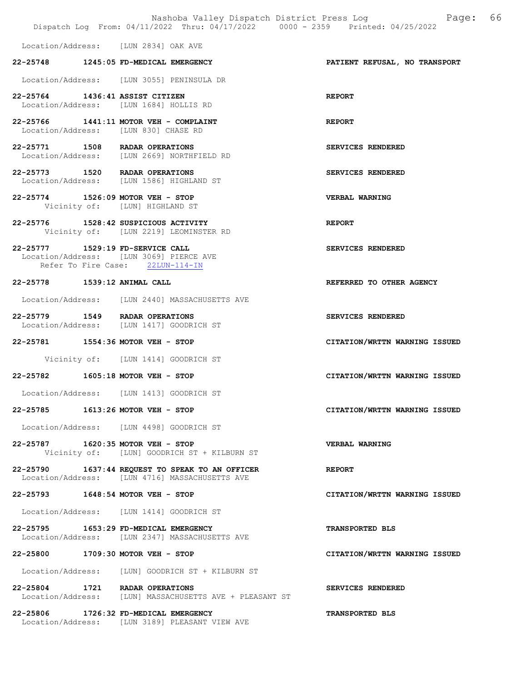|                                  | Nashoba Valley Dispatch District Press Log<br>Dispatch Log From: 04/11/2022 Thru: 04/17/2022 0000 - 2359 Printed: 04/25/2022 | 66<br>Page:                   |
|----------------------------------|------------------------------------------------------------------------------------------------------------------------------|-------------------------------|
|                                  | Location/Address: [LUN 2834] OAK AVE                                                                                         |                               |
|                                  | 22-25748 1245:05 FD-MEDICAL EMERGENCY                                                                                        | PATIENT REFUSAL, NO TRANSPORT |
|                                  | Location/Address: [LUN 3055] PENINSULA DR                                                                                    |                               |
| 22-25764 1436:41 ASSIST CITIZEN  | Location/Address: [LUN 1684] HOLLIS RD                                                                                       | <b>REPORT</b>                 |
|                                  | 22-25766 1441:11 MOTOR VEH - COMPLAINT<br>Location/Address: [LUN 830] CHASE RD                                               | <b>REPORT</b>                 |
|                                  | 22-25771 1508 RADAR OPERATIONS<br>Location/Address: [LUN 2669] NORTHFIELD RD                                                 | SERVICES RENDERED             |
|                                  | 22-25773 1520 RADAR OPERATIONS<br>Location/Address: [LUN 1586] HIGHLAND ST                                                   | SERVICES RENDERED             |
|                                  | 22-25774 1526:09 MOTOR VEH - STOP<br>Vicinity of: [LUN] HIGHLAND ST                                                          | VERBAL WARNING                |
| 22-25776                         | 1528:42 SUSPICIOUS ACTIVITY<br>Vicinity of: [LUN 2219] LEOMINSTER RD                                                         | <b>REPORT</b>                 |
| 22-25777 1529:19 FD-SERVICE CALL | Location/Address: [LUN 3069] PIERCE AVE<br>Refer To Fire Case: 22LUN-114-IN                                                  | SERVICES RENDERED             |
| 22-25778                         | 1539:12 ANIMAL CALL                                                                                                          | REFERRED TO OTHER AGENCY      |
|                                  | Location/Address: [LUN 2440] MASSACHUSETTS AVE                                                                               |                               |
|                                  | 22-25779 1549 RADAR OPERATIONS<br>Location/Address: [LUN 1417] GOODRICH ST                                                   | SERVICES RENDERED             |
|                                  | 22-25781 1554:36 MOTOR VEH - STOP                                                                                            | CITATION/WRTTN WARNING ISSUED |
|                                  | Vicinity of: [LUN 1414] GOODRICH ST                                                                                          |                               |
| 22-25782                         | $1605:18$ MOTOR VEH - STOP                                                                                                   | CITATION/WRTTN WARNING ISSUED |
|                                  | Location/Address: [LUN 1413] GOODRICH ST                                                                                     |                               |
| 22-25785                         | $1613:26$ MOTOR VEH - STOP                                                                                                   | CITATION/WRTTN WARNING ISSUED |
|                                  | Location/Address: [LUN 4498] GOODRICH ST                                                                                     |                               |
|                                  | 22-25787 1620:35 MOTOR VEH - STOP<br>Vicinity of: [LUN] GOODRICH ST + KILBURN ST                                             | <b>VERBAL WARNING</b>         |
|                                  | 22-25790 1637:44 REQUEST TO SPEAK TO AN OFFICER<br>Location/Address: [LUN 4716] MASSACHUSETTS AVE                            | <b>REPORT</b>                 |
| 22-25793                         | $1648:54$ MOTOR VEH - STOP                                                                                                   | CITATION/WRTTN WARNING ISSUED |
|                                  | Location/Address: [LUN 1414] GOODRICH ST                                                                                     |                               |
|                                  | 22-25795 1653:29 FD-MEDICAL EMERGENCY<br>Location/Address: [LUN 2347] MASSACHUSETTS AVE                                      | <b>TRANSPORTED BLS</b>        |
|                                  | 22-25800 1709:30 MOTOR VEH - STOP                                                                                            | CITATION/WRTTN WARNING ISSUED |
|                                  | Location/Address: [LUN] GOODRICH ST + KILBURN ST                                                                             |                               |
|                                  | 22-25804 1721 RADAR OPERATIONS<br>Location/Address: [LUN] MASSACHUSETTS AVE + PLEASANT ST                                    | SERVICES RENDERED             |
|                                  | 22-25806 1726:32 FD-MEDICAL EMERGENCY<br>Location/Address: [LUN 3189] PLEASANT VIEW AVE                                      | <b>TRANSPORTED BLS</b>        |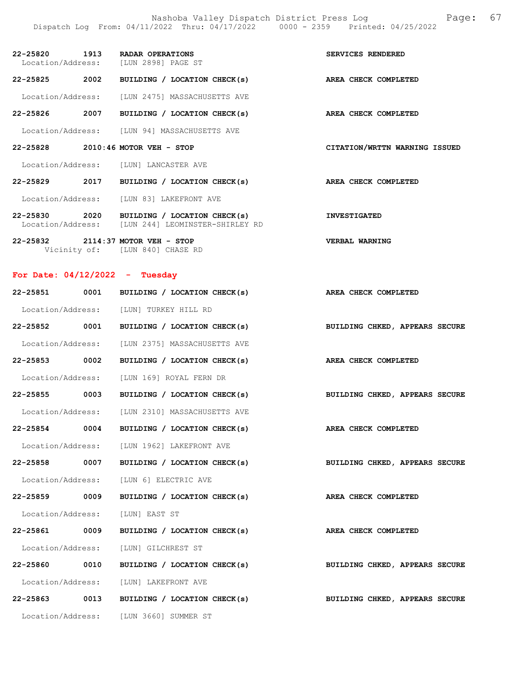Nashoba Valley Dispatch District Press Log Fage: 67 Dispatch Log From: 04/11/2022 Thru: 04/17/2022 0000 - 2359 Printed: 04/25/2022

|               |      | 22-25820 1913 RADAR OPERATIONS<br>Location/Address: [LUN 2898] PAGE ST            | SERVICES RENDERED             |
|---------------|------|-----------------------------------------------------------------------------------|-------------------------------|
| 22-25825      | 2002 | BUILDING / LOCATION CHECK(s)                                                      | AREA CHECK COMPLETED          |
|               |      | Location/Address: [LUN 2475] MASSACHUSETTS AVE                                    |                               |
| 22-25826      | 2007 | BUILDING / LOCATION CHECK(s)                                                      | AREA CHECK COMPLETED          |
|               |      | Location/Address: [LUN 94] MASSACHUSETTS AVE                                      |                               |
| 22-25828      |      | $2010:46$ MOTOR VEH - STOP                                                        | CITATION/WRTTN WARNING ISSUED |
|               |      | Location/Address: [LUN] LANCASTER AVE                                             |                               |
| $22 - 25829$  | 2017 | BUILDING / LOCATION CHECK(s)                                                      | AREA CHECK COMPLETED          |
|               |      | Location/Address: [LUN 83] LAKEFRONT AVE                                          |                               |
|               |      |                                                                                   |                               |
| 22-25830 2020 |      | BUILDING / LOCATION CHECK(s)<br>Location/Address: [LUN 244] LEOMINSTER-SHIRLEY RD | <b>INVESTIGATED</b>           |

## For Date: 04/12/2022 - Tuesday

Vicinity of: [LUN 840] CHASE RD

| 22-25851 0001 | BUILDING / LOCATION CHECK(s)                                                | AREA CHECK COMPLETED           |
|---------------|-----------------------------------------------------------------------------|--------------------------------|
|               | Location/Address: [LUN] TURKEY HILL RD                                      |                                |
|               | 22-25852 0001 BUILDING / LOCATION CHECK(s) BUILDING CHKED, APPEARS SECURE   |                                |
|               | Location/Address: [LUN 2375] MASSACHUSETTS AVE                              |                                |
| 22-25853 0002 | BUILDING / LOCATION CHECK(s)                                                | AREA CHECK COMPLETED           |
|               | Location/Address: [LUN 169] ROYAL FERN DR                                   |                                |
| 22-25855 0003 | BUILDING / LOCATION CHECK(s)                                                | BUILDING CHKED, APPEARS SECURE |
|               | Location/Address: [LUN 2310] MASSACHUSETTS AVE                              |                                |
| 22-25854 0004 | BUILDING / LOCATION CHECK(s) AREA CHECK COMPLETED                           |                                |
|               | Location/Address: [LUN 1962] LAKEFRONT AVE                                  |                                |
| 22-25858 0007 | BUILDING / LOCATION CHECK(s) BUILDING CHKED, APPEARS SECURE                 |                                |
|               | Location/Address: [LUN 6] ELECTRIC AVE                                      |                                |
| 22-25859 0009 | BUILDING / LOCATION CHECK(s) AREA CHECK COMPLETED                           |                                |
|               | Location/Address: [LUN] EAST ST                                             |                                |
| 22-25861 0009 | BUILDING / LOCATION CHECK(s) AREA CHECK COMPLETED                           |                                |
|               | Location/Address: [LUN] GILCHREST ST                                        |                                |
| 22-25860 0010 | BUILDING / LOCATION CHECK(s)                                                | BUILDING CHKED, APPEARS SECURE |
|               | Location/Address: [LUN] LAKEFRONT AVE                                       |                                |
|               | $22-25863$ 0013 BUILDING / LOCATION CHECK(s) BUILDING CHKED, APPEARS SECURE |                                |
|               | Location/Address: [LUN 3660] SUMMER ST                                      |                                |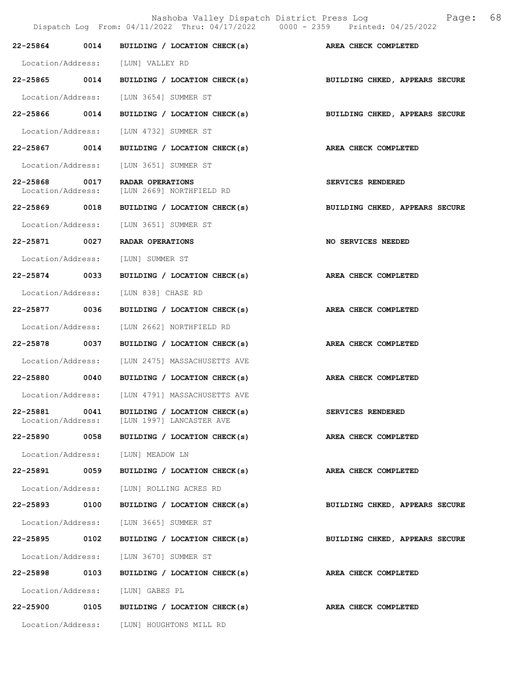|                                    |      | Dispatch Log From: 04/11/2022 Thru: 04/17/2022 0000 - 2359 Printed: 04/25/2022 | 68<br>Nashoba Valley Dispatch District Press Log Nashoba Valley Dispatch District Press Log |  |
|------------------------------------|------|--------------------------------------------------------------------------------|---------------------------------------------------------------------------------------------|--|
| 22-25864 0014                      |      | BUILDING / LOCATION CHECK(s) AREA CHECK COMPLETED                              |                                                                                             |  |
|                                    |      | Location/Address: [LUN] VALLEY RD                                              |                                                                                             |  |
|                                    |      | 22-25865 0014 BUILDING / LOCATION CHECK(s)                                     | BUILDING CHKED, APPEARS SECURE                                                              |  |
| Location/Address:                  |      | [LUN 3654] SUMMER ST                                                           |                                                                                             |  |
| 22-25866 0014                      |      | BUILDING / LOCATION CHECK(s)                                                   | BUILDING CHKED, APPEARS SECURE                                                              |  |
|                                    |      | Location/Address: [LUN 4732] SUMMER ST                                         |                                                                                             |  |
| 22-25867 0014                      |      | BUILDING / LOCATION CHECK(s) AREA CHECK COMPLETED                              |                                                                                             |  |
| Location/Address:                  |      | [LUN 3651] SUMMER ST                                                           |                                                                                             |  |
| 22-25868 0017<br>Location/Address: |      | RADAR OPERATIONS<br>[LUN 2669] NORTHFIELD RD                                   | SERVICES RENDERED                                                                           |  |
| 22-25869 0018                      |      | BUILDING / LOCATION CHECK(s)                                                   | BUILDING CHKED, APPEARS SECURE                                                              |  |
| Location/Address:                  |      | [LUN 3651] SUMMER ST                                                           |                                                                                             |  |
| 22-25871 0027                      |      | RADAR OPERATIONS                                                               | NO SERVICES NEEDED                                                                          |  |
| Location/Address:                  |      | [LUN] SUMMER ST                                                                |                                                                                             |  |
| 22-25874 0033                      |      | BUILDING / LOCATION CHECK(s)                                                   | AREA CHECK COMPLETED                                                                        |  |
| Location/Address:                  |      | [LUN 838] CHASE RD                                                             |                                                                                             |  |
| 22-25877 0036                      |      | BUILDING / LOCATION CHECK(s)                                                   | AREA CHECK COMPLETED                                                                        |  |
| Location/Address:                  |      | [LUN 2662] NORTHFIELD RD                                                       |                                                                                             |  |
| 22-25878 0037                      |      | BUILDING / LOCATION CHECK(s)                                                   | AREA CHECK COMPLETED                                                                        |  |
|                                    |      | Location/Address: [LUN 2475] MASSACHUSETTS AVE                                 |                                                                                             |  |
|                                    |      | 22-25880 0040 BUILDING / LOCATION CHECK(s)                                     | AREA CHECK COMPLETED                                                                        |  |
|                                    |      | Location/Address: [LUN 4791] MASSACHUSETTS AVE                                 |                                                                                             |  |
| 22-25881<br>Location/Address:      | 0041 | BUILDING / LOCATION CHECK(s)<br>[LUN 1997] LANCASTER AVE                       | SERVICES RENDERED                                                                           |  |
| 22-25890 0058                      |      | BUILDING / LOCATION CHECK(s)                                                   | AREA CHECK COMPLETED                                                                        |  |
| Location/Address:                  |      | [LUN] MEADOW LN                                                                |                                                                                             |  |
| 22-25891                           | 0059 | BUILDING / LOCATION CHECK(s)                                                   | AREA CHECK COMPLETED                                                                        |  |
| Location/Address:                  |      | [LUN] ROLLING ACRES RD                                                         |                                                                                             |  |
| 22-25893 0100                      |      | BUILDING / LOCATION CHECK(s)                                                   | BUILDING CHKED, APPEARS SECURE                                                              |  |
| Location/Address:                  |      | [LUN 3665] SUMMER ST                                                           |                                                                                             |  |
| 22-25895 0102                      |      | BUILDING / LOCATION CHECK(s)                                                   | BUILDING CHKED, APPEARS SECURE                                                              |  |
| Location/Address:                  |      | [LUN 3670] SUMMER ST                                                           |                                                                                             |  |
| 22-25898                           | 0103 | BUILDING / LOCATION CHECK(s)                                                   | AREA CHECK COMPLETED                                                                        |  |
| Location/Address:                  |      | [LUN] GABES PL                                                                 |                                                                                             |  |
| 22-25900                           | 0105 | BUILDING / LOCATION CHECK(s)                                                   | AREA CHECK COMPLETED                                                                        |  |
|                                    |      | Location/Address: [LUN] HOUGHTONS MILL RD                                      |                                                                                             |  |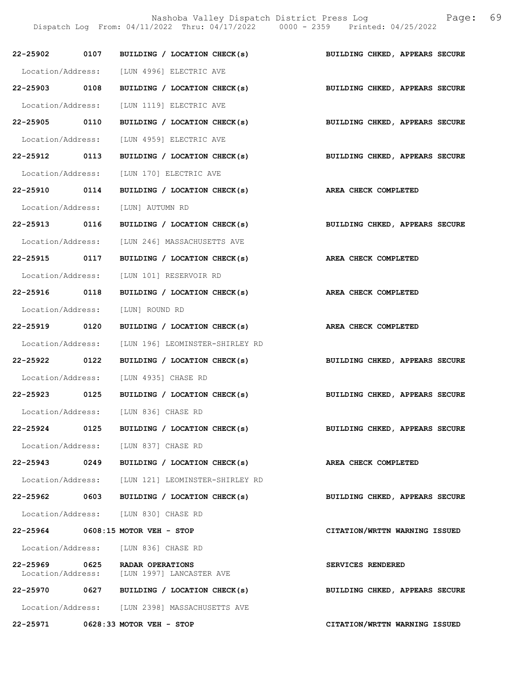Nashoba Valley Dispatch District Press Log Fage: 69 Dispatch Log From: 04/11/2022 Thru: 04/17/2022 0000 - 2359 Printed: 04/25/2022

|          |      | 22-25902 0107 BUILDING / LOCATION CHECK(s) BUILDING CHKED, APPEARS SECURE    |                                |
|----------|------|------------------------------------------------------------------------------|--------------------------------|
|          |      | Location/Address: [LUN 4996] ELECTRIC AVE                                    |                                |
|          |      | 22-25903 0108 BUILDING / LOCATION CHECK(s) BUILDING CHKED, APPEARS SECURE    |                                |
|          |      | Location/Address: [LUN 1119] ELECTRIC AVE                                    |                                |
|          |      | 22-25905 0110 BUILDING / LOCATION CHECK(s)                                   | BUILDING CHKED, APPEARS SECURE |
|          |      | Location/Address: [LUN 4959] ELECTRIC AVE                                    |                                |
|          |      | 22-25912 0113 BUILDING / LOCATION CHECK(s) BUILDING CHKED, APPEARS SECURE    |                                |
|          |      | Location/Address: [LUN 170] ELECTRIC AVE                                     |                                |
|          |      | 22-25910 0114 BUILDING / LOCATION CHECK(s)                                   | AREA CHECK COMPLETED           |
|          |      | Location/Address: [LUN] AUTUMN RD                                            |                                |
|          |      | 22-25913 0116 BUILDING / LOCATION CHECK(s)                                   | BUILDING CHKED, APPEARS SECURE |
|          |      | Location/Address: [LUN 246] MASSACHUSETTS AVE                                |                                |
|          |      | 22-25915 0117 BUILDING / LOCATION CHECK(s) AREA CHECK COMPLETED              |                                |
|          |      | Location/Address: [LUN 101] RESERVOIR RD                                     |                                |
|          |      | 22-25916 0118 BUILDING / LOCATION CHECK(s)                                   | AREA CHECK COMPLETED           |
|          |      | Location/Address: [LUN] ROUND RD                                             |                                |
|          |      | 22-25919 0120 BUILDING / LOCATION CHECK(s) AREA CHECK COMPLETED              |                                |
|          |      | Location/Address: [LUN 196] LEOMINSTER-SHIRLEY RD                            |                                |
|          |      | 22-25922 0122 BUILDING / LOCATION CHECK(s) BUILDING CHKED, APPEARS SECURE    |                                |
|          |      | Location/Address: [LUN 4935] CHASE RD                                        |                                |
|          |      | 22-25923 0125 BUILDING / LOCATION CHECK(s) BUILDING CHKED, APPEARS SECURE    |                                |
|          |      | Location/Address: [LUN 836] CHASE RD                                         |                                |
| 22-25924 | 0125 | BUILDING / LOCATION CHECK(s)                                                 | BUILDING CHKED, APPEARS SECURE |
|          |      | Location/Address: [LUN 837] CHASE RD                                         |                                |
|          |      | 22-25943 0249 BUILDING / LOCATION CHECK(s) AREA CHECK COMPLETED              |                                |
|          |      | Location/Address: [LUN 121] LEOMINSTER-SHIRLEY RD                            |                                |
|          |      | $22-25962$ 0603 BUILDING / LOCATION CHECK(s)                                 | BUILDING CHKED, APPEARS SECURE |
|          |      | Location/Address: [LUN 830] CHASE RD                                         |                                |
|          |      | 22-25964 0608:15 MOTOR VEH - STOP                                            | CITATION/WRTTN WARNING ISSUED  |
|          |      | Location/Address: [LUN 836] CHASE RD                                         |                                |
|          |      | 22-25969 0625 RADAR OPERATIONS<br>Location/Address: [LUN 1997] LANCASTER AVE | SERVICES RENDERED              |
|          |      | 22-25970 0627 BUILDING / LOCATION CHECK(s)                                   | BUILDING CHKED, APPEARS SECURE |
|          |      | Location/Address: [LUN 2398] MASSACHUSETTS AVE                               |                                |
|          |      | 22-25971 0628:33 MOTOR VEH - STOP                                            | CITATION/WRTTN WARNING ISSUED  |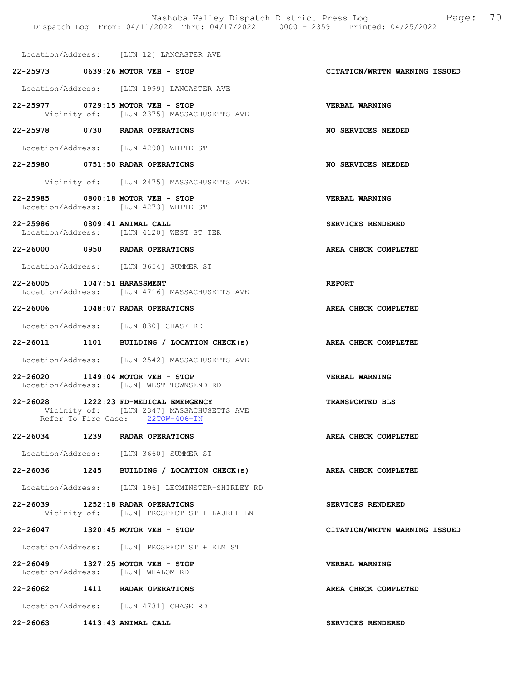Nashoba Valley Dispatch District Press Log Fage: 70 Dispatch Log From: 04/11/2022 Thru: 04/17/2022 0000 - 2359 Printed: 04/25/2022

Location/Address: [LUN 12] LANCASTER AVE

### 22-25973 0639:26 MOTOR VEH - STOP CITATION/WRTTN WARNING ISSUED

Location/Address: [LUN 1999] LANCASTER AVE

- 22-25977 0729:15 MOTOR VEH STOP VERBAL WARNING Vicinity of: [LUN 2375] MASSACHUSETTS AVE
- 22-25978 0730 RADAR OPERATIONS NO SERVICES NEEDED

Location/Address: [LUN 4290] WHITE ST

- 22-25980 0751:50 RADAR OPERATIONS NO SERVICES NEEDED
	- Vicinity of: [LUN 2475] MASSACHUSETTS AVE
- 22-25985 0800:18 MOTOR VEH STOP VERBAL WARNING Location/Address: [LUN 4273] WHITE ST
- 22-25986 0809:41 ANIMAL CALL SERVICES RENDERED Location/Address: [LUN 4120] WEST ST TER
- 22-26000 0950 RADAR OPERATIONS AREA CHECK COMPLETED
- Location/Address: [LUN 3654] SUMMER ST
- 22-26005 1047:51 HARASSMENT Location/Address: [LUN 4716] MASSACHUSETTS AVE Location/Address: [LUN 4716] MASSACHUSETTS AVE
- 22-26006 1048:07 RADAR OPERATIONS AREA CHECK COMPLETED

Location/Address: [LUN 830] CHASE RD

- 22-26011 1101 BUILDING / LOCATION CHECK(s) AREA CHECK COMPLETED
- Location/Address: [LUN 2542] MASSACHUSETTS AVE
- 22-26020 1149:04 MOTOR VEH STOP VERBAL WARNING Location/Address: [LUN] WEST TOWNSEND RD
- 22-26028 1222:23 FD-MEDICAL EMERGENCY TRANSPORTED BLS Vicinity of: [LUN 2347] MASSACHUSETTS AVE<br>Refer To Fire Case: 22TOW-406-IN Refer To Fire Case:
- 22-26034 1239 RADAR OPERATIONS AREA CHECK COMPLETED

Location/Address: [LUN 3660] SUMMER ST

- 22-26036 1245 BUILDING / LOCATION CHECK(s) AREA CHECK COMPLETED
- Location/Address: [LUN 196] LEOMINSTER-SHIRLEY RD
- 22-26039 1252:18 RADAR OPERATIONS SERVICES RENDERED Vicinity of: [LUN] PROSPECT ST + LAUREL LN
- 22-26047 1320:45 MOTOR VEH STOP CITATION/WRTTN WARNING ISSUED

Location/Address: [LUN] PROSPECT ST + ELM ST

22-26049 1327:25 MOTOR VEH - STOP VERBAL WARNING Location/Address: [LUN] WHALOM RD

22-26062 1411 RADAR OPERATIONS AREA CHECK COMPLETED

Location/Address: [LUN 4731] CHASE RD

22-26063 1413:43 ANIMAL CALL SERVICES RENDERED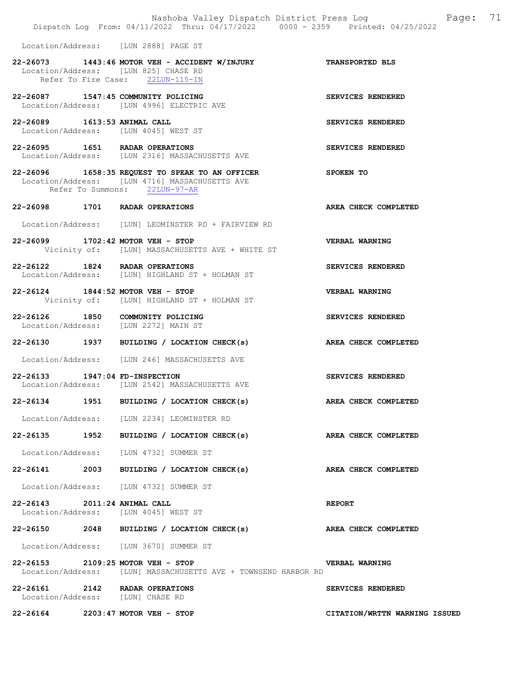|                                                                          | Nashoba Valley Dispatch District Press Log Nashoba Valley Dispatch District Press Log<br>Dispatch Log From: 04/11/2022 Thru: 04/17/2022 0000 - 2359 Printed: 04/25/2022 | 71                    |
|--------------------------------------------------------------------------|-------------------------------------------------------------------------------------------------------------------------------------------------------------------------|-----------------------|
| Location/Address: [LUN 2888] PAGE ST                                     |                                                                                                                                                                         |                       |
| Location/Address: [LUN 825] CHASE RD                                     | 22-26073 1443:46 MOTOR VEH - ACCIDENT W/INJURY<br>Refer To Fire Case: 22LUN-115-IN                                                                                      | TRANSPORTED BLS       |
| 22-26087 1547:45 COMMUNITY POLICING                                      | Location/Address: [LUN 4996] ELECTRIC AVE                                                                                                                               | SERVICES RENDERED     |
| 22-26089 1613:53 ANIMAL CALL                                             | Location/Address: [LUN 4045] WEST ST                                                                                                                                    | SERVICES RENDERED     |
| 22-26095 1651 RADAR OPERATIONS                                           | Location/Address: [LUN 2316] MASSACHUSETTS AVE                                                                                                                          | SERVICES RENDERED     |
|                                                                          | 22-26096 1658:35 REQUEST TO SPEAK TO AN OFFICER<br>Location/Address: [LUN 4716] MASSACHUSETTS AVE<br>Refer To Summons: 22LUN-97-AR                                      | SPOKEN TO             |
| 22-26098 1701 RADAR OPERATIONS                                           |                                                                                                                                                                         | AREA CHECK COMPLETED  |
|                                                                          | Location/Address: [LUN] LEOMINSTER RD + FAIRVIEW RD                                                                                                                     |                       |
| 22-26099 1702:42 MOTOR VEH - STOP                                        | Vicinity of: [LUN] MASSACHUSETTS AVE + WHITE ST                                                                                                                         | VERBAL WARNING        |
| 22-26122 1824 RADAR OPERATIONS                                           | Location/Address: [LUN] HIGHLAND ST + HOLMAN ST                                                                                                                         | SERVICES RENDERED     |
| 22-26124 1844:52 MOTOR VEH - STOP                                        | Vicinity of: [LUN] HIGHLAND ST + HOLMAN ST                                                                                                                              | <b>VERBAL WARNING</b> |
| 22-26126 1850 COMMUNITY POLICING<br>Location/Address: [LUN 2272] MAIN ST |                                                                                                                                                                         | SERVICES RENDERED     |
|                                                                          | 22-26130 1937 BUILDING / LOCATION CHECK(s)                                                                                                                              | AREA CHECK COMPLETED  |
|                                                                          | Location/Address: [LUN 246] MASSACHUSETTS AVE                                                                                                                           |                       |
| 22-26133 1947:04 FD-INSPECTION                                           | Location/Address: [LUN 2542] MASSACHUSETTS AVE                                                                                                                          | SERVICES RENDERED     |
| 22-26134<br>1951                                                         | BUILDING / LOCATION CHECK(s)                                                                                                                                            | AREA CHECK COMPLETED  |
|                                                                          | Location/Address: [LUN 2234] LEOMINSTER RD                                                                                                                              |                       |
|                                                                          | 22-26135 1952 BUILDING / LOCATION CHECK(s)                                                                                                                              | AREA CHECK COMPLETED  |
| Location/Address: [LUN 4732] SUMMER ST                                   |                                                                                                                                                                         |                       |
| 22-26141                                                                 | 2003 BUILDING / LOCATION CHECK(s)                                                                                                                                       | AREA CHECK COMPLETED  |
|                                                                          | Location/Address: [LUN 4732] SUMMER ST                                                                                                                                  |                       |
| 22-26143 2011:24 ANIMAL CALL<br>Location/Address: [LUN 4045] WEST ST     |                                                                                                                                                                         | <b>REPORT</b>         |
|                                                                          | 22-26150 2048 BUILDING / LOCATION CHECK(s)                                                                                                                              | AREA CHECK COMPLETED  |
|                                                                          | Location/Address: [LUN 3670] SUMMER ST                                                                                                                                  |                       |
| 22-26153 2109:25 MOTOR VEH - STOP                                        | Location/Address: [LUN] MASSACHUSETTS AVE + TOWNSEND HARBOR RD                                                                                                          | <b>VERBAL WARNING</b> |
| 22-26161 2142 RADAR OPERATIONS<br>Location/Address: [LUN] CHASE RD       |                                                                                                                                                                         | SERVICES RENDERED     |

22-26164 2203:47 MOTOR VEH - STOP CITATION/WRTTN WARNING ISSUED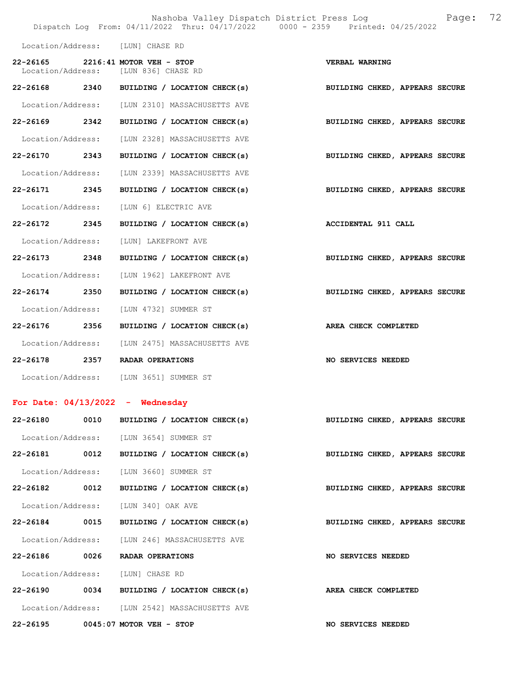|                                  |      |                                                                           | Nashoba Valley Dispatch District Press Log Bage:<br>Dispatch Log From: 04/11/2022 Thru: 04/17/2022 0000 - 2359 Printed: 04/25/2022 | 72 |
|----------------------------------|------|---------------------------------------------------------------------------|------------------------------------------------------------------------------------------------------------------------------------|----|
| Location/Address: [LUN] CHASE RD |      |                                                                           |                                                                                                                                    |    |
|                                  |      | 22-26165 2216:41 MOTOR VEH - STOP<br>Location/Address: [LUN 836] CHASE RD | VERBAL WARNING                                                                                                                     |    |
|                                  |      | 22-26168 2340 BUILDING / LOCATION CHECK(s)                                | BUILDING CHKED, APPEARS SECURE                                                                                                     |    |
|                                  |      | Location/Address: [LUN 2310] MASSACHUSETTS AVE                            |                                                                                                                                    |    |
|                                  |      | 22-26169 2342 BUILDING / LOCATION CHECK(s)                                | BUILDING CHKED, APPEARS SECURE                                                                                                     |    |
| Location/Address:                |      | [LUN 2328] MASSACHUSETTS AVE                                              |                                                                                                                                    |    |
| 22-26170 2343                    |      | BUILDING / LOCATION CHECK(s)                                              | BUILDING CHKED, APPEARS SECURE                                                                                                     |    |
| Location/Address:                |      | [LUN 2339] MASSACHUSETTS AVE                                              |                                                                                                                                    |    |
| 22-26171 2345                    |      | BUILDING / LOCATION CHECK(s)                                              | BUILDING CHKED, APPEARS SECURE                                                                                                     |    |
| Location/Address:                |      | [LUN 6] ELECTRIC AVE                                                      |                                                                                                                                    |    |
| 22-26172 2345                    |      | BUILDING / LOCATION CHECK(s)                                              | <b>ACCIDENTAL 911 CALL</b>                                                                                                         |    |
| Location/Address:                |      | [LUN] LAKEFRONT AVE                                                       |                                                                                                                                    |    |
| 22-26173 2348                    |      | BUILDING / LOCATION CHECK(s)                                              | BUILDING CHKED, APPEARS SECURE                                                                                                     |    |
| Location/Address:                |      | [LUN 1962] LAKEFRONT AVE                                                  |                                                                                                                                    |    |
| 22-26174 2350                    |      | BUILDING / LOCATION CHECK(s)                                              | BUILDING CHKED, APPEARS SECURE                                                                                                     |    |
| Location/Address:                |      | [LUN 4732] SUMMER ST                                                      |                                                                                                                                    |    |
| 22-26176 2356                    |      | BUILDING / LOCATION CHECK(s)                                              | AREA CHECK COMPLETED                                                                                                               |    |
| Location/Address:                |      | [LUN 2475] MASSACHUSETTS AVE                                              |                                                                                                                                    |    |
|                                  |      | 22-26178 2357 RADAR OPERATIONS                                            | NO SERVICES NEEDED                                                                                                                 |    |
|                                  |      | Location/Address: [LUN 3651] SUMMER ST                                    |                                                                                                                                    |    |
|                                  |      | For Date: $04/13/2022 -$ Wednesday                                        |                                                                                                                                    |    |
| 22-26180 0010                    |      | BUILDING / LOCATION CHECK(s)                                              | BUILDING CHKED, APPEARS SECURE                                                                                                     |    |
|                                  |      | Location/Address: [LUN 3654] SUMMER ST                                    |                                                                                                                                    |    |
|                                  |      | 22-26181 0012 BUILDING / LOCATION CHECK(s)                                | BUILDING CHKED, APPEARS SECURE                                                                                                     |    |
|                                  |      | Location/Address: [LUN 3660] SUMMER ST                                    |                                                                                                                                    |    |
| 22-26182 0012                    |      | BUILDING / LOCATION CHECK(s)                                              | BUILDING CHKED, APPEARS SECURE                                                                                                     |    |
|                                  |      | Location/Address: [LUN 340] OAK AVE                                       |                                                                                                                                    |    |
| 22-26184                         | 0015 | BUILDING / LOCATION CHECK(s)                                              | BUILDING CHKED, APPEARS SECURE                                                                                                     |    |
|                                  |      | Location/Address: [LUN 246] MASSACHUSETTS AVE                             |                                                                                                                                    |    |
| 22-26186                         | 0026 | RADAR OPERATIONS                                                          | NO SERVICES NEEDED                                                                                                                 |    |

Location/Address: [LUN] CHASE RD

22-26190 0034 BUILDING / LOCATION CHECK(s) AREA CHECK COMPLETED Location/Address: [LUN 2542] MASSACHUSETTS AVE

22-26195 0045:07 MOTOR VEH - STOP NO SERVICES NEEDED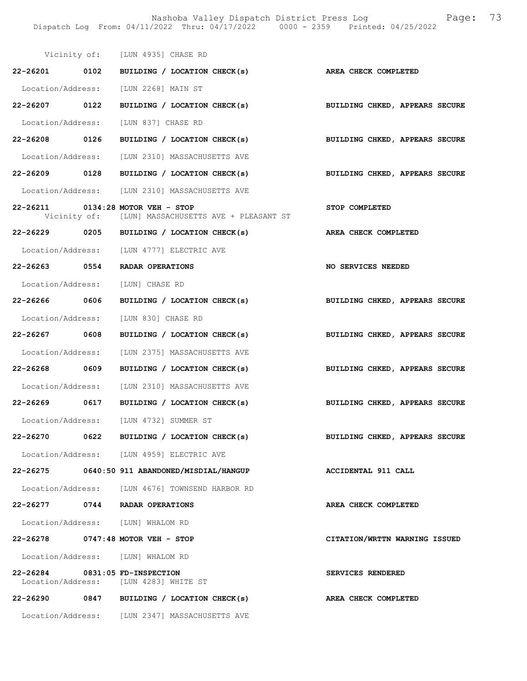Nashoba Valley Dispatch District Press Log Fage: 73 Dispatch Log From: 04/11/2022 Thru: 04/17/2022 0000 - 2359 Printed: 04/25/2022

|                                | Vicinity of: [LUN 4935] CHASE RD                                                        |                                |
|--------------------------------|-----------------------------------------------------------------------------------------|--------------------------------|
|                                | 22-26201 0102 BUILDING / LOCATION CHECK(s) AREA CHECK COMPLETED                         |                                |
|                                | Location/Address: [LUN 2268] MAIN ST                                                    |                                |
|                                | 22-26207 0122 BUILDING / LOCATION CHECK(s)                                              | BUILDING CHKED, APPEARS SECURE |
|                                | Location/Address: [LUN 837] CHASE RD                                                    |                                |
|                                | 22-26208 0126 BUILDING / LOCATION CHECK(s)                                              | BUILDING CHKED, APPEARS SECURE |
|                                | Location/Address: [LUN 2310] MASSACHUSETTS AVE                                          |                                |
|                                | 22-26209 0128 BUILDING / LOCATION CHECK(s)                                              | BUILDING CHKED, APPEARS SECURE |
|                                | Location/Address: [LUN 2310] MASSACHUSETTS AVE                                          |                                |
|                                | 22-26211 0134:28 MOTOR VEH - STOP<br>Vicinity of: [LUN] MASSACHUSETTS AVE + PLEASANT ST | STOP COMPLETED                 |
|                                | 22-26229 0205 BUILDING / LOCATION CHECK(s)                                              | AREA CHECK COMPLETED           |
|                                | Location/Address: [LUN 4777] ELECTRIC AVE                                               |                                |
|                                | 22-26263 0554 RADAR OPERATIONS                                                          | NO SERVICES NEEDED             |
|                                | Location/Address: [LUN] CHASE RD                                                        |                                |
|                                | 22-26266 0606 BUILDING / LOCATION CHECK(s)                                              | BUILDING CHKED, APPEARS SECURE |
|                                | Location/Address: [LUN 830] CHASE RD                                                    |                                |
| 22-26267 0608                  | BUILDING / LOCATION CHECK(s)                                                            | BUILDING CHKED, APPEARS SECURE |
|                                | Location/Address: [LUN 2375] MASSACHUSETTS AVE                                          |                                |
|                                | 22-26268 0609 BUILDING / LOCATION CHECK(s)                                              | BUILDING CHKED, APPEARS SECURE |
|                                | Location/Address: [LUN 2310] MASSACHUSETTS AVE                                          |                                |
|                                | 22-26269 0617 BUILDING / LOCATION CHECK(s)                                              | BUILDING CHKED, APPEARS SECURE |
|                                | Location/Address: [LUN 4732] SUMMER ST                                                  |                                |
|                                | 22-26270 0622 BUILDING / LOCATION CHECK(s)                                              | BUILDING CHKED, APPEARS SECURE |
|                                | Location/Address: [LUN 4959] ELECTRIC AVE                                               |                                |
|                                | 22-26275 0640:50 911 ABANDONED/MISDIAL/HANGUP                                           | ACCIDENTAL 911 CALL            |
|                                | Location/Address: [LUN 4676] TOWNSEND HARBOR RD                                         |                                |
|                                | 22-26277 0744 RADAR OPERATIONS                                                          | AREA CHECK COMPLETED           |
|                                | Location/Address: [LUN] WHALOM RD                                                       |                                |
|                                | 22-26278 0747:48 MOTOR VEH - STOP                                                       | CITATION/WRTTN WARNING ISSUED  |
|                                | Location/Address: [LUN] WHALOM RD                                                       |                                |
| 22-26284 0831:05 FD-INSPECTION | Location/Address: [LUN 4283] WHITE ST                                                   | SERVICES RENDERED              |
|                                | 22-26290 0847 BUILDING / LOCATION CHECK(s)                                              | AREA CHECK COMPLETED           |
|                                | Location/Address: [LUN 2347] MASSACHUSETTS AVE                                          |                                |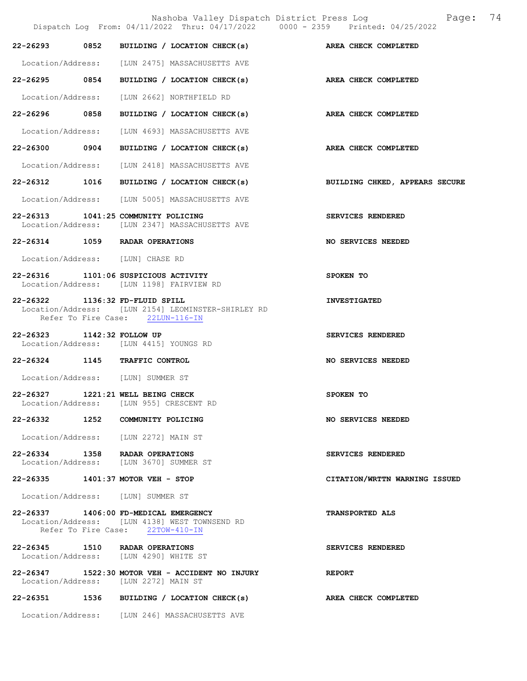Nashoba Valley Dispatch District Press Log  $P = \begin{bmatrix} 74 & 74 \\ 2022 & 714 \end{bmatrix}$  $Dispatch$   $Loop: 04/11/2022$  Thru:  $04/17/2022$ 22-26293 0852 BUILDING / LOCATION CHECK(s) AREA CHECK COMPLETED Location/Address: [LUN 2475] MASSACHUSETTS AVE 22-26295 0854 BUILDING / LOCATION CHECK(s) AREA CHECK COMPLETED Location/Address: [LUN 2662] NORTHFIELD RD 22-26296 0858 BUILDING / LOCATION CHECK(s) AREA CHECK COMPLETED Location/Address: [LUN 4693] MASSACHUSETTS AVE 22-26300 0904 BUILDING / LOCATION CHECK(s) AREA CHECK COMPLETED Location/Address: [LUN 2418] MASSACHUSETTS AVE 22-26312 1016 BUILDING / LOCATION CHECK(s) BUILDING CHKED, APPEARS SECURE Location/Address: [LUN 5005] MASSACHUSETTS AVE 22-26313 1041:25 COMMUNITY POLICING<br>
Location/Address: [LUN 2347] MASSACHUSETTS AVE [LUN 2347] MASSACHUSETTS AVE 22-26314 1059 RADAR OPERATIONS NO SERVICES NEEDED Location/Address: [LUN] CHASE RD 22-26316 1101:06 SUSPICIOUS ACTIVITY SPOKEN TO Location/Address: [LUN 1198] FAIRVIEW RD 22-26322 1136:32 FD-FLUID SPILL INVESTIGATED Location/Address: [LUN 2154] LEOMINSTER-SHIRLEY RD Refer To Fire Case: 22LUN-116-IN 22-26323 1142:32 FOLLOW UP SERVICES RENDERED Location/Address: [LUN 4415] YOUNGS RD 22-26324 1145 TRAFFIC CONTROL NO SERVICES NEEDED Location/Address: [LUN] SUMMER ST 22-26327 1221:21 WELL BEING CHECK SPOKEN TO Location/Address: [LUN 955] CRESCENT RD 22-26332 1252 COMMUNITY POLICING NO SERVICES NEEDED Location/Address: [LUN 2272] MAIN ST 22-26334 1358 RADAR OPERATIONS<br>
Location/Address: [LUN 3670] SUMMER ST [LUN 3670] SUMMER ST 22-26335 1401:37 MOTOR VEH - STOP CITATION/WRTTN WARNING ISSUED Location/Address: [LUN] SUMMER ST 22-26337 1406:00 FD-MEDICAL EMERGENCY TRANSPORTED ALS Location/Address: [LUN 4138] WEST TOWNSEND RD Refer To Fire Case: 22TOW-410-IN 22-26345 1510 RADAR OPERATIONS SERVICES RENDERED Location/Address: [LUN 4290] WHITE ST 22-26347 1522:30 MOTOR VEH - ACCIDENT NO INJURY REPORT Location/Address: [LUN 2272] MAIN ST 22-26351 1536 BUILDING / LOCATION CHECK(s) AREA CHECK COMPLETED Location/Address: [LUN 246] MASSACHUSETTS AVE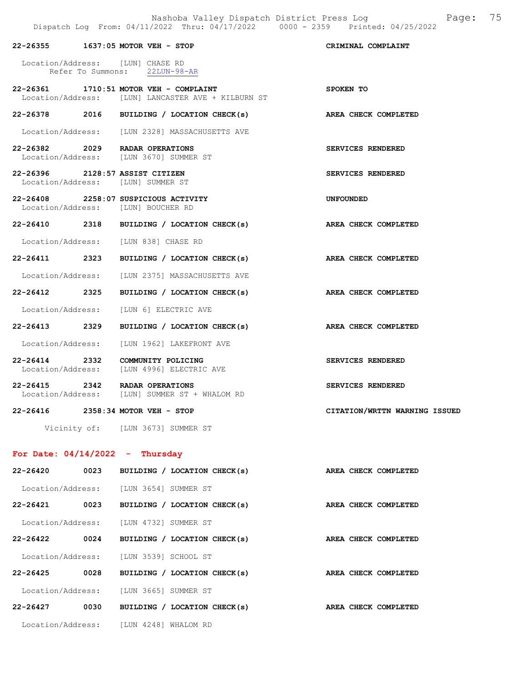|                                 | 22-26355 1637:05 MOTOR VEH - STOP                                                            | CRIMINAL COMPLAINT            |
|---------------------------------|----------------------------------------------------------------------------------------------|-------------------------------|
|                                 | Location/Address: [LUN] CHASE RD<br>Refer To Summons: 22LUN-98-AR                            |                               |
|                                 | 22-26361 1710:51 MOTOR VEH - COMPLAINT<br>Location/Address: [LUN] LANCASTER AVE + KILBURN ST | SPOKEN TO                     |
|                                 | 22-26378 2016 BUILDING / LOCATION CHECK(s)                                                   | AREA CHECK COMPLETED          |
|                                 | Location/Address: [LUN 2328] MASSACHUSETTS AVE                                               |                               |
|                                 | 22-26382 2029 RADAR OPERATIONS<br>Location/Address: [LUN 3670] SUMMER ST                     | SERVICES RENDERED             |
| 22-26396 2128:57 ASSIST CITIZEN | Location/Address: [LUN] SUMMER ST                                                            | SERVICES RENDERED             |
|                                 | 22-26408 2258:07 SUSPICIOUS ACTIVITY<br>Location/Address: [LUN] BOUCHER RD                   | <b>UNFOUNDED</b>              |
|                                 | 22-26410 2318 BUILDING / LOCATION CHECK(s)                                                   | AREA CHECK COMPLETED          |
|                                 | Location/Address: [LUN 838] CHASE RD                                                         |                               |
|                                 | 22-26411 2323 BUILDING / LOCATION CHECK(s)                                                   | AREA CHECK COMPLETED          |
|                                 | Location/Address: [LUN 2375] MASSACHUSETTS AVE                                               |                               |
| 22-26412 2325                   | BUILDING / LOCATION CHECK(s)                                                                 | AREA CHECK COMPLETED          |
|                                 | Location/Address: [LUN 6] ELECTRIC AVE                                                       |                               |
| 22-26413 2329                   | BUILDING / LOCATION CHECK(s)                                                                 | AREA CHECK COMPLETED          |
|                                 | Location/Address: [LUN 1962] LAKEFRONT AVE                                                   |                               |
| 22-26414 2332                   | COMMUNITY POLICING<br>Location/Address: [LUN 4996] ELECTRIC AVE                              | SERVICES RENDERED             |
|                                 | 22-26415 2342 RADAR OPERATIONS<br>Location/Address: [LUN] SUMMER ST + WHALOM RD              | SERVICES RENDERED             |
|                                 | 22-26416 2358:34 MOTOR VEH - STOP                                                            | CITATION/WRTTN WARNING ISSUED |
|                                 | Vicinity of: [LUN 3673] SUMMER ST                                                            |                               |

# For Date: 04/14/2022 - Thursday

| $22 - 26420$      | 0023 | BUILDING / LOCATION CHECK(s) | AREA CHECK COMPLETED |
|-------------------|------|------------------------------|----------------------|
| Location/Address: |      | [LUN 3654] SUMMER ST         |                      |
| 22-26421          | 0023 | BUILDING / LOCATION CHECK(s) | AREA CHECK COMPLETED |
| Location/Address: |      | [LUN 4732] SUMMER ST         |                      |
| $22 - 26422$      | 0024 | BUILDING / LOCATION CHECK(s) | AREA CHECK COMPLETED |
| Location/Address: |      | ILUN 35391 SCHOOL ST         |                      |
| $22 - 26425$      | 0028 | BUILDING / LOCATION CHECK(s) | AREA CHECK COMPLETED |
| Location/Address: |      | [LUN 3665] SUMMER ST         |                      |
| $22 - 26427$      | 0030 | BUILDING / LOCATION CHECK(s) | AREA CHECK COMPLETED |
| Location/Address: |      | TLUN 42481 WHALOM RD         |                      |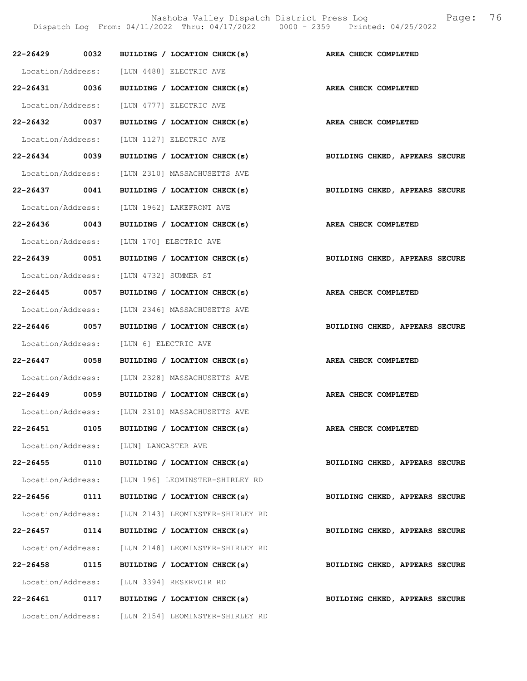Nashoba Valley Dispatch District Press Log Fage: 76

Dispatch Log From: 04/11/2022 Thru: 04/17/2022 0000 - 2359 Printed: 04/25/2022

|                   |      | 22-26429 0032 BUILDING / LOCATION CHECK(s)                                 | AREA CHECK COMPLETED           |
|-------------------|------|----------------------------------------------------------------------------|--------------------------------|
|                   |      | Location/Address: [LUN 4488] ELECTRIC AVE                                  |                                |
| 22-26431 0036     |      | BUILDING / LOCATION CHECK(s)                                               | AREA CHECK COMPLETED           |
|                   |      | Location/Address: [LUN 4777] ELECTRIC AVE                                  |                                |
| 22-26432 0037     |      | BUILDING / LOCATION CHECK(s)                                               | AREA CHECK COMPLETED           |
|                   |      |                                                                            |                                |
| 22-26434 0039     |      | Location/Address: [LUN 1127] ELECTRIC AVE<br>BUILDING / LOCATION CHECK(s)  | BUILDING CHKED, APPEARS SECURE |
|                   |      | Location/Address: [LUN 2310] MASSACHUSETTS AVE                             |                                |
| 22-26437 0041     |      | BUILDING / LOCATION CHECK(s)                                               |                                |
|                   |      |                                                                            | BUILDING CHKED, APPEARS SECURE |
|                   |      | Location/Address: [LUN 1962] LAKEFRONT AVE<br>BUILDING / LOCATION CHECK(s) |                                |
| 22-26436 0043     |      |                                                                            | AREA CHECK COMPLETED           |
|                   |      | Location/Address: [LUN 170] ELECTRIC AVE                                   |                                |
| 22-26439 0051     |      | BUILDING / LOCATION CHECK(s)                                               | BUILDING CHKED, APPEARS SECURE |
|                   |      | Location/Address: [LUN 4732] SUMMER ST                                     |                                |
| 22-26445 0057     |      | BUILDING / LOCATION CHECK(s)                                               | AREA CHECK COMPLETED           |
|                   |      | Location/Address: [LUN 2346] MASSACHUSETTS AVE                             |                                |
| 22-26446 0057     |      | BUILDING / LOCATION CHECK(s)                                               | BUILDING CHKED, APPEARS SECURE |
|                   |      | Location/Address: [LUN 6] ELECTRIC AVE                                     |                                |
|                   |      | 22-26447 0058 BUILDING / LOCATION CHECK(s)                                 | AREA CHECK COMPLETED           |
|                   |      | Location/Address: [LUN 2328] MASSACHUSETTS AVE                             |                                |
|                   |      | 22-26449 0059 BUILDING / LOCATION CHECK(s)                                 | AREA CHECK COMPLETED           |
|                   |      | Location/Address: [LUN 2310] MASSACHUSETTS AVE                             |                                |
| 22-26451          | 0105 | BUILDING / LOCATION CHECK(s)                                               | AREA CHECK COMPLETED           |
|                   |      | Location/Address: [LUN] LANCASTER AVE                                      |                                |
| 22-26455          | 0110 | BUILDING / LOCATION CHECK(s)                                               | BUILDING CHKED, APPEARS SECURE |
|                   |      | Location/Address: [LUN 196] LEOMINSTER-SHIRLEY RD                          |                                |
| 22-26456          | 0111 | BUILDING / LOCATION CHECK(s)                                               | BUILDING CHKED, APPEARS SECURE |
| Location/Address: |      | [LUN 2143] LEOMINSTER-SHIRLEY RD                                           |                                |
| 22-26457 0114     |      | BUILDING / LOCATION CHECK(s)                                               | BUILDING CHKED, APPEARS SECURE |
| Location/Address: |      | [LUN 2148] LEOMINSTER-SHIRLEY RD                                           |                                |
| 22-26458          | 0115 | BUILDING / LOCATION CHECK(s)                                               | BUILDING CHKED, APPEARS SECURE |
|                   |      | Location/Address: [LUN 3394] RESERVOIR RD                                  |                                |
| 22-26461          | 0117 | BUILDING / LOCATION CHECK(s)                                               | BUILDING CHKED, APPEARS SECURE |
|                   |      | Location/Address: [LUN 2154] LEOMINSTER-SHIRLEY RD                         |                                |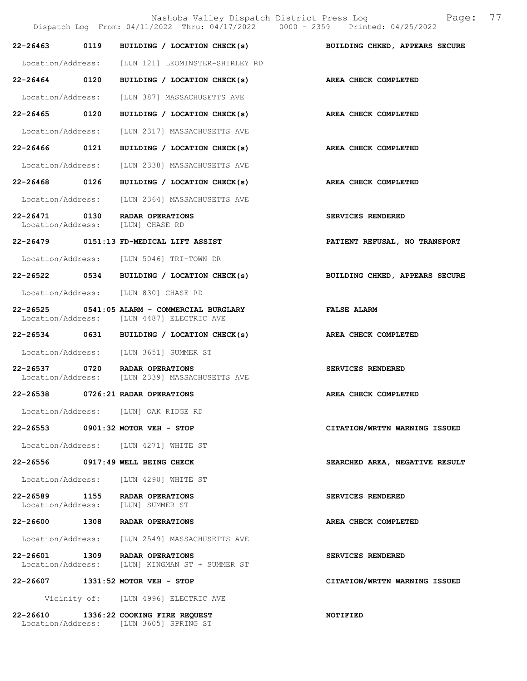Nashoba Valley Dispatch District Press Log  $P = \frac{2022 \text{ Thru: } 04/17/2022} 0000 - 2359 \text{ Printed: } 04/25/2022}$ Dispatch Log From:  $04/11/2022$  Thru:  $04/17/2022$ 22-26463 0119 BUILDING / LOCATION CHECK(s) BUILDING CHKED, APPEARS SECURE Location/Address: [LUN 121] LEOMINSTER-SHIRLEY RD 22-26464 0120 BUILDING / LOCATION CHECK(s) AREA CHECK COMPLETED Location/Address: [LUN 387] MASSACHUSETTS AVE 22-26465 0120 BUILDING / LOCATION CHECK(s) AREA CHECK COMPLETED Location/Address: [LUN 2317] MASSACHUSETTS AVE 22-26466 0121 BUILDING / LOCATION CHECK(s) AREA CHECK COMPLETED Location/Address: [LUN 2338] MASSACHUSETTS AVE 22-26468 0126 BUILDING / LOCATION CHECK(s) AREA CHECK COMPLETED Location/Address: [LUN 2364] MASSACHUSETTS AVE 22-26471 0130 RADAR OPERATIONS SERVICES RENDERED<br>
Location/Address: [LUN] CHASE RD Location/Address: 22-26479 0151:13 FD-MEDICAL LIFT ASSIST PATIENT REFUSAL, NO TRANSPORT Location/Address: [LUN 5046] TRI-TOWN DR 22-26522 0534 BUILDING / LOCATION CHECK(s) BUILDING CHKED, APPEARS SECURE Location/Address: [LUN 830] CHASE RD 22-26525 0541:05 ALARM - COMMERCIAL BURGLARY FALSE ALARM Location/Address: [LUN 4487] ELECTRIC AVE 22-26534 0631 BUILDING / LOCATION CHECK(s) AREA CHECK COMPLETED Location/Address: [LUN 3651] SUMMER ST 22-26537 0720 RADAR OPERATIONS<br>
Location/Address: [LUN 2339] MASSACHUSETTS AVE [LUN 2339] MASSACHUSETTS AVE 22-26538 0726:21 RADAR OPERATIONS AREA CHECK COMPLETED Location/Address: [LUN] OAK RIDGE RD 22-26553 0901:32 MOTOR VEH - STOP CITATION/WRTTN WARNING ISSUED Location/Address: [LUN 4271] WHITE ST 22-26556 0917:49 WELL BEING CHECK SEARCHED AREA, NEGATIVE RESULT Location/Address: [LUN 4290] WHITE ST 22-26589 1155 RADAR OPERATIONS SERVICES RENDERED Location/Address: [LUN] SUMMER ST 22-26600 1308 RADAR OPERATIONS AREA CHECK COMPLETED Location/Address: [LUN 2549] MASSACHUSETTS AVE 22-26601 1309 RADAR OPERATIONS SERVICES RENDERED Location/Address: [LUN] KINGMAN ST + SUMMER ST 22-26607 1331:52 MOTOR VEH - STOP CITATION/WRTTN WARNING ISSUED Vicinity of: [LUN 4996] ELECTRIC AVE 22-26610 1336:22 COOKING FIRE REQUEST NOTIFIED

Location/Address: [LUN 3605] SPRING ST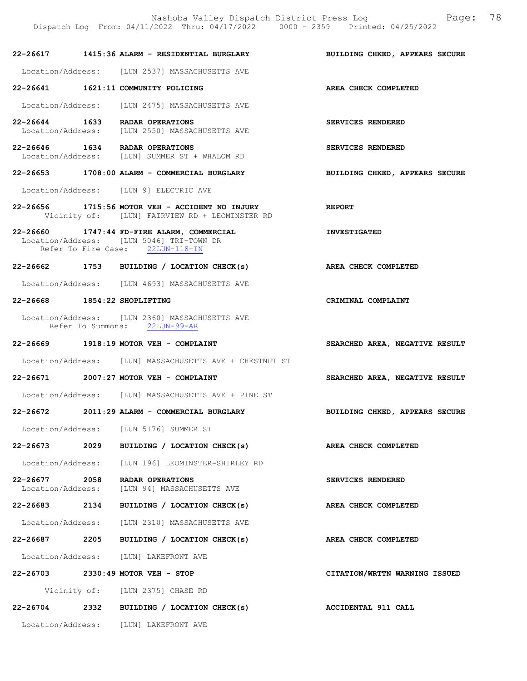Dispatch Log From: 04/11/2022 Thru: 04/17/2022 0000 - 2359 Printed: 04/25/2022 22-26617 1415:36 ALARM - RESIDENTIAL BURGLARY BUILDING CHKED, APPEARS SECURE Location/Address: [LUN 2537] MASSACHUSETTS AVE 22-26641 1621:11 COMMUNITY POLICING AREA CHECK COMPLETED Location/Address: [LUN 2475] MASSACHUSETTS AVE 22-26644 1633 RADAR OPERATIONS SERVICES RENDERED Location/Address: [LUN 2550] MASSACHUSETTS AVE 22-26646 1634 RADAR OPERATIONS SERVICES RENDERED Location/Address: [LUN] SUMMER ST + WHALOM RD 22-26653 1708:00 ALARM - COMMERCIAL BURGLARY BUILDING CHKED, APPEARS SECURE Location/Address: [LUN 9] ELECTRIC AVE 22-26656 1715:56 MOTOR VEH - ACCIDENT NO INJURY REPORT Vicinity of: [LUN] FAIRVIEW RD + LEOMINSTER RD 22-26660 1747:44 FD-FIRE ALARM, COMMERCIAL INVESTIGATED Location/Address: [LUN 5046] TRI-TOWN DR<br>Refer To Fire Case: 22LUN-118-IN Refer To Fire Case: 22-26662 1753 BUILDING / LOCATION CHECK(s) AREA CHECK COMPLETED Location/Address: [LUN 4693] MASSACHUSETTS AVE 22-26668 1854:22 SHOPLIFTING CRIMINAL COMPLAINT Location/Address: [LUN 2360] MASSACHUSETTS AVE Refer To Summons: 22LUN-99-AR 22-26669 1918:19 MOTOR VEH - COMPLAINT SEARCHED AREA, NEGATIVE RESULT Location/Address: [LUN] MASSACHUSETTS AVE + CHESTNUT ST 22-26671 2007:27 MOTOR VEH - COMPLAINT SEARCHED AREA, NEGATIVE RESULT Location/Address: [LUN] MASSACHUSETTS AVE + PINE ST 22-26672 2011:29 ALARM - COMMERCIAL BURGLARY BUILDING CHKED, APPEARS SECURE Location/Address: [LUN 5176] SUMMER ST 22-26673 2029 BUILDING / LOCATION CHECK(s) AREA CHECK COMPLETED Location/Address: [LUN 196] LEOMINSTER-SHIRLEY RD 22-26677 2058 RADAR OPERATIONS<br>
Location/Address: [LUN 94] MASSACHUSETTS AVE [LUN 94] MASSACHUSETTS AVE 22-26683 2134 BUILDING / LOCATION CHECK(s) AREA CHECK COMPLETED Location/Address: [LUN 2310] MASSACHUSETTS AVE 22-26687 2205 BUILDING / LOCATION CHECK(s) AREA CHECK COMPLETED Location/Address: [LUN] LAKEFRONT AVE 22-26703 2330:49 MOTOR VEH - STOP CITATION/WRTTN WARNING ISSUED Vicinity of: [LUN 2375] CHASE RD 22-26704 2332 BUILDING / LOCATION CHECK(s) ACCIDENTAL 911 CALL

Location/Address: [LUN] LAKEFRONT AVE

Nashoba Valley Dispatch District Press Log Fage: 78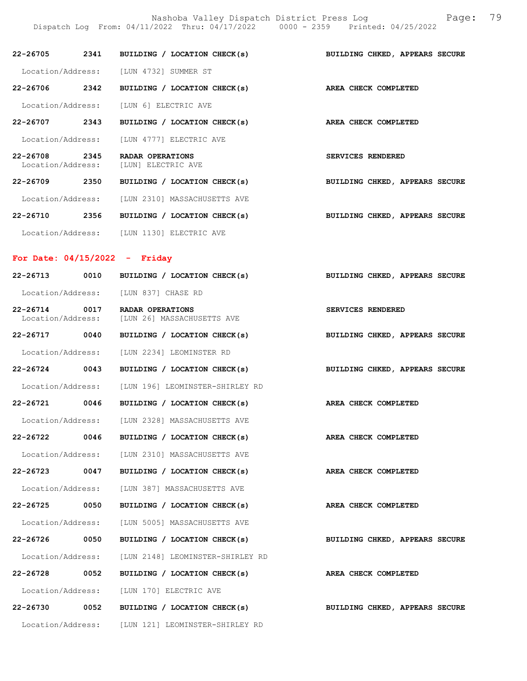Nashoba Valley Dispatch District Press Log Fage: 79 Dispatch Log From: 04/11/2022 Thru: 04/17/2022 0000 - 2359 Printed: 04/25/2022

| 22-26705                          |      | 2341 BUILDING / LOCATION CHECK(s)<br>BUILDING CHKED, APPEARS SECURE |  |
|-----------------------------------|------|---------------------------------------------------------------------|--|
| Location/Address:                 |      | [LUN 4732] SUMMER ST                                                |  |
| 22-26706                          | 2342 | BUILDING / LOCATION CHECK(s)<br>AREA CHECK COMPLETED                |  |
|                                   |      | Location/Address: [LUN 6] ELECTRIC AVE                              |  |
| 22-26707                          | 2343 | BUILDING / LOCATION CHECK(s)<br>AREA CHECK COMPLETED                |  |
| Location/Address:                 |      | [LUN 4777] ELECTRIC AVE                                             |  |
| $22 - 26708$<br>Location/Address: | 2345 | RADAR OPERATIONS<br><b>SERVICES RENDERED</b><br>[LUN] ELECTRIC AVE  |  |
| 22-26709                          | 2350 | BUILDING / LOCATION CHECK(s)<br>BUILDING CHKED, APPEARS SECURE      |  |
| Location/Address:                 |      | [LUN 2310] MASSACHUSETTS AVE                                        |  |
| 22-26710                          | 2356 | BUILDING / LOCATION CHECK(s)<br>BUILDING CHKED, APPEARS SECURE      |  |
| Location/Address:                 |      | [LUN 1130] ELECTRIC AVE                                             |  |

# For Date: 04/15/2022 - Friday

| 22-26713 0010                        |  | BUILDING / LOCATION CHECK(s)                                            | BUILDING CHKED, APPEARS SECURE |
|--------------------------------------|--|-------------------------------------------------------------------------|--------------------------------|
| Location/Address: [LUN 837] CHASE RD |  |                                                                         |                                |
| 22-26714 0017                        |  | <b>RADAR OPERATIONS</b><br>Location/Address: [LUN 26] MASSACHUSETTS AVE | SERVICES RENDERED              |
| 22-26717 0040                        |  | BUILDING / LOCATION CHECK(s)                                            | BUILDING CHKED, APPEARS SECURE |
|                                      |  | Location/Address: [LUN 2234] LEOMINSTER RD                              |                                |
| 22-26724 0043                        |  | BUILDING / LOCATION CHECK(s) BUILDING CHKED, APPEARS SECURE             |                                |
|                                      |  | Location/Address: [LUN 196] LEOMINSTER-SHIRLEY RD                       |                                |
| 22-26721 0046                        |  | BUILDING / LOCATION CHECK(s) AREA CHECK COMPLETED                       |                                |
|                                      |  | Location/Address: [LUN 2328] MASSACHUSETTS AVE                          |                                |
| 22-26722 0046                        |  | BUILDING / LOCATION CHECK(s) AREA CHECK COMPLETED                       |                                |
|                                      |  | Location/Address: [LUN 2310] MASSACHUSETTS AVE                          |                                |
| 22-26723 0047                        |  | BUILDING / LOCATION CHECK(s)                                            | AREA CHECK COMPLETED           |
|                                      |  | Location/Address: [LUN 387] MASSACHUSETTS AVE                           |                                |
| 22-26725 0050                        |  | BUILDING / LOCATION CHECK(s)                                            | AREA CHECK COMPLETED           |
|                                      |  | Location/Address: [LUN 5005] MASSACHUSETTS AVE                          |                                |
| 22-26726 0050                        |  | BUILDING / LOCATION CHECK(s)                                            | BUILDING CHKED, APPEARS SECURE |
| Location/Address:                    |  | [LUN 2148] LEOMINSTER-SHIRLEY RD                                        |                                |
| 22-26728 0052                        |  | BUILDING / LOCATION CHECK(s) AREA CHECK COMPLETED                       |                                |
|                                      |  | Location/Address: [LUN 170] ELECTRIC AVE                                |                                |
| 22-26730 0052                        |  | BUILDING / LOCATION CHECK(s)                                            | BUILDING CHKED, APPEARS SECURE |
|                                      |  | Location/Address: [LUN 121] LEOMINSTER-SHIRLEY RD                       |                                |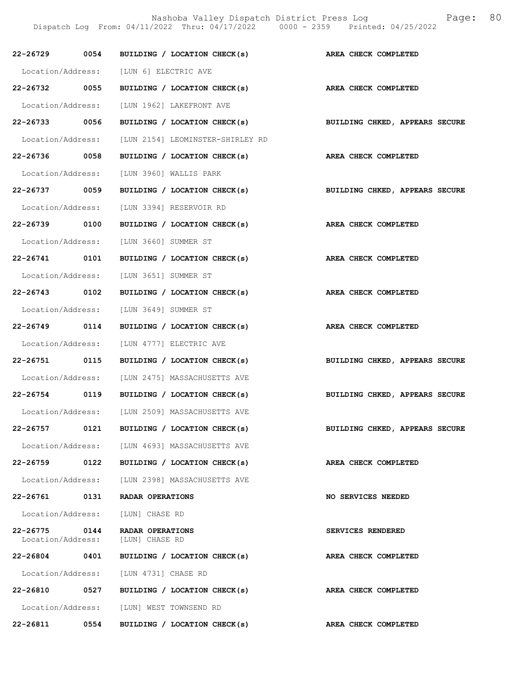Nashoba Valley Dispatch District Press Log Fage: 80

Dispatch Log From: 04/11/2022 Thru: 04/17/2022 0000 - 2359 Printed: 04/25/2022

|               |      | 22-26729 0054 BUILDING / LOCATION CHECK(s)                  | AREA CHECK COMPLETED           |
|---------------|------|-------------------------------------------------------------|--------------------------------|
|               |      | Location/Address: [LUN 6] ELECTRIC AVE                      |                                |
| 22-26732 0055 |      | BUILDING / LOCATION CHECK(s)                                | AREA CHECK COMPLETED           |
|               |      | Location/Address: [LUN 1962] LAKEFRONT AVE                  |                                |
| 22-26733 0056 |      | BUILDING / LOCATION CHECK(s) BUILDING CHKED, APPEARS SECURE |                                |
|               |      | Location/Address: [LUN 2154] LEOMINSTER-SHIRLEY RD          |                                |
| 22-26736 0058 |      | BUILDING / LOCATION CHECK(s) AREA CHECK COMPLETED           |                                |
|               |      | Location/Address: [LUN 3960] WALLIS PARK                    |                                |
| 22-26737 0059 |      | BUILDING / LOCATION CHECK(s)                                | BUILDING CHKED, APPEARS SECURE |
|               |      | Location/Address: [LUN 3394] RESERVOIR RD                   |                                |
| 22-26739 0100 |      | BUILDING / LOCATION CHECK(s) AREA CHECK COMPLETED           |                                |
|               |      | Location/Address: [LUN 3660] SUMMER ST                      |                                |
| 22-26741 0101 |      | BUILDING / LOCATION CHECK(s)                                | AREA CHECK COMPLETED           |
|               |      | Location/Address: [LUN 3651] SUMMER ST                      |                                |
| 22-26743 0102 |      | BUILDING / LOCATION CHECK(s) AREA CHECK COMPLETED           |                                |
|               |      | Location/Address: [LUN 3649] SUMMER ST                      |                                |
| 22-26749 0114 |      | BUILDING / LOCATION CHECK(s) AREA CHECK COMPLETED           |                                |
|               |      | Location/Address: [LUN 4777] ELECTRIC AVE                   |                                |
|               |      | 22-26751 0115 BUILDING / LOCATION CHECK(s)                  | BUILDING CHKED, APPEARS SECURE |
|               |      | Location/Address: [LUN 2475] MASSACHUSETTS AVE              |                                |
|               |      | 22-26754 0119 BUILDING / LOCATION CHECK(s)                  | BUILDING CHKED, APPEARS SECURE |
|               |      | Location/Address: [LUN 2509] MASSACHUSETTS AVE              |                                |
| 22-26757      | 0121 | BUILDING / LOCATION CHECK(s)                                | BUILDING CHKED, APPEARS SECURE |
|               |      | Location/Address: [LUN 4693] MASSACHUSETTS AVE              |                                |
| 22-26759 0122 |      | BUILDING / LOCATION CHECK(s)                                | AREA CHECK COMPLETED           |
|               |      | Location/Address: [LUN 2398] MASSACHUSETTS AVE              |                                |
| 22-26761 0131 |      | RADAR OPERATIONS                                            | NO SERVICES NEEDED             |
|               |      | Location/Address: [LUN] CHASE RD                            |                                |
| 22-26775 0144 |      | RADAR OPERATIONS<br>Location/Address: [LUN] CHASE RD        | SERVICES RENDERED              |
| 22-26804      | 0401 | BUILDING / LOCATION CHECK(s)                                | AREA CHECK COMPLETED           |
|               |      | Location/Address: [LUN 4731] CHASE RD                       |                                |
| 22-26810 0527 |      | BUILDING / LOCATION CHECK(s)                                | AREA CHECK COMPLETED           |
|               |      | Location/Address: [LUN] WEST TOWNSEND RD                    |                                |
| 22-26811 0554 |      | BUILDING / LOCATION CHECK(s)                                | AREA CHECK COMPLETED           |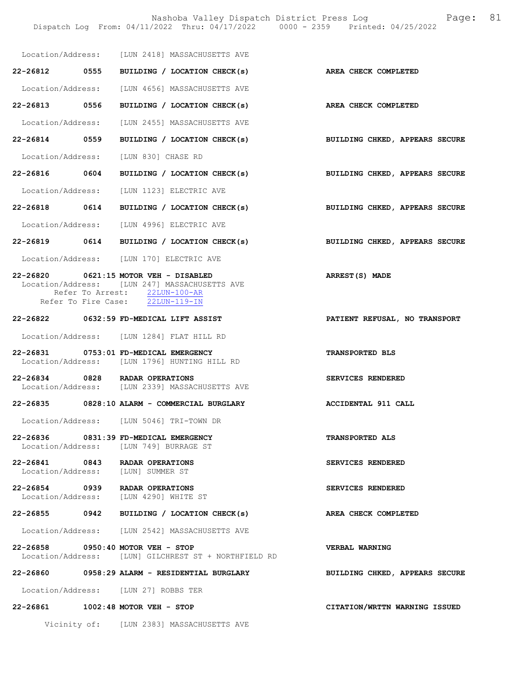|               | Location/Address: [LUN 2418] MASSACHUSETTS AVE                                                                                                              |                                |
|---------------|-------------------------------------------------------------------------------------------------------------------------------------------------------------|--------------------------------|
|               | 22-26812 0555 BUILDING / LOCATION CHECK(s)                                                                                                                  | AREA CHECK COMPLETED           |
|               | Location/Address: [LUN 4656] MASSACHUSETTS AVE                                                                                                              |                                |
| 22-26813 0556 | BUILDING / LOCATION CHECK(s)                                                                                                                                | AREA CHECK COMPLETED           |
|               | Location/Address: [LUN 2455] MASSACHUSETTS AVE                                                                                                              |                                |
| 22-26814 0559 | BUILDING / LOCATION CHECK(s)                                                                                                                                | BUILDING CHKED, APPEARS SECURE |
|               | Location/Address: [LUN 830] CHASE RD                                                                                                                        |                                |
| 22-26816 0604 | BUILDING / LOCATION CHECK(s)                                                                                                                                | BUILDING CHKED, APPEARS SECURE |
|               | Location/Address: [LUN 1123] ELECTRIC AVE                                                                                                                   |                                |
| 22-26818 0614 | BUILDING / LOCATION CHECK(s)                                                                                                                                | BUILDING CHKED, APPEARS SECURE |
|               | Location/Address: [LUN 4996] ELECTRIC AVE                                                                                                                   |                                |
|               | 22-26819 0614 BUILDING / LOCATION CHECK(s)                                                                                                                  | BUILDING CHKED, APPEARS SECURE |
|               | Location/Address: [LUN 170] ELECTRIC AVE                                                                                                                    |                                |
|               | 22-26820 0621:15 MOTOR VEH - DISABLED<br>Location/Address: [LUN 247] MASSACHUSETTS AVE<br>Refer To Arrest: 22LUN-100-AR<br>Refer To Fire Case: 22LUN-119-IN | ARREST(S) MADE                 |
|               | $22 - 26822$ 0632:59 FD-MEDICAL LIFT ASSIST                                                                                                                 | PATIENT REFUSAL, NO TRANSPORT  |
|               | Location/Address: [LUN 1284] FLAT HILL RD                                                                                                                   |                                |
|               | 22-26831 0753:01 FD-MEDICAL EMERGENCY<br>Location/Address: [LUN 1796] HUNTING HILL RD                                                                       | TRANSPORTED BLS                |
|               | 22-26834 0828 RADAR OPERATIONS<br>Location/Address: [LUN 2339] MASSACHUSETTS AVE                                                                            | SERVICES RENDERED              |
|               | 22-26835 0828:10 ALARM - COMMERCIAL BURGLARY                                                                                                                | ACCIDENTAL 911 CALL            |
|               | Location/Address: [LUN 5046] TRI-TOWN DR                                                                                                                    |                                |
|               | $22 - 26836$ 0831:39 FD-MEDICAL EMERGENCY<br>Location/Address: [LUN 749] BURRAGE ST                                                                         | <b>TRANSPORTED ALS</b>         |
|               | 22-26841 0843 RADAR OPERATIONS<br>Location/Address: [LUN] SUMMER ST                                                                                         | SERVICES RENDERED              |
|               | 22-26854 0939 RADAR OPERATIONS<br>Location/Address: [LUN 4290] WHITE ST                                                                                     | SERVICES RENDERED              |
| 22-26855 0942 | BUILDING / LOCATION CHECK(s)                                                                                                                                | AREA CHECK COMPLETED           |
|               | Location/Address: [LUN 2542] MASSACHUSETTS AVE                                                                                                              |                                |
|               | 22-26858 0950:40 MOTOR VEH - STOP<br>Location/Address: [LUN] GILCHREST ST + NORTHFIELD RD                                                                   | <b>VERBAL WARNING</b>          |
|               |                                                                                                                                                             | BUILDING CHKED, APPEARS SECURE |
|               | Location/Address: [LUN 27] ROBBS TER                                                                                                                        |                                |
|               | 22-26861 1002:48 MOTOR VEH - STOP                                                                                                                           | CITATION/WRTTN WARNING ISSUED  |
|               | Vicinity of: [LUN 2383] MASSACHUSETTS AVE                                                                                                                   |                                |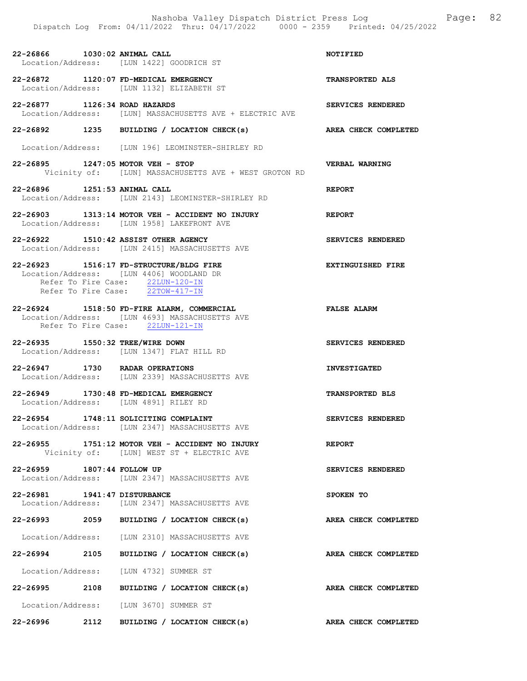22-26866 1030:02 ANIMAL CALL NOTIFIED Location/Address: [LUN 1422] GOODRICH ST

22-26872 1120:07 FD-MEDICAL EMERGENCY TRANSPORTED ALS Location/Address: [LUN 1132] ELIZABETH ST

22-26877 1126:34 ROAD HAZARDS SERVICES RENDERED Location/Address: [LUN] MASSACHUSETTS AVE + ELECTRIC AVE

22-26892 1235 BUILDING / LOCATION CHECK(s) AREA CHECK COMPLETED

Location/Address: [LUN 196] LEOMINSTER-SHIRLEY RD

22-26895 1247:05 MOTOR VEH - STOP VERBAL WARNING Vicinity of: [LUN] MASSACHUSETTS AVE + WEST GROTON RD

22-26896 1251:53 ANIMAL CALL REPORT Location/Address: [LUN 2143] LEOMINSTER-SHIRLEY RD

22-26903 1313:14 MOTOR VEH - ACCIDENT NO INJURY REPORT Location/Address: [LUN 1958] LAKEFRONT AVE

22-26922 1510:42 ASSIST OTHER AGENCY SERVICES RENDERED Location/Address: [LUN 2415] MASSACHUSETTS AVE

22-26923 1516:17 FD-STRUCTURE/BLDG FIRE **EXTINGUISHED FIRE**  Location/Address: [LUN 4406] WOODLAND DR Refer To Fire Case:  $22LUN-120-IN$ Refer To Fire Case: 22TOW-417-IN

22-26924 1518:50 FD-FIRE ALARM, COMMERCIAL FALSE ALARM Location/Address: [LUN 4693] MASSACHUSETTS AVE Refer To Fire Case: 22LUN-121-IN

22-26935 1550:32 TREE/WIRE DOWN SERVICES RENDERED Location/Address: [LUN 1347] FLAT HILL RD

22-26947 1730 RADAR OPERATIONS INVESTIGATED Location/Address: [LUN 2339] MASSACHUSETTS AVE

22-26949 1730:48 FD-MEDICAL EMERGENCY TRANSPORTED BLS Location/Address: [LUN 4891] RILEY RD

22-26954 1748:11 SOLICITING COMPLAINT SERVICES RENDERED Location/Address: [LUN 2347] MASSACHUSETTS AVE

22-26955 1751:12 MOTOR VEH - ACCIDENT NO INJURY REPORT Vicinity of: [LUN] WEST ST + ELECTRIC AVE

22-26959 1807:44 FOLLOW UP SERVICES RENDERED Location/Address: [LUN 2347] MASSACHUSETTS AVE

22-26981 1941:47 DISTURBANCE SPOKEN TO Location/Address: [LUN 2347] MASSACHUSETTS AVE

22-26993 2059 BUILDING / LOCATION CHECK(s) AREA CHECK COMPLETED

Location/Address: [LUN 2310] MASSACHUSETTS AVE

22-26994 2105 BUILDING / LOCATION CHECK(s) AREA CHECK COMPLETED

Location/Address: [LUN 4732] SUMMER ST

22-26995 2108 BUILDING / LOCATION CHECK(s) AREA CHECK COMPLETED

Location/Address: [LUN 3670] SUMMER ST

22-26996 2112 BUILDING / LOCATION CHECK(s) AREA CHECK COMPLETED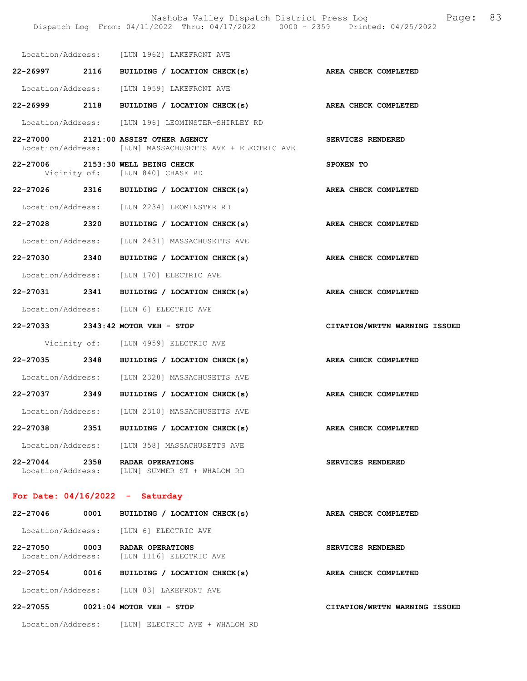|                                    |      | Dispatch Log From: 04/11/2022 Thru: 04/17/2022 0000 - 2359 Printed: 04/25/2022                   | Nashoba Valley Dispatch District Press Log Nashoba Valley Dispatch District Press Log | 83 |
|------------------------------------|------|--------------------------------------------------------------------------------------------------|---------------------------------------------------------------------------------------|----|
|                                    |      | Location/Address: [LUN 1962] LAKEFRONT AVE                                                       |                                                                                       |    |
|                                    |      | 22-26997 2116 BUILDING / LOCATION CHECK(s) AREA CHECK COMPLETED                                  |                                                                                       |    |
|                                    |      | Location/Address: [LUN 1959] LAKEFRONT AVE                                                       |                                                                                       |    |
|                                    |      | 22-26999 2118 BUILDING / LOCATION CHECK(s)                                                       | AREA CHECK COMPLETED                                                                  |    |
|                                    |      | Location/Address: [LUN 196] LEOMINSTER-SHIRLEY RD                                                |                                                                                       |    |
|                                    |      | 22-27000 2121:00 ASSIST OTHER AGENCY<br>Location/Address: [LUN] MASSACHUSETTS AVE + ELECTRIC AVE | SERVICES RENDERED                                                                     |    |
|                                    |      | 22-27006 2153:30 WELL BEING CHECK<br>Vicinity of: [LUN 840] CHASE RD                             | SPOKEN TO                                                                             |    |
|                                    |      | 22-27026 2316 BUILDING / LOCATION CHECK(s)                                                       | AREA CHECK COMPLETED                                                                  |    |
|                                    |      | Location/Address: [LUN 2234] LEOMINSTER RD                                                       |                                                                                       |    |
|                                    |      | 22-27028 2320 BUILDING / LOCATION CHECK(s)                                                       | AREA CHECK COMPLETED                                                                  |    |
|                                    |      | Location/Address: [LUN 2431] MASSACHUSETTS AVE                                                   |                                                                                       |    |
| 22-27030 2340                      |      | BUILDING / LOCATION CHECK(s)                                                                     | AREA CHECK COMPLETED                                                                  |    |
|                                    |      | Location/Address: [LUN 170] ELECTRIC AVE                                                         |                                                                                       |    |
|                                    |      | 22-27031 2341 BUILDING / LOCATION CHECK(s) AREA CHECK COMPLETED                                  |                                                                                       |    |
|                                    |      | Location/Address: [LUN 6] ELECTRIC AVE                                                           |                                                                                       |    |
|                                    |      | 22-27033 2343:42 MOTOR VEH - STOP                                                                | CITATION/WRTTN WARNING ISSUED                                                         |    |
|                                    |      | Vicinity of: [LUN 4959] ELECTRIC AVE                                                             |                                                                                       |    |
|                                    |      | 22-27035 2348 BUILDING / LOCATION CHECK(s)                                                       | AREA CHECK COMPLETED                                                                  |    |
|                                    |      | Location/Address: [LUN 2328] MASSACHUSETTS AVE                                                   |                                                                                       |    |
| 22-27037 2349                      |      | BUILDING / LOCATION CHECK(s)                                                                     | AREA CHECK COMPLETED                                                                  |    |
|                                    |      | Location/Address: [LUN 2310] MASSACHUSETTS AVE                                                   |                                                                                       |    |
| 22-27038                           |      | 2351 BUILDING / LOCATION CHECK(s)                                                                | AREA CHECK COMPLETED                                                                  |    |
| Location/Address:                  |      | [LUN 358] MASSACHUSETTS AVE                                                                      |                                                                                       |    |
| 22-27044 2358                      |      | RADAR OPERATIONS<br>Location/Address: [LUN] SUMMER ST + WHALOM RD                                | SERVICES RENDERED                                                                     |    |
|                                    |      | For Date: $04/16/2022 -$ Saturday                                                                |                                                                                       |    |
| 22-27046                           | 0001 | BUILDING / LOCATION CHECK(s)                                                                     | AREA CHECK COMPLETED                                                                  |    |
|                                    |      | Location/Address: [LUN 6] ELECTRIC AVE                                                           |                                                                                       |    |
| 22-27050 0003<br>Location/Address: |      | RADAR OPERATIONS<br>[LUN 1116] ELECTRIC AVE                                                      | SERVICES RENDERED                                                                     |    |
| 22-27054                           |      | 0016 BUILDING / LOCATION CHECK(s)                                                                | AREA CHECK COMPLETED                                                                  |    |
|                                    |      | Location/Address: [LUN 83] LAKEFRONT AVE                                                         |                                                                                       |    |
|                                    |      | 22-27055 0021:04 MOTOR VEH - STOP                                                                | CITATION/WRTTN WARNING ISSUED                                                         |    |
|                                    |      | Location/Address: [LUN] ELECTRIC AVE + WHALOM RD                                                 |                                                                                       |    |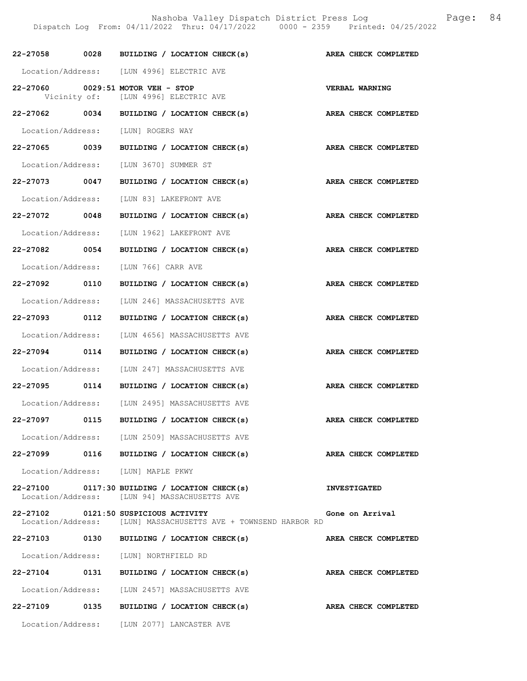| 22-27058 0028     |      | BUILDING / LOCATION CHECK(s)                                                                           | AREA CHECK COMPLETED  |
|-------------------|------|--------------------------------------------------------------------------------------------------------|-----------------------|
|                   |      | Location/Address: [LUN 4996] ELECTRIC AVE                                                              |                       |
|                   |      | 22-27060 0029:51 MOTOR VEH - STOP<br>Vicinity of: [LUN 4996] ELECTRIC AVE                              | <b>VERBAL WARNING</b> |
|                   |      | 22-27062 0034 BUILDING / LOCATION CHECK(s)                                                             | AREA CHECK COMPLETED  |
|                   |      | Location/Address: [LUN] ROGERS WAY                                                                     |                       |
| 22-27065 0039     |      | BUILDING / LOCATION CHECK(s)                                                                           | AREA CHECK COMPLETED  |
|                   |      | Location/Address: [LUN 3670] SUMMER ST                                                                 |                       |
| 22-27073 0047     |      | BUILDING / LOCATION CHECK(s)                                                                           | AREA CHECK COMPLETED  |
|                   |      | Location/Address: [LUN 83] LAKEFRONT AVE                                                               |                       |
| 22-27072 0048     |      | BUILDING / LOCATION CHECK(s)                                                                           | AREA CHECK COMPLETED  |
|                   |      | Location/Address: [LUN 1962] LAKEFRONT AVE                                                             |                       |
| 22-27082 0054     |      | BUILDING / LOCATION CHECK(s)                                                                           | AREA CHECK COMPLETED  |
|                   |      | Location/Address: [LUN 766] CARR AVE                                                                   |                       |
| 22-27092 0110     |      | BUILDING / LOCATION CHECK(s)                                                                           | AREA CHECK COMPLETED  |
|                   |      | Location/Address: [LUN 246] MASSACHUSETTS AVE                                                          |                       |
| 22-27093 0112     |      | BUILDING / LOCATION CHECK(s)                                                                           | AREA CHECK COMPLETED  |
|                   |      | Location/Address: [LUN 4656] MASSACHUSETTS AVE                                                         |                       |
| 22-27094 0114     |      | BUILDING / LOCATION CHECK(s)                                                                           | AREA CHECK COMPLETED  |
| Location/Address: |      | [LUN 247] MASSACHUSETTS AVE                                                                            |                       |
| 22-27095 0114     |      | BUILDING / LOCATION CHECK(s)                                                                           | AREA CHECK COMPLETED  |
|                   |      | Location/Address: [LUN 2495] MASSACHUSETTS AVE                                                         |                       |
| 22-27097 0115     |      | BUILDING / LOCATION CHECK(s)                                                                           | AREA CHECK COMPLETED  |
|                   |      | Location/Address: [LUN 2509] MASSACHUSETTS AVE                                                         |                       |
|                   |      | 22-27099 0116 BUILDING / LOCATION CHECK(s)                                                             | AREA CHECK COMPLETED  |
|                   |      | Location/Address: [LUN] MAPLE PKWY                                                                     |                       |
|                   |      | 22-27100 0117:30 BUILDING / LOCATION CHECK(s)<br>Location/Address: [LUN 94] MASSACHUSETTS AVE          | <b>INVESTIGATED</b>   |
|                   |      | 22-27102 0121:50 SUSPICIOUS ACTIVITY<br>Location/Address: [LUN] MASSACHUSETTS AVE + TOWNSEND HARBOR RD | Gone on Arrival       |
| $22 - 27103$      | 0130 | BUILDING / LOCATION CHECK(s)                                                                           | AREA CHECK COMPLETED  |
|                   |      | Location/Address: [LUN] NORTHFIELD RD                                                                  |                       |
| 22-27104 0131     |      | BUILDING / LOCATION CHECK(s)                                                                           | AREA CHECK COMPLETED  |
|                   |      | Location/Address: [LUN 2457] MASSACHUSETTS AVE                                                         |                       |
| 22-27109 0135     |      | BUILDING / LOCATION CHECK(s)                                                                           | AREA CHECK COMPLETED  |
|                   |      | Location/Address: [LUN 2077] LANCASTER AVE                                                             |                       |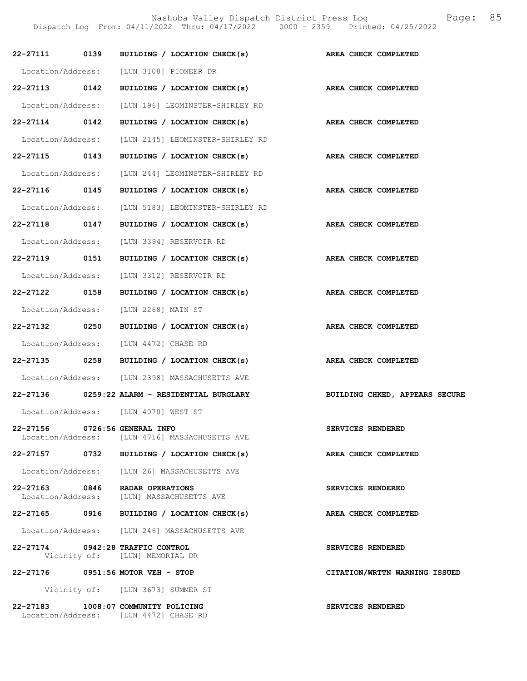|                               | 22-27111 0139 BUILDING / LOCATION CHECK(s)                                  | AREA CHECK COMPLETED           |
|-------------------------------|-----------------------------------------------------------------------------|--------------------------------|
|                               | Location/Address: [LUN 3108] PIONEER DR                                     |                                |
| 22-27113 0142                 | BUILDING / LOCATION CHECK(s) AREA CHECK COMPLETED                           |                                |
|                               | Location/Address: [LUN 196] LEOMINSTER-SHIRLEY RD                           |                                |
| 22-27114 0142                 | BUILDING / LOCATION CHECK(s) AREA CHECK COMPLETED                           |                                |
|                               | Location/Address: [LUN 2145] LEOMINSTER-SHIRLEY RD                          |                                |
| 22-27115 0143                 | BUILDING / LOCATION CHECK(s) AREA CHECK COMPLETED                           |                                |
|                               | Location/Address: [LUN 244] LEOMINSTER-SHIRLEY RD                           |                                |
| 22-27116 0145                 | BUILDING / LOCATION CHECK(s)                                                | AREA CHECK COMPLETED           |
|                               | Location/Address: [LUN 5183] LEOMINSTER-SHIRLEY RD                          |                                |
| 22-27118 0147                 | BUILDING / LOCATION CHECK(s)                                                | AREA CHECK COMPLETED           |
|                               | Location/Address: [LUN 3394] RESERVOIR RD                                   |                                |
| 22-27119 0151                 | BUILDING / LOCATION CHECK(s) AREA CHECK COMPLETED                           |                                |
|                               | Location/Address: [LUN 3312] RESERVOIR RD                                   |                                |
| 22-27122 0158                 | BUILDING / LOCATION CHECK(s) AREA CHECK COMPLETED                           |                                |
|                               | Location/Address: [LUN 2268] MAIN ST                                        |                                |
| 22-27132 0250                 | BUILDING / LOCATION CHECK(s) AREA CHECK COMPLETED                           |                                |
|                               | Location/Address: [LUN 4472] CHASE RD                                       |                                |
|                               | 22-27135 0258 BUILDING / LOCATION CHECK(s)                                  | AREA CHECK COMPLETED           |
|                               | Location/Address: [LUN 2398] MASSACHUSETTS AVE                              |                                |
|                               | 22-27136 0259:22 ALARM - RESIDENTIAL BURGLARY                               | BUILDING CHKED, APPEARS SECURE |
|                               | Location/Address: [LUN 4070] WEST ST                                        |                                |
| 22-27156 0726:56 GENERAL INFO | Location/Address: [LUN 4716] MASSACHUSETTS AVE                              | SERVICES RENDERED              |
|                               | 22-27157 0732 BUILDING / LOCATION CHECK(s)                                  | AREA CHECK COMPLETED           |
|                               | Location/Address: [LUN 26] MASSACHUSETTS AVE                                |                                |
|                               | 22-27163 0846 RADAR OPERATIONS<br>Location/Address: [LUN] MASSACHUSETTS AVE | SERVICES RENDERED              |
|                               | $22-27165$ 0916 BUILDING / LOCATION CHECK(s)                                | AREA CHECK COMPLETED           |
|                               | Location/Address: [LUN 246] MASSACHUSETTS AVE                               |                                |
|                               | 22-27174 0942:28 TRAFFIC CONTROL<br>Vicinity of: [LUN] MEMORIAL DR          | SERVICES RENDERED              |
|                               | 22-27176 0951:56 MOTOR VEH - STOP                                           | CITATION/WRTTN WARNING ISSUED  |
|                               | Vicinity of: [LUN 3673] SUMMER ST                                           |                                |
| 22-27183                      | 1008:07 COMMUNITY POLICING<br>Location/Address: [LUN 4472] CHASE RD         | SERVICES RENDERED              |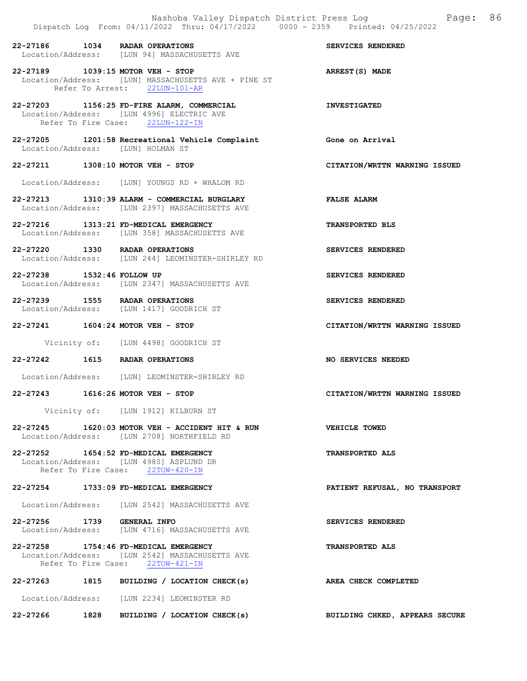|                                   | Nashoba Valley Dispatch District Press Log<br>Dispatch Log From: 04/11/2022 Thru: 04/17/2022 0000 - 2359 Printed: 04/25/2022 | 86<br>Page:                    |
|-----------------------------------|------------------------------------------------------------------------------------------------------------------------------|--------------------------------|
| 22-27186 1034 RADAR OPERATIONS    | Location/Address: [LUN 94] MASSACHUSETTS AVE                                                                                 | SERVICES RENDERED              |
| 22-27189 1039:15 MOTOR VEH - STOP | Location/Address: [LUN] MASSACHUSETTS AVE + PINE ST<br>Refer To Arrest: 22LUN-101-AR                                         | ARREST(S) MADE                 |
|                                   | 22-27203 1156:25 FD-FIRE ALARM, COMMERCIAL<br>Location/Address: [LUN 4996] ELECTRIC AVE<br>Refer To Fire Case: 22LUN-122-IN  | <b>INVESTIGATED</b>            |
| Location/Address: [LUN] HOLMAN ST | 22-27205 1201:58 Recreational Vehicle Complaint                                                                              | Gone on Arrival                |
| 22-27211 1308:10 MOTOR VEH - STOP |                                                                                                                              | CITATION/WRTTN WARNING ISSUED  |
|                                   | Location/Address: [LUN] YOUNGS RD + WHALOM RD                                                                                |                                |
|                                   | 22-27213 1310:39 ALARM - COMMERCIAL BURGLARY<br>Location/Address: [LUN 2397] MASSACHUSETTS AVE                               | <b>FALSE ALARM</b>             |
|                                   | 22-27216 1313:21 FD-MEDICAL EMERGENCY<br>Location/Address: [LUN 358] MASSACHUSETTS AVE                                       | <b>TRANSPORTED BLS</b>         |
| 22-27220 1330 RADAR OPERATIONS    | Location/Address: [LUN 244] LEOMINSTER-SHIRLEY RD                                                                            | SERVICES RENDERED              |
| 22-27238 1532:46 FOLLOW UP        | Location/Address: [LUN 2347] MASSACHUSETTS AVE                                                                               | SERVICES RENDERED              |
| 22-27239 1555 RADAR OPERATIONS    | Location/Address: [LUN 1417] GOODRICH ST                                                                                     | SERVICES RENDERED              |
| 22-27241 1604:24 MOTOR VEH - STOP |                                                                                                                              | CITATION/WRTTN WARNING ISSUED  |
|                                   | Vicinity of: [LUN 4498] GOODRICH ST                                                                                          |                                |
| 22-27242 1615 RADAR OPERATIONS    |                                                                                                                              | NO SERVICES NEEDED             |
|                                   | Location/Address: [LUN] LEOMINSTER-SHIRLEY RD                                                                                |                                |
| 22-27243 1616:26 MOTOR VEH - STOP |                                                                                                                              | CITATION/WRTTN WARNING ISSUED  |
|                                   | Vicinity of: [LUN 1912] KILBURN ST                                                                                           |                                |
|                                   | $22-27245$ 1620:03 MOTOR VEH - ACCIDENT HIT & RUN<br>Location/Address: [LUN 2708] NORTHFIELD RD                              | VEHICLE TOWED                  |
|                                   | 22-27252 1654:52 FD-MEDICAL EMERGENCY<br>Location/Address: [LUN 4980] ASPLUND DR<br>Refer To Fire Case: 22TOW-420-IN         | <b>TRANSPORTED ALS</b>         |
|                                   | 22-27254 1733:09 FD-MEDICAL EMERGENCY                                                                                        | PATIENT REFUSAL, NO TRANSPORT  |
|                                   | Location/Address: [LUN 2542] MASSACHUSETTS AVE                                                                               |                                |
| 22-27256 1739 GENERAL INFO        | Location/Address: [LUN 4716] MASSACHUSETTS AVE                                                                               | SERVICES RENDERED              |
|                                   | 22-27258 1754:46 FD-MEDICAL EMERGENCY<br>Location/Address: [LUN 2542] MASSACHUSETTS AVE<br>Refer To Fire Case: 22TOW-421-IN  | TRANSPORTED ALS                |
|                                   | 22-27263 1815 BUILDING / LOCATION CHECK(s)                                                                                   | AREA CHECK COMPLETED           |
|                                   | Location/Address: [LUN 2234] LEOMINSTER RD                                                                                   |                                |
| 22-27266<br>1828                  | BUILDING / LOCATION CHECK(s)                                                                                                 | BUILDING CHKED, APPEARS SECURE |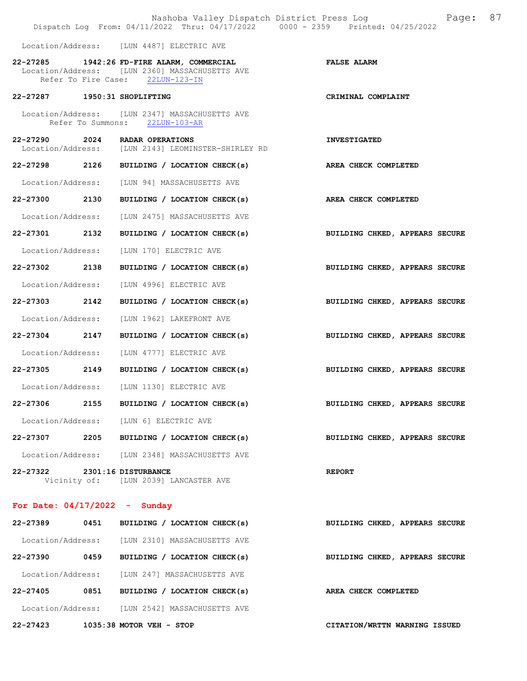|                   |      | Nashoba Valley Dispatch District Press Log<br>Dispatch Log From: 04/11/2022 Thru: 04/17/2022 0000 - 2359 Printed: 04/25/2022     | 87<br>Page:                    |
|-------------------|------|----------------------------------------------------------------------------------------------------------------------------------|--------------------------------|
|                   |      | Location/Address: [LUN 4487] ELECTRIC AVE                                                                                        |                                |
|                   |      | 22-27285 1942:26 FD-FIRE ALARM, COMMERCIAL<br>Location/Address: [LUN 2360] MASSACHUSETTS AVE<br>Refer To Fire Case: 22LUN-123-IN | <b>FALSE ALARM</b>             |
|                   |      | 22-27287 1950:31 SHOPLIFTING                                                                                                     | CRIMINAL COMPLAINT             |
|                   |      | Location/Address: [LUN 2347] MASSACHUSETTS AVE<br>Refer To Summons: 22LUN-103-AR                                                 |                                |
|                   |      | 22-27290 2024 RADAR OPERATIONS<br>Location/Address: [LUN 2143] LEOMINSTER-SHIRLEY RD                                             | <b>INVESTIGATED</b>            |
| 22-27298 2126     |      | BUILDING / LOCATION CHECK(s)                                                                                                     | AREA CHECK COMPLETED           |
|                   |      | Location/Address: [LUN 94] MASSACHUSETTS AVE                                                                                     |                                |
| 22-27300 2130     |      | BUILDING / LOCATION CHECK(s)                                                                                                     | AREA CHECK COMPLETED           |
| Location/Address: |      | [LUN 2475] MASSACHUSETTS AVE                                                                                                     |                                |
| 22-27301 2132     |      | BUILDING / LOCATION CHECK(s)                                                                                                     | BUILDING CHKED, APPEARS SECURE |
| Location/Address: |      | [LUN 170] ELECTRIC AVE                                                                                                           |                                |
| 22-27302 2138     |      | BUILDING / LOCATION CHECK(s)                                                                                                     | BUILDING CHKED, APPEARS SECURE |
| Location/Address: |      | [LUN 4996] ELECTRIC AVE                                                                                                          |                                |
| 22-27303 2142     |      | BUILDING / LOCATION CHECK(s)                                                                                                     | BUILDING CHKED, APPEARS SECURE |
| Location/Address: |      | [LUN 1962] LAKEFRONT AVE                                                                                                         |                                |
| 22-27304 2147     |      | BUILDING / LOCATION CHECK(s)                                                                                                     | BUILDING CHKED, APPEARS SECURE |
|                   |      | Location/Address: [LUN 4777] ELECTRIC AVE                                                                                        |                                |
|                   |      | 22-27305 2149 BUILDING / LOCATION CHECK(s)                                                                                       | BUILDING CHKED, APPEARS SECURE |
|                   |      | Location/Address: [LUN 1130] ELECTRIC AVE                                                                                        |                                |
| 22-27306          | 2155 | BUILDING / LOCATION CHECK(s)                                                                                                     | BUILDING CHKED, APPEARS SECURE |
|                   |      | Location/Address: [LUN 6] ELECTRIC AVE                                                                                           |                                |
|                   |      | $22-27307$ 2205 BUILDING / LOCATION CHECK(s)                                                                                     | BUILDING CHKED, APPEARS SECURE |
|                   |      | Location/Address: [LUN 2348] MASSACHUSETTS AVE                                                                                   |                                |
|                   |      | 22-27322 2301:16 DISTURBANCE<br>Vicinity of: [LUN 2039] LANCASTER AVE                                                            | <b>REPORT</b>                  |
|                   |      | For Date: $04/17/2022 -$ Sunday                                                                                                  |                                |
|                   |      | 22-27389 0451 BUILDING / LOCATION CHECK(s)                                                                                       | BUILDING CHKED, APPEARS SECURE |
|                   |      | Location/Address: [LUN 2310] MASSACHUSETTS AVE                                                                                   |                                |
| 22-27390          | 0459 | BUILDING / LOCATION CHECK(s)                                                                                                     | BUILDING CHKED, APPEARS SECURE |
|                   |      | Location/Address: [LUN 247] MASSACHUSETTS AVE                                                                                    |                                |
|                   |      | 22-27405 0851 BUILDING / LOCATION CHECK(s)                                                                                       | AREA CHECK COMPLETED           |
|                   |      | Location/Address: [LUN 2542] MASSACHUSETTS AVE                                                                                   |                                |

22-27423 1035:38 MOTOR VEH - STOP CITATION/WRTTN WARNING ISSUED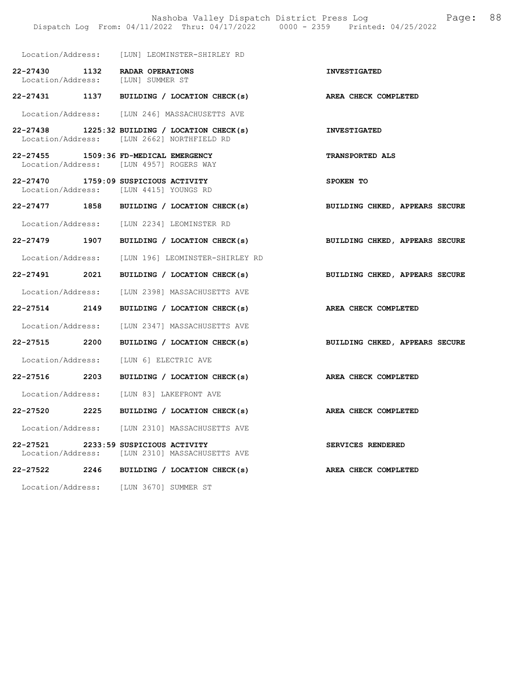|                               |      | Location/Address: [LUN] LEOMINSTER-SHIRLEY RD                                                 |                                |
|-------------------------------|------|-----------------------------------------------------------------------------------------------|--------------------------------|
| 22-27430 1132                 |      | RADAR OPERATIONS<br>Location/Address: [LUN] SUMMER ST                                         | <b>INVESTIGATED</b>            |
|                               |      | 22-27431 1137 BUILDING / LOCATION CHECK(s)                                                    | AREA CHECK COMPLETED           |
|                               |      | Location/Address: [LUN 246] MASSACHUSETTS AVE                                                 |                                |
|                               |      | $22-27438$ 1225:32 BUILDING / LOCATION CHECK(s)<br>Location/Address: [LUN 2662] NORTHFIELD RD | <b>INVESTIGATED</b>            |
|                               |      | 22-27455 1509:36 FD-MEDICAL EMERGENCY<br>Location/Address: [LUN 4957] ROGERS WAY              | TRANSPORTED ALS                |
|                               |      | 22-27470 1759:09 SUSPICIOUS ACTIVITY<br>Location/Address: [LUN 4415] YOUNGS RD                | SPOKEN TO                      |
|                               |      | 22-27477 1858 BUILDING / LOCATION CHECK(s)                                                    | BUILDING CHKED, APPEARS SECURE |
|                               |      | Location/Address: [LUN 2234] LEOMINSTER RD                                                    |                                |
| 22-27479 1907                 |      | BUILDING / LOCATION CHECK(s)                                                                  | BUILDING CHKED, APPEARS SECURE |
|                               |      | Location/Address: [LUN 196] LEOMINSTER-SHIRLEY RD                                             |                                |
| 22-27491 2021                 |      | BUILDING / LOCATION CHECK(s)                                                                  | BUILDING CHKED, APPEARS SECURE |
|                               |      | Location/Address: [LUN 2398] MASSACHUSETTS AVE                                                |                                |
| 22-27514 2149                 |      | BUILDING / LOCATION CHECK(s)                                                                  | AREA CHECK COMPLETED           |
|                               |      | Location/Address: [LUN 2347] MASSACHUSETTS AVE                                                |                                |
| 22-27515 2200                 |      | BUILDING / LOCATION CHECK(s)                                                                  | BUILDING CHKED, APPEARS SECURE |
|                               |      | Location/Address: [LUN 6] ELECTRIC AVE                                                        |                                |
| 22-27516 2203                 |      | BUILDING / LOCATION CHECK(s)                                                                  | AREA CHECK COMPLETED           |
|                               |      | Location/Address: [LUN 83] LAKEFRONT AVE                                                      |                                |
| 22-27520 2225                 |      | BUILDING / LOCATION CHECK(s)                                                                  | AREA CHECK COMPLETED           |
| Location/Address:             |      | [LUN 2310] MASSACHUSETTS AVE                                                                  |                                |
| 22-27521<br>Location/Address: |      | 2233:59 SUSPICIOUS ACTIVITY<br>[LUN 2310] MASSACHUSETTS AVE                                   | SERVICES RENDERED              |
| 22-27522                      | 2246 | BUILDING / LOCATION CHECK(s)                                                                  | AREA CHECK COMPLETED           |
| Location/Address:             |      | [LUN 3670] SUMMER ST                                                                          |                                |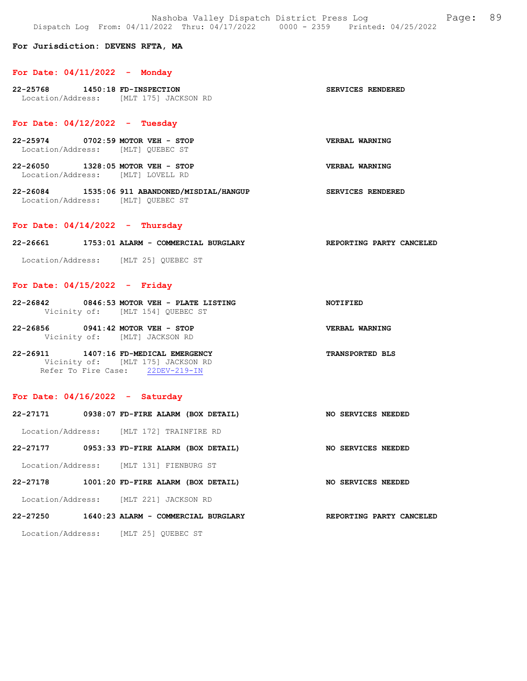Nashoba Valley Dispatch District Press Log Fage: 89 Dispatch Log From: 04/11/2022 Thru: 04/17/2022 0000 - 2359 Printed: 04/25/2022

#### For Jurisdiction: DEVENS RFTA, MA

#### For Date: 04/11/2022 - Monday

22-25768 1450:18 FD-INSPECTION SERVICES RENDERED Location/Address: [MLT 175] JACKSON RD

### For Date: 04/12/2022 - Tuesday

- 22-25974 0702:59 MOTOR VEH STOP VERBAL WARNING Location/Address: [MLT] QUEBEC ST
- 22-26050 1328:05 MOTOR VEH STOP VERBAL WARNING Location/Address: [MLT] LOVELL RD
- 22-26084 1535:06 911 ABANDONED/MISDIAL/HANGUP SERVICES RENDERED Location/Address: [MLT] QUEBEC ST

#### For Date:  $04/14/2022 -$  Thursday

22-26661 1753:01 ALARM - COMMERCIAL BURGLARY REPORTING PARTY CANCELED

Location/Address: [MLT 25] QUEBEC ST

#### For Date: 04/15/2022 - Friday

- 22-26842 0846:53 MOTOR VEH PLATE LISTING NOTIFIED Vicinity of: [MLT 154] QUEBEC ST
- 22-26856 0941:42 MOTOR VEH STOP VERBAL WARNING Vicinity of: [MLT] JACKSON RD
- 22-26911 1407:16 FD-MEDICAL EMERGENCY TRANSPORTED BLS Vicinity of: [MLT 175] JACKSON RD Refer To Fire Case: 22DEV-219-IN

#### For Date: 04/16/2022 - Saturday

| 22-27171          | 0938:07 FD-FIRE ALARM (BOX DETAIL)       | NO SERVICES NEEDED |
|-------------------|------------------------------------------|--------------------|
|                   | Location/Address: [MLT 172] TRAINFIRE RD |                    |
| 22-27177          | 0953:33 FD-FIRE ALARM (BOX DETAIL)       | NO SERVICES NEEDED |
|                   | Location/Address: [MLT 131] FIENBURG ST  |                    |
| 22-27178          | 1001:20 FD-FIRE ALARM (BOX DETAIL)       | NO SERVICES NEEDED |
| Location/Address: | [MLT 221] JACKSON RD                     |                    |

22-27250 1640:23 ALARM - COMMERCIAL BURGLARY REPORTING PARTY CANCELED

Location/Address: [MLT 25] QUEBEC ST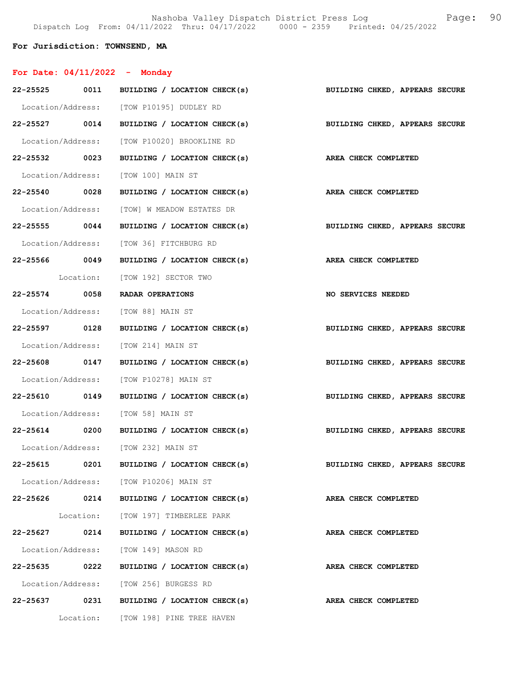Nashoba Valley Dispatch District Press Log Fage: 90 Dispatch Log From: 04/11/2022 Thru: 04/17/2022 0000 - 2359 Printed: 04/25/2022

## For Jurisdiction: TOWNSEND, MA

# For Date: 04/11/2022 - Monday

|          |               | 22-25525 0011 BUILDING / LOCATION CHECK(s)                      | BUILDING CHKED, APPEARS SECURE |
|----------|---------------|-----------------------------------------------------------------|--------------------------------|
|          |               | Location/Address: [TOW P10195] DUDLEY RD                        |                                |
|          |               | 22-25527 0014 BUILDING / LOCATION CHECK(s)                      | BUILDING CHKED, APPEARS SECURE |
|          |               | Location/Address: [TOW P10020] BROOKLINE RD                     |                                |
|          |               | 22-25532 0023 BUILDING / LOCATION CHECK(s)                      | AREA CHECK COMPLETED           |
|          |               | Location/Address: [TOW 100] MAIN ST                             |                                |
|          |               | 22-25540 0028 BUILDING / LOCATION CHECK(s)                      | AREA CHECK COMPLETED           |
|          |               | Location/Address: [TOW] W MEADOW ESTATES DR                     |                                |
|          |               | 22-25555 0044 BUILDING / LOCATION CHECK(s)                      | BUILDING CHKED, APPEARS SECURE |
|          |               | Location/Address: [TOW 36] FITCHBURG RD                         |                                |
|          |               | 22-25566 0049 BUILDING / LOCATION CHECK(s) AREA CHECK COMPLETED |                                |
|          |               | Location: [TOW 192] SECTOR TWO                                  |                                |
|          |               | 22-25574 0058 RADAR OPERATIONS                                  | <b>NO SERVICES NEEDED</b>      |
|          |               | Location/Address: [TOW 88] MAIN ST                              |                                |
|          | 22-25597 0128 | BUILDING / LOCATION CHECK(s)                                    | BUILDING CHKED, APPEARS SECURE |
|          |               | Location/Address: [TOW 214] MAIN ST                             |                                |
|          |               | 22-25608 0147 BUILDING / LOCATION CHECK(s)                      | BUILDING CHKED, APPEARS SECURE |
|          |               | Location/Address: [TOW P10278] MAIN ST                          |                                |
|          |               | 22-25610 0149 BUILDING / LOCATION CHECK(s)                      | BUILDING CHKED, APPEARS SECURE |
|          |               | Location/Address: [TOW 58] MAIN ST                              |                                |
|          |               | 22-25614 0200 BUILDING / LOCATION CHECK(s)                      | BUILDING CHKED, APPEARS SECURE |
|          |               | Location/Address: [TOW 232] MAIN ST                             |                                |
|          | 22-25615 0201 | BUILDING / LOCATION CHECK(s)                                    | BUILDING CHKED, APPEARS SECURE |
|          |               | Location/Address: [TOW P10206] MAIN ST                          |                                |
|          |               | 22-25626 0214 BUILDING / LOCATION CHECK(s)                      | AREA CHECK COMPLETED           |
|          |               | Location: [TOW 197] TIMBERLEE PARK                              |                                |
| 22-25627 | 0214          | BUILDING / LOCATION CHECK(s)                                    | AREA CHECK COMPLETED           |
|          |               | Location/Address: [TOW 149] MASON RD                            |                                |
|          | 22-25635 0222 | BUILDING / LOCATION CHECK(s)                                    | AREA CHECK COMPLETED           |
|          |               | Location/Address: [TOW 256] BURGESS RD                          |                                |
|          |               | 22-25637 0231 BUILDING / LOCATION CHECK(s)                      | AREA CHECK COMPLETED           |
|          |               | Location: [TOW 198] PINE TREE HAVEN                             |                                |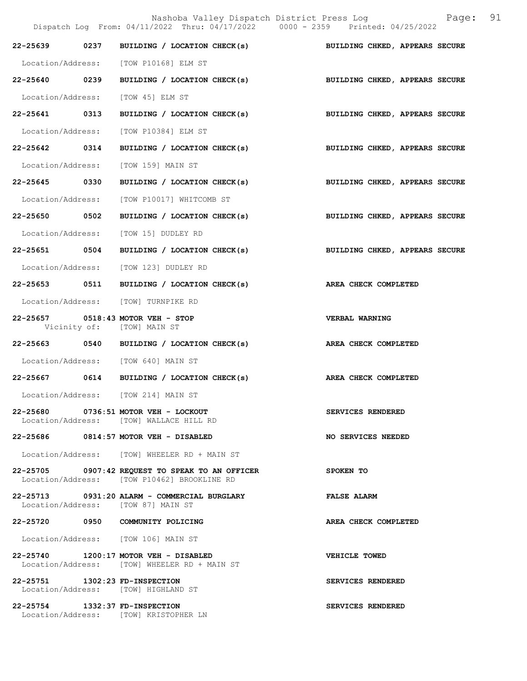|                                | Nashoba Valley Dispatch District Press Log Mashoba Valley Dispatch District Press Log<br>Dispatch Log From: 04/11/2022 Thru: 04/17/2022 0000 - 2359 Printed: 04/25/2022 |                                |  |
|--------------------------------|-------------------------------------------------------------------------------------------------------------------------------------------------------------------------|--------------------------------|--|
|                                | 22-25639 0237 BUILDING / LOCATION CHECK(s) BUILDING CHKED, APPEARS SECURE                                                                                               |                                |  |
|                                | Location/Address: [TOW P10168] ELM ST                                                                                                                                   |                                |  |
|                                | 22-25640 0239 BUILDING / LOCATION CHECK(s)                                                                                                                              | BUILDING CHKED, APPEARS SECURE |  |
| Location/Address:              | [TOW 45] ELM ST                                                                                                                                                         |                                |  |
| 22-25641 0313                  | BUILDING / LOCATION CHECK(s)                                                                                                                                            | BUILDING CHKED, APPEARS SECURE |  |
|                                | Location/Address: [TOW P10384] ELM ST                                                                                                                                   |                                |  |
| 22-25642 0314                  | BUILDING / LOCATION CHECK(s)                                                                                                                                            | BUILDING CHKED, APPEARS SECURE |  |
|                                | Location/Address: [TOW 159] MAIN ST                                                                                                                                     |                                |  |
| 22-25645 0330                  | BUILDING / LOCATION CHECK(s) BUILDING CHKED, APPEARS SECURE                                                                                                             |                                |  |
| Location/Address:              | [TOW P10017] WHITCOMB ST                                                                                                                                                |                                |  |
| 22-25650 0502                  | BUILDING / LOCATION CHECK(s)                                                                                                                                            | BUILDING CHKED, APPEARS SECURE |  |
|                                | Location/Address: [TOW 15] DUDLEY RD                                                                                                                                    |                                |  |
| 22-25651 0504                  | BUILDING / LOCATION CHECK(s)                                                                                                                                            | BUILDING CHKED, APPEARS SECURE |  |
|                                | Location/Address: [TOW 123] DUDLEY RD                                                                                                                                   |                                |  |
|                                | 22-25653 0511 BUILDING / LOCATION CHECK(s)                                                                                                                              | AREA CHECK COMPLETED           |  |
|                                | Location/Address: [TOW] TURNPIKE RD                                                                                                                                     |                                |  |
|                                | 22-25657 0518:43 MOTOR VEH - STOP<br>Vicinity of: [TOW] MAIN ST                                                                                                         | <b>VERBAL WARNING</b>          |  |
|                                | 22-25663 0540 BUILDING / LOCATION CHECK(s)                                                                                                                              | AREA CHECK COMPLETED           |  |
|                                | Location/Address: [TOW 640] MAIN ST                                                                                                                                     |                                |  |
|                                | 22-25667 0614 BUILDING / LOCATION CHECK(s)                                                                                                                              | AREA CHECK COMPLETED           |  |
| Location/Address:              | [TOW 214] MAIN ST                                                                                                                                                       |                                |  |
|                                | 22-25680 0736:51 MOTOR VEH - LOCKOUT<br>Location/Address: [TOW] WALLACE HILL RD                                                                                         | SERVICES RENDERED              |  |
|                                | 22-25686 0814:57 MOTOR VEH - DISABLED                                                                                                                                   | NO SERVICES NEEDED             |  |
|                                | Location/Address: [TOW] WHEELER RD + MAIN ST                                                                                                                            |                                |  |
|                                | 22-25705 0907:42 REQUEST TO SPEAK TO AN OFFICER<br>Location/Address: [TOW P10462] BROOKLINE RD                                                                          | SPOKEN TO                      |  |
|                                | 22-25713 0931:20 ALARM - COMMERCIAL BURGLARY<br>Location/Address: [TOW 87] MAIN ST                                                                                      | <b>FALSE ALARM</b>             |  |
|                                | 22-25720 0950 COMMUNITY POLICING                                                                                                                                        | AREA CHECK COMPLETED           |  |
|                                | Location/Address: [TOW 106] MAIN ST                                                                                                                                     |                                |  |
|                                | 22-25740 1200:17 MOTOR VEH - DISABLED<br>Location/Address: [TOW] WHEELER RD + MAIN ST                                                                                   | VEHICLE TOWED                  |  |
| 22-25751 1302:23 FD-INSPECTION | Location/Address: [TOW] HIGHLAND ST                                                                                                                                     | SERVICES RENDERED              |  |
| 22-25754 1332:37 FD-INSPECTION | Location/Address: [TOW] KRISTOPHER LN                                                                                                                                   | SERVICES RENDERED              |  |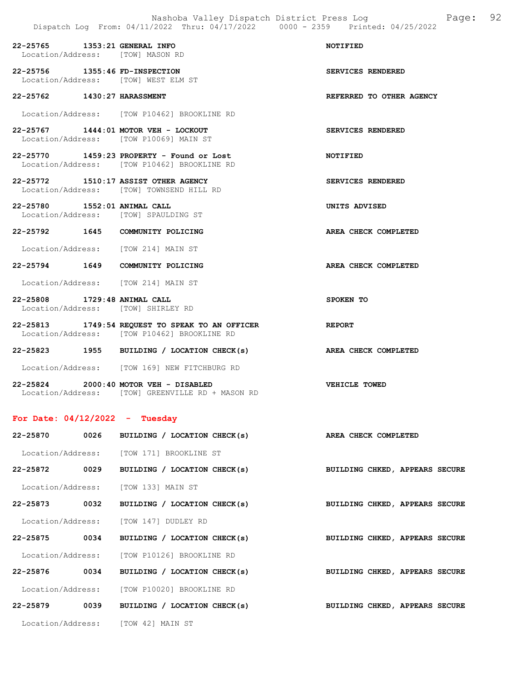| 22-25765 1353:21 GENERAL INFO |                      | Location/Address: [TOW] MASON RD                                                               | NOTIFIED                 |
|-------------------------------|----------------------|------------------------------------------------------------------------------------------------|--------------------------|
|                               |                      | 22-25756 1355:46 FD-INSPECTION<br>Location/Address: [TOW] WEST ELM ST                          | SERVICES RENDERED        |
| 22-25762 1430:27 HARASSMENT   |                      |                                                                                                | REFERRED TO OTHER AGENCY |
|                               |                      | Location/Address: [TOW P10462] BROOKLINE RD                                                    |                          |
|                               |                      | 22-25767 1444:01 MOTOR VEH - LOCKOUT<br>Location/Address: [TOW P10069] MAIN ST                 | <b>SERVICES RENDERED</b> |
|                               |                      | $22-25770$ 1459:23 PROPERTY - Found or Lost<br>Location/Address: [TOW P10462] BROOKLINE RD     | NOTIFIED                 |
|                               |                      | 22-25772 1510:17 ASSIST OTHER AGENCY<br>Location/Address: [TOW] TOWNSEND HILL RD               | SERVICES RENDERED        |
| 22-25780 1552:01 ANIMAL CALL  |                      | Location/Address: [TOW] SPAULDING ST                                                           | UNITS ADVISED            |
|                               |                      | 22-25792 1645 COMMUNITY POLICING                                                               | AREA CHECK COMPLETED     |
|                               |                      | Location/Address: [TOW 214] MAIN ST                                                            |                          |
|                               |                      | 22-25794 1649 COMMUNITY POLICING                                                               | AREA CHECK COMPLETED     |
|                               |                      | Location/Address: [TOW 214] MAIN ST                                                            |                          |
| 22-25808 1729:48 ANIMAL CALL  |                      | Location/Address: [TOW] SHIRLEY RD                                                             | SPOKEN TO                |
|                               |                      | 22-25813 1749:54 REQUEST TO SPEAK TO AN OFFICER<br>Location/Address: [TOW P10462] BROOKLINE RD | REPORT                   |
|                               |                      | 22-25823 1955 BUILDING / LOCATION CHECK(s) AREA CHECK COMPLETED                                |                          |
|                               |                      | Location/Address: [TOW 169] NEW FITCHBURG RD                                                   |                          |
|                               | $\sim$ $\sim$ $\sim$ |                                                                                                |                          |

22-25824 2000:40 MOTOR VEH - DISABLED VEHICLE TOWED Location/Address: [TOW] GREENVILLE RD + MASON RD

## For Date: 04/12/2022 - Tuesday

| 22-25870          | 0026 | BUILDING / LOCATION CHECK(s)                | AREA CHECK COMPLETED           |
|-------------------|------|---------------------------------------------|--------------------------------|
|                   |      | Location/Address: [TOW 171] BROOKLINE ST    |                                |
| 22-25872          | 0029 | BUILDING / LOCATION CHECK(s)                | BUILDING CHKED, APPEARS SECURE |
|                   |      | Location/Address: [TOW 133] MAIN ST         |                                |
| 22-25873          | 0032 | BUILDING / LOCATION CHECK(s)                | BUILDING CHKED, APPEARS SECURE |
| Location/Address: |      | [TOW 147] DUDLEY RD                         |                                |
| 22-25875          | 0034 | BUILDING / LOCATION CHECK(s)                | BUILDING CHKED, APPEARS SECURE |
|                   |      | Location/Address: [TOW P10126] BROOKLINE RD |                                |
| 22-25876          | 0034 | BUILDING / LOCATION CHECK(s)                | BUILDING CHKED, APPEARS SECURE |
|                   |      | Location/Address: [TOW P10020] BROOKLINE RD |                                |
| 22-25879          | 0039 | BUILDING / LOCATION CHECK(s)                | BUILDING CHKED, APPEARS SECURE |
| Location/Address: |      | [TOW 42] MAIN ST                            |                                |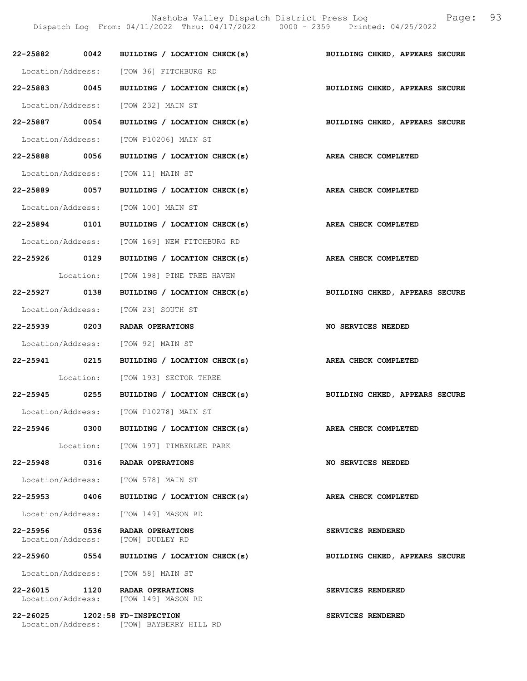Nashoba Valley Dispatch District Press Log Fage: 93 Dispatch Log From: 04/11/2022 Thru: 04/17/2022 0000 - 2359 Printed: 04/25/2022

|                                | 22-25882 0042 BUILDING / LOCATION CHECK(s)                                | BUILDING CHKED, APPEARS SECURE |
|--------------------------------|---------------------------------------------------------------------------|--------------------------------|
|                                | Location/Address: [TOW 36] FITCHBURG RD                                   |                                |
| 22-25883 0045                  | BUILDING / LOCATION CHECK(s) BUILDING CHKED, APPEARS SECURE               |                                |
|                                | Location/Address: [TOW 232] MAIN ST                                       |                                |
| 22-25887 0054                  | BUILDING / LOCATION CHECK(s)                                              | BUILDING CHKED, APPEARS SECURE |
|                                | Location/Address: [TOW P10206] MAIN ST                                    |                                |
| 22-25888 0056                  | BUILDING / LOCATION CHECK(s) AREA CHECK COMPLETED                         |                                |
|                                | Location/Address: [TOW 11] MAIN ST                                        |                                |
| 22-25889 0057                  | BUILDING / LOCATION CHECK(s) AREA CHECK COMPLETED                         |                                |
|                                | Location/Address: [TOW 100] MAIN ST                                       |                                |
| 22-25894 0101                  | BUILDING / LOCATION CHECK(s) AREA CHECK COMPLETED                         |                                |
|                                | Location/Address: [TOW 169] NEW FITCHBURG RD                              |                                |
| 22-25926 0129                  | BUILDING / LOCATION CHECK(s)                                              | <b>AREA CHECK COMPLETED</b>    |
|                                | Location: [TOW 198] PINE TREE HAVEN                                       |                                |
|                                | 22-25927 0138 BUILDING / LOCATION CHECK(s)                                | BUILDING CHKED, APPEARS SECURE |
|                                | Location/Address: [TOW 23] SOUTH ST                                       |                                |
|                                | 22-25939 0203 RADAR OPERATIONS                                            | <b>NO SERVICES NEEDED</b>      |
|                                | Location/Address: [TOW 92] MAIN ST                                        |                                |
| 22-25941 0215                  | BUILDING / LOCATION CHECK(s) AREA CHECK COMPLETED                         |                                |
|                                | Location: [TOW 193] SECTOR THREE                                          |                                |
|                                | 22-25945 0255 BUILDING / LOCATION CHECK(s) BUILDING CHKED, APPEARS SECURE |                                |
|                                | Location/Address: [TOW P10278] MAIN ST                                    |                                |
|                                | 22-25946 0300 BUILDING / LOCATION CHECK(s)                                | AREA CHECK COMPLETED           |
|                                | Location: [TOW 197] TIMBERLEE PARK                                        |                                |
|                                | 22-25948 0316 RADAR OPERATIONS                                            | NO SERVICES NEEDED             |
|                                | Location/Address: [TOW 578] MAIN ST                                       |                                |
| 22-25953 0406                  | BUILDING / LOCATION CHECK(s)                                              | AREA CHECK COMPLETED           |
|                                | Location/Address: [TOW 149] MASON RD                                      |                                |
| 22-25956 0536                  | RADAR OPERATIONS<br>Location/Address: [TOW] DUDLEY RD                     | SERVICES RENDERED              |
|                                | 22-25960 0554 BUILDING / LOCATION CHECK(s)                                | BUILDING CHKED, APPEARS SECURE |
|                                | Location/Address: [TOW 58] MAIN ST                                        |                                |
|                                | 22-26015 1120 RADAR OPERATIONS<br>Location/Address: [TOW 149] MASON RD    | SERVICES RENDERED              |
| 22-26025 1202:58 FD-INSPECTION | Location/Address: [TOW] BAYBERRY HILL RD                                  | SERVICES RENDERED              |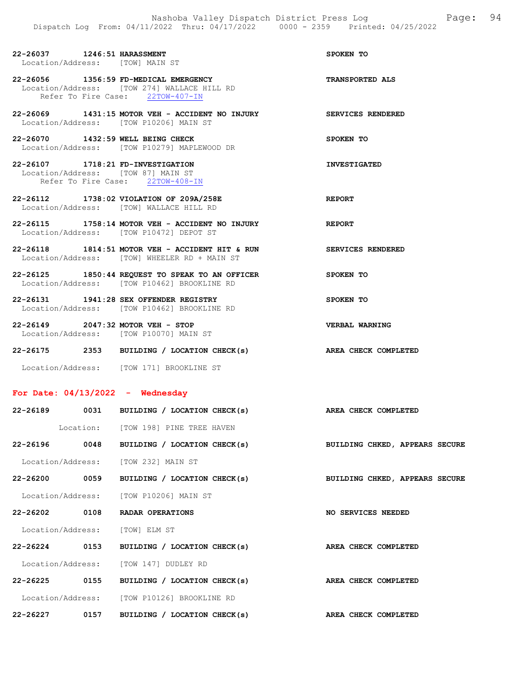| 22-26037 1246:51 HARASSMENT<br>Location/Address: [TOW] MAIN ST              |                                                                                                                          | SPOKEN TO                |
|-----------------------------------------------------------------------------|--------------------------------------------------------------------------------------------------------------------------|--------------------------|
|                                                                             | 22-26056 1356:59 FD-MEDICAL EMERGENCY<br>Location/Address: [TOW 274] WALLACE HILL RD<br>Refer To Fire Case: 22TOW-407-IN | <b>TRANSPORTED ALS</b>   |
| Location/Address: [TOW P10206] MAIN ST                                      | 22-26069 1431:15 MOTOR VEH - ACCIDENT NO INJURY SERVICES RENDERED                                                        |                          |
| 22-26070 1432:59 WELL BEING CHECK                                           | Location/Address: [TOW P10279] MAPLEWOOD DR                                                                              | SPOKEN TO                |
| 22-26107 1718:21 FD-INVESTIGATION<br>Location/Address: [TOW 87] MAIN ST     | Refer To Fire Case: 22TOW-408-IN                                                                                         | <b>INVESTIGATED</b>      |
| Location/Address: [TOW] WALLACE HILL RD                                     | 22-26112 1738:02 VIOLATION OF 209A/258E                                                                                  | <b>REPORT</b>            |
| Location/Address: [TOW P10472] DEPOT ST                                     | 22-26115 1758:14 MOTOR VEH - ACCIDENT NO INJURY                                                                          | <b>REPORT</b>            |
|                                                                             | 22-26118 1814:51 MOTOR VEH - ACCIDENT HIT & RUN<br>Location/Address: [TOW] WHEELER RD + MAIN ST                          | <b>SERVICES RENDERED</b> |
|                                                                             | 22-26125 1850:44 REQUEST TO SPEAK TO AN OFFICER<br>Location/Address: [TOW P10462] BROOKLINE RD                           | <b>SPOKEN TO</b>         |
| 22-26131 1941:28 SEX OFFENDER REGISTRY                                      | Location/Address: [TOW P10462] BROOKLINE RD                                                                              | SPOKEN TO                |
| 22-26149 2047:32 MOTOR VEH - STOP<br>Location/Address: [TOW P10070] MAIN ST |                                                                                                                          | VERBAL WARNING           |

22-26175 2353 BUILDING / LOCATION CHECK(s) AREA CHECK COMPLETED Location/Address: [TOW 171] BROOKLINE ST

## For Date: 04/13/2022 - Wednesday

| 22-26189 0031 |      | BUILDING / LOCATION CHECK(s)                | AREA CHECK COMPLETED           |
|---------------|------|---------------------------------------------|--------------------------------|
|               |      | Location: [TOW 198] PINE TREE HAVEN         |                                |
| 22-26196      | 0048 | BUILDING / LOCATION CHECK(s)                | BUILDING CHKED, APPEARS SECURE |
|               |      | Location/Address: [TOW 232] MAIN ST         |                                |
|               |      | 22-26200 0059 BUILDING / LOCATION CHECK(s)  | BUILDING CHKED, APPEARS SECURE |
|               |      | Location/Address: [TOW P10206] MAIN ST      |                                |
| 22-26202 0108 |      | RADAR OPERATIONS                            | NO SERVICES NEEDED             |
|               |      | Location/Address: [TOW] ELM ST              |                                |
|               |      | 22-26224 0153 BUILDING / LOCATION CHECK(s)  | AREA CHECK COMPLETED           |
|               |      | Location/Address: [TOW 147] DUDLEY RD       |                                |
| 22-26225 0155 |      | BUILDING / LOCATION CHECK(s)                | AREA CHECK COMPLETED           |
|               |      | Location/Address: [TOW P10126] BROOKLINE RD |                                |
| $22 - 26227$  | 0157 | BUILDING / LOCATION CHECK(s)                | AREA CHECK COMPLETED           |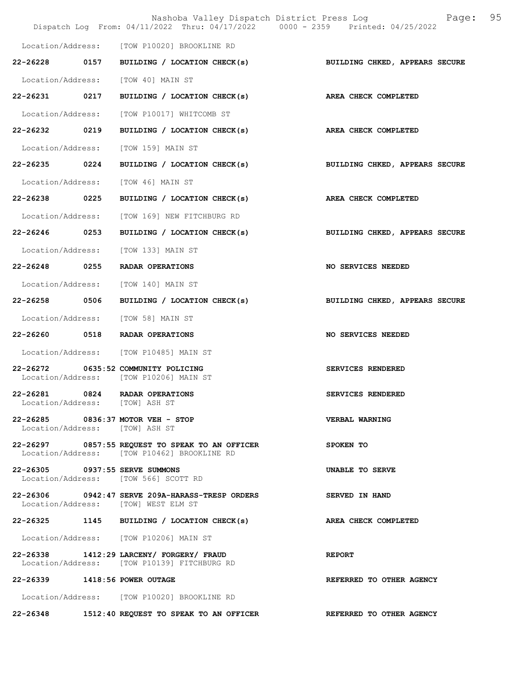|                                |      |                                                                                                | Nashoba Valley Dispatch District Press Log<br>Page:<br>Dispatch Log From: 04/11/2022 Thru: 04/17/2022 0000 - 2359 Printed: 04/25/2022 | 95 |
|--------------------------------|------|------------------------------------------------------------------------------------------------|---------------------------------------------------------------------------------------------------------------------------------------|----|
|                                |      | Location/Address: [TOW P10020] BROOKLINE RD                                                    |                                                                                                                                       |    |
|                                |      | 22-26228 0157 BUILDING / LOCATION CHECK(s)                                                     | BUILDING CHKED, APPEARS SECURE                                                                                                        |    |
|                                |      | Location/Address: [TOW 40] MAIN ST                                                             |                                                                                                                                       |    |
| 22-26231 0217                  |      | BUILDING / LOCATION CHECK(s)                                                                   | AREA CHECK COMPLETED                                                                                                                  |    |
|                                |      | Location/Address: [TOW P10017] WHITCOMB ST                                                     |                                                                                                                                       |    |
| 22-26232 0219                  |      | BUILDING / LOCATION CHECK(s)                                                                   | AREA CHECK COMPLETED                                                                                                                  |    |
| Location/Address:              |      | [TOW 159] MAIN ST                                                                              |                                                                                                                                       |    |
| 22-26235 0224                  |      | BUILDING / LOCATION CHECK(s)                                                                   | BUILDING CHKED, APPEARS SECURE                                                                                                        |    |
| Location/Address:              |      | TOW 461 MAIN ST                                                                                |                                                                                                                                       |    |
| 22-26238                       | 0225 | BUILDING / LOCATION CHECK(s)                                                                   | AREA CHECK COMPLETED                                                                                                                  |    |
|                                |      | Location/Address: [TOW 169] NEW FITCHBURG RD                                                   |                                                                                                                                       |    |
| 22-26246 0253                  |      | BUILDING / LOCATION CHECK(s)                                                                   | BUILDING CHKED, APPEARS SECURE                                                                                                        |    |
| Location/Address:              |      | [TOW 133] MAIN ST                                                                              |                                                                                                                                       |    |
| 22-26248 0255                  |      | RADAR OPERATIONS                                                                               | NO SERVICES NEEDED                                                                                                                    |    |
|                                |      | Location/Address: [TOW 140] MAIN ST                                                            |                                                                                                                                       |    |
| 22-26258                       | 0506 | BUILDING / LOCATION CHECK(s)                                                                   | BUILDING CHKED, APPEARS SECURE                                                                                                        |    |
|                                |      | Location/Address: [TOW 58] MAIN ST                                                             |                                                                                                                                       |    |
|                                |      | 22-26260 0518 RADAR OPERATIONS                                                                 | NO SERVICES NEEDED                                                                                                                    |    |
|                                |      | Location/Address: [TOW P10485] MAIN ST                                                         |                                                                                                                                       |    |
|                                |      | 22-26272 0635:52 COMMUNITY POLICING<br>Location/Address: [TOW P10206] MAIN ST                  | SERVICES RENDERED                                                                                                                     |    |
| 22-26281                       | 0824 | RADAR OPERATIONS<br>Location/Address: [TOW] ASH ST                                             | SERVICES RENDERED                                                                                                                     |    |
| Location/Address: [TOW] ASH ST |      | 22-26285 0836:37 MOTOR VEH - STOP                                                              | <b>VERBAL WARNING</b>                                                                                                                 |    |
|                                |      | 22-26297 0857:55 REQUEST TO SPEAK TO AN OFFICER<br>Location/Address: [TOW P10462] BROOKLINE RD | SPOKEN TO                                                                                                                             |    |
|                                |      | 22-26305 0937:55 SERVE SUMMONS<br>Location/Address: [TOW 566] SCOTT RD                         | UNABLE TO SERVE                                                                                                                       |    |
|                                |      | 22-26306 0942:47 SERVE 209A-HARASS-TRESP ORDERS<br>Location/Address: [TOW] WEST ELM ST         | <b>SERVED IN HAND</b>                                                                                                                 |    |
|                                |      | 22-26325 1145 BUILDING / LOCATION CHECK(s)                                                     | AREA CHECK COMPLETED                                                                                                                  |    |
|                                |      | Location/Address: [TOW P10206] MAIN ST                                                         |                                                                                                                                       |    |
|                                |      | 22-26338 1412:29 LARCENY/ FORGERY/ FRAUD<br>Location/Address: [TOW P10139] FITCHBURG RD        | <b>REPORT</b>                                                                                                                         |    |
| 22-26339 1418:56 POWER OUTAGE  |      |                                                                                                | REFERRED TO OTHER AGENCY                                                                                                              |    |
|                                |      | Location/Address: [TOW P10020] BROOKLINE RD                                                    |                                                                                                                                       |    |
|                                |      | 22-26348 1512:40 REQUEST TO SPEAK TO AN OFFICER                                                | <b>REFERRED TO OTHER AGENCY</b>                                                                                                       |    |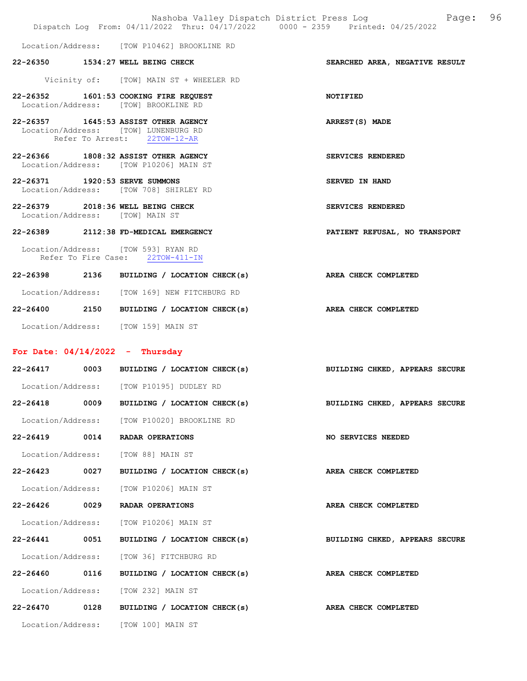|                                |      | Nashoba Valley Dispatch District Press Log<br>Dispatch Log From: 04/11/2022 Thru: 04/17/2022 0000 - 2359 Printed: 04/25/2022 | 96<br>Page:                    |
|--------------------------------|------|------------------------------------------------------------------------------------------------------------------------------|--------------------------------|
|                                |      | Location/Address: [TOW P10462] BROOKLINE RD                                                                                  |                                |
|                                |      | 22-26350 1534:27 WELL BEING CHECK                                                                                            | SEARCHED AREA, NEGATIVE RESULT |
|                                |      | Vicinity of: [TOW] MAIN ST + WHEELER RD                                                                                      |                                |
|                                |      | 22-26352 1601:53 COOKING FIRE REQUEST<br>Location/Address: [TOW] BROOKLINE RD                                                | NOTIFIED                       |
|                                |      | 22-26357 1645:53 ASSIST OTHER AGENCY<br>Location/Address: [TOW] LUNENBURG RD<br>Refer To Arrest: 22TOW-12-AR                 | ARREST(S) MADE                 |
|                                |      | 22-26366 1808:32 ASSIST OTHER AGENCY<br>Location/Address: [TOW P10206] MAIN ST                                               | SERVICES RENDERED              |
| 22-26371 1920:53 SERVE SUMMONS |      | Location/Address: [TOW 708] SHIRLEY RD                                                                                       | SERVED IN HAND                 |
|                                |      | 22-26379 2018:36 WELL BEING CHECK<br>Location/Address: [TOW] MAIN ST                                                         | SERVICES RENDERED              |
|                                |      | 22-26389 2112:38 FD-MEDICAL EMERGENCY                                                                                        | PATIENT REFUSAL, NO TRANSPORT  |
|                                |      | Location/Address: [TOW 593] RYAN RD<br>Refer To Fire Case: 22TOW-411-IN                                                      |                                |
|                                |      | 22-26398 2136 BUILDING / LOCATION CHECK(s)                                                                                   | AREA CHECK COMPLETED           |
|                                |      | Location/Address: [TOW 169] NEW FITCHBURG RD                                                                                 |                                |
|                                |      | 22-26400 2150 BUILDING / LOCATION CHECK(s)                                                                                   | AREA CHECK COMPLETED           |
|                                |      | Location/Address: [TOW 159] MAIN ST                                                                                          |                                |
|                                |      | For Date: $04/14/2022 -$ Thursday                                                                                            |                                |
|                                |      | 22-26417 0003 BUILDING / LOCATION CHECK(s)                                                                                   | BUILDING CHKED, APPEARS SECURE |
|                                |      | Location/Address: [TOW P10195] DUDLEY RD                                                                                     |                                |
| 22-26418                       | 0009 | BUILDING / LOCATION CHECK(s)                                                                                                 | BUILDING CHKED, APPEARS SECURE |
|                                |      | Location/Address: [TOW P10020] BROOKLINE RD                                                                                  |                                |
| 22-26419                       | 0014 | RADAR OPERATIONS                                                                                                             | <b>NO SERVICES NEEDED</b>      |
| Location/Address:              |      | [TOW 88] MAIN ST                                                                                                             |                                |
| 22-26423                       | 0027 | BUILDING / LOCATION CHECK(s)                                                                                                 | AREA CHECK COMPLETED           |
| Location/Address:              |      | [TOW P10206] MAIN ST                                                                                                         |                                |
| 22-26426                       | 0029 | RADAR OPERATIONS                                                                                                             | AREA CHECK COMPLETED           |
| Location/Address:              |      | [TOW P10206] MAIN ST                                                                                                         |                                |
| 22-26441 0051                  |      | BUILDING / LOCATION CHECK(s)                                                                                                 | BUILDING CHKED, APPEARS SECURE |
| Location/Address:              |      | [TOW 36] FITCHBURG RD                                                                                                        |                                |
| 22-26460                       | 0116 | BUILDING / LOCATION CHECK(s)                                                                                                 | AREA CHECK COMPLETED           |
| Location/Address:              |      | [TOW 232] MAIN ST                                                                                                            |                                |
| 22-26470                       | 0128 | BUILDING / LOCATION CHECK(s)                                                                                                 | AREA CHECK COMPLETED           |
|                                |      | Location/Address: [TOW 100] MAIN ST                                                                                          |                                |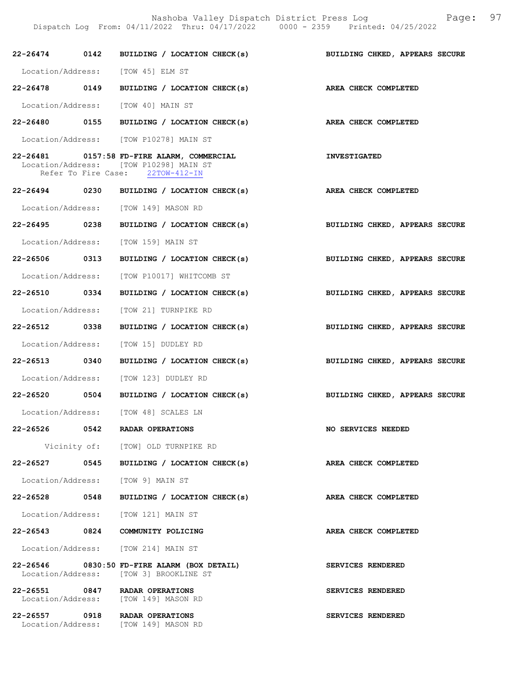Nashoba Valley Dispatch District Press Log Fage: 97

Dispatch Log From: 04/11/2022 Thru: 04/17/2022 0000 - 2359 Printed: 04/25/2022

|               | 22-26474 0142 BUILDING / LOCATION CHECK(s)                                                                               | BUILDING CHKED, APPEARS SECURE |
|---------------|--------------------------------------------------------------------------------------------------------------------------|--------------------------------|
|               | Location/Address: [TOW 45] ELM ST                                                                                        |                                |
|               | 22-26478 0149 BUILDING / LOCATION CHECK(s) AREA CHECK COMPLETED                                                          |                                |
|               | Location/Address: [TOW 40] MAIN ST                                                                                       |                                |
|               | 22-26480 0155 BUILDING / LOCATION CHECK(s) AREA CHECK COMPLETED                                                          |                                |
|               | Location/Address: [TOW P10278] MAIN ST                                                                                   |                                |
|               | 22-26481 0157:58 FD-FIRE ALARM, COMMERCIAL<br>Location/Address: [TOW P10298] MAIN ST<br>Refer To Fire Case: 22TOW-412-IN | <b>INVESTIGATED</b>            |
|               | 22-26494 0230 BUILDING / LOCATION CHECK(s) AREA CHECK COMPLETED                                                          |                                |
|               | Location/Address: [TOW 149] MASON RD                                                                                     |                                |
|               | 22-26495 0238 BUILDING / LOCATION CHECK(s)                                                                               | BUILDING CHKED, APPEARS SECURE |
|               | Location/Address: [TOW 159] MAIN ST                                                                                      |                                |
| 22-26506 0313 | BUILDING / LOCATION CHECK(s)                                                                                             | BUILDING CHKED, APPEARS SECURE |
|               | Location/Address: [TOW P10017] WHITCOMB ST                                                                               |                                |
| 22-26510 0334 | BUILDING / LOCATION CHECK(s) BUILDING CHKED, APPEARS SECURE                                                              |                                |
|               | Location/Address: [TOW 21] TURNPIKE RD                                                                                   |                                |
| 22-26512 0338 | BUILDING / LOCATION CHECK(s)                                                                                             | BUILDING CHKED, APPEARS SECURE |
|               | Location/Address: [TOW 15] DUDLEY RD                                                                                     |                                |
| 22-26513 0340 | BUILDING / LOCATION CHECK(s)                                                                                             | BUILDING CHKED, APPEARS SECURE |
|               | Location/Address: [TOW 123] DUDLEY RD                                                                                    |                                |
|               | 22-26520 0504 BUILDING / LOCATION CHECK(s) BUILDING CHKED, APPEARS SECURE                                                |                                |
|               | Location/Address: [TOW 48] SCALES LN                                                                                     |                                |
|               | 22-26526 0542 RADAR OPERATIONS                                                                                           | NO SERVICES NEEDED             |
|               | Vicinity of: [TOW] OLD TURNPIKE RD                                                                                       |                                |
|               | 22-26527 0545 BUILDING / LOCATION CHECK(s)                                                                               | AREA CHECK COMPLETED           |
|               | Location/Address: [TOW 9] MAIN ST                                                                                        |                                |
|               | 22-26528 0548 BUILDING / LOCATION CHECK(s)                                                                               | AREA CHECK COMPLETED           |
|               | Location/Address: [TOW 121] MAIN ST                                                                                      |                                |
|               | 22-26543 0824 COMMUNITY POLICING                                                                                         | AREA CHECK COMPLETED           |
|               | Location/Address: [TOW 214] MAIN ST                                                                                      |                                |
|               | 22-26546 0830:50 FD-FIRE ALARM (BOX DETAIL)<br>Location/Address: [TOW 3] BROOKLINE ST                                    | SERVICES RENDERED              |
|               | 22-26551 0847 RADAR OPERATIONS<br>Location/Address: [TOW 149] MASON RD                                                   | SERVICES RENDERED              |
|               | 22-26557 0918 RADAR OPERATIONS<br>Location/Address: [TOW 149] MASON RD                                                   | SERVICES RENDERED              |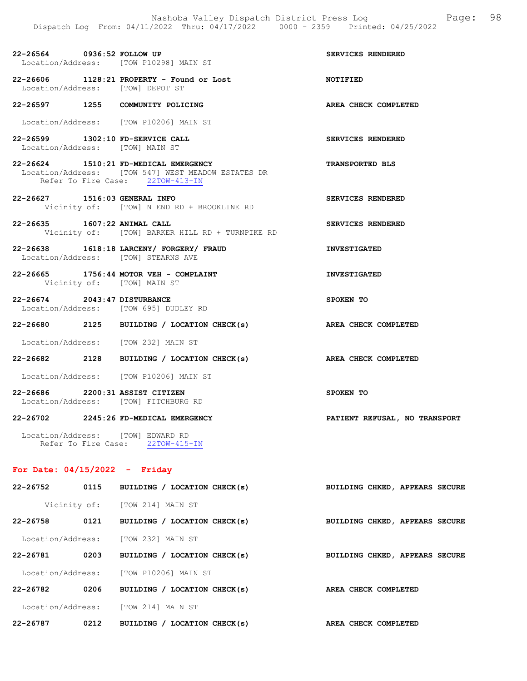22-26564 0936:52 FOLLOW UP SERVICES RENDERED Location/Address: [TOW P10298] MAIN ST

22-26606 1128:21 PROPERTY - Found or Lost NOTIFIED Location/Address: [TOW] DEPOT ST

22-26597 1255 COMMUNITY POLICING AREA CHECK COMPLETED

Location/Address: [TOW P10206] MAIN ST

- 22-26599 1302:10 FD-SERVICE CALL SERVICES RENDERED Location/Address: [TOW] MAIN ST
- 22-26624 1510:21 FD-MEDICAL EMERGENCY TRANSPORTED BLS Location/Address: [TOW 547] WEST MEADOW ESTATES DR<br>Refer To Fire Case: 22TOW-413-IN Refer To Fire Case:
- 22-26627 1516:03 GENERAL INFO SERVICES RENDERED Vicinity of: [TOW] N END RD + BROOKLINE RD
- 22-26635 1607:22 ANIMAL CALL SERVICES RENDERED Vicinity of: [TOW] BARKER HILL RD + TURNPIKE RD
- 22-26638 1618:18 LARCENY/ FORGERY/ FRAUD INVESTIGATED Location/Address: [TOW] STEARNS AVE
- 22-26665 1756:44 MOTOR VEH COMPLAINT **INVESTIGATED** Vicinity of: [TOW] MAIN ST
- 22-26674 2043:47 DISTURBANCE SPOKEN TO Location/Address: [TOW 695] DUDLEY RD
- 22-26680 2125 BUILDING / LOCATION CHECK(s) AREA CHECK COMPLETED
- Location/Address: [TOW 232] MAIN ST
- 22-26682 2128 BUILDING / LOCATION CHECK(s) AREA CHECK COMPLETED
- Location/Address: [TOW P10206] MAIN ST
- 22-26686 2200:31 ASSIST CITIZEN SPOKEN TO Location/Address: [TOW] FITCHBURG RD

#### 22-26702 2245:26 FD-MEDICAL EMERGENCY PATIENT REFUSAL, NO TRANSPORT

 Location/Address: [TOW] EDWARD RD Refer To Fire Case: 22TOW-415-IN

#### For Date: 04/15/2022 - Friday

| 22-26752          | 0115         | BUILDING / LOCATION CHECK(s)      | BUILDING CHKED, APPEARS SECURE |
|-------------------|--------------|-----------------------------------|--------------------------------|
|                   | Vicinity of: | [TOW 214] MAIN ST                 |                                |
| 22-26758          | 0121         | BUILDING / LOCATION CHECK(s)      | BUILDING CHKED, APPEARS SECURE |
| Location/Address: |              | [TOW 232] MAIN ST                 |                                |
| 22-26781          | 0203         | BUILDING / LOCATION CHECK(s)      | BUILDING CHKED, APPEARS SECURE |
| Location/Address: |              | [TOW P10206] MAIN ST              |                                |
| 22-26782          | 0206         | BUILDING / LOCATION CHECK(s)      | AREA CHECK COMPLETED           |
| Location/Address: |              | [TOW 214] MAIN ST                 |                                |
| 22-26787          | 0212         | / LOCATION CHECK(s)<br>BUILDING / | AREA CHECK COMPLETED           |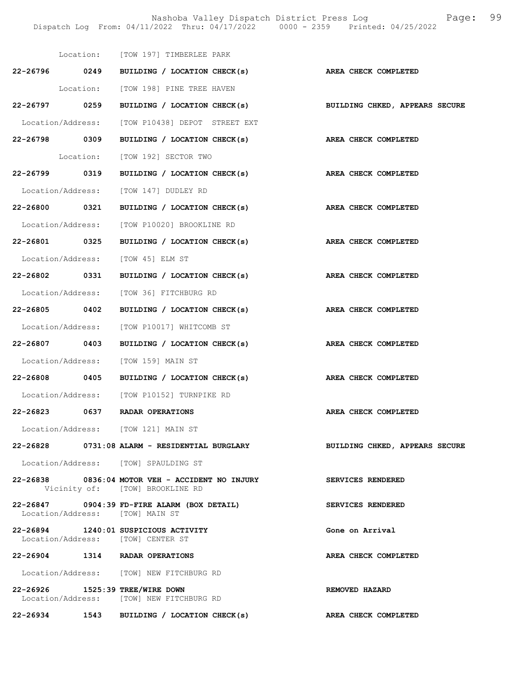Nashoba Valley Dispatch District Press Log Fage: 99 Dispatch Log From: 04/11/2022 Thru: 04/17/2022 0000 - 2359 Printed: 04/25/2022

|               | Location: [TOW 197] TIMBERLEE PARK                                                 |                                                                           |
|---------------|------------------------------------------------------------------------------------|---------------------------------------------------------------------------|
|               | 22-26796 0249 BUILDING / LOCATION CHECK(s)                                         | AREA CHECK COMPLETED                                                      |
|               | Location: [TOW 198] PINE TREE HAVEN                                                |                                                                           |
|               |                                                                                    | 22-26797 0259 BUILDING / LOCATION CHECK(s) BUILDING CHKED, APPEARS SECURE |
|               | Location/Address: [TOW P10438] DEPOT STREET EXT                                    |                                                                           |
| 22-26798 0309 | BUILDING / LOCATION CHECK(s) AREA CHECK COMPLETED                                  |                                                                           |
|               | Location: [TOW 192] SECTOR TWO                                                     |                                                                           |
| 22-26799 0319 | BUILDING / LOCATION CHECK(s)                                                       | AREA CHECK COMPLETED                                                      |
|               | Location/Address: [TOW 147] DUDLEY RD                                              |                                                                           |
|               | 22-26800 0321 BUILDING / LOCATION CHECK(s) AREA CHECK COMPLETED                    |                                                                           |
|               | Location/Address: [TOW P10020] BROOKLINE RD                                        |                                                                           |
|               | 22-26801 0325 BUILDING / LOCATION CHECK(s) AREA CHECK COMPLETED                    |                                                                           |
|               | Location/Address: [TOW 45] ELM ST                                                  |                                                                           |
|               | 22-26802 0331 BUILDING / LOCATION CHECK(s) AREA CHECK COMPLETED                    |                                                                           |
|               | Location/Address: [TOW 36] FITCHBURG RD                                            |                                                                           |
|               | 22-26805 0402 BUILDING / LOCATION CHECK(s) AREA CHECK COMPLETED                    |                                                                           |
|               | Location/Address: [TOW P10017] WHITCOMB ST                                         |                                                                           |
| 22-26807 0403 | BUILDING / LOCATION CHECK(s)                                                       | AREA CHECK COMPLETED                                                      |
|               | Location/Address: [TOW 159] MAIN ST                                                |                                                                           |
|               | 22-26808 0405 BUILDING / LOCATION CHECK(s) AREA CHECK COMPLETED                    |                                                                           |
|               | Location/Address: [TOW P10152] TURNPIKE RD                                         |                                                                           |
|               | 22-26823 0637 RADAR OPERATIONS                                                     | AREA CHECK COMPLETED                                                      |
|               | Location/Address: [TOW 121] MAIN ST                                                |                                                                           |
|               | 22-26828 0731:08 ALARM - RESIDENTIAL BURGLARY                                      | BUILDING CHKED, APPEARS SECURE                                            |
|               | Location/Address: [TOW] SPAULDING ST                                               |                                                                           |
|               | 22-26838 0836:04 MOTOR VEH - ACCIDENT NO INJURY<br>Vicinity of: [TOW] BROOKLINE RD | SERVICES RENDERED                                                         |
|               | 22-26847 0904:39 FD-FIRE ALARM (BOX DETAIL)<br>Location/Address: [TOW] MAIN ST     | SERVICES RENDERED                                                         |
|               | 22-26894 1240:01 SUSPICIOUS ACTIVITY<br>Location/Address: [TOW] CENTER ST          | Gone on Arrival                                                           |
|               | 22-26904 1314 RADAR OPERATIONS                                                     | AREA CHECK COMPLETED                                                      |
|               | Location/Address: [TOW] NEW FITCHBURG RD                                           |                                                                           |
|               | 22-26926 1525:39 TREE/WIRE DOWN<br>Location/Address: [TOW] NEW FITCHBURG RD        | REMOVED HAZARD                                                            |
|               | 22-26934 1543 BUILDING / LOCATION CHECK(s)                                         | AREA CHECK COMPLETED                                                      |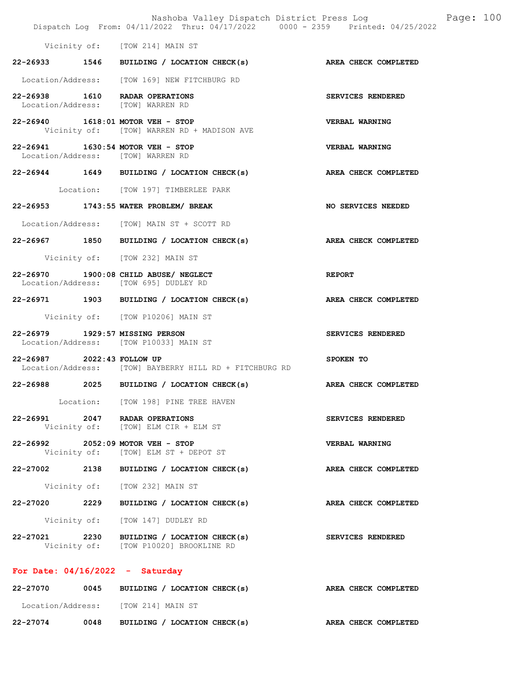|                                   | Dispatch Log From: 04/11/2022 Thru: 04/17/2022 0000 - 2359 Printed: 04/25/2022       | Nashoba Valley Dispatch District Press Log Fage: 100 |
|-----------------------------------|--------------------------------------------------------------------------------------|------------------------------------------------------|
|                                   | Vicinity of: [TOW 214] MAIN ST                                                       |                                                      |
|                                   | 22-26933 1546 BUILDING / LOCATION CHECK(s) AREA CHECK COMPLETED                      |                                                      |
|                                   | Location/Address: [TOW 169] NEW FITCHBURG RD                                         |                                                      |
|                                   | 22-26938 1610 RADAR OPERATIONS<br>Location/Address: [TOW] WARREN RD                  | SERVICES RENDERED                                    |
|                                   | 22-26940 1618:01 MOTOR VEH - STOP<br>Vicinity of: [TOW] WARREN RD + MADISON AVE      | VERBAL WARNING                                       |
|                                   | 22-26941 1630:54 MOTOR VEH - STOP<br>Location/Address: [TOW] WARREN RD               | <b>VERBAL WARNING</b>                                |
|                                   | 22-26944 1649 BUILDING / LOCATION CHECK(s)                                           | AREA CHECK COMPLETED                                 |
|                                   | Location: [TOW 197] TIMBERLEE PARK                                                   |                                                      |
|                                   | 22-26953 1743:55 WATER PROBLEM/ BREAK                                                | NO SERVICES NEEDED                                   |
|                                   | Location/Address: [TOW] MAIN ST + SCOTT RD                                           |                                                      |
|                                   | 22-26967 1850 BUILDING / LOCATION CHECK(s)                                           | AREA CHECK COMPLETED                                 |
|                                   | Vicinity of: [TOW 232] MAIN ST                                                       |                                                      |
|                                   | 22-26970 1900:08 CHILD ABUSE/ NEGLECT<br>Location/Address: [TOW 695] DUDLEY RD       | <b>REPORT</b>                                        |
|                                   | 22-26971 1903 BUILDING / LOCATION CHECK(s) AREA CHECK COMPLETED                      |                                                      |
|                                   | Vicinity of: [TOW P10206] MAIN ST                                                    |                                                      |
| 22-26979 1929:57 MISSING PERSON   | Location/Address: [TOW P10033] MAIN ST                                               | SERVICES RENDERED                                    |
| 22-26987 2022:43 FOLLOW UP        | Location/Address: [TOW] BAYBERRY HILL RD + FITCHBURG RD                              | SPOKEN TO                                            |
|                                   | 22-26988 2025 BUILDING / LOCATION CHECK(s)                                           | AREA CHECK COMPLETED                                 |
|                                   | Location: [TOW 198] PINE TREE HAVEN                                                  |                                                      |
|                                   | 22-26991 2047 RADAR OPERATIONS<br>Vicinity of: [TOW] ELM CIR + ELM ST                | SERVICES RENDERED                                    |
|                                   | 22-26992 2052:09 MOTOR VEH - STOP<br>Vicinity of: [TOW] ELM ST + DEPOT ST            | <b>VERBAL WARNING</b>                                |
|                                   | 22-27002 2138 BUILDING / LOCATION CHECK(s)                                           | AREA CHECK COMPLETED                                 |
|                                   | Vicinity of: [TOW 232] MAIN ST                                                       |                                                      |
|                                   | 22-27020 2229 BUILDING / LOCATION CHECK(s)                                           | AREA CHECK COMPLETED                                 |
|                                   | Vicinity of: [TOW 147] DUDLEY RD                                                     |                                                      |
|                                   | 22-27021 2230 BUILDING / LOCATION CHECK(s)<br>Vicinity of: [TOW P10020] BROOKLINE RD | <b>SERVICES RENDERED</b>                             |
| For Date: $04/16/2022 -$ Saturday |                                                                                      |                                                      |
|                                   | 22-27070 0045 BUILDING / LOCATION CHECK(s)                                           | AREA CHECK COMPLETED                                 |
|                                   | Location/Address: [TOW 214] MAIN ST                                                  |                                                      |

22-27074 0048 BUILDING / LOCATION CHECK(s) AREA CHECK COMPLETED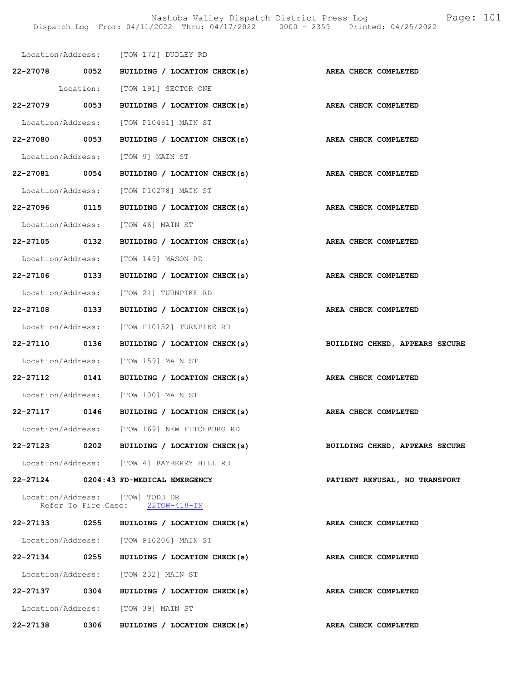|               |                     | Location/Address: [TOW 172] DUDLEY RD                           |                                                             |
|---------------|---------------------|-----------------------------------------------------------------|-------------------------------------------------------------|
|               |                     | 22-27078 0052 BUILDING / LOCATION CHECK(s) AREA CHECK COMPLETED |                                                             |
|               |                     | Location: [TOW 191] SECTOR ONE                                  |                                                             |
| 22-27079 0053 |                     | BUILDING / LOCATION CHECK(s)                                    | AREA CHECK COMPLETED                                        |
|               |                     | Location/Address: [TOW P10461] MAIN ST                          |                                                             |
|               |                     | 22-27080 0053 BUILDING / LOCATION CHECK(s) AREA CHECK COMPLETED |                                                             |
|               |                     | Location/Address: [TOW 9] MAIN ST                               |                                                             |
|               |                     | 22-27081 0054 BUILDING / LOCATION CHECK(s) AREA CHECK COMPLETED |                                                             |
|               |                     | Location/Address: [TOW P10278] MAIN ST                          |                                                             |
|               |                     | 22-27096 0115 BUILDING / LOCATION CHECK(s) AREA CHECK COMPLETED |                                                             |
|               |                     | Location/Address: [TOW 46] MAIN ST                              |                                                             |
|               |                     | 22-27105 0132 BUILDING / LOCATION CHECK(s) AREA CHECK COMPLETED |                                                             |
|               |                     | Location/Address: [TOW 149] MASON RD                            |                                                             |
|               |                     | 22-27106 0133 BUILDING / LOCATION CHECK(s) AREA CHECK COMPLETED |                                                             |
|               |                     | Location/Address: [TOW 21] TURNPIKE RD                          |                                                             |
|               |                     | 22-27108 0133 BUILDING / LOCATION CHECK(s) AREA CHECK COMPLETED |                                                             |
|               |                     | Location/Address: [TOW P10152] TURNPIKE RD                      |                                                             |
| 22-27110 0136 |                     |                                                                 | BUILDING / LOCATION CHECK(s) BUILDING CHKED, APPEARS SECURE |
|               |                     | Location/Address: [TOW 159] MAIN ST                             |                                                             |
|               |                     | 22-27112 0141 BUILDING / LOCATION CHECK(s) AREA CHECK COMPLETED |                                                             |
|               |                     | Location/Address: [TOW 100] MAIN ST                             |                                                             |
|               |                     | 22-27117 0146 BUILDING / LOCATION CHECK(s) AREA CHECK COMPLETED |                                                             |
|               |                     | Location/Address: [TOW 169] NEW FITCHBURG RD                    |                                                             |
|               |                     | 22-27123 0202 BUILDING / LOCATION CHECK(s)                      | BUILDING CHKED, APPEARS SECURE                              |
|               |                     | Location/Address: [TOW 4] BAYBERRY HILL RD                      |                                                             |
|               |                     | 22-27124 0204:43 FD-MEDICAL EMERGENCY                           | PATIENT REFUSAL, NO TRANSPORT                               |
|               | Refer To Fire Case: | Location/Address: [TOW] TODD DR<br>$22TOW-418-IN$               |                                                             |
| 22-27133      |                     | 0255 BUILDING / LOCATION CHECK(s)                               | AREA CHECK COMPLETED                                        |
|               |                     | Location/Address: [TOW P10206] MAIN ST                          |                                                             |
| 22-27134 0255 |                     | BUILDING / LOCATION CHECK(s)                                    | AREA CHECK COMPLETED                                        |
|               |                     | Location/Address: [TOW 232] MAIN ST                             |                                                             |
|               |                     | 22-27137 0304 BUILDING / LOCATION CHECK(s)                      | AREA CHECK COMPLETED                                        |
|               |                     | Location/Address: [TOW 39] MAIN ST                              |                                                             |
| 22-27138      | 0306                | BUILDING / LOCATION CHECK(s)                                    | AREA CHECK COMPLETED                                        |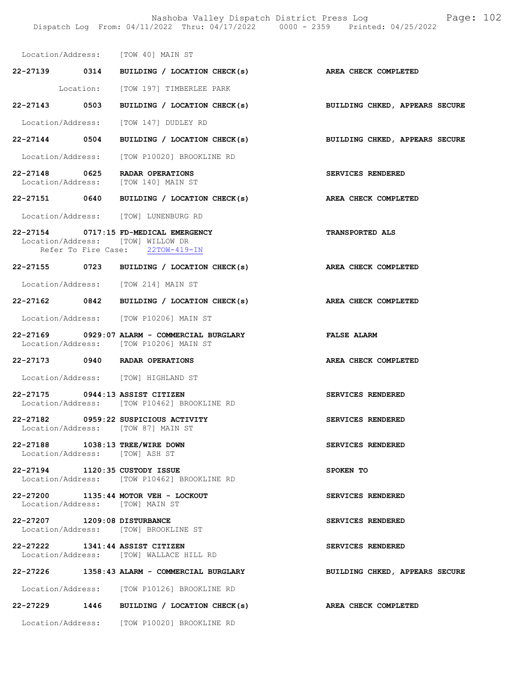Nashoba Valley Dispatch District Press Log Fage: 102 Dispatch Log From: 04/11/2022 Thru: 04/17/2022 0000 - 2359 Printed: 04/25/2022

|                                                                   | Location/Address: [TOW 40] MAIN ST                                                                             |                                |
|-------------------------------------------------------------------|----------------------------------------------------------------------------------------------------------------|--------------------------------|
|                                                                   | 22-27139 0314 BUILDING / LOCATION CHECK(s)                                                                     | AREA CHECK COMPLETED           |
|                                                                   | Location: [TOW 197] TIMBERLEE PARK                                                                             |                                |
|                                                                   | 22-27143 0503 BUILDING / LOCATION CHECK(s)                                                                     | BUILDING CHKED, APPEARS SECURE |
|                                                                   | Location/Address: [TOW 147] DUDLEY RD                                                                          |                                |
|                                                                   | 22-27144 0504 BUILDING / LOCATION CHECK(s)                                                                     | BUILDING CHKED, APPEARS SECURE |
|                                                                   | Location/Address: [TOW P10020] BROOKLINE RD                                                                    |                                |
|                                                                   | 22-27148 0625 RADAR OPERATIONS<br>Location/Address: [TOW 140] MAIN ST                                          | SERVICES RENDERED              |
|                                                                   | 22-27151 0640 BUILDING / LOCATION CHECK(s)                                                                     | AREA CHECK COMPLETED           |
|                                                                   | Location/Address: [TOW] LUNENBURG RD                                                                           |                                |
|                                                                   | 22-27154 0717:15 FD-MEDICAL EMERGENCY<br>Location/Address: [TOW] WILLOW DR<br>Refer To Fire Case: 22TOW-419-IN | <b>TRANSPORTED ALS</b>         |
|                                                                   | 22-27155 0723 BUILDING / LOCATION CHECK(s)                                                                     | AREA CHECK COMPLETED           |
|                                                                   | Location/Address: [TOW 214] MAIN ST                                                                            |                                |
|                                                                   | 22-27162 0842 BUILDING / LOCATION CHECK(s)                                                                     | AREA CHECK COMPLETED           |
|                                                                   | Location/Address: [TOW P10206] MAIN ST                                                                         |                                |
|                                                                   | 22-27169 0929:07 ALARM - COMMERCIAL BURGLARY<br>Location/Address: [TOW P10206] MAIN ST                         | <b>FALSE ALARM</b>             |
|                                                                   |                                                                                                                |                                |
|                                                                   | 22-27173 0940 RADAR OPERATIONS                                                                                 | AREA CHECK COMPLETED           |
|                                                                   | Location/Address: [TOW] HIGHLAND ST                                                                            |                                |
| 22-27175 0944:13 ASSIST CITIZEN                                   | Location/Address: [TOW P10462] BROOKLINE RD                                                                    | SERVICES RENDERED              |
|                                                                   | 22-27182 0959:22 SUSPICIOUS ACTIVITY<br>Location/Address: [TOW 87] MAIN ST                                     | SERVICES RENDERED              |
| 22-27188 1038:13 TREE/WIRE DOWN<br>Location/Address: [TOW] ASH ST |                                                                                                                | SERVICES RENDERED              |
| 22-27194 1120:35 CUSTODY ISSUE                                    | Location/Address: [TOW P10462] BROOKLINE RD                                                                    | SPOKEN TO                      |
|                                                                   | 22-27200 1135:44 MOTOR VEH - LOCKOUT<br>Location/Address: [TOW] MAIN ST                                        | SERVICES RENDERED              |
| 22-27207 1209:08 DISTURBANCE                                      | Location/Address: [TOW] BROOKLINE ST                                                                           | SERVICES RENDERED              |
| 22-27222 1341:44 ASSIST CITIZEN                                   | Location/Address: [TOW] WALLACE HILL RD                                                                        | SERVICES RENDERED              |
|                                                                   | 22-27226 1358:43 ALARM - COMMERCIAL BURGLARY                                                                   | BUILDING CHKED, APPEARS SECURE |
|                                                                   | Location/Address: [TOW P10126] BROOKLINE RD                                                                    |                                |
|                                                                   | 22-27229 1446 BUILDING / LOCATION CHECK(s)                                                                     | AREA CHECK COMPLETED           |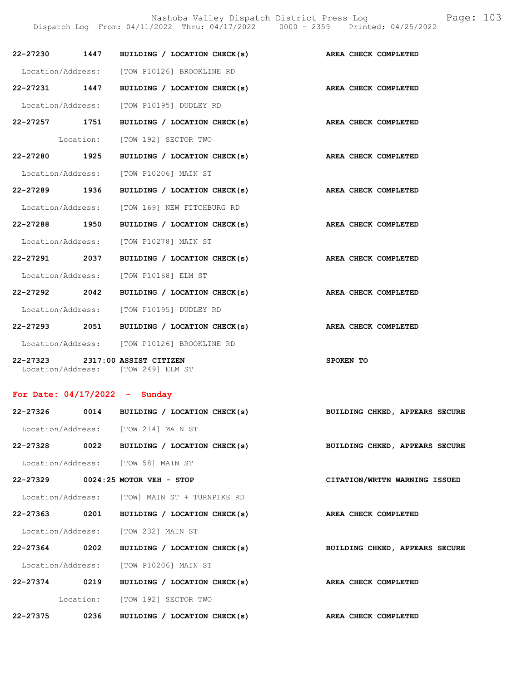Nashoba Valley Dispatch District Press Log Fage: 103

|                                 | Dispatch Log From: 04/11/2022 Thru: 04/17/2022 0000 - 2359 Printed: 04/25/2022 |                                |
|---------------------------------|--------------------------------------------------------------------------------|--------------------------------|
|                                 | 22-27230 1447 BUILDING / LOCATION CHECK(s)                                     | AREA CHECK COMPLETED           |
|                                 | Location/Address: [TOW P10126] BROOKLINE RD                                    |                                |
|                                 | 22-27231 1447 BUILDING / LOCATION CHECK(s)                                     | AREA CHECK COMPLETED           |
|                                 | Location/Address: [TOW P10195] DUDLEY RD                                       |                                |
|                                 | 22-27257 1751 BUILDING / LOCATION CHECK(s)                                     | AREA CHECK COMPLETED           |
|                                 | Location: [TOW 192] SECTOR TWO                                                 |                                |
|                                 | 22-27280 1925 BUILDING / LOCATION CHECK(s)                                     | AREA CHECK COMPLETED           |
|                                 | Location/Address: [TOW P10206] MAIN ST                                         |                                |
|                                 | 22-27289 1936 BUILDING / LOCATION CHECK(s)                                     | AREA CHECK COMPLETED           |
|                                 | Location/Address: [TOW 169] NEW FITCHBURG RD                                   |                                |
|                                 | 22-27288 1950 BUILDING / LOCATION CHECK(s)                                     | AREA CHECK COMPLETED           |
|                                 | Location/Address: [TOW P10278] MAIN ST                                         |                                |
|                                 | 22-27291 2037 BUILDING / LOCATION CHECK(s)                                     | AREA CHECK COMPLETED           |
|                                 | Location/Address: [TOW P10168] ELM ST                                          |                                |
| 22-27292 2042                   | BUILDING / LOCATION CHECK(s)                                                   | AREA CHECK COMPLETED           |
|                                 | Location/Address: [TOW P10195] DUDLEY RD                                       |                                |
|                                 | 22-27293 2051 BUILDING / LOCATION CHECK(s) AREA CHECK COMPLETED                |                                |
|                                 | Location/Address: [TOW P10126] BROOKLINE RD                                    |                                |
|                                 | 22-27323 2317:00 ASSIST CITIZEN<br>Location/Address: [TOW 249] ELM ST          | SPOKEN TO                      |
| For Date: $04/17/2022 -$ Sunday |                                                                                |                                |
|                                 | 22-27326 0014 BUILDING / LOCATION CHECK(s)                                     | BUILDING CHKED, APPEARS SECURE |
|                                 | Location/Address: [TOW 214] MAIN ST                                            |                                |
|                                 | 22-27328 0022 BUILDING / LOCATION CHECK(s)                                     | BUILDING CHKED, APPEARS SECURE |
|                                 | Location/Address: [TOW 58] MAIN ST                                             |                                |
|                                 | 22-27329 0024:25 MOTOR VEH - STOP                                              | CITATION/WRTTN WARNING ISSUED  |
|                                 | Location/Address: [TOW] MAIN ST + TURNPIKE RD                                  |                                |
|                                 | 22-27363 0201 BUILDING / LOCATION CHECK(s)                                     | AREA CHECK COMPLETED           |
|                                 | Location/Address: [TOW 232] MAIN ST                                            |                                |
|                                 | 22-27364 0202 BUILDING / LOCATION CHECK(s)                                     | BUILDING CHKED, APPEARS SECURE |
|                                 | Location/Address: [TOW P10206] MAIN ST                                         |                                |
|                                 | 22-27374 0219 BUILDING / LOCATION CHECK(s)                                     | AREA CHECK COMPLETED           |
|                                 |                                                                                |                                |

Location: [TOW 192] SECTOR TWO

22-27375 0236 BUILDING / LOCATION CHECK(s) AREA CHECK COMPLETED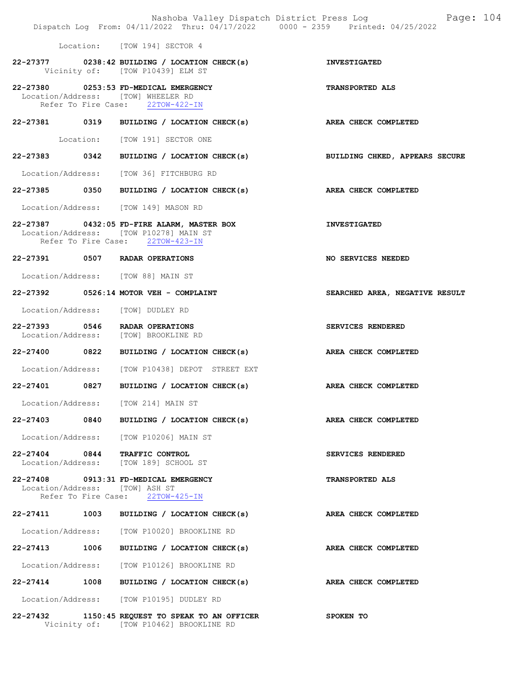|                               |      | Dispatch Log From: 04/11/2022 Thru: 04/17/2022 0000 - 2359 Printed: 04/25/2022                                           | Nashoba Valley Dispatch District Press Log Fage: 104 |
|-------------------------------|------|--------------------------------------------------------------------------------------------------------------------------|------------------------------------------------------|
|                               |      | Location: [TOW 194] SECTOR 4                                                                                             |                                                      |
|                               |      | 22-27377 0238:42 BUILDING / LOCATION CHECK(s)<br>Vicinity of: [TOW P10439] ELM ST                                        | <b>INVESTIGATED</b>                                  |
|                               |      | 22-27380 0253:53 FD-MEDICAL EMERGENCY<br>Location/Address: [TOW] WHEELER RD<br>Refer To Fire Case: 22TOW-422-IN          | <b>TRANSPORTED ALS</b>                               |
|                               |      | 22-27381 0319 BUILDING / LOCATION CHECK(s)                                                                               | AREA CHECK COMPLETED                                 |
|                               |      | Location: [TOW 191] SECTOR ONE                                                                                           |                                                      |
|                               |      | 22-27383 0342 BUILDING / LOCATION CHECK(s)                                                                               | BUILDING CHKED, APPEARS SECURE                       |
|                               |      | Location/Address: [TOW 36] FITCHBURG RD                                                                                  |                                                      |
|                               |      | 22-27385 0350 BUILDING / LOCATION CHECK(s)                                                                               | AREA CHECK COMPLETED                                 |
|                               |      | Location/Address: [TOW 149] MASON RD                                                                                     |                                                      |
|                               |      | 22-27387 0432:05 FD-FIRE ALARM, MASTER BOX<br>Location/Address: [TOW P10278] MAIN ST<br>Refer To Fire Case: 22TOW-423-IN | <b>INVESTIGATED</b>                                  |
|                               |      | 22-27391 0507 RADAR OPERATIONS                                                                                           | <b>NO SERVICES NEEDED</b>                            |
|                               |      | Location/Address: [TOW 88] MAIN ST                                                                                       |                                                      |
|                               |      | 22-27392 0526:14 MOTOR VEH - COMPLAINT                                                                                   | SEARCHED AREA, NEGATIVE RESULT                       |
|                               |      | Location/Address: [TOW] DUDLEY RD                                                                                        |                                                      |
|                               |      | 22-27393 0546 RADAR OPERATIONS<br>Location/Address: [TOW] BROOKLINE RD                                                   | SERVICES RENDERED                                    |
|                               |      | 22-27400 0822 BUILDING / LOCATION CHECK(s)                                                                               | AREA CHECK COMPLETED                                 |
|                               |      | Location/Address: [TOW P10438] DEPOT STREET EXT                                                                          |                                                      |
| 22-27401                      | 0827 | BUILDING / LOCATION CHECK(s) AREA CHECK COMPLETED                                                                        |                                                      |
|                               |      | Location/Address: [TOW 214] MAIN ST                                                                                      |                                                      |
| $22 - 27403$                  |      | 0840 BUILDING / LOCATION CHECK(s)                                                                                        | AREA CHECK COMPLETED                                 |
|                               |      | Location/Address: [TOW P10206] MAIN ST                                                                                   |                                                      |
| 22-27404 0844 TRAFFIC CONTROL |      | Location/Address: [TOW 189] SCHOOL ST                                                                                    | SERVICES RENDERED                                    |
| Location/Address:             |      | 22-27408 0913:31 FD-MEDICAL EMERGENCY<br>[TOW] ASH ST<br>Refer To Fire Case: 22TOW-425-IN                                | <b>TRANSPORTED ALS</b>                               |
| 22-27411                      | 1003 | BUILDING / LOCATION CHECK(s)                                                                                             | AREA CHECK COMPLETED                                 |
| Location/Address:             |      | [TOW P10020] BROOKLINE RD                                                                                                |                                                      |
| 22-27413 1006                 |      | BUILDING / LOCATION CHECK(s)                                                                                             | AREA CHECK COMPLETED                                 |
| Location/Address:             |      | [TOW P10126] BROOKLINE RD                                                                                                |                                                      |
| 22-27414 1008                 |      | BUILDING / LOCATION CHECK(s)                                                                                             | AREA CHECK COMPLETED                                 |
|                               |      | Location/Address: [TOW P10195] DUDLEY RD                                                                                 |                                                      |
|                               |      | 22-27432 1150:45 REQUEST TO SPEAK TO AN OFFICER<br>Vicinity of: [TOW P10462] BROOKLINE RD                                | SPOKEN TO                                            |